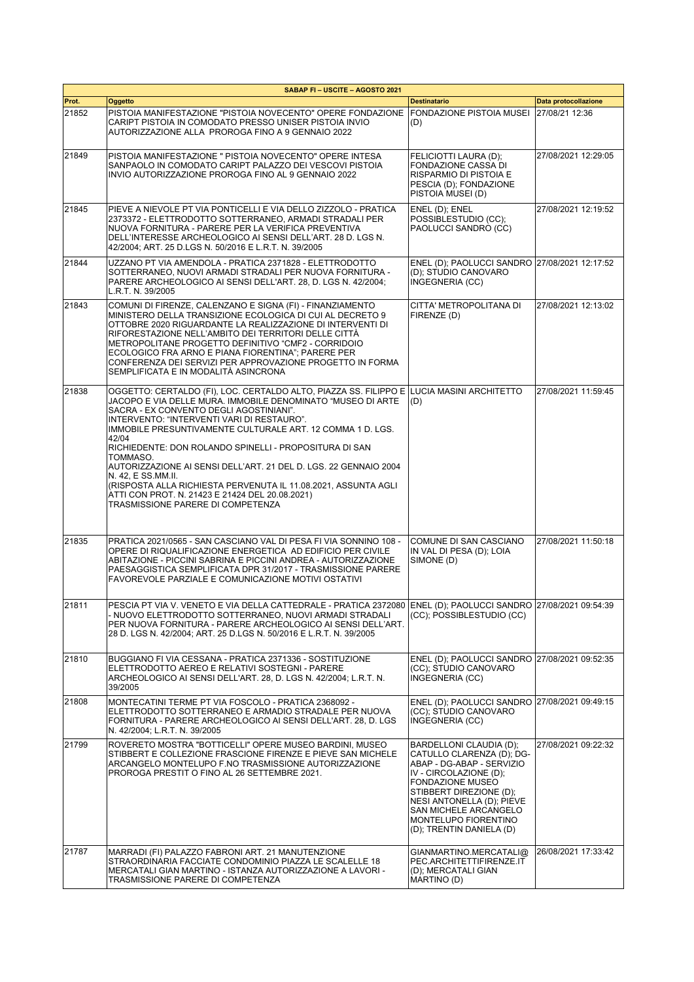|       | SABAP FI-USCITE-AGOSTO 2021                                                                                                                                                                                                                                                                                                                                                                                                                                                                                                                                                                                                                        |                                                                                                                                                                                                                                                                             |                      |
|-------|----------------------------------------------------------------------------------------------------------------------------------------------------------------------------------------------------------------------------------------------------------------------------------------------------------------------------------------------------------------------------------------------------------------------------------------------------------------------------------------------------------------------------------------------------------------------------------------------------------------------------------------------------|-----------------------------------------------------------------------------------------------------------------------------------------------------------------------------------------------------------------------------------------------------------------------------|----------------------|
| Prot. | Oggetto                                                                                                                                                                                                                                                                                                                                                                                                                                                                                                                                                                                                                                            | <b>Destinatario</b>                                                                                                                                                                                                                                                         | Data protocollazione |
| 21852 | PISTOIA MANIFESTAZIONE "PISTOIA NOVECENTO" OPERE FONDAZIONE<br>CARIPT PISTOIA IN COMODATO PRESSO UNISER PISTOIA INVIO<br>AUTORIZZAZIONE ALLA PROROGA FINO A 9 GENNAIO 2022                                                                                                                                                                                                                                                                                                                                                                                                                                                                         | <b>FONDAZIONE PISTOIA MUSEI</b><br>(D)                                                                                                                                                                                                                                      | 27/08/21 12:36       |
| 21849 | PISTOIA MANIFESTAZIONE " PISTOIA NOVECENTO" OPERE INTESA<br>SANPAOLO IN COMODATO CARIPT PALAZZO DEI VESCOVI PISTOIA<br>INVIO AUTORIZZAZIONE PROROGA FINO AL 9 GENNAIO 2022                                                                                                                                                                                                                                                                                                                                                                                                                                                                         | FELICIOTTI LAURA (D);<br>FONDAZIONE CASSA DI<br>RISPARMIO DI PISTOIA E<br>PESCIA (D); FONDAZIONE<br>PISTOIA MUSEI (D)                                                                                                                                                       | 27/08/2021 12:29:05  |
| 21845 | PIEVE A NIEVOLE PT VIA PONTICELLI E VIA DELLO ZIZZOLO - PRATICA<br>2373372 - ELETTRODOTTO SOTTERRANEO, ARMADI STRADALI PER<br>NUOVA FORNITURA - PARERE PER LA VERIFICA PREVENTIVA<br>DELL'INTERESSE ARCHEOLOGICO AI SENSI DELL'ART. 28 D. LGS N.<br>42/2004; ART. 25 D.LGS N. 50/2016 E L.R.T. N. 39/2005                                                                                                                                                                                                                                                                                                                                          | ENEL (D); ENEL<br>POSSIBLESTUDIO (CC):<br>PAOLUCCI SANDRO (CC)                                                                                                                                                                                                              | 27/08/2021 12:19:52  |
| 21844 | UZZANO PT VIA AMENDOLA - PRATICA 2371828 - ELETTRODOTTO<br>SOTTERRANEO, NUOVI ARMADI STRADALI PER NUOVA FORNITURA -<br>PARERE ARCHEOLOGICO AI SENSI DELL'ART. 28, D. LGS N. 42/2004;<br>L.R.T. N. 39/2005                                                                                                                                                                                                                                                                                                                                                                                                                                          | ENEL (D); PAOLUCCI SANDRO 27/08/2021 12:17:52<br>(D); STUDIO CANOVARO<br>INGEGNERIA (CC)                                                                                                                                                                                    |                      |
| 21843 | COMUNI DI FIRENZE, CALENZANO E SIGNA (FI) - FINANZIAMENTO<br>MINISTERO DELLA TRANSIZIONE ECOLOGICA DI CUI AL DECRETO 9<br>OTTOBRE 2020 RIGUARDANTE LA REALIZZAZIONE DI INTERVENTI DI<br>RIFORESTAZIONE NELL'AMBITO DEI TERRITORI DELLE CITTÀ<br>METROPOLITANE PROGETTO DEFINITIVO "CMF2 - CORRIDOIO<br>ECOLOGICO FRA ARNO E PIANA FIORENTINA"; PARERE PER<br>CONFERENZA DEI SERVIZI PER APPROVAZIONE PROGETTO IN FORMA<br>SEMPLIFICATA E IN MODALITÀ ASINCRONA                                                                                                                                                                                     | CITTA' METROPOLITANA DI<br>FIRENZE (D)                                                                                                                                                                                                                                      | 27/08/2021 12:13:02  |
| 21838 | OGGETTO: CERTALDO (FI), LOC. CERTALDO ALTO, PIAZZA SS. FILIPPO E LLUCIA MASINI ARCHITETTO<br>JACOPO E VIA DELLE MURA. IMMOBILE DENOMINATO "MUSEO DI ARTE<br>SACRA - EX CONVENTO DEGLI AGOSTINIANI".<br>INTERVENTO: "INTERVENTI VARI DI RESTAURO".<br>IMMOBILE PRESUNTIVAMENTE CULTURALE ART. 12 COMMA 1 D. LGS.<br>42/04<br>RICHIEDENTE: DON ROLANDO SPINELLI - PROPOSITURA DI SAN<br>TOMMASO.<br>AUTORIZZAZIONE AI SENSI DELL'ART. 21 DEL D. LGS. 22 GENNAIO 2004<br>N. 42, E SS.MM.II.<br>(RISPOSTA ALLA RICHIESTA PERVENUTA IL 11.08.2021, ASSUNTA AGLI<br>ATTI CON PROT. N. 21423 E 21424 DEL 20.08.2021)<br>TRASMISSIONE PARERE DI COMPETENZA | (D)                                                                                                                                                                                                                                                                         | 27/08/2021 11:59:45  |
| 21835 | PRATICA 2021/0565 - SAN CASCIANO VAL DI PESA FI VIA SONNINO 108 -<br>OPERE DI RIQUALIFICAZIONE ENERGETICA AD EDIFICIO PER CIVILE<br>ABITAZIONE - PICCINI SABRINA E PICCINI ANDREA - AUTORIZZAZIONE<br>PAESAGGISTICA SEMPLIFICATA DPR 31/2017 - TRASMISSIONE PARERE<br>FAVOREVOLE PARZIALE E COMUNICAZIONE MOTIVI OSTATIVI                                                                                                                                                                                                                                                                                                                          | COMUNE DI SAN CASCIANO<br>IN VAL DI PESA (D); LOIA<br>SIMONE (D)                                                                                                                                                                                                            | 27/08/2021 11:50:18  |
| 21811 | PESCIA PT VIA V. VENETO E VIA DELLA CATTEDRALE - PRATICA 2372080 ENEL (D); PAOLUCCI SANDRO 27/08/2021 09:54:39<br>- NUOVO ELETTRODOTTO SOTTERRANEO, NUOVI ARMADI STRADALI<br>PER NUOVA FORNITURA - PARERE ARCHEOLOGICO AI SENSI DELL'ART.<br>28 D. LGS N. 42/2004; ART. 25 D.LGS N. 50/2016 E L.R.T. N. 39/2005                                                                                                                                                                                                                                                                                                                                    | (CC); POSSIBLESTUDIO (CC)                                                                                                                                                                                                                                                   |                      |
| 21810 | BUGGIANO FI VIA CESSANA - PRATICA 2371336 - SOSTITUZIONE<br>ELETTRODOTTO AEREO E RELATIVI SOSTEGNI - PARERE<br>ARCHEOLOGICO AI SENSI DELL'ART. 28, D. LGS N. 42/2004; L.R.T. N.<br>39/2005                                                                                                                                                                                                                                                                                                                                                                                                                                                         | ENEL (D); PAOLUCCI SANDRO 27/08/2021 09:52:35<br>(CC); STUDIO CANOVARO<br>INGEGNERIA (CC)                                                                                                                                                                                   |                      |
| 21808 | MONTECATINI TERME PT VIA FOSCOLO - PRATICA 2368092 -<br>ELETTRODOTTO SOTTERRANEO E ARMADIO STRADALE PER NUOVA<br>FORNITURA - PARERE ARCHEOLOGICO AI SENSI DELL'ART. 28. D. LGS<br>N. 42/2004; L.R.T. N. 39/2005                                                                                                                                                                                                                                                                                                                                                                                                                                    | ENEL (D); PAOLUCCI SANDRO 27/08/2021 09:49:15<br>(CC); STUDIO CANOVARO<br>INGEGNERIA (CC)                                                                                                                                                                                   |                      |
| 21799 | ROVERETO MOSTRA "BOTTICELLI" OPERE MUSEO BARDINI, MUSEO<br>STIBBERT E COLLEZIONE FRASCIONE FIRENZE E PIEVE SAN MICHELE<br>ARCANGELO MONTELUPO F.NO TRASMISSIONE AUTORIZZAZIONE<br>PROROGA PRESTIT O FINO AL 26 SETTEMBRE 2021.                                                                                                                                                                                                                                                                                                                                                                                                                     | BARDELLONI CLAUDIA (D);<br>CATULLO CLARENZA (D); DG-<br>ABAP - DG-ABAP - SERVIZIO<br>IV - CIRCOLAZIONE (D);<br><b>FONDAZIONE MUSEO</b><br>STIBBERT DIREZIONE (D);<br>NESI ANTONELLA (D); PIEVE<br>SAN MICHELE ARCANGELO<br>MONTELUPO FIORENTINO<br>(D); TRENTIN DANIELA (D) | 27/08/2021 09:22:32  |
| 21787 | MARRADI (FI) PALAZZO FABRONI ART. 21 MANUTENZIONE<br>STRAORDINARIA FACCIATE CONDOMINIO PIAZZA LE SCALELLE 18<br>MERCATALI GIAN MARTINO - ISTANZA AUTORIZZAZIONE A LAVORI -<br>TRASMISSIONE PARERE DI COMPETENZA                                                                                                                                                                                                                                                                                                                                                                                                                                    | GIANMARTINO.MERCATALI@<br>PEC.ARCHITETTIFIRENZE.IT<br>(D); MERCATALI GIAN<br>MARTINO (D)                                                                                                                                                                                    | 26/08/2021 17:33:42  |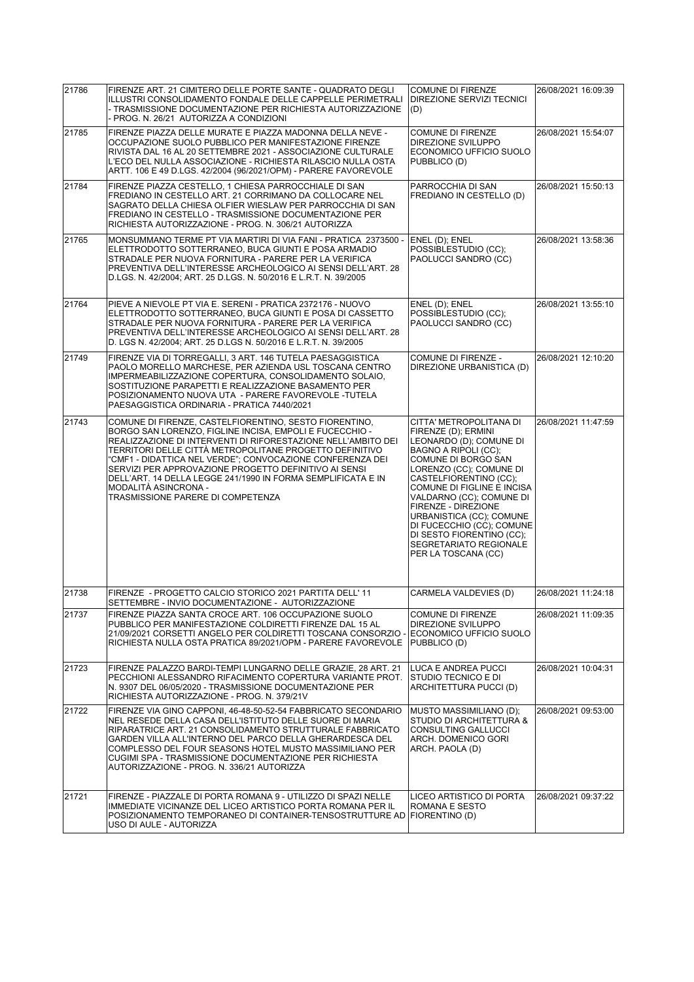| 21786 | FIRENZE ART. 21 CIMITERO DELLE PORTE SANTE - QUADRATO DEGLI<br>ILLUSTRI CONSOLIDAMENTO FONDALE DELLE CAPPELLE PERIMETRALI<br>- TRASMISSIONE DOCUMENTAZIONE PER RICHIESTA AUTORIZZAZIONE<br>- PROG. N. 26/21 AUTORIZZA A CONDIZIONI                                                                                                                                                                                                                                                               | <b>COMUNE DI FIRENZE</b><br><b>DIREZIONE SERVIZI TECNICI</b><br>(D)                                                                                                                                                                                                                                                                                                                                          | 26/08/2021 16:09:39 |
|-------|--------------------------------------------------------------------------------------------------------------------------------------------------------------------------------------------------------------------------------------------------------------------------------------------------------------------------------------------------------------------------------------------------------------------------------------------------------------------------------------------------|--------------------------------------------------------------------------------------------------------------------------------------------------------------------------------------------------------------------------------------------------------------------------------------------------------------------------------------------------------------------------------------------------------------|---------------------|
| 21785 | FIRENZE PIAZZA DELLE MURATE E PIAZZA MADONNA DELLA NEVE -<br>OCCUPAZIONE SUOLO PUBBLICO PER MANIFESTAZIONE FIRENZE<br>RIVISTA DAL 16 AL 20 SETTEMBRE 2021 - ASSOCIAZIONE CULTURALE<br>L'ECO DEL NULLA ASSOCIAZIONE - RICHIESTA RILASCIO NULLA OSTA<br>ARTT. 106 E 49 D.LGS. 42/2004 (96/2021/OPM) - PARERE FAVOREVOLE                                                                                                                                                                            | <b>COMUNE DI FIRENZE</b><br>DIREZIONE SVILUPPO<br>ECONOMICO UFFICIO SUOLO<br>PUBBLICO (D)                                                                                                                                                                                                                                                                                                                    | 26/08/2021 15:54:07 |
| 21784 | FIRENZE PIAZZA CESTELLO, 1 CHIESA PARROCCHIALE DI SAN<br>FREDIANO IN CESTELLO ART. 21 CORRIMANO DA COLLOCARE NEL<br>SAGRATO DELLA CHIESA OLFIER WIESLAW PER PARROCCHIA DI SAN<br>FREDIANO IN CESTELLO - TRASMISSIONE DOCUMENTAZIONE PER<br>RICHIESTA AUTORIZZAZIONE - PROG. N. 306/21 AUTORIZZA                                                                                                                                                                                                  | PARROCCHIA DI SAN<br>FREDIANO IN CESTELLO (D)                                                                                                                                                                                                                                                                                                                                                                | 26/08/2021 15:50:13 |
| 21765 | MONSUMMANO TERME PT VIA MARTIRI DI VIA FANI - PRATICA 2373500 -<br>ELETTRODOTTO SOTTERRANEO, BUCA GIUNTI E POSA ARMADIO<br>STRADALE PER NUOVA FORNITURA - PARERE PER LA VERIFICA<br>PREVENTIVA DELL'INTERESSE ARCHEOLOGICO AI SENSI DELL'ART. 28<br>D.LGS. N. 42/2004; ART. 25 D.LGS. N. 50/2016 E L.R.T. N. 39/2005                                                                                                                                                                             | ENEL (D); ENEL<br>POSSIBLESTUDIO (CC);<br>PAOLUCCI SANDRO (CC)                                                                                                                                                                                                                                                                                                                                               | 26/08/2021 13:58:36 |
| 21764 | PIEVE A NIEVOLE PT VIA E. SERENI - PRATICA 2372176 - NUOVO<br>ELETTRODOTTO SOTTERRANEO, BUCA GIUNTI E POSA DI CASSETTO<br>STRADALE PER NUOVA FORNITURA - PARERE PER LA VERIFICA<br>PREVENTIVA DELL'INTERESSE ARCHEOLOGICO AI SENSI DELL'ART. 28<br>D. LGS N. 42/2004; ART. 25 D.LGS N. 50/2016 E L.R.T. N. 39/2005                                                                                                                                                                               | ENEL (D); ENEL<br>POSSIBLESTUDIO (CC);<br>PAOLUCCI SANDRO (CC)                                                                                                                                                                                                                                                                                                                                               | 26/08/2021 13:55:10 |
| 21749 | FIRENZE VIA DI TORREGALLI, 3 ART. 146 TUTELA PAESAGGISTICA<br>PAOLO MORELLO MARCHESE, PER AZIENDA USL TOSCANA CENTRO<br>IMPERMEABILIZZAZIONE COPERTURA, CONSOLIDAMENTO SOLAIO,<br>SOSTITUZIONE PARAPETTI E REALIZZAZIONE BASAMENTO PER<br>POSIZIONAMENTO NUOVA UTA - PARERE FAVOREVOLE -TUTELA<br>PAESAGGISTICA ORDINARIA - PRATICA 7440/2021                                                                                                                                                    | <b>COMUNE DI FIRENZE -</b><br>DIREZIONE URBANISTICA (D)                                                                                                                                                                                                                                                                                                                                                      | 26/08/2021 12:10:20 |
| 21743 | COMUNE DI FIRENZE, CASTELFIORENTINO, SESTO FIORENTINO,<br>BORGO SAN LORENZO, FIGLINE INCISA, EMPOLI E FUCECCHIO -<br>REALIZZAZIONE DI INTERVENTI DI RIFORESTAZIONE NELL'AMBITO DEI<br>TERRITORI DELLE CITTÀ METROPOLITANE PROGETTO DEFINITIVO<br>"CMF1 - DIDATTICA NEL VERDE"; CONVOCAZIONE CONFERENZA DEI<br>SERVIZI PER APPROVAZIONE PROGETTO DEFINITIVO AI SENSI<br>DELL'ART. 14 DELLA LEGGE 241/1990 IN FORMA SEMPLIFICATA E IN<br>MODALITÀ ASINCRONA -<br>TRASMISSIONE PARERE DI COMPETENZA | CITTA' METROPOLITANA DI<br>FIRENZE (D); ERMINI<br>LEONARDO (D); COMUNE DI<br>BAGNO A RIPOLI (CC);<br>COMUNE DI BORGO SAN<br>LORENZO (CC); COMUNE DI<br>CASTELFIORENTINO (CC);<br>COMUNE DI FIGLINE E INCISA<br>VALDARNO (CC); COMUNE DI<br>FIRENZE - DIREZIONE<br>URBANISTICA (CC); COMUNE<br>DI FUCECCHIO (CC); COMUNE<br>DI SESTO FIORENTINO (CC);<br><b>SEGRETARIATO REGIONALE</b><br>PER LA TOSCANA (CC) | 26/08/2021 11:47:59 |
| 21738 | FIRENZE - PROGETTO CALCIO STORICO 2021 PARTITA DELL' 11<br>SETTEMBRE - INVIO DOCUMENTAZIONE - AUTORIZZAZIONE                                                                                                                                                                                                                                                                                                                                                                                     | CARMELA VALDEVIES (D)                                                                                                                                                                                                                                                                                                                                                                                        | 26/08/2021 11:24:18 |
| 21737 | FIRENZE PIAZZA SANTA CROCE ART. 106 OCCUPAZIONE SUOLO<br>PUBBLICO PER MANIFESTAZIONE COLDIRETTI FIRENZE DAL 15 AL<br>21/09/2021 CORSETTI ANGELO PER COLDIRETTI TOSCANA CONSORZIO -<br>RICHIESTA NULLA OSTA PRATICA 89/2021/OPM - PARERE FAVOREVOLE                                                                                                                                                                                                                                               | <b>COMUNE DI FIRENZE</b><br><b>DIREZIONE SVILUPPO</b><br>ECONOMICO UFFICIO SUOLO<br>PUBBLICO (D)                                                                                                                                                                                                                                                                                                             | 26/08/2021 11:09:35 |
| 21723 | FIRENZE PALAZZO BARDI-TEMPI LUNGARNO DELLE GRAZIE, 28 ART. 21<br>PECCHIONI ALESSANDRO RIFACIMENTO COPERTURA VARIANTE PROT.<br>N. 9307 DEL 06/05/2020 - TRASMISSIONE DOCUMENTAZIONE PER<br>RICHIESTA AUTORIZZAZIONE - PROG. N. 379/21V                                                                                                                                                                                                                                                            | LUCA E ANDREA PUCCI<br>STUDIO TECNICO E DI<br>ARCHITETTURA PUCCI (D)                                                                                                                                                                                                                                                                                                                                         | 26/08/2021 10:04:31 |
| 21722 | FIRENZE VIA GINO CAPPONI, 46-48-50-52-54 FABBRICATO SECONDARIO<br>NEL RESEDE DELLA CASA DELL'ISTITUTO DELLE SUORE DI MARIA<br>RIPARATRICE ART. 21 CONSOLIDAMENTO STRUTTURALE FABBRICATO<br>GARDEN VILLA ALL'INTERNO DEL PARCO DELLA GHERARDESCA DEL<br>COMPLESSO DEL FOUR SEASONS HOTEL MUSTO MASSIMILIANO PER<br>CUGIMI SPA - TRASMISSIONE DOCUMENTAZIONE PER RICHIESTA<br>AUTORIZZAZIONE - PROG. N. 336/21 AUTORIZZA                                                                           | MUSTO MASSIMILIANO (D);<br>STUDIO DI ARCHITETTURA &<br><b>CONSULTING GALLUCCI</b><br>ARCH. DOMENICO GORI<br>ARCH. PAOLA (D)                                                                                                                                                                                                                                                                                  | 26/08/2021 09:53:00 |
| 21721 | FIRENZE - PIAZZALE DI PORTA ROMANA 9 - UTILIZZO DI SPAZI NELLE<br>IMMEDIATE VICINANZE DEL LICEO ARTISTICO PORTA ROMANA PER IL<br>POSIZIONAMENTO TEMPORANEO DI CONTAINER-TENSOSTRUTTURE AD<br>USO DI AULE - AUTORIZZA                                                                                                                                                                                                                                                                             | LICEO ARTISTICO DI PORTA<br>ROMANA E SESTO<br> FIORENTINO (D)                                                                                                                                                                                                                                                                                                                                                | 26/08/2021 09:37:22 |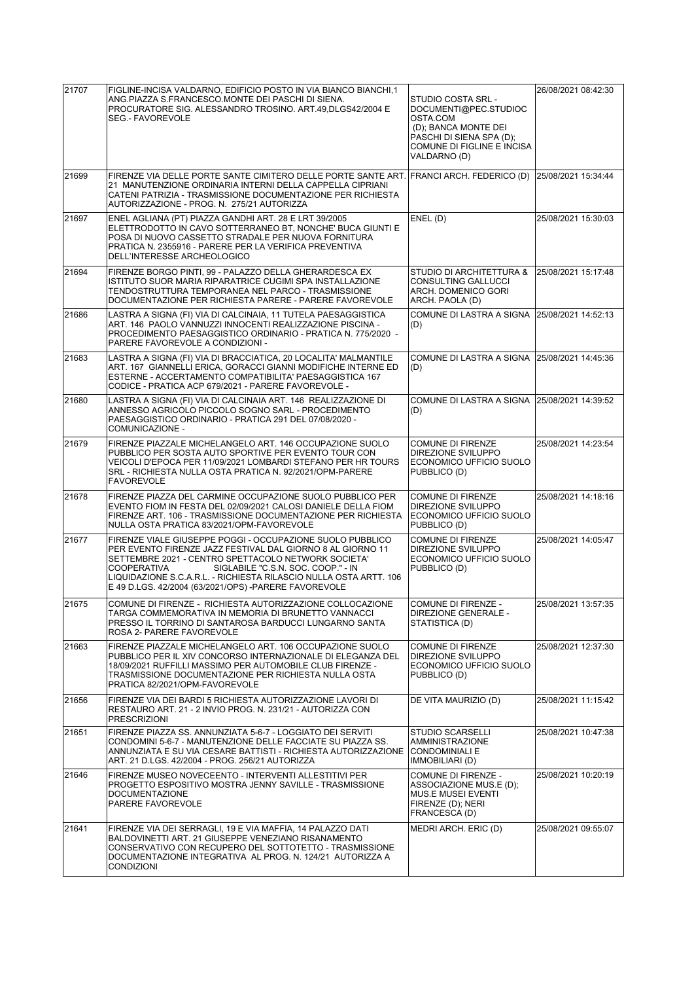| 21707 | FIGLINE-INCISA VALDARNO, EDIFICIO POSTO IN VIA BIANCO BIANCHI,1<br>ANG.PIAZZA S.FRANCESCO.MONTE DEI PASCHI DI SIENA.<br>PROCURATORE SIG. ALESSANDRO TROSINO. ART.49,DLGS42/2004 E<br><b>SEG.- FAVOREVOLE</b>                                                                                                                                                     | STUDIO COSTA SRL -<br>DOCUMENTI@PEC.STUDIOC<br>OSTA.COM<br>(D); BANCA MONTE DEI<br>PASCHI DI SIENA SPA (D);<br>COMUNE DI FIGLINE E INCISA<br>VALDARNO (D) | 26/08/2021 08:42:30 |
|-------|------------------------------------------------------------------------------------------------------------------------------------------------------------------------------------------------------------------------------------------------------------------------------------------------------------------------------------------------------------------|-----------------------------------------------------------------------------------------------------------------------------------------------------------|---------------------|
| 21699 | FIRENZE VIA DELLE PORTE SANTE CIMITERO DELLE PORTE SANTE ART. FRANCI ARCH. FEDERICO (D) 25/08/2021 15:34:44<br>21 MANUTENZIONE ORDINARIA INTERNI DELLA CAPPELLA CIPRIANI<br>CATENI PATRIZIA - TRASMISSIONE DOCUMENTAZIONE PER RICHIESTA<br>AUTORIZZAZIONE - PROG. N. 275/21 AUTORIZZA                                                                            |                                                                                                                                                           |                     |
| 21697 | ENEL AGLIANA (PT) PIAZZA GANDHI ART. 28 E LRT 39/2005<br>ELETTRODOTTO IN CAVO SOTTERRANEO BT, NONCHE' BUCA GIUNTI E<br>POSA DI NUOVO CASSETTO STRADALE PER NUOVA FORNITURA<br>PRATICA N. 2355916 - PARERE PER LA VERIFICA PREVENTIVA<br>DELL'INTERESSE ARCHEOLOGICO                                                                                              | ENEL(D)                                                                                                                                                   | 25/08/2021 15:30:03 |
| 21694 | FIRENZE BORGO PINTI, 99 - PALAZZO DELLA GHERARDESCA EX<br>ISTITUTO SUOR MARIA RIPARATRICE CUGIMI SPA INSTALLAZIONE<br>TENDOSTRUTTURA TEMPORANEA NEL PARCO - TRASMISSIONE<br>DOCUMENTAZIONE PER RICHIESTA PARERE - PARERE FAVOREVOLE                                                                                                                              | STUDIO DI ARCHITETTURA &<br>CONSULTING GALLUCCI<br>ARCH. DOMENICO GORI<br>ARCH. PAOLA (D)                                                                 | 25/08/2021 15:17:48 |
| 21686 | LASTRA A SIGNA (FI) VIA DI CALCINAIA, 11 TUTELA PAESAGGISTICA<br>ART. 146 PAOLO VANNUZZI INNOCENTI REALIZZAZIONE PISCINA -<br>PROCEDIMENTO PAESAGGISTICO ORDINARIO - PRATICA N. 775/2020 -<br>PARERE FAVOREVOLE A CONDIZIONI -                                                                                                                                   | COMUNE DI LASTRA A SIGNA<br>(D)                                                                                                                           | 25/08/2021 14:52:13 |
| 21683 | LASTRA A SIGNA (FI) VIA DI BRACCIATICA, 20 LOCALITA' MALMANTILE<br>ART. 167 GIANNELLI ERICA, GORACCI GIANNI MODIFICHE INTERNE ED<br>ESTERNE - ACCERTAMENTO COMPATIBILITA' PAESAGGISTICA 167<br>CODICE - PRATICA ACP 679/2021 - PARERE FAVOREVOLE -                                                                                                               | COMUNE DI LASTRA A SIGNA 25/08/2021 14:45:36<br>(D)                                                                                                       |                     |
| 21680 | LASTRA A SIGNA (FI) VIA DI CALCINAIA ART. 146 REALIZZAZIONE DI<br>ANNESSO AGRICOLO PICCOLO SOGNO SARL - PROCEDIMENTO<br>PAESAGGISTICO ORDINARIO - PRATICA 291 DEL 07/08/2020 -<br>COMUNICAZIONE -                                                                                                                                                                | COMUNE DI LASTRA A SIGNA 25/08/2021 14:39:52<br>(D)                                                                                                       |                     |
| 21679 | FIRENZE PIAZZALE MICHELANGELO ART. 146 OCCUPAZIONE SUOLO<br>PUBBLICO PER SOSTA AUTO SPORTIVE PER EVENTO TOUR CON<br>VEICOLI D'EPOCA PER 11/09/2021 LOMBARDI STEFANO PER HR TOURS<br>SRL - RICHIESTA NULLA OSTA PRATICA N. 92/2021/OPM-PARERE<br><b>FAVOREVOLE</b>                                                                                                | <b>COMUNE DI FIRENZE</b><br><b>DIREZIONE SVILUPPO</b><br>ECONOMICO UFFICIO SUOLO<br>PUBBLICO (D)                                                          | 25/08/2021 14:23:54 |
| 21678 | FIRENZE PIAZZA DEL CARMINE OCCUPAZIONE SUOLO PUBBLICO PER<br>EVENTO FIOM IN FESTA DEL 02/09/2021 CALOSI DANIELE DELLA FIOM<br>FIRENZE ART. 106 - TRASMISSIONE DOCUMENTAZIONE PER RICHIESTA<br>NULLA OSTA PRATICA 83/2021/OPM-FAVOREVOLE                                                                                                                          | <b>COMUNE DI FIRENZE</b><br>DIREZIONE SVILUPPO<br>ECONOMICO UFFICIO SUOLO<br>PUBBLICO (D)                                                                 | 25/08/2021 14:18:16 |
| 21677 | FIRENZE VIALE GIUSEPPE POGGI - OCCUPAZIONE SUOLO PUBBLICO<br>PER EVENTO FIRENZE JAZZ FESTIVAL DAL GIORNO 8 AL GIORNO 11<br>SETTEMBRE 2021 - CENTRO SPETTACOLO NETWORK SOCIETA'<br>COOPERATIVA<br>SIGLABILE "C.S.N. SOC. COOP." - IN<br>LIQUIDAZIONE S.C.A.R.L. - RICHIESTA RILASCIO NULLA OSTA ARTT. 106<br>E 49 D.LGS. 42/2004 (63/2021/OPS) -PARERE FAVOREVOLE | <b>COMUNE DI FIRENZE</b><br><b>DIREZIONE SVILUPPO</b><br>ECONOMICO UFFICIO SUOLO<br>PUBBLICO (D)                                                          | 25/08/2021 14:05:47 |
| 21675 | COMUNE DI FIRENZE - RICHIESTA AUTORIZZAZIONE COLLOCAZIONE<br>TARGA COMMEMORATIVA IN MEMORIA DI BRUNETTO VANNACCI<br>PRESSO IL TORRINO DI SANTAROSA BARDUCCI LUNGARNO SANTA<br>ROSA 2- PARERE FAVOREVOLE                                                                                                                                                          | COMUNE DI FIRENZE -<br>DIREZIONE GENERALE -<br>STATISTICA (D)                                                                                             | 25/08/2021 13:57:35 |
| 21663 | FIRENZE PIAZZALE MICHELANGELO ART. 106 OCCUPAZIONE SUOLO<br>PUBBLICO PER IL XIV CONCORSO INTERNAZIONALE DI ELEGANZA DEL<br>18/09/2021 RUFFILLI MASSIMO PER AUTOMOBILE CLUB FIRENZE -<br>TRASMISSIONE DOCUMENTAZIONE PER RICHIESTA NULLA OSTA<br>PRATICA 82/2021/OPM-FAVOREVOLE                                                                                   | <b>COMUNE DI FIRENZE</b><br><b>DIREZIONE SVILUPPO</b><br>ECONOMICO UFFICIO SUOLO<br>PUBBLICO (D)                                                          | 25/08/2021 12:37:30 |
| 21656 | FIRENZE VIA DEI BARDI 5 RICHIESTA AUTORIZZAZIONE LAVORI DI<br>RESTAURO ART. 21 - 2 INVIO PROG. N. 231/21 - AUTORIZZA CON<br><b>PRESCRIZIONI</b>                                                                                                                                                                                                                  | DE VITA MAURIZIO (D)                                                                                                                                      | 25/08/2021 11:15:42 |
| 21651 | FIRENZE PIAZZA SS. ANNUNZIATA 5-6-7 - LOGGIATO DEI SERVITI<br>CONDOMINI 5-6-7 - MANUTENZIONE DELLE FACCIATE SU PIAZZA SS.<br>ANNUNZIATA E SU VIA CESARE BATTISTI - RICHIESTA AUTORIZZAZIONE<br>ART. 21 D.LGS. 42/2004 - PROG. 256/21 AUTORIZZA                                                                                                                   | <b>STUDIO SCARSELLI</b><br><b>AMMINISTRAZIONE</b><br><b>CONDOMINIALI E</b><br>IMMOBILIARI (D)                                                             | 25/08/2021 10:47:38 |
| 21646 | FIRENZE MUSEO NOVECEENTO - INTERVENTI ALLESTITIVI PER<br>PROGETTO ESPOSITIVO MOSTRA JENNY SAVILLE - TRASMISSIONE<br>DOCUMENTAZIONE<br>PARERE FAVOREVOLE                                                                                                                                                                                                          | COMUNE DI FIRENZE -<br>ASSOCIAZIONE MUS.E (D);<br>MUS.E MUSEI EVENTI<br>FIRENZE (D); NERI<br>FRANCESCA (D)                                                | 25/08/2021 10:20:19 |
| 21641 | FIRENZE VIA DEI SERRAGLI, 19 E VIA MAFFIA, 14 PALAZZO DATI<br>BALDOVINETTI ART. 21 GIUSEPPE VENEZIANO RISANAMENTO<br>CONSERVATIVO CON RECUPERO DEL SOTTOTETTO - TRASMISSIONE<br>DOCUMENTAZIONE INTEGRATIVA AL PROG. N. 124/21 AUTORIZZA A<br><b>CONDIZIONI</b>                                                                                                   | MEDRI ARCH. ERIC (D)                                                                                                                                      | 25/08/2021 09:55:07 |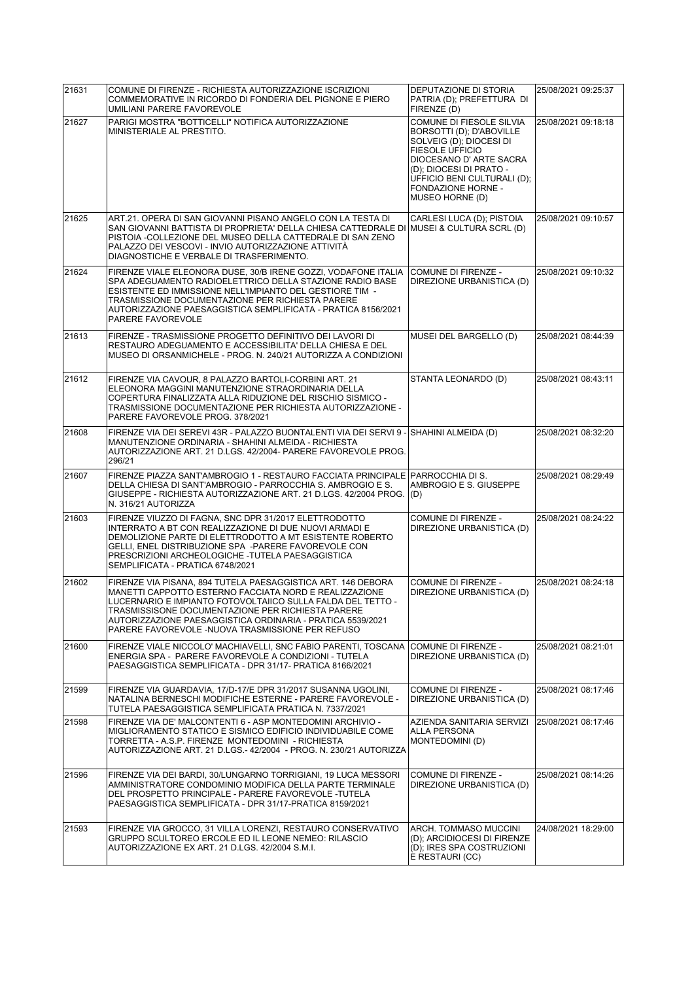| 21631 | COMUNE DI FIRENZE - RICHIESTA AUTORIZZAZIONE ISCRIZIONI<br>COMMEMORATIVE IN RICORDO DI FONDERIA DEL PIGNONE E PIERO<br>UMILIANI PARERE FAVOREVOLE                                                                                                                                                                                                             | DEPUTAZIONE DI STORIA<br>PATRIA (D); PREFETTURA DI<br>FIRENZE (D)                                                                                                                                                                              | 25/08/2021 09:25:37 |
|-------|---------------------------------------------------------------------------------------------------------------------------------------------------------------------------------------------------------------------------------------------------------------------------------------------------------------------------------------------------------------|------------------------------------------------------------------------------------------------------------------------------------------------------------------------------------------------------------------------------------------------|---------------------|
| 21627 | PARIGI MOSTRA "BOTTICELLI" NOTIFICA AUTORIZZAZIONE<br>MINISTERIALE AL PRESTITO.                                                                                                                                                                                                                                                                               | <b>COMUNE DI FIESOLE SILVIA</b><br>BORSOTTI (D); D'ABOVILLE<br>SOLVEIG (D); DIOCESI DI<br><b>FIESOLE UFFICIO</b><br>DIOCESANO D' ARTE SACRA<br>(D); DIOCESI DI PRATO -<br>UFFICIO BENI CULTURALI (D);<br>FONDAZIONE HORNE -<br>MUSEO HORNE (D) | 25/08/2021 09:18:18 |
| 21625 | ART.21. OPERA DI SAN GIOVANNI PISANO ANGELO CON LA TESTA DI<br>SAN GIOVANNI BATTISTA DI PROPRIETA' DELLA CHIESA CATTEDRALE DI MUSEI & CULTURA SCRL (D)<br>PISTOIA -COLLEZIONE DEL MUSEO DELLA CATTEDRALE DI SAN ZENO<br>PALAZZO DEI VESCOVI - INVIO AUTORIZZAZIONE ATTIVITÀ<br>DIAGNOSTICHE E VERBALE DI TRASFERIMENTO.                                       | CARLESI LUCA (D); PISTOIA                                                                                                                                                                                                                      | 25/08/2021 09:10:57 |
| 21624 | FIRENZE VIALE ELEONORA DUSE, 30/B IRENE GOZZI, VODAFONE ITALIA<br>SPA ADEGUAMENTO RADIOELETTRICO DELLA STAZIONE RADIO BASE<br>ESISTENTE ED IMMISSIONE NELL'IMPIANTO DEL GESTIORE TIM -<br>TRASMISSIONE DOCUMENTAZIONE PER RICHIESTA PARERE<br>AUTORIZZAZIONE PAESAGGISTICA SEMPLIFICATA - PRATICA 8156/2021<br>PARERE FAVOREVOLE                              | COMUNE DI FIRENZE -<br>DIREZIONE URBANISTICA (D)                                                                                                                                                                                               | 25/08/2021 09:10:32 |
| 21613 | FIRENZE - TRASMISSIONE PROGETTO DEFINITIVO DEI LAVORI DI<br>RESTAURO ADEGUAMENTO E ACCESSIBILITA' DELLA CHIESA E DEL<br>MUSEO DI ORSANMICHELE - PROG. N. 240/21 AUTORIZZA A CONDIZIONI                                                                                                                                                                        | MUSEI DEL BARGELLO (D)                                                                                                                                                                                                                         | 25/08/2021 08:44:39 |
| 21612 | FIRENZE VIA CAVOUR, 8 PALAZZO BARTOLI-CORBINI ART. 21<br>ELEONORA MAGGINI MANUTENZIONE STRAORDINARIA DELLA<br>COPERTURA FINALIZZATA ALLA RIDUZIONE DEL RISCHIO SISMICO -<br>TRASMISSIONE DOCUMENTAZIONE PER RICHIESTA AUTORIZZAZIONE -<br>PARERE FAVOREVOLE PROG. 378/2021                                                                                    | STANTA LEONARDO (D)                                                                                                                                                                                                                            | 25/08/2021 08:43:11 |
| 21608 | FIRENZE VIA DEI SEREVI 43R - PALAZZO BUONTALENTI VIA DEI SERVI 9 - SHAHINI ALMEIDA (D)<br>MANUTENZIONE ORDINARIA - SHAHINI ALMEIDA - RICHIESTA<br>AUTORIZZAZIONE ART. 21 D.LGS. 42/2004- PARERE FAVOREVOLE PROG.<br>296/21                                                                                                                                    |                                                                                                                                                                                                                                                | 25/08/2021 08:32:20 |
| 21607 | FIRENZE PIAZZA SANT'AMBROGIO 1 - RESTAURO FACCIATA PRINCIPALE<br>DELLA CHIESA DI SANT'AMBROGIO - PARROCCHIA S. AMBROGIO E S.<br>GIUSEPPE - RICHIESTA AUTORIZZAZIONE ART. 21 D.LGS. 42/2004 PROG.<br>N. 316/21 AUTORIZZA                                                                                                                                       | PARROCCHIA DI S.<br>AMBROGIO E S. GIUSEPPE<br>(D)                                                                                                                                                                                              | 25/08/2021 08:29:49 |
| 21603 | FIRENZE VIUZZO DI FAGNA, SNC DPR 31/2017 ELETTRODOTTO<br>INTERRATO A BT CON REALIZZAZIONE DI DUE NUOVI ARMADI E<br>DEMOLIZIONE PARTE DI ELETTRODOTTO A MT ESISTENTE ROBERTO<br>GELLI, ENEL DISTRIBUZIONE SPA -PARERE FAVOREVOLE CON<br>PRESCRIZIONI ARCHEOLOGICHE -TUTELA PAESAGGISTICA<br>SEMPLIFICATA - PRATICA 6748/2021                                   | COMUNE DI FIRENZE -<br>DIREZIONE URBANISTICA (D)                                                                                                                                                                                               | 25/08/2021 08:24:22 |
| 21602 | FIRENZE VIA PISANA, 894 TUTELA PAESAGGISTICA ART. 146 DEBORA<br>MANETTI CAPPOTTO ESTERNO FACCIATA NORD E REALIZZAZIONE<br>LUCERNARIO E IMPIANTO FOTOVOLTAIICO SULLA FALDA DEL TETTO -<br>TRASMISSISONE DOCUMENTAZIONE PER RICHIESTA PARERE<br>AUTORIZZAZIONE PAESAGGISTICA ORDINARIA - PRATICA 5539/2021<br>PARERE FAVOREVOLE - NUOVA TRASMISSIONE PER REFUSO | COMUNE DI FIRENZE -<br>DIREZIONE URBANISTICA (D)                                                                                                                                                                                               | 25/08/2021 08:24:18 |
| 21600 | FIRENZE VIALE NICCOLO' MACHIAVELLI, SNC FABIO PARENTI, TOSCANA<br>ENERGIA SPA - PARERE FAVOREVOLE A CONDIZIONI - TUTELA<br>PAESAGGISTICA SEMPLIFICATA - DPR 31/17- PRATICA 8166/2021                                                                                                                                                                          | COMUNE DI FIRENZE -<br>DIREZIONE URBANISTICA (D)                                                                                                                                                                                               | 25/08/2021 08:21:01 |
| 21599 | FIRENZE VIA GUARDAVIA, 17/D-17/E DPR 31/2017 SUSANNA UGOLINI,<br>NATALINA BERNESCHI MODIFICHE ESTERNE - PARERE FAVOREVOLE -<br>TUTELA PAESAGGISTICA SEMPLIFICATA PRATICA N. 7337/2021                                                                                                                                                                         | <b>COMUNE DI FIRENZE -</b><br>DIREZIONE URBANISTICA (D)                                                                                                                                                                                        | 25/08/2021 08:17:46 |
| 21598 | FIRENZE VIA DE' MALCONTENTI 6 - ASP MONTEDOMINI ARCHIVIO -<br>MIGLIORAMENTO STATICO E SISMICO EDIFICIO INDIVIDUABILE COME<br>TORRETTA - A.S.P. FIRENZE MONTEDOMINI - RICHIESTA<br>AUTORIZZAZIONE ART. 21 D.LGS.- 42/2004 - PROG. N. 230/21 AUTORIZZA                                                                                                          | AZIENDA SANITARIA SERVIZI<br><b>ALLA PERSONA</b><br>MONTEDOMINI (D)                                                                                                                                                                            | 25/08/2021 08:17:46 |
| 21596 | FIRENZE VIA DEI BARDI, 30/LUNGARNO TORRIGIANI, 19 LUCA MESSORI<br>AMMINISTRATORE CONDOMINIO MODIFICA DELLA PARTE TERMINALE<br>DEL PROSPETTO PRINCIPALE - PARERE FAVOREVOLE -TUTELA<br>PAESAGGISTICA SEMPLIFICATA - DPR 31/17-PRATICA 8159/2021                                                                                                                | COMUNE DI FIRENZE -<br>DIREZIONE URBANISTICA (D)                                                                                                                                                                                               | 25/08/2021 08:14:26 |
| 21593 | FIRENZE VIA GROCCO, 31 VILLA LORENZI, RESTAURO CONSERVATIVO<br>GRUPPO SCULTOREO ERCOLE ED IL LEONE NEMEO: RILASCIO<br>AUTORIZZAZIONE EX ART. 21 D.LGS. 42/2004 S.M.I.                                                                                                                                                                                         | ARCH. TOMMASO MUCCINI<br>(D); ARCIDIOCESI DI FIRENZE<br>(D); IRES SPA COSTRUZIONI<br>E RESTAURI (CC)                                                                                                                                           | 24/08/2021 18:29:00 |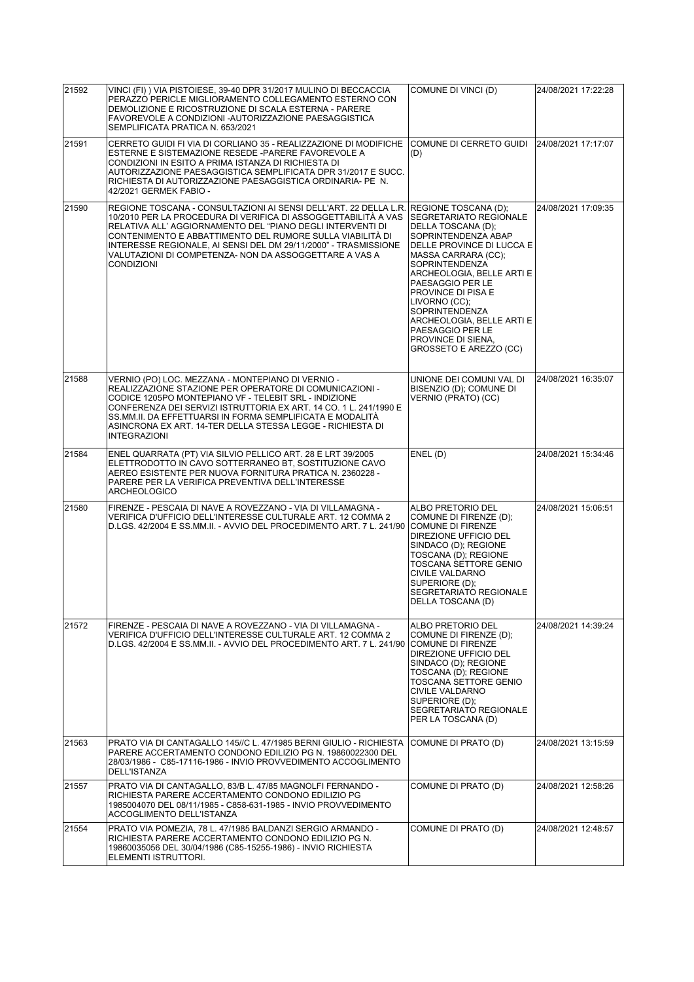| 21592 | VINCI (FI) ) VIA PISTOIESE, 39-40 DPR 31/2017 MULINO DI BECCACCIA<br>PERAZZO PERICLE MIGLIORAMENTO COLLEGAMENTO ESTERNO CON<br>DEMOLIZIONE E RICOSTRUZIONE DI SCALA ESTERNA - PARERE<br>FAVOREVOLE A CONDIZIONI - AUTORIZZAZIONE PAESAGGISTICA<br>SEMPLIFICATA PRATICA N. 653/2021                                                                                                                              | COMUNE DI VINCI (D)                                                                                                                                                                                                                                                                                                                                                                        | 24/08/2021 17:22:28 |
|-------|-----------------------------------------------------------------------------------------------------------------------------------------------------------------------------------------------------------------------------------------------------------------------------------------------------------------------------------------------------------------------------------------------------------------|--------------------------------------------------------------------------------------------------------------------------------------------------------------------------------------------------------------------------------------------------------------------------------------------------------------------------------------------------------------------------------------------|---------------------|
| 21591 | CERRETO GUIDI FI VIA DI CORLIANO 35 - REALIZZAZIONE DI MODIFICHE<br>ESTERNE E SISTEMAZIONE RESEDE -PARERE FAVOREVOLE A<br>CONDIZIONI IN ESITO A PRIMA ISTANZA DI RICHIESTA DI<br>AUTORIZZAZIONE PAESAGGISTICA SEMPLIFICATA DPR 31/2017 E SUCC.<br>RICHIESTA DI AUTORIZZAZIONE PAESAGGISTICA ORDINARIA- PE N.<br>42/2021 GERMEK FABIO -                                                                          | COMUNE DI CERRETO GUIDI<br>(D)                                                                                                                                                                                                                                                                                                                                                             | 24/08/2021 17:17:07 |
| 21590 | REGIONE TOSCANA - CONSULTAZIONI AI SENSI DELL'ART. 22 DELLA L.R.<br>10/2010 PER LA PROCEDURA DI VERIFICA DI ASSOGGETTABILITÀ A VAS<br>RELATIVA ALL' AGGIORNAMENTO DEL "PIANO DEGLI INTERVENTI DI<br>CONTENIMENTO E ABBATTIMENTO DEL RUMORE SULLA VIABILITÀ DI<br>INTERESSE REGIONALE, AI SENSI DEL DM 29/11/2000" - TRASMISSIONE<br>VALUTAZIONI DI COMPETENZA- NON DA ASSOGGETTARE A VAS A<br><b>CONDIZIONI</b> | <b>REGIONE TOSCANA (D):</b><br>SEGRETARIATO REGIONALE<br>DELLA TOSCANA (D);<br>SOPRINTENDENZA ABAP<br>DELLE PROVINCE DI LUCCA E<br>MASSA CARRARA (CC);<br>SOPRINTENDENZA<br>ARCHEOLOGIA, BELLE ARTI E<br>PAESAGGIO PER LE<br>PROVINCE DI PISA E<br>LIVORNO (CC);<br><b>SOPRINTENDENZA</b><br>ARCHEOLOGIA. BELLE ARTI E<br>PAESAGGIO PER LE<br>PROVINCE DI SIENA,<br>GROSSETO E AREZZO (CC) | 24/08/2021 17:09:35 |
| 21588 | VERNIO (PO) LOC. MEZZANA - MONTEPIANO DI VERNIO -<br>REALIZZAZIONE STAZIONE PER OPERATORE DI COMUNICAZIONI -<br>CODICE 1205PO MONTEPIANO VF - TELEBIT SRL - INDIZIONE<br>CONFERENZA DEI SERVIZI ISTRUTTORIA EX ART. 14 CO. 1 L. 241/1990 E<br>SS.MM.II. DA EFFETTUARSI IN FORMA SEMPLIFICATA E MODALITÀ<br>ASINCRONA EX ART. 14-TER DELLA STESSA LEGGE - RICHIESTA DI<br><b>INTEGRAZIONI</b>                    | UNIONE DEI COMUNI VAL DI<br>BISENZIO (D); COMUNE DI<br>VERNIO (PRATO) (CC)                                                                                                                                                                                                                                                                                                                 | 24/08/2021 16:35:07 |
| 21584 | ENEL QUARRATA (PT) VIA SILVIO PELLICO ART. 28 E LRT 39/2005<br>ELETTRODOTTO IN CAVO SOTTERRANEO BT, SOSTITUZIONE CAVO<br>AEREO ESISTENTE PER NUOVA FORNITURA PRATICA N. 2360228 -<br>PARERE PER LA VERIFICA PREVENTIVA DELL'INTERESSE<br><b>ARCHEOLOGICO</b>                                                                                                                                                    | ENEL(D)                                                                                                                                                                                                                                                                                                                                                                                    | 24/08/2021 15:34:46 |
| 21580 | FIRENZE - PESCAIA DI NAVE A ROVEZZANO - VIA DI VILLAMAGNA -<br>VERIFICA D'UFFICIO DELL'INTERESSE CULTURALE ART. 12 COMMA 2<br>D.LGS. 42/2004 E SS.MM.II. - AVVIO DEL PROCEDIMENTO ART. 7 L. 241/90                                                                                                                                                                                                              | ALBO PRETORIO DEL<br>COMUNE DI FIRENZE (D);<br><b>COMUNE DI FIRENZE</b><br>DIREZIONE UFFICIO DEL<br>SINDACO (D); REGIONE<br>TOSCANA (D); REGIONE<br>TOSCANA SETTORE GENIO<br>CIVILE VALDARNO<br>SUPERIORE (D);<br>SEGRETARIATO REGIONALE<br>DELLA TOSCANA (D)                                                                                                                              | 24/08/2021 15:06:51 |
| 21572 | FIRENZE - PESCAIA DI NAVE A ROVEZZANO - VIA DI VILLAMAGNA -<br>VERIFICA D'UFFICIO DELL'INTERESSE CULTURALE ART. 12 COMMA 2<br>D.LGS. 42/2004 E SS.MM.II. - AVVIO DEL PROCEDIMENTO ART. 7 L. 241/90                                                                                                                                                                                                              | <b>ALBO PRETORIO DEL</b><br>COMUNE DI FIRENZE (D);<br><b>COMUNE DI FIRENZE</b><br>DIREZIONE UFFICIO DEL<br>SINDACO (D); REGIONE<br>TOSCANA (D); REGIONE<br><b>TOSCANA SETTORE GENIO</b><br><b>CIVILE VALDARNO</b><br>SUPERIORE (D):<br>SEGRETARIATO REGIONALE<br>PER LA TOSCANA (D)                                                                                                        | 24/08/2021 14:39:24 |
| 21563 | PRATO VIA DI CANTAGALLO 145//C L. 47/1985 BERNI GIULIO - RICHIESTA<br>PARERE ACCERTAMENTO CONDONO EDILIZIO PG N. 19860022300 DEL<br>28/03/1986 - C85-17116-1986 - INVIO PROVVEDIMENTO ACCOGLIMENTO<br>DELL'ISTANZA                                                                                                                                                                                              | COMUNE DI PRATO (D)                                                                                                                                                                                                                                                                                                                                                                        | 24/08/2021 13:15:59 |
| 21557 | PRATO VIA DI CANTAGALLO, 83/B L. 47/85 MAGNOLFI FERNANDO -<br>RICHIESTA PARERE ACCERTAMENTO CONDONO EDILIZIO PG<br>1985004070 DEL 08/11/1985 - C858-631-1985 - INVIO PROVVEDIMENTO<br>ACCOGLIMENTO DELL'ISTANZA                                                                                                                                                                                                 | COMUNE DI PRATO (D)                                                                                                                                                                                                                                                                                                                                                                        | 24/08/2021 12:58:26 |
| 21554 | PRATO VIA POMEZIA, 78 L. 47/1985 BALDANZI SERGIO ARMANDO -<br>RICHIESTA PARERE ACCERTAMENTO CONDONO EDILIZIO PG N.<br>19860035056 DEL 30/04/1986 (C85-15255-1986) - INVIO RICHIESTA<br>ELEMENTI ISTRUTTORI.                                                                                                                                                                                                     | COMUNE DI PRATO (D)                                                                                                                                                                                                                                                                                                                                                                        | 24/08/2021 12:48:57 |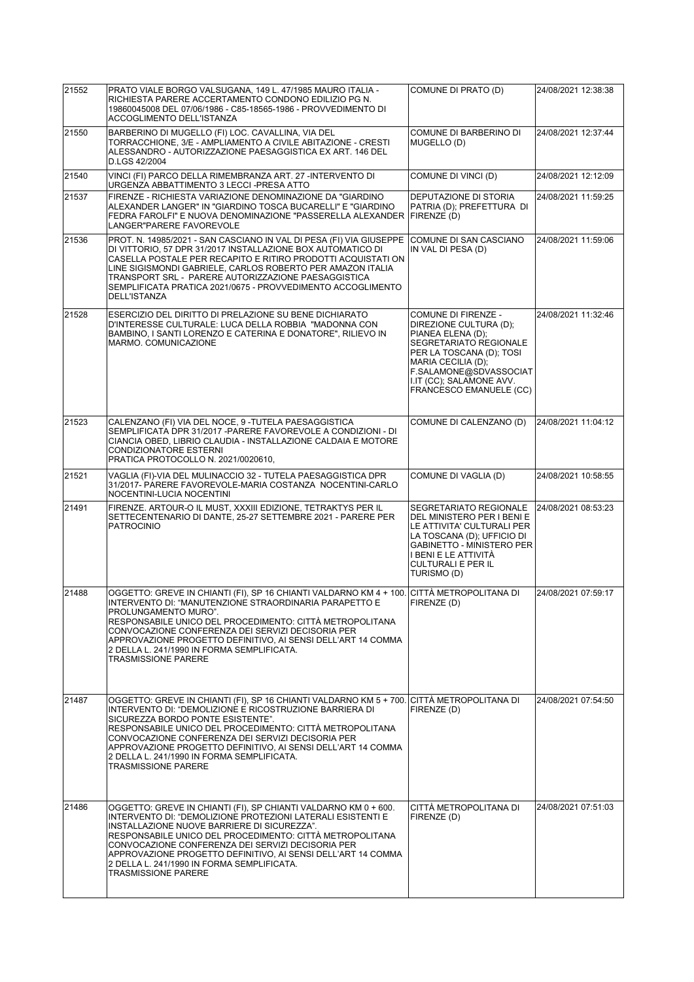| 21552 | PRATO VIALE BORGO VALSUGANA, 149 L. 47/1985 MAURO ITALIA -<br>RICHIESTA PARERE ACCERTAMENTO CONDONO EDILIZIO PG N.<br>19860045008 DEL 07/06/1986 - C85-18565-1986 - PROVVEDIMENTO DI<br>ACCOGLIMENTO DELL'ISTANZA                                                                                                                                                                                                                                      | COMUNE DI PRATO (D)                                                                                                                                                                                                             | 24/08/2021 12:38:38 |
|-------|--------------------------------------------------------------------------------------------------------------------------------------------------------------------------------------------------------------------------------------------------------------------------------------------------------------------------------------------------------------------------------------------------------------------------------------------------------|---------------------------------------------------------------------------------------------------------------------------------------------------------------------------------------------------------------------------------|---------------------|
| 21550 | BARBERINO DI MUGELLO (FI) LOC. CAVALLINA, VIA DEL<br>TORRACCHIONE, 3/E - AMPLIAMENTO A CIVILE ABITAZIONE - CRESTI<br>ALESSANDRO - AUTORIZZAZIONE PAESAGGISTICA EX ART. 146 DEL<br>D.LGS 42/2004                                                                                                                                                                                                                                                        | COMUNE DI BARBERINO DI<br>MUGELLO (D)                                                                                                                                                                                           | 24/08/2021 12:37:44 |
| 21540 | VINCI (FI) PARCO DELLA RIMEMBRANZA ART. 27 -INTERVENTO DI<br>URGENZA ABBATTIMENTO 3 LECCI-PRESA ATTO                                                                                                                                                                                                                                                                                                                                                   | COMUNE DI VINCI (D)                                                                                                                                                                                                             | 24/08/2021 12:12:09 |
| 21537 | FIRENZE - RICHIESTA VARIAZIONE DENOMINAZIONE DA "GIARDINO<br>ALEXANDER LANGER" IN "GIARDINO TOSCA BUCARELLI" E "GIARDINO<br>FEDRA FAROLFI" E NUOVA DENOMINAZIONE "PASSERELLA ALEXANDER FIRENZE (D)<br>LANGER"PARERE FAVOREVOLE                                                                                                                                                                                                                         | DEPUTAZIONE DI STORIA<br>PATRIA (D); PREFETTURA DI                                                                                                                                                                              | 24/08/2021 11:59:25 |
| 21536 | PROT. N. 14985/2021 - SAN CASCIANO IN VAL DI PESA (FI) VIA GIUSEPPE<br>DI VITTORIO, 57 DPR 31/2017 INSTALLAZIONE BOX AUTOMATICO DI<br>CASELLA POSTALE PER RECAPITO E RITIRO PRODOTTI ACQUISTATI ON<br>LINE SIGISMONDI GABRIELE, CARLOS ROBERTO PER AMAZON ITALIA<br>TRANSPORT SRL - PARERE AUTORIZZAZIONE PAESAGGISTICA<br>SEMPLIFICATA PRATICA 2021/0675 - PROVVEDIMENTO ACCOGLIMENTO<br>DELL'ISTANZA                                                 | COMUNE DI SAN CASCIANO<br>IN VAL DI PESA (D)                                                                                                                                                                                    | 24/08/2021 11:59:06 |
| 21528 | ESERCIZIO DEL DIRITTO DI PRELAZIONE SU BENE DICHIARATO<br>D'INTERESSE CULTURALE: LUCA DELLA ROBBIA "MADONNA CON<br>BAMBINO, I SANTI LORENZO E CATERINA E DONATORE", RILIEVO IN<br>MARMO, COMUNICAZIONE                                                                                                                                                                                                                                                 | COMUNE DI FIRENZE -<br>DIREZIONE CULTURA (D);<br>PIANEA ELENA (D);<br>SEGRETARIATO REGIONALE<br>PER LA TOSCANA (D); TOSI<br>MARIA CECILIA (D);<br>F.SALAMONE@SDVASSOCIAT<br>I.IT (CC); SALAMONE AVV.<br>FRANCESCO EMANUELE (CC) | 24/08/2021 11:32:46 |
| 21523 | CALENZANO (FI) VIA DEL NOCE, 9 - TUTELA PAESAGGISTICA<br>SEMPLIFICATA DPR 31/2017 -PARERE FAVOREVOLE A CONDIZIONI - DI<br>CIANCIA OBED, LIBRIO CLAUDIA - INSTALLAZIONE CALDAIA E MOTORE<br>CONDIZIONATORE ESTERNI<br>PRATICA PROTOCOLLO N. 2021/0020610,                                                                                                                                                                                               | COMUNE DI CALENZANO (D)                                                                                                                                                                                                         | 24/08/2021 11:04:12 |
| 21521 | VAGLIA (FI)-VIA DEL MULINACCIO 32 - TUTELA PAESAGGISTICA DPR<br>31/2017- PARERE FAVOREVOLE-MARIA COSTANZA NOCENTINI-CARLO<br>NOCENTINI-LUCIA NOCENTINI                                                                                                                                                                                                                                                                                                 | COMUNE DI VAGLIA (D)                                                                                                                                                                                                            | 24/08/2021 10:58:55 |
| 21491 | FIRENZE. ARTOUR-O IL MUST, XXXIII EDIZIONE, TETRAKTYS PER IL<br>SETTECENTENARIO DI DANTE, 25-27 SETTEMBRE 2021 - PARERE PER<br><b>PATROCINIO</b>                                                                                                                                                                                                                                                                                                       | SEGRETARIATO REGIONALE<br>DEL MINISTERO PER I BENI E<br>LE ATTIVITA' CULTURALI PER<br>LA TOSCANA (D): UFFICIO DI<br><b>GABINETTO - MINISTERO PER</b><br>I BENI E LE ATTIVITÀ<br>CULTURALI E PER IL<br>TURISMO (D)               | 24/08/2021 08:53:23 |
| 21488 | OGGETTO: GREVE IN CHIANTI (FI), SP 16 CHIANTI VALDARNO KM 4 + 100. CITTÀ METROPOLITANA DI<br>INTERVENTO DI: "MANUTENZIONE STRAORDINARIA PARAPETTO E<br>PROLUNGAMENTO MURO".<br>RESPONSABILE UNICO DEL PROCEDIMENTO: CITTÀ METROPOLITANA<br>CONVOCAZIONE CONFERENZA DEI SERVIZI DECISORIA PER<br>APPROVAZIONE PROGETTO DEFINITIVO, AI SENSI DELL'ART 14 COMMA<br>2 DELLA L. 241/1990 IN FORMA SEMPLIFICATA.<br><b>TRASMISSIONE PARERE</b>               | FIRENZE (D)                                                                                                                                                                                                                     | 24/08/2021 07:59:17 |
| 21487 | OGGETTO: GREVE IN CHIANTI (FI), SP 16 CHIANTI VALDARNO KM 5 + 700. CITTÀ METROPOLITANA DI<br>INTERVENTO DI: "DEMOLIZIONE E RICOSTRUZIONE BARRIERA DI<br>SICUREZZA BORDO PONTE ESISTENTE".<br>RESPONSABILE UNICO DEL PROCEDIMENTO: CITTÀ METROPOLITANA<br>CONVOCAZIONE CONFERENZA DEI SERVIZI DECISORIA PER<br>APPROVAZIONE PROGETTO DEFINITIVO, AI SENSI DELL'ART 14 COMMA<br>2 DELLA L. 241/1990 IN FORMA SEMPLIFICATA.<br><b>TRASMISSIONE PARERE</b> | FIRENZE (D)                                                                                                                                                                                                                     | 24/08/2021 07:54:50 |
| 21486 | OGGETTO: GREVE IN CHIANTI (FI), SP CHIANTI VALDARNO KM 0 + 600.<br>INTERVENTO DI: "DEMOLIZIONE PROTEZIONI LATERALI ESISTENTI E<br>INSTALLAZIONE NUOVE BARRIERE DI SICUREZZA".<br>RESPONSABILE UNICO DEL PROCEDIMENTO: CITTÀ METROPOLITANA<br>CONVOCAZIONE CONFERENZA DEI SERVIZI DECISORIA PER<br>APPROVAZIONE PROGETTO DEFINITIVO, AI SENSI DELL'ART 14 COMMA<br>2 DELLA L. 241/1990 IN FORMA SEMPLIFICATA.<br><b>TRASMISSIONE PARERE</b>             | CITTÀ METROPOLITANA DI<br>FIRENZE (D)                                                                                                                                                                                           | 24/08/2021 07:51:03 |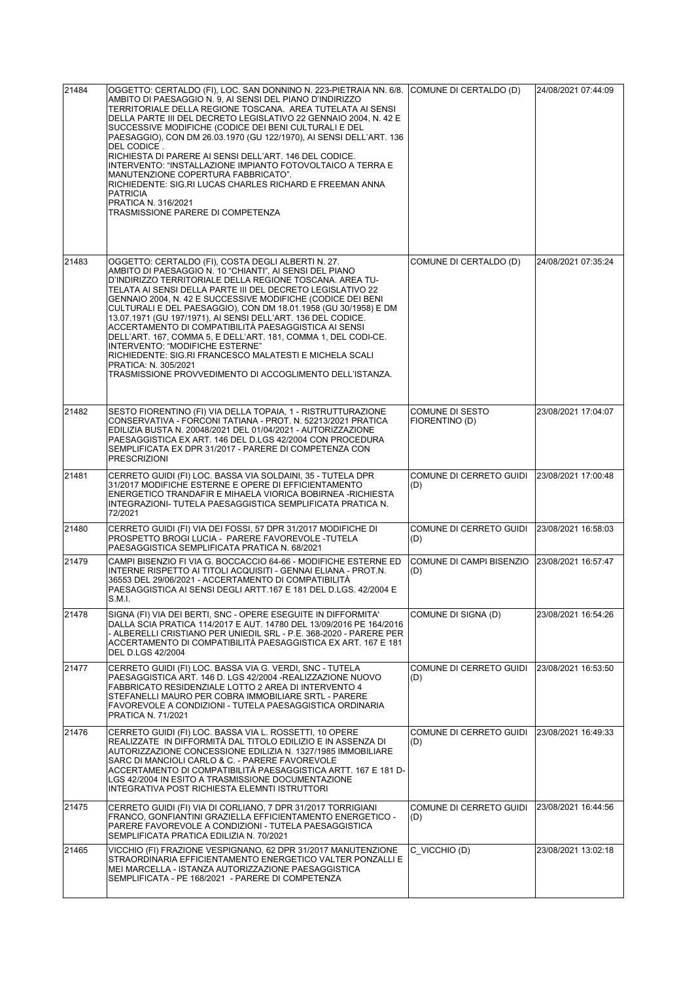| 21484 | OGGETTO: CERTALDO (FI), LOC. SAN DONNINO N. 223-PIETRAIA NN. 6/8.<br>AMBITO DI PAESAGGIO N. 9. AI SENSI DEL PIANO D'INDIRIZZO<br>TERRITORIALE DELLA REGIONE TOSCANA. AREA TUTELATA AI SENSI<br>DELLA PARTE III DEL DECRETO LEGISLATIVO 22 GENNAIO 2004, N. 42 E<br>SUCCESSIVE MODIFICHE (CODICE DEI BENI CULTURALI E DEL<br>PAESAGGIO), CON DM 26.03.1970 (GU 122/1970), AI SENSI DELL'ART. 136<br>DEL CODICE.<br>RICHIESTA DI PARERE AI SENSI DELL'ART. 146 DEL CODICE.<br>INTERVENTO: "INSTALLAZIONE IMPIANTO FOTOVOLTAICO A TERRA E<br>MANUTENZIONE COPERTURA FABBRICATO".<br>RICHIEDENTE: SIG.RI LUCAS CHARLES RICHARD E FREEMAN ANNA<br><b>PATRICIA</b><br>PRATICA N. 316/2021<br>TRASMISSIONE PARERE DI COMPETENZA                              | (COMUNE DI CERTALDO (D)           | 24/08/2021 07:44:09 |
|-------|-------------------------------------------------------------------------------------------------------------------------------------------------------------------------------------------------------------------------------------------------------------------------------------------------------------------------------------------------------------------------------------------------------------------------------------------------------------------------------------------------------------------------------------------------------------------------------------------------------------------------------------------------------------------------------------------------------------------------------------------------------|-----------------------------------|---------------------|
| 21483 | OGGETTO: CERTALDO (FI), COSTA DEGLI ALBERTI N. 27.<br>AMBITO DI PAESAGGIO N. 10 "CHIANTI", AI SENSI DEL PIANO<br>D'INDIRIZZO TERRITORIALE DELLA REGIONE TOSCANA. AREA TU-<br>TELATA AI SENSI DELLA PARTE III DEL DECRETO LEGISLATIVO 22<br>GENNAIO 2004, N. 42 E SUCCESSIVE MODIFICHE (CODICE DEI BENI<br>CULTURALI E DEL PAESAGGIO), CON DM 18.01.1958 (GU 30/1958) E DM<br>13.07.1971 (GU 197/1971), AI SENSI DELL'ART. 136 DEL CODICE.<br>ACCERTAMENTO DI COMPATIBILITÀ PAESAGGISTICA AI SENSI<br>DELL'ART. 167, COMMA 5, E DELL'ART. 181, COMMA 1, DEL CODI-CE.<br>INTERVENTO: "MODIFICHE ESTERNE"<br>RICHIEDENTE: SIG.RI FRANCESCO MALATESTI E MICHELA SCALI<br>PRATICA: N. 305/2021<br>TRASMISSIONE PROVVEDIMENTO DI ACCOGLIMENTO DELL'ISTANZA. | COMUNE DI CERTALDO (D)            | 24/08/2021 07:35:24 |
| 21482 | SESTO FIORENTINO (FI) VIA DELLA TOPAIA, 1 - RISTRUTTURAZIONE<br>CONSERVATIVA - FORCONI TATIANA - PROT. N. 52213/2021 PRATICA<br>EDILIZIA BUSTA N. 20048/2021 DEL 01/04/2021 - AUTORIZZAZIONE<br>PAESAGGISTICA EX ART. 146 DEL D.LGS 42/2004 CON PROCEDURA<br>SEMPLIFICATA EX DPR 31/2017 - PARERE DI COMPETENZA CON<br><b>PRESCRIZIONI</b>                                                                                                                                                                                                                                                                                                                                                                                                            | COMUNE DI SESTO<br>FIORENTINO (D) | 23/08/2021 17:04:07 |
| 21481 | CERRETO GUIDI (FI) LOC. BASSA VIA SOLDAINI, 35 - TUTELA DPR<br>31/2017 MODIFICHE ESTERNE E OPERE DI EFFICIENTAMENTO<br>ENERGETICO TRANDAFIR E MIHAELA VIORICA BOBIRNEA -RICHIESTA<br>INTEGRAZIONI- TUTELA PAESAGGISTICA SEMPLIFICATA PRATICA N.<br>72/2021                                                                                                                                                                                                                                                                                                                                                                                                                                                                                            | COMUNE DI CERRETO GUIDI<br>(D)    | 23/08/2021 17:00:48 |
| 21480 | CERRETO GUIDI (FI) VIA DEI FOSSI, 57 DPR 31/2017 MODIFICHE DI<br>PROSPETTO BROGI LUCIA - PARERE FAVOREVOLE -TUTELA<br>PAESAGGISTICA SEMPLIFICATA PRATICA N. 68/2021                                                                                                                                                                                                                                                                                                                                                                                                                                                                                                                                                                                   | COMUNE DI CERRETO GUIDI<br>(D)    | 23/08/2021 16:58:03 |
| 21479 | CAMPI BISENZIO FI VIA G. BOCCACCIO 64-66 - MODIFICHE ESTERNE ED<br>INTERNE RISPETTO AI TITOLI ACQUISITI - GENNAI ELIANA - PROT.N.<br>36553 DEL 29/06/2021 - ACCERTAMENTO DI COMPATIBILITÀ<br>PAESAGGISTICA AI SENSI DEGLI ARTT.167 E 181 DEL D.LGS. 42/2004 E<br>S.M.I.                                                                                                                                                                                                                                                                                                                                                                                                                                                                               | COMUNE DI CAMPI BISENZIO<br>(D)   | 23/08/2021 16:57:47 |
| 21478 | SIGNA (FI) VIA DEI BERTI, SNC - OPERE ESEGUITE IN DIFFORMITA'<br>DALLA SCIA PRATICA 114/2017 E AUT. 14780 DEL 13/09/2016 PE 164/2016<br>- ALBERELLI CRISTIANO PER UNIEDIL SRL - P.E. 368-2020 - PARERE PER<br>ACCERTAMENTO DI COMPATIBILITÀ PAESAGGISTICA EX ART. 167 E 181<br>DEL D.LGS 42/2004                                                                                                                                                                                                                                                                                                                                                                                                                                                      | COMUNE DI SIGNA (D)               | 23/08/2021 16:54:26 |
| 21477 | CERRETO GUIDI (FI) LOC. BASSA VIA G. VERDI, SNC - TUTELA<br>PAESAGGISTICA ART. 146 D. LGS 42/2004 - REALIZZAZIONE NUOVO<br>FABBRICATO RESIDENZIALE LOTTO 2 AREA DI INTERVENTO 4<br>STEFANELLI MAURO PER COBRA IMMOBILIARE SRTL - PARERE<br>FAVOREVOLE A CONDIZIONI - TUTELA PAESAGGISTICA ORDINARIA<br>PRATICA N. 71/2021                                                                                                                                                                                                                                                                                                                                                                                                                             | COMUNE DI CERRETO GUIDI<br>(D)    | 23/08/2021 16:53:50 |
| 21476 | CERRETO GUIDI (FI) LOC. BASSA VIA L. ROSSETTI, 10 OPERE<br>REALIZZATE IN DIFFORMITÀ DAL TITOLO EDILIZIO E IN ASSENZA DI<br>AUTORIZZAZIONE CONCESSIONE EDILIZIA N. 1327/1985 IMMOBILIARE<br>SARC DI MANCIOLI CARLO & C. - PARERE FAVOREVOLE<br>ACCERTAMENTO DI COMPATIBILITÀ PAESAGGISTICA ARTT. 167 E 181 D-<br>LGS 42/2004 IN ESITO A TRASMISSIONE DOCUMENTAZIONE<br>INTEGRATIVA POST RICHIESTA ELEMNTI ISTRUTTORI                                                                                                                                                                                                                                                                                                                                   | COMUNE DI CERRETO GUIDI<br>(D)    | 23/08/2021 16:49:33 |
| 21475 | CERRETO GUIDI (FI) VIA DI CORLIANO, 7 DPR 31/2017 TORRIGIANI<br>FRANCO, GONFIANTINI GRAZIELLA EFFICIENTAMENTO ENERGETICO -<br>PARERE FAVOREVOLE A CONDIZIONI - TUTELA PAESAGGISTICA<br>SEMPLIFICATA PRATICA EDILIZIA N. 70/2021                                                                                                                                                                                                                                                                                                                                                                                                                                                                                                                       | COMUNE DI CERRETO GUIDI<br>(D)    | 23/08/2021 16:44:56 |
| 21465 | VICCHIO (FI) FRAZIONE VESPIGNANO, 62 DPR 31/2017 MANUTENZIONE<br>STRAORDINARIA EFFICIENTAMENTO ENERGETICO VALTER PONZALLI E<br>MEI MARCELLA - ISTANZA AUTORIZZAZIONE PAESAGGISTICA<br>SEMPLIFICATA - PE 168/2021 - PARERE DI COMPETENZA                                                                                                                                                                                                                                                                                                                                                                                                                                                                                                               | C VICCHIO (D)                     | 23/08/2021 13:02:18 |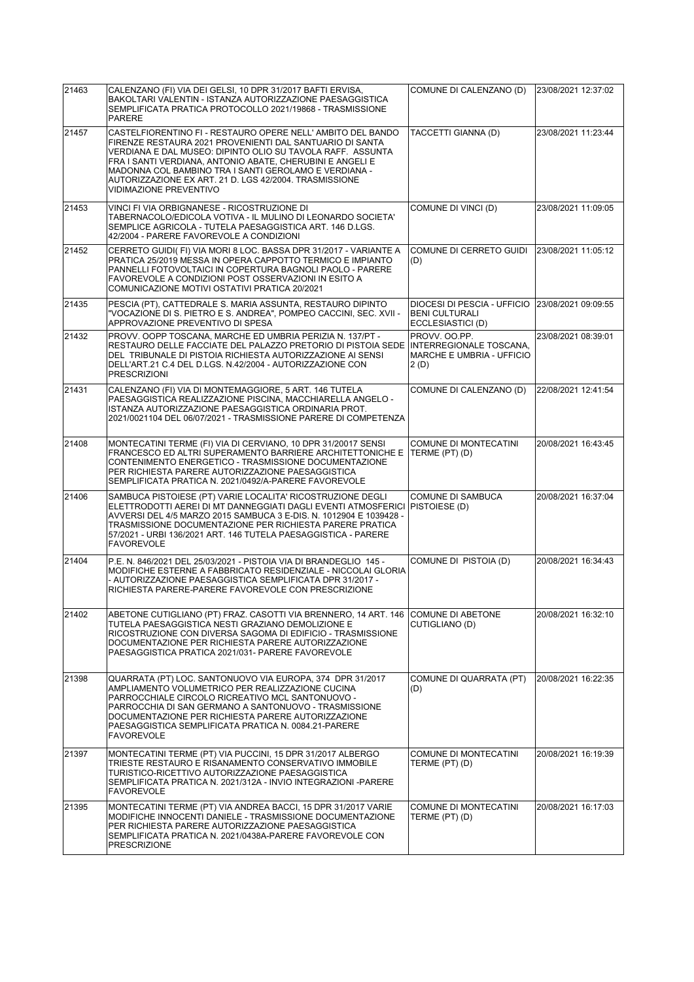| 21463 | CALENZANO (FI) VIA DEI GELSI, 10 DPR 31/2017 BAFTI ERVISA,<br>BAKOLTARI VALENTIN - ISTANZA AUTORIZZAZIONE PAESAGGISTICA<br>SEMPLIFICATA PRATICA PROTOCOLLO 2021/19868 - TRASMISSIONE<br><b>PARERE</b>                                                                                                                                                                                                  | COMUNE DI CALENZANO (D)                                                                | 23/08/2021 12:37:02 |
|-------|--------------------------------------------------------------------------------------------------------------------------------------------------------------------------------------------------------------------------------------------------------------------------------------------------------------------------------------------------------------------------------------------------------|----------------------------------------------------------------------------------------|---------------------|
| 21457 | CASTELFIORENTINO FI - RESTAURO OPERE NELL' AMBITO DEL BANDO<br>FIRENZE RESTAURA 2021 PROVENIENTI DAL SANTUARIO DI SANTA<br>VERDIANA E DAL MUSEO: DIPINTO OLIO SU TAVOLA RAFF. ASSUNTA<br>FRA I SANTI VERDIANA, ANTONIO ABATE, CHERUBINI E ANGELI E<br>MADONNA COL BAMBINO TRA I SANTI GEROLAMO E VERDIANA -<br>AUTORIZZAZIONE EX ART. 21 D. LGS 42/2004. TRASMISSIONE<br><b>VIDIMAZIONE PREVENTIVO</b> | TACCETTI GIANNA (D)                                                                    | 23/08/2021 11:23:44 |
| 21453 | VINCI FI VIA ORBIGNANESE - RICOSTRUZIONE DI<br>TABERNACOLO/EDICOLA VOTIVA - IL MULINO DI LEONARDO SOCIETA'<br>SEMPLICE AGRICOLA - TUTELA PAESAGGISTICA ART. 146 D.LGS.<br>42/2004 - PARERE FAVOREVOLE A CONDIZIONI                                                                                                                                                                                     | COMUNE DI VINCI (D)                                                                    | 23/08/2021 11:09:05 |
| 21452 | CERRETO GUIDI(FI) VIA MORI 8 LOC. BASSA DPR 31/2017 - VARIANTE A<br>PRATICA 25/2019 MESSA IN OPERA CAPPOTTO TERMICO E IMPIANTO<br>PANNELLI FOTOVOLTAICI IN COPERTURA BAGNOLI PAOLO - PARERE<br>FAVOREVOLE A CONDIZIONI POST OSSERVAZIONI IN ESITO A<br>COMUNICAZIONE MOTIVI OSTATIVI PRATICA 20/2021                                                                                                   | COMUNE DI CERRETO GUIDI<br>(D)                                                         | 23/08/2021 11:05:12 |
| 21435 | PESCIA (PT), CATTEDRALE S. MARIA ASSUNTA, RESTAURO DIPINTO<br>"VOCAZIONE DI S. PIETRO E S. ANDREA", POMPEO CACCINI, SEC. XVII -<br>APPROVAZIONE PREVENTIVO DI SPESA                                                                                                                                                                                                                                    | DIOCESI DI PESCIA - UFFICIO 23/08/2021 09:09:55<br>BENI CULTURALI<br>ECCLESIASTICI (D) |                     |
| 21432 | PROVV. OOPP TOSCANA, MARCHE ED UMBRIA PERIZIA N. 137/PT -<br>RESTAURO DELLE FACCIATE DEL PALAZZO PRETORIO DI PISTOIA SEDE<br>DEL TRIBUNALE DI PISTOIA RICHIESTA AUTORIZZAZIONE AI SENSI<br>DELL'ART.21 C.4 DEL D.LGS. N.42/2004 - AUTORIZZAZIONE CON<br><b>PRESCRIZIONI</b>                                                                                                                            | PROVV. OO.PP.<br><b>INTERREGIONALE TOSCANA,</b><br>MARCHE E UMBRIA - UFFICIO<br>2 (D)  | 23/08/2021 08:39:01 |
| 21431 | CALENZANO (FI) VIA DI MONTEMAGGIORE, 5 ART. 146 TUTELA<br>PAESAGGISTICA REALIZZAZIONE PISCINA, MACCHIARELLA ANGELO -<br>ISTANZA AUTORIZZAZIONE PAESAGGISTICA ORDINARIA PROT.<br>2021/0021104 DEL 06/07/2021 - TRASMISSIONE PARERE DI COMPETENZA                                                                                                                                                        | COMUNE DI CALENZANO (D)                                                                | 22/08/2021 12:41:54 |
| 21408 | MONTECATINI TERME (FI) VIA DI CERVIANO, 10 DPR 31/20017 SENSI<br>FRANCESCO ED ALTRI SUPERAMENTO BARRIERE ARCHITETTONICHE E<br>CONTENIMENTO ENERGETICO - TRASMISSIONE DOCUMENTAZIONE<br>PER RICHIESTA PARERE AUTORIZZAZIONE PAESAGGISTICA<br>SEMPLIFICATA PRATICA N. 2021/0492/A-PARERE FAVOREVOLE                                                                                                      | COMUNE DI MONTECATINI<br>TERME (PT) (D)                                                | 20/08/2021 16:43:45 |
| 21406 | SAMBUCA PISTOIESE (PT) VARIE LOCALITA' RICOSTRUZIONE DEGLI<br>ELETTRODOTTI AEREI DI MT DANNEGGIATI DAGLI EVENTI ATMOSFERICI PISTOIESE (D)<br>AVVERSI DEL 4/5 MARZO 2015 SAMBUCA 3 E-DIS. N. 1012904 E 1039428 -<br>TRASMISSIONE DOCUMENTAZIONE PER RICHIESTA PARERE PRATICA<br>57/2021 - URBI 136/2021 ART, 146 TUTELA PAESAGGISTICA - PARERE<br><b>FAVOREVOLE</b>                                     | <b>COMUNE DI SAMBUCA</b>                                                               | 20/08/2021 16:37:04 |
| 21404 | P.E. N. 846/2021 DEL 25/03/2021 - PISTOIA VIA DI BRANDEGLIO 145 -<br>MODIFICHE ESTERNE A FABBRICATO RESIDENZIALE - NICCOLAI GLORIA<br>- AUTORIZZAZIONE PAESAGGISTICA SEMPLIFICATA DPR 31/2017 -<br>RICHIESTA PARERE-PARERE FAVOREVOLE CON PRESCRIZIONE                                                                                                                                                 | COMUNE DI PISTOIA (D)                                                                  | 20/08/2021 16:34:43 |
| 21402 | ABETONE CUTIGLIANO (PT) FRAZ. CASOTTI VIA BRENNERO, 14 ART. 146<br>TUTELA PAESAGGISTICA NESTI GRAZIANO DEMOLIZIONE E<br>RICOSTRUZIONE CON DIVERSA SAGOMA DI EDIFICIO - TRASMISSIONE<br>DOCUMENTAZIONE PER RICHIESTA PARERE AUTORIZZAZIONE<br>PAESAGGISTICA PRATICA 2021/031- PARERE FAVOREVOLE                                                                                                         | COMUNE DI ABETONE<br>CUTIGLIANO (D)                                                    | 20/08/2021 16:32:10 |
| 21398 | QUARRATA (PT) LOC. SANTONUOVO VIA EUROPA, 374 DPR 31/2017<br>AMPLIAMENTO VOLUMETRICO PER REALIZZAZIONE CUCINA<br>PARROCCHIALE CIRCOLO RICREATIVO MCL SANTONUOVO -<br>PARROCCHIA DI SAN GERMANO A SANTONUOVO - TRASMISSIONE<br>DOCUMENTAZIONE PER RICHIESTA PARERE AUTORIZZAZIONE<br>PAESAGGISTICA SEMPLIFICATA PRATICA N. 0084.21-PARERE<br><b>FAVOREVOLE</b>                                          | COMUNE DI QUARRATA (PT)<br>(D)                                                         | 20/08/2021 16:22:35 |
| 21397 | MONTECATINI TERME (PT) VIA PUCCINI, 15 DPR 31/2017 ALBERGO<br>TRIESTE RESTAURO E RISANAMENTO CONSERVATIVO IMMOBILE<br>TURISTICO-RICETTIVO AUTORIZZAZIONE PAESAGGISTICA<br>SEMPLIFICATA PRATICA N. 2021/312A - INVIO INTEGRAZIONI -PARERE<br><b>FAVOREVOLE</b>                                                                                                                                          | COMUNE DI MONTECATINI<br>TERME (PT) (D)                                                | 20/08/2021 16:19:39 |
| 21395 | MONTECATINI TERME (PT) VIA ANDREA BACCI, 15 DPR 31/2017 VARIE<br>MODIFICHE INNOCENTI DANIELE - TRASMISSIONE DOCUMENTAZIONE<br>PER RICHIESTA PARERE AUTORIZZAZIONE PAESAGGISTICA<br>SEMPLIFICATA PRATICA N. 2021/0438A-PARERE FAVOREVOLE CON<br>PRESCRIZIONE                                                                                                                                            | COMUNE DI MONTECATINI<br>TERME (PT) (D)                                                | 20/08/2021 16:17:03 |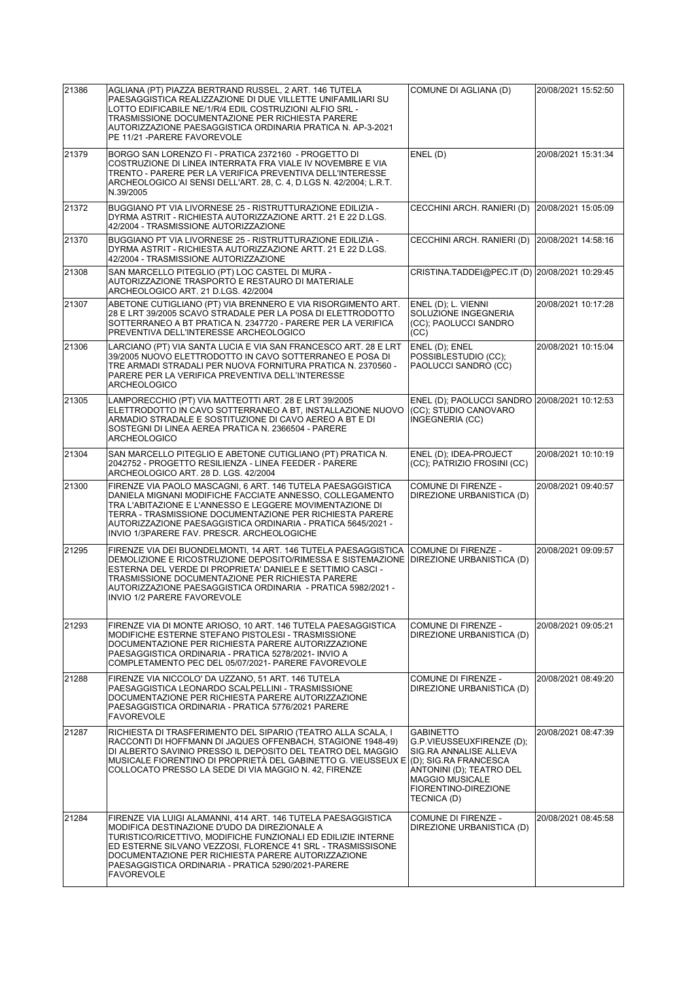| 21386 | AGLIANA (PT) PIAZZA BERTRAND RUSSEL, 2 ART. 146 TUTELA<br>PAESAGGISTICA REALIZZAZIONE DI DUE VILLETTE UNIFAMILIARI SU<br>LOTTO EDIFICABILE NE/1/R/4 EDIL COSTRUZIONI ALFIO SRL -<br>TRASMISSIONE DOCUMENTAZIONE PER RICHIESTA PARERE<br>AUTORIZZAZIONE PAESAGGISTICA ORDINARIA PRATICA N. AP-3-2021<br>PE 11/21 - PARERE FAVOREVOLE                                            | COMUNE DI AGLIANA (D)                                                                                                                                                | 20/08/2021 15:52:50 |
|-------|--------------------------------------------------------------------------------------------------------------------------------------------------------------------------------------------------------------------------------------------------------------------------------------------------------------------------------------------------------------------------------|----------------------------------------------------------------------------------------------------------------------------------------------------------------------|---------------------|
| 21379 | BORGO SAN LORENZO FI - PRATICA 2372160 - PROGETTO DI<br>COSTRUZIONE DI LINEA INTERRATA FRA VIALE IV NOVEMBRE E VIA<br>TRENTO - PARERE PER LA VERIFICA PREVENTIVA DELL'INTERESSE<br>ARCHEOLOGICO AI SENSI DELL'ART. 28, C. 4, D.LGS N. 42/2004; L.R.T.<br>N.39/2005                                                                                                             | ENEL(D)                                                                                                                                                              | 20/08/2021 15:31:34 |
| 21372 | BUGGIANO PT VIA LIVORNESE 25 - RISTRUTTURAZIONE EDILIZIA -<br>DYRMA ASTRIT - RICHIESTA AUTORIZZAZIONE ARTT. 21 E 22 D.LGS.<br>42/2004 - TRASMISSIONE AUTORIZZAZIONE                                                                                                                                                                                                            | CECCHINI ARCH. RANIERI (D)                                                                                                                                           | 20/08/2021 15:05:09 |
| 21370 | BUGGIANO PT VIA LIVORNESE 25 - RISTRUTTURAZIONE EDILIZIA -<br>DYRMA ASTRIT - RICHIESTA AUTORIZZAZIONE ARTT, 21 E 22 D.LGS.<br>42/2004 - TRASMISSIONE AUTORIZZAZIONE                                                                                                                                                                                                            | CECCHINI ARCH. RANIERI (D)                                                                                                                                           | 20/08/2021 14:58:16 |
| 21308 | SAN MARCELLO PITEGLIO (PT) LOC CASTEL DI MURA -<br>AUTORIZZAZIONE TRASPORTO E RESTAURO DI MATERIALE<br>ARCHEOLOGICO ART. 21 D.LGS. 42/2004                                                                                                                                                                                                                                     | CRISTINA.TADDEI@PEC.IT (D) 20/08/2021 10:29:45                                                                                                                       |                     |
| 21307 | ABETONE CUTIGLIANO (PT) VIA BRENNERO E VIA RISORGIMENTO ART.<br>28 E LRT 39/2005 SCAVO STRADALE PER LA POSA DI ELETTRODOTTO<br>SOTTERRANEO A BT PRATICA N. 2347720 - PARERE PER LA VERIFICA<br>PREVENTIVA DELL'INTERESSE ARCHEOLOGICO                                                                                                                                          | ENEL (D); L. VIENNI<br>SOLUZIONE INGEGNERIA<br>(CC); PAOLUCCI SANDRO<br>(CC)                                                                                         | 20/08/2021 10:17:28 |
| 21306 | LARCIANO (PT) VIA SANTA LUCIA E VIA SAN FRANCESCO ART. 28 E LRT<br>39/2005 NUOVO ELETTRODOTTO IN CAVO SOTTERRANEO E POSA DI<br>TRE ARMADI STRADALI PER NUOVA FORNITURA PRATICA N. 2370560 -<br>PARERE PER LA VERIFICA PREVENTIVA DELL'INTERESSE<br><b>ARCHEOLOGICO</b>                                                                                                         | ENEL (D); ENEL<br>POSSIBLESTUDIO (CC);<br>PAOLUCCI SANDRO (CC)                                                                                                       | 20/08/2021 10:15:04 |
| 21305 | LAMPORECCHIO (PT) VIA MATTEOTTI ART. 28 E LRT 39/2005<br>ELETTRODOTTO IN CAVO SOTTERRANEO A BT, INSTALLAZIONE NUOVO<br>ARMADIO STRADALE E SOSTITUZIONE DI CAVO AEREO A BT E DI<br>SOSTEGNI DI LINEA AEREA PRATICA N. 2366504 - PARERE<br><b>ARCHEOLOGICO</b>                                                                                                                   | ENEL (D); PAOLUCCI SANDRO 20/08/2021 10:12:53<br>(CC); STUDIO CANOVARO<br>INGEGNERIA (CC)                                                                            |                     |
| 21304 | SAN MARCELLO PITEGLIO E ABETONE CUTIGLIANO (PT) PRATICA N.<br>2042752 - PROGETTO RESILIENZA - LINEA FEEDER - PARERE<br>ARCHEOLOGICO ART. 28 D. LGS. 42/2004                                                                                                                                                                                                                    | ENEL (D); IDEA-PROJECT<br>(CC); PATRIZIO FROSINI (CC)                                                                                                                | 20/08/2021 10:10:19 |
| 21300 | FIRENZE VIA PAOLO MASCAGNI, 6 ART. 146 TUTELA PAESAGGISTICA<br>DANIELA MIGNANI MODIFICHE FACCIATE ANNESSO, COLLEGAMENTO<br>TRA L'ABITAZIONE E L'ANNESSO E LEGGERE MOVIMENTAZIONE DI<br>TERRA - TRASMISSIONE DOCUMENTAZIONE PER RICHIESTA PARERE<br>AUTORIZZAZIONE PAESAGGISTICA ORDINARIA - PRATICA 5645/2021 -<br>INVIO 1/3PARERE FAV. PRESCR. ARCHEOLOGICHE                  | COMUNE DI FIRENZE -<br>DIREZIONE URBANISTICA (D)                                                                                                                     | 20/08/2021 09:40:57 |
| 21295 | FIRENZE VIA DEI BUONDELMONTI, 14 ART. 146 TUTELA PAESAGGISTICA<br>DEMOLIZIONE E RICOSTRUZIONE DEPOSITO/RIMESSA E SISTEMAZIONE<br>ESTERNA DEL VERDE DI PROPRIETA' DANIELE E SETTIMIO CASCI -<br>TRASMISSIONE DOCUMENTAZIONE PER RICHIESTA PARERE<br>AUTORIZZAZIONE PAESAGGISTICA ORDINARIA - PRATICA 5982/2021 -<br>INVIO 1/2 PARERE FAVOREVOLE                                 | COMUNE DI FIRENZE -<br>DIREZIONE URBANISTICA (D)                                                                                                                     | 20/08/2021 09:09:57 |
| 21293 | FIRENZE VIA DI MONTE ARIOSO, 10 ART. 146 TUTELA PAESAGGISTICA<br>MODIFICHE ESTERNE STEFANO PISTOLESI - TRASMISSIONE<br>DOCUMENTAZIONE PER RICHIESTA PARERE AUTORIZZAZIONE<br>PAESAGGISTICA ORDINARIA - PRATICA 5278/2021- INVIO A<br>COMPLETAMENTO PEC DEL 05/07/2021- PARERE FAVOREVOLE                                                                                       | <b>COMUNE DI FIRENZE -</b><br>DIREZIONE URBANISTICA (D)                                                                                                              | 20/08/2021 09:05:21 |
| 21288 | FIRENZE VIA NICCOLO' DA UZZANO, 51 ART. 146 TUTELA<br>PAESAGGISTICA LEONARDO SCALPELLINI - TRASMISSIONE<br>DOCUMENTAZIONE PER RICHIESTA PARERE AUTORIZZAZIONE<br>PAESAGGISTICA ORDINARIA - PRATICA 5776/2021 PARERE<br><b>FAVOREVOLE</b>                                                                                                                                       | COMUNE DI FIRENZE -<br>DIREZIONE URBANISTICA (D)                                                                                                                     | 20/08/2021 08:49:20 |
| 21287 | RICHIESTA DI TRASFERIMENTO DEL SIPARIO (TEATRO ALLA SCALA, I<br>RACCONTI DI HOFFMANN DI JAQUES OFFENBACH, STAGIONE 1948-49)<br>DI ALBERTO SAVINIO PRESSO IL DEPOSITO DEL TEATRO DEL MAGGIO<br>MUSICALE FIORENTINO DI PROPRIETÀ DEL GABINETTO G. VIEUSSEUX E (D); SIG.RA FRANCESCA<br>COLLOCATO PRESSO LA SEDE DI VIA MAGGIO N. 42, FIRENZE                                     | <b>GABINETTO</b><br>G.P.VIEUSSEUXFIRENZE (D);<br>SIG.RA ANNALISE ALLEVA<br>ANTONINI (D); TEATRO DEL<br><b>MAGGIO MUSICALE</b><br>FIORENTINO-DIREZIONE<br>TECNICA (D) | 20/08/2021 08:47:39 |
| 21284 | FIRENZE VIA LUIGI ALAMANNI, 414 ART. 146 TUTELA PAESAGGISTICA<br>MODIFICA DESTINAZIONE D'UDO DA DIREZIONALE A<br>TURISTICO/RICETTIVO, MODIFICHE FUNZIONALI ED EDILIZIE INTERNE<br>ED ESTERNE SILVANO VEZZOSI, FLORENCE 41 SRL - TRASMISSISONE<br>DOCUMENTAZIONE PER RICHIESTA PARERE AUTORIZZAZIONE<br>PAESAGGISTICA ORDINARIA - PRATICA 5290/2021-PARERE<br><b>FAVOREVOLE</b> | COMUNE DI FIRENZE -<br>DIREZIONE URBANISTICA (D)                                                                                                                     | 20/08/2021 08:45:58 |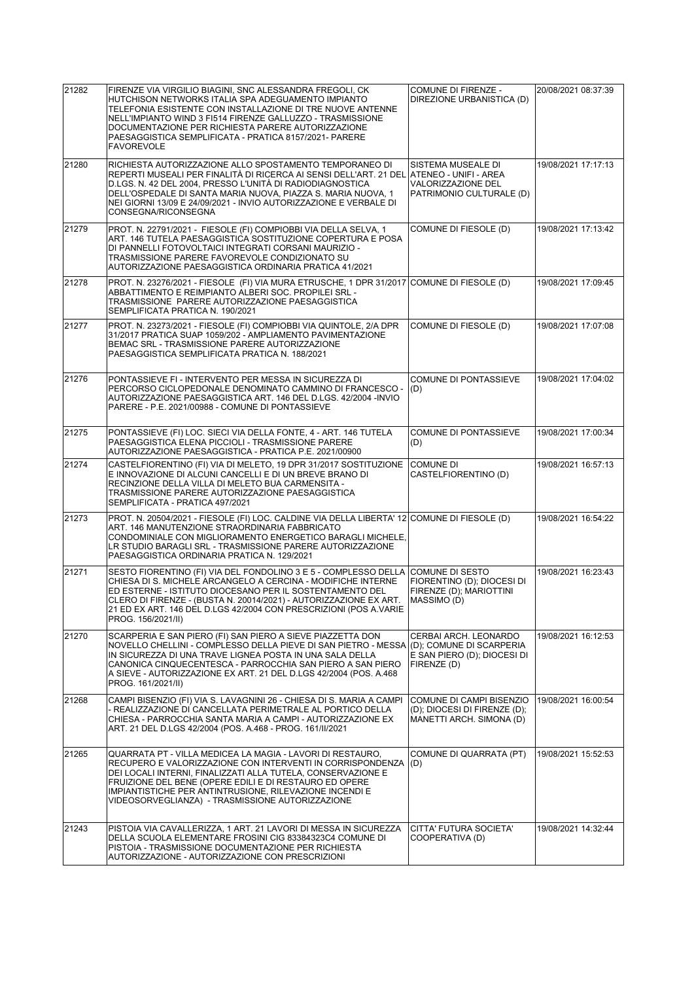| 21282 | FIRENZE VIA VIRGILIO BIAGINI, SNC ALESSANDRA FREGOLI, CK<br>HUTCHISON NETWORKS ITALIA SPA ADEGUAMENTO IMPIANTO<br>TELEFONIA ESISTENTE CON INSTALLAZIONE DI TRE NUOVE ANTENNE<br>NELL'IMPIANTO WIND 3 FI514 FIRENZE GALLUZZO - TRASMISSIONE<br>DOCUMENTAZIONE PER RICHIESTA PARERE AUTORIZZAZIONE<br>PAESAGGISTICA SEMPLIFICATA - PRATICA 8157/2021- PARERE<br><b>FAVOREVOLE</b> | COMUNE DI FIRENZE -<br>DIREZIONE URBANISTICA (D)                                                | 20/08/2021 08:37:39 |
|-------|---------------------------------------------------------------------------------------------------------------------------------------------------------------------------------------------------------------------------------------------------------------------------------------------------------------------------------------------------------------------------------|-------------------------------------------------------------------------------------------------|---------------------|
| 21280 | RICHIESTA AUTORIZZAZIONE ALLO SPOSTAMENTO TEMPORANEO DI<br>REPERTI MUSEALI PER FINALITÀ DI RICERCA AI SENSI DELL'ART. 21 DEL ATENEO - UNIFI - AREA<br>D.LGS. N. 42 DEL 2004, PRESSO L'UNITÀ DI RADIODIAGNOSTICA<br>DELL'OSPEDALE DI SANTA MARIA NUOVA, PIAZZA S. MARIA NUOVA, 1<br>NEI GIORNI 13/09 E 24/09/2021 - INVIO AUTORIZZAZIONE E VERBALE DI<br>CONSEGNA/RICONSEGNA     | SISTEMA MUSEALE DI<br>VALORIZZAZIONE DEL<br>PATRIMONIO CULTURALE (D)                            | 19/08/2021 17:17:13 |
| 21279 | PROT. N. 22791/2021 - FIESOLE (FI) COMPIOBBI VIA DELLA SELVA, 1<br>ART. 146 TUTELA PAESAGGISTICA SOSTITUZIONE COPERTURA E POSA<br>DI PANNELLI FOTOVOLTAICI INTEGRATI CORSANI MAURIZIO -<br>TRASMISSIONE PARERE FAVOREVOLE CONDIZIONATO SU<br>AUTORIZZAZIONE PAESAGGISTICA ORDINARIA PRATICA 41/2021                                                                             | COMUNE DI FIESOLE (D)                                                                           | 19/08/2021 17:13:42 |
| 21278 | PROT. N. 23276/2021 - FIESOLE (FI) VIA MURA ETRUSCHE, 1 DPR 31/2017 COMUNE DI FIESOLE (D)<br>ABBATTIMENTO E REIMPIANTO ALBERI SOC. PROPILEI SRL -<br>TRASMISSIONE PARERE AUTORIZZAZIONE PAESAGGISTICA<br>SEMPLIFICATA PRATICA N. 190/2021                                                                                                                                       |                                                                                                 | 19/08/2021 17:09:45 |
| 21277 | PROT. N. 23273/2021 - FIESOLE (FI) COMPIOBBI VIA QUINTOLE, 2/A DPR<br>31/2017 PRATICA SUAP 1059/202 - AMPLIAMENTO PAVIMENTAZIONE<br>BEMAC SRL - TRASMISSIONE PARERE AUTORIZZAZIONE<br>PAESAGGISTICA SEMPLIFICATA PRATICA N. 188/2021                                                                                                                                            | COMUNE DI FIESOLE (D)                                                                           | 19/08/2021 17:07:08 |
| 21276 | PONTASSIEVE FI - INTERVENTO PER MESSA IN SICUREZZA DI<br>PERCORSO CICLOPEDONALE DENOMINATO CAMMINO DI FRANCESCO -<br>AUTORIZZAZIONE PAESAGGISTICA ART. 146 DEL D.LGS. 42/2004 - INVIO<br>PARERE - P.E. 2021/00988 - COMUNE DI PONTASSIEVE                                                                                                                                       | <b>COMUNE DI PONTASSIEVE</b><br>(D)                                                             | 19/08/2021 17:04:02 |
| 21275 | PONTASSIEVE (FI) LOC. SIECI VIA DELLA FONTE, 4 - ART. 146 TUTELA<br>PAESAGGISTICA ELENA PICCIOLI - TRASMISSIONE PARERE<br>AUTORIZZAZIONE PAESAGGISTICA - PRATICA P.E. 2021/00900                                                                                                                                                                                                | <b>COMUNE DI PONTASSIEVE</b><br>(D)                                                             | 19/08/2021 17:00:34 |
| 21274 | CASTELFIORENTINO (FI) VIA DI MELETO, 19 DPR 31/2017 SOSTITUZIONE<br>E INNOVAZIONE DI ALCUNI CANCELLI E DI UN BREVE BRANO DI<br>RECINZIONE DELLA VILLA DI MELETO BUA CARMENSITA -<br>TRASMISSIONE PARERE AUTORIZZAZIONE PAESAGGISTICA<br>SEMPLIFICATA - PRATICA 497/2021                                                                                                         | <b>COMUNE DI</b><br>CASTELFIORENTINO (D)                                                        | 19/08/2021 16:57:13 |
| 21273 | PROT. N. 20504/2021 - FIESOLE (FI) LOC. CALDINE VIA DELLA LIBERTA' 12 COMUNE DI FIESOLE (D)<br>ART. 146 MANUTENZIONE STRAORDINARIA FABBRICATO<br>CONDOMINIALE CON MIGLIORAMENTO ENERGETICO BARAGLI MICHELE,<br>LR STUDIO BARAGLI SRL - TRASMISSIONE PARERE AUTORIZZAZIONE<br>PAESAGGISTICA ORDINARIA PRATICA N. 129/2021                                                        |                                                                                                 | 19/08/2021 16:54:22 |
| 21271 | SESTO FIORENTINO (FI) VIA DEL FONDOLINO 3 E 5 - COMPLESSO DELLA COMUNE DI SESTO<br>CHIESA DI S. MICHELE ARCANGELO A CERCINA - MODIFICHE INTERNE<br>ED ESTERNE - ISTITUTO DIOCESANO PER IL SOSTENTAMENTO DEL<br>CLERO DI FIRENZE - (BUSTA N. 20014/2021) - AUTORIZZAZIONE EX ART.<br>21 ED EX ART. 146 DEL D.LGS 42/2004 CON PRESCRIZIONI (POS A.VARIE<br>PROG. 156/2021/II)     | FIORENTINO (D); DIOCESI DI<br>FIRENZE (D); MARIOTTINI<br><b>IMASSIMO (D)</b>                    | 19/08/2021 16:23:43 |
| 21270 | SCARPERIA E SAN PIERO (FI) SAN PIERO A SIEVE PIAZZETTA DON<br>NOVELLO CHELLINI - COMPLESSO DELLA PIEVE DI SAN PIETRO - MESSA<br>IN SICUREZZA DI UNA TRAVE LIGNEA POSTA IN UNA SALA DELLA<br>CANONICA CINQUECENTESCA - PARROCCHIA SAN PIERO A SAN PIERO<br>A SIEVE - AUTORIZZAZIONE EX ART. 21 DEL D.LGS 42/2004 (POS. A.468<br>PROG. 161/2021/II)                               | CERBAI ARCH. LEONARDO<br>(D); COMUNE DI SCARPERIA<br>E SAN PIERO (D); DIOCESI DI<br>FIRENZE (D) | 19/08/2021 16:12:53 |
| 21268 | CAMPI BISENZIO (FI) VIA S. LAVAGNINI 26 - CHIESA DI S. MARIA A CAMPI<br>- REALIZZAZIONE DI CANCELLATA PERIMETRALE AL PORTICO DELLA<br>CHIESA - PARROCCHIA SANTA MARIA A CAMPI - AUTORIZZAZIONE EX<br>ART. 21 DEL D.LGS 42/2004 (POS. A.468 - PROG. 161/II/2021                                                                                                                  | COMUNE DI CAMPI BISENZIO<br>(D); DIOCESI DI FIRENZE (D);<br>MANETTI ARCH. SIMONA (D)            | 19/08/2021 16:00:54 |
| 21265 | QUARRATA PT - VILLA MEDICEA LA MAGIA - LAVORI DI RESTAURO,<br>RECUPERO E VALORIZZAZIONE CON INTERVENTI IN CORRISPONDENZA<br>DEI LOCALI INTERNI, FINALIZZATI ALLA TUTELA, CONSERVAZIONE E<br>FRUIZIONE DEL BENE (OPERE EDILI E DI RESTAURO ED OPERE<br>IMPIANTISTICHE PER ANTINTRUSIONE, RILEVAZIONE INCENDI E<br>VIDEOSORVEGLIANZA) - TRASMISSIONE AUTORIZZAZIONE               | COMUNE DI QUARRATA (PT)<br>(D)                                                                  | 19/08/2021 15:52:53 |
| 21243 | PISTOIA VIA CAVALLERIZZA, 1 ART. 21 LAVORI DI MESSA IN SICUREZZA<br>DELLA SCUOLA ELEMENTARE FROSINI CIG 83384323C4 COMUNE DI<br>PISTOIA - TRASMISSIONE DOCUMENTAZIONE PER RICHIESTA<br>AUTORIZZAZIONE - AUTORIZZAZIONE CON PRESCRIZIONI                                                                                                                                         | CITTA' FUTURA SOCIETA'<br>COOPERATIVA (D)                                                       | 19/08/2021 14:32:44 |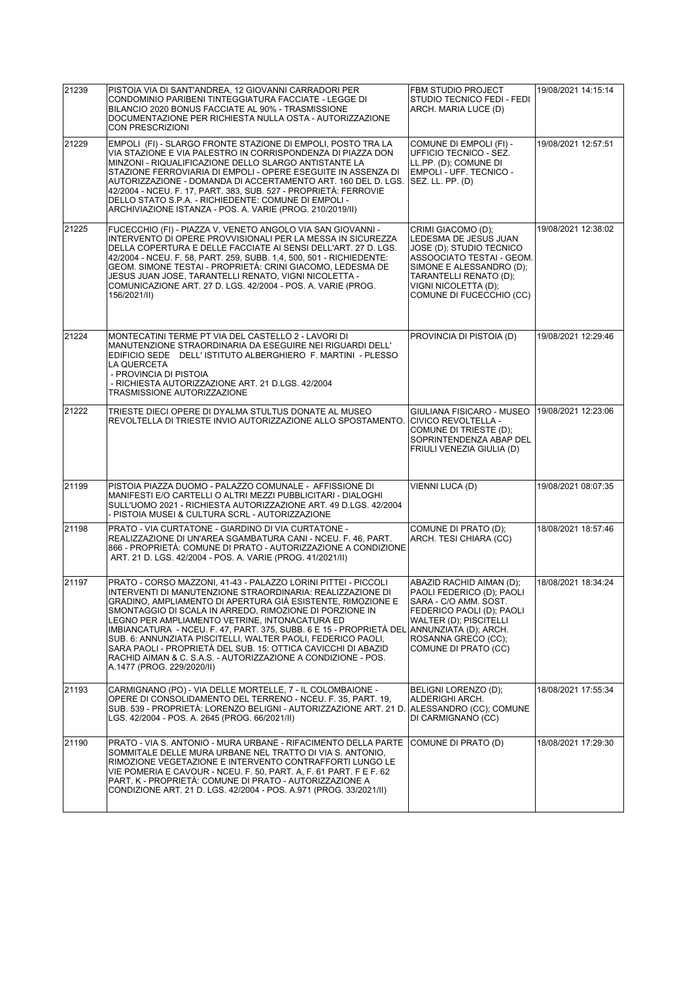| 21239 | PISTOIA VIA DI SANT'ANDREA, 12 GIOVANNI CARRADORI PER<br>CONDOMINIO PARIBENI TINTEGGIATURA FACCIATE - LEGGE DI<br>BILANCIO 2020 BONUS FACCIATE AL 90% - TRASMISSIONE<br>DOCUMENTAZIONE PER RICHIESTA NULLA OSTA - AUTORIZZAZIONE<br><b>CON PRESCRIZIONI</b>                                                                                                                                                                                                                                                                                                                                                      | <b>FBM STUDIO PROJECT</b><br>STUDIO TECNICO FEDI - FEDI<br>ARCH. MARIA LUCE (D)                                                                                                                                | 19/08/2021 14:15:14 |
|-------|------------------------------------------------------------------------------------------------------------------------------------------------------------------------------------------------------------------------------------------------------------------------------------------------------------------------------------------------------------------------------------------------------------------------------------------------------------------------------------------------------------------------------------------------------------------------------------------------------------------|----------------------------------------------------------------------------------------------------------------------------------------------------------------------------------------------------------------|---------------------|
| 21229 | EMPOLI (FI) - SLARGO FRONTE STAZIONE DI EMPOLI, POSTO TRA LA<br>VIA STAZIONE E VIA PALESTRO IN CORRISPONDENZA DI PIAZZA DON<br>MINZONI - RIQUALIFICAZIONE DELLO SLARGO ANTISTANTE LA<br>STAZIONE FERROVIARIA DI EMPOLI - OPERE ESEGUITE IN ASSENZA DI<br>AUTORIZZAZIONE - DOMANDA DI ACCERTAMENTO ART. 160 DEL D. LGS.<br>42/2004 - NCEU. F. 17, PART. 383, SUB. 527 - PROPRIETÀ: FERROVIE<br>DELLO STATO S.P.A. - RICHIEDENTE: COMUNE DI EMPOLI -<br>ARCHIVIAZIONE ISTANZA - POS. A. VARIE (PROG. 210/2019/II)                                                                                                  | COMUNE DI EMPOLI (FI) -<br>UFFICIO TECNICO - SEZ.<br>LL.PP. (D): COMUNE DI<br><b>EMPOLI - UFF. TECNICO -</b><br>SEZ. LL. PP. (D)                                                                               | 19/08/2021 12:57:51 |
| 21225 | FUCECCHIO (FI) - PIAZZA V. VENETO ANGOLO VIA SAN GIOVANNI -<br>INTERVENTO DI OPERE PROVVISIONALI PER LA MESSA IN SICUREZZA<br>DELLA COPERTURA E DELLE FACCIATE AI SENSI DELL'ART. 27 D. LGS.<br>42/2004 - NCEU. F. 58, PART. 259, SUBB. 1,4, 500, 501 - RICHIEDENTE:<br>GEOM. SIMONE TESTAI - PROPRIETÀ: CRINI GIACOMO, LEDESMA DE<br>JESUS JUAN JOSE, TARANTELLI RENATO, VIGNI NICOLETTA -<br>COMUNICAZIONE ART. 27 D. LGS. 42/2004 - POS. A. VARIE (PROG.<br>156/2021/II)                                                                                                                                      | CRIMI GIACOMO (D);<br>LEDESMA DE JESUS JUAN<br>JOSE (D); STUDIO TECNICO<br>ASSOOCIATO TESTAI - GEOM.<br>SIMONE E ALESSANDRO (D);<br>TARANTELLI RENATO (D);<br>VIGNI NICOLETTA (D);<br>COMUNE DI FUCECCHIO (CC) | 19/08/2021 12:38:02 |
| 21224 | MONTECATINI TERME PT VIA DEL CASTELLO 2 - LAVORI DI<br>MANUTENZIONE STRAORDINARIA DA ESEGUIRE NEI RIGUARDI DELL'<br>EDIFICIO SEDE DELL' ISTITUTO ALBERGHIERO F. MARTINI - PLESSO<br>LA QUERCETA<br>- PROVINCIA DI PISTOIA<br>- RICHIESTA AUTORIZZAZIONE ART. 21 D.LGS. 42/2004<br>TRASMISSIONE AUTORIZZAZIONE                                                                                                                                                                                                                                                                                                    | PROVINCIA DI PISTOIA (D)                                                                                                                                                                                       | 19/08/2021 12:29:46 |
| 21222 | TRIESTE DIECI OPERE DI DYALMA STULTUS DONATE AL MUSEO<br>REVOLTELLA DI TRIESTE INVIO AUTORIZZAZIONE ALLO SPOSTAMENTO.                                                                                                                                                                                                                                                                                                                                                                                                                                                                                            | GIULIANA FISICARO - MUSEO<br>CIVICO REVOLTELLA -<br>COMUNE DI TRIESTE (D);<br>SOPRINTENDENZA ABAP DEL<br>FRIULI VENEZIA GIULIA (D)                                                                             | 19/08/2021 12:23:06 |
| 21199 | PISTOIA PIAZZA DUOMO - PALAZZO COMUNALE - AFFISSIONE DI<br>MANIFESTI E/O CARTELLI O ALTRI MEZZI PUBBLICITARI - DIALOGHI<br>SULL'UOMO 2021 - RICHIESTA AUTORIZZAZIONE ART. 49 D.LGS. 42/2004<br>- PISTOIA MUSEI & CULTURA SCRL - AUTORIZZAZIONE                                                                                                                                                                                                                                                                                                                                                                   | VIENNI LUCA (D)                                                                                                                                                                                                | 19/08/2021 08:07:35 |
| 21198 | PRATO - VIA CURTATONE - GIARDINO DI VIA CURTATONE -<br>REALIZZAZIONE DI UN'AREA SGAMBATURA CANI - NCEU, F. 46, PART.<br>866 - PROPRIETÀ: COMUNE DI PRATO - AUTORIZZAZIONE A CONDIZIONE<br>ART. 21 D. LGS. 42/2004 - POS. A. VARIE (PROG. 41/2021/II)                                                                                                                                                                                                                                                                                                                                                             | COMUNE DI PRATO (D);<br>ARCH. TESI CHIARA (CC)                                                                                                                                                                 | 18/08/2021 18:57:46 |
| 21197 | PRATO - CORSO MAZZONI, 41-43 - PALAZZO LORINI PITTEI - PICCOLI<br>INTERVENTI DI MANUTENZIONE STRAORDINARIA: REALIZZAZIONE DI<br>GRADINO. AMPLIAMENTO DI APERTURA GIÀ ESISTENTE. RIMOZIONE E<br>SMONTAGGIO DI SCALA IN ARREDO, RIMOZIONE DI PORZIONE IN<br>LEGNO PER AMPLIAMENTO VETRINE, INTONACATURA ED<br>IMBIANCATURA  - NCEU. F. 47, PART. 375, SUBB. 6 E 15 - PROPRIETA DEL<br>SUB. 6: ANNUNZIATA PISCITELLI, WALTER PAOLI, FEDERICO PAOLI,<br>SARA PAOLI - PROPRIETA DEL SUB. 15: OTTICA CAVICCHI DI ABAZID<br>RACHID AIMAN & C. S.A.S. - AUTORIZZAZIONE A CONDIZIONE - POS.<br>A.1477 (PROG. 229/2020/II) | ABAZID RACHID AIMAN (D);<br>PAOLI FEDERICO (D); PAOLI<br>SARA - C/O AMM. SOST.<br>FEDERICO PAOLI (D); PAOLI<br>WALTER (D); PISCITELLI<br>ANNUNZIATA (D); ARCH.<br>ROSANNA GRECO (CC):<br>COMUNE DI PRATO (CC)  | 18/08/2021 18:34:24 |
| 21193 | CARMIGNANO (PO) - VIA DELLE MORTELLE, 7 - IL COLOMBAIONE -<br>OPERE DI CONSOLIDAMENTO DEL TERRENO - NCEU. F. 35, PART. 19,<br>SUB. 539 - PROPRIETÀ: LORENZO BELIGNI - AUTORIZZAZIONE ART. 21 D.<br>LGS. 42/2004 - POS. A. 2645 (PROG. 66/2021/II)                                                                                                                                                                                                                                                                                                                                                                | BELIGNI LORENZO (D);<br>ALDERIGHI ARCH.<br> ALESSANDRO (CC); COMUNE<br>DI CARMIGNANO (CC)                                                                                                                      | 18/08/2021 17:55:34 |
| 21190 | PRATO - VIA S. ANTONIO - MURA URBANE - RIFACIMENTO DELLA PARTE<br>SOMMITALE DELLE MURA URBANE NEL TRATTO DI VIA S. ANTONIO,<br>RIMOZIONE VEGETAZIONE E INTERVENTO CONTRAFFORTI LUNGO LE<br>VIE POMERIA E CAVOUR - NCEU. F. 50, PART. A, F. 61 PART. F E F. 62<br>PART. K - PROPRIETÀ: COMUNE DI PRATO - AUTORIZZAZIONE A<br>CONDIZIONE ART. 21 D. LGS. 42/2004 - POS. A.971 (PROG. 33/2021/II)                                                                                                                                                                                                                   | COMUNE DI PRATO (D)                                                                                                                                                                                            | 18/08/2021 17:29:30 |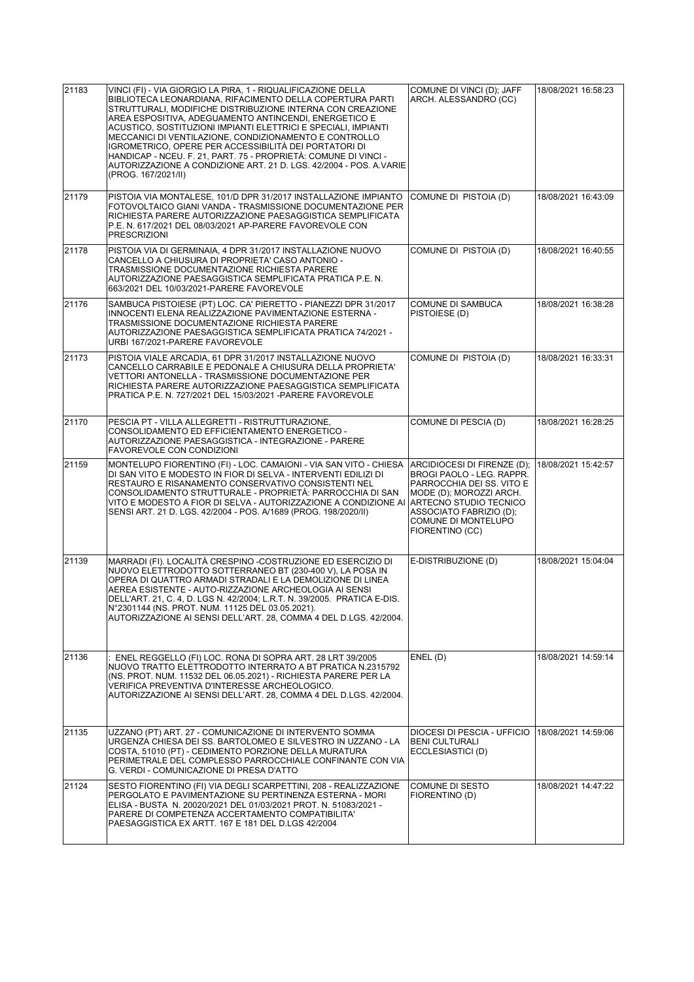| 21183 | VINCI (FI) - VIA GIORGIO LA PIRA, 1 - RIQUALIFICAZIONE DELLA<br>BIBLIOTECA LEONARDIANA, RIFACIMENTO DELLA COPERTURA PARTI<br>STRUTTURALI, MODIFICHE DISTRIBUZIONE INTERNA CON CREAZIONE<br>AREA ESPOSITIVA, ADEGUAMENTO ANTINCENDI, ENERGETICO E<br>ACUSTICO, SOSTITUZIONI IMPIANTI ELETTRICI E SPECIALI, IMPIANTI<br>MECCANICI DI VENTILAZIONE, CONDIZIONAMENTO E CONTROLLO<br>IGROMETRICO, OPERE PER ACCESSIBILITÀ DEI PORTATORI DI<br>HANDICAP - NCEU. F. 21, PART. 75 - PROPRIETÀ: COMUNE DI VINCI -<br>AUTORIZZAZIONE A CONDIZIONE ART. 21 D. LGS. 42/2004 - POS. A.VARIE<br>(PROG. 167/2021/II) | COMUNE DI VINCI (D); JAFF<br>ARCH. ALESSANDRO (CC)                                                                                                                                    | 18/08/2021 16:58:23 |
|-------|-------------------------------------------------------------------------------------------------------------------------------------------------------------------------------------------------------------------------------------------------------------------------------------------------------------------------------------------------------------------------------------------------------------------------------------------------------------------------------------------------------------------------------------------------------------------------------------------------------|---------------------------------------------------------------------------------------------------------------------------------------------------------------------------------------|---------------------|
| 21179 | PISTOIA VIA MONTALESE, 101/D DPR 31/2017 INSTALLAZIONE IMPIANTO<br>FOTOVOLTAICO GIANI VANDA - TRASMISSIONE DOCUMENTAZIONE PER<br>RICHIESTA PARERE AUTORIZZAZIONE PAESAGGISTICA SEMPLIFICATA<br>P.E. N. 617/2021 DEL 08/03/2021 AP-PARERE FAVOREVOLE CON<br>PRESCRIZIONI                                                                                                                                                                                                                                                                                                                               | COMUNE DI PISTOIA (D)                                                                                                                                                                 | 18/08/2021 16:43:09 |
| 21178 | PISTOIA VIA DI GERMINAIA, 4 DPR 31/2017 INSTALLAZIONE NUOVO<br>CANCELLO A CHIUSURA DI PROPRIETA' CASO ANTONIO -<br>TRASMISSIONE DOCUMENTAZIONE RICHIESTA PARERE<br>AUTORIZZAZIONE PAESAGGISTICA SEMPLIFICATA PRATICA P.E. N.<br>663/2021 DEL 10/03/2021-PARERE FAVOREVOLE                                                                                                                                                                                                                                                                                                                             | COMUNE DI PISTOIA (D)                                                                                                                                                                 | 18/08/2021 16:40:55 |
| 21176 | SAMBUCA PISTOIESE (PT) LOC. CA' PIERETTO - PIANEZZI DPR 31/2017<br>INNOCENTI ELENA REALIZZAZIONE PAVIMENTAZIONE ESTERNA -<br>TRASMISSIONE DOCUMENTAZIONE RICHIESTA PARERE<br>AUTORIZZAZIONE PAESAGGISTICA SEMPLIFICATA PRATICA 74/2021 -<br>URBI 167/2021-PARERE FAVOREVOLE                                                                                                                                                                                                                                                                                                                           | <b>COMUNE DI SAMBUCA</b><br>PISTOIESE (D)                                                                                                                                             | 18/08/2021 16:38:28 |
| 21173 | PISTOIA VIALE ARCADIA, 61 DPR 31/2017 INSTALLAZIONE NUOVO<br>CANCELLO CARRABILE E PEDONALE A CHIUSURA DELLA PROPRIETA'<br>VETTORI ANTONELLA - TRASMISSIONE DOCUMENTAZIONE PER<br>RICHIESTA PARERE AUTORIZZAZIONE PAESAGGISTICA SEMPLIFICATA<br>PRATICA P.E. N. 727/2021 DEL 15/03/2021 -PARERE FAVOREVOLE                                                                                                                                                                                                                                                                                             | COMUNE DI PISTOIA (D)                                                                                                                                                                 | 18/08/2021 16:33:31 |
| 21170 | PESCIA PT - VILLA ALLEGRETTI - RISTRUTTURAZIONE,<br>CONSOLIDAMENTO ED EFFICIENTAMENTO ENERGETICO -<br>AUTORIZZAZIONE PAESAGGISTICA - INTEGRAZIONE - PARERE<br>FAVOREVOLE CON CONDIZIONI                                                                                                                                                                                                                                                                                                                                                                                                               | COMUNE DI PESCIA (D)                                                                                                                                                                  | 18/08/2021 16:28:25 |
| 21159 | MONTELUPO FIORENTINO (FI) - LOC. CAMAIONI - VIA SAN VITO - CHIESA<br>DI SAN VITO E MODESTO IN FIOR DI SELVA - INTERVENTI EDILIZI DI<br>RESTAURO E RISANAMENTO CONSERVATIVO CONSISTENTI NEL<br>CONSOLIDAMENTO STRUTTURALE - PROPRIETÀ: PARROCCHIA DI SAN<br>VITO E MODESTO A FIOR DI SELVA - AUTORIZZAZIONE A CONDIZIONE AI  ARTECNO STUDIO TECNICO<br>SENSI ART. 21 D. LGS. 42/2004 - POS. A/1689 (PROG. 198/2020/II)                                                                                                                                                                                 | ARCIDIOCESI DI FIRENZE (D);<br>BROGI PAOLO - LEG. RAPPR.<br>PARROCCHIA DEI SS. VITO E<br>MODE (D); MOROZZI ARCH.<br>ASSOCIATO FABRIZIO (D);<br>COMUNE DI MONTELUPO<br>FIORENTINO (CC) | 18/08/2021 15:42:57 |
| 21139 | MARRADI (FI). LOCALITÀ CRESPINO -COSTRUZIONE ED ESERCIZIO DI<br>NUOVO ELETTRODOTTO SOTTERRANEO BT (230-400 V), LA POSA IN<br>OPERA DI QUATTRO ARMADI STRADALI E LA DEMOLIZIONE DI LINEA<br>AEREA ESISTENTE - AUTO-RIZZAZIONE ARCHEOLOGIA AI SENSI<br>DELL'ART. 21, C. 4, D. LGS N. 42/2004; L.R.T. N. 39/2005. PRATICA E-DIS.<br>N°2301144 (NS. PROT. NUM. 11125 DEL 03.05.2021).<br>AUTORIZZAZIONE AI SENSI DELL'ART. 28, COMMA 4 DEL D.LGS. 42/2004.                                                                                                                                                | E-DISTRIBUZIONE (D)                                                                                                                                                                   | 18/08/2021 15:04:04 |
| 21136 | ENEL REGGELLO (FI) LOC. RONA DI SOPRA ART. 28 LRT 39/2005<br>NUOVO TRATTO ELETTRODOTTO INTERRATO A BT PRATICA N.2315792<br>(NS. PROT. NUM. 11532 DEL 06.05.2021) - RICHIESTA PARERE PER LA<br>VERIFICA PREVENTIVA D'INTERESSE ARCHEOLOGICO.<br>AUTORIZZAZIONE AI SENSI DELL'ART. 28, COMMA 4 DEL D.LGS. 42/2004.                                                                                                                                                                                                                                                                                      | ENEL(D)                                                                                                                                                                               | 18/08/2021 14:59:14 |
| 21135 | UZZANO (PT) ART. 27 - COMUNICAZIONE DI INTERVENTO SOMMA<br>URGENZA CHIESA DEI SS. BARTOLOMEO E SILVESTRO IN UZZANO - LA<br>COSTA, 51010 (PT) - CEDIMENTO PORZIONE DELLA MURATURA<br>PERIMETRALE DEL COMPLESSO PARROCCHIALE CONFINANTE CON VIA<br>G. VERDI - COMUNICAZIONE DI PRESA D'ATTO                                                                                                                                                                                                                                                                                                             | DIOCESI DI PESCIA - UFFICIO<br><b>BENI CULTURALI</b><br>ECCLESIASTICI (D)                                                                                                             | 18/08/2021 14:59:06 |
| 21124 | SESTO FIORENTINO (FI) VIA DEGLI SCARPETTINI, 208 - REALIZZAZIONE<br>PERGOLATO E PAVIMENTAZIONE SU PERTINENZA ESTERNA - MORI<br>ELISA - BUSTA N. 20020/2021 DEL 01/03/2021 PROT. N. 51083/2021 -<br>PARERE DI COMPETENZA ACCERTAMENTO COMPATIBILITA'<br>PAESAGGISTICA EX ARTT. 167 E 181 DEL D.LGS 42/2004                                                                                                                                                                                                                                                                                             | COMUNE DI SESTO<br>FIORENTINO (D)                                                                                                                                                     | 18/08/2021 14:47:22 |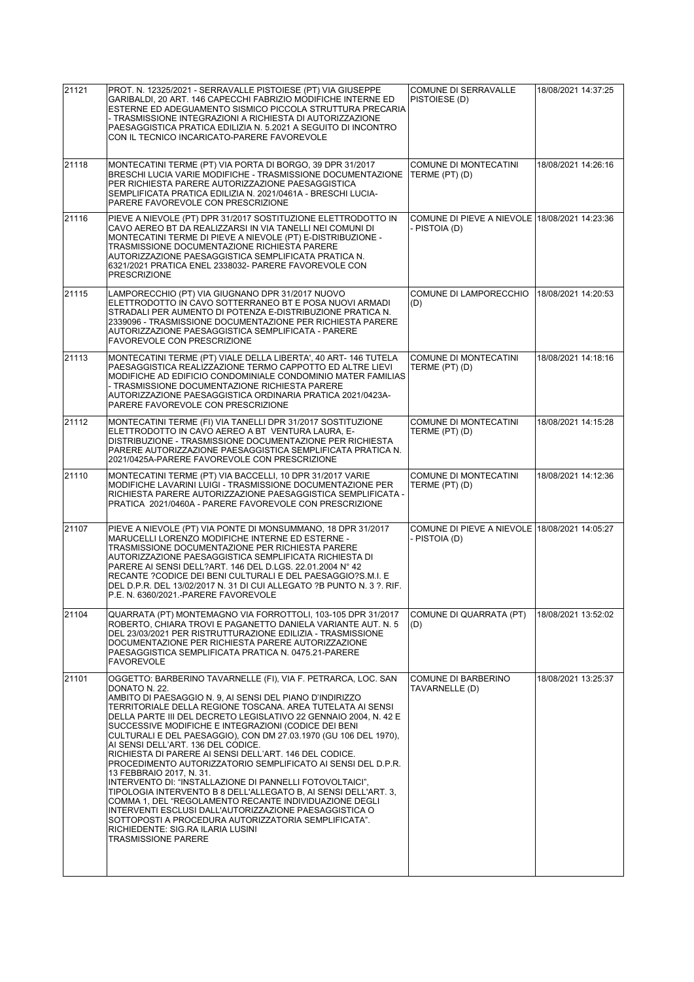| 21121 | PROT. N. 12325/2021 - SERRAVALLE PISTOIESE (PT) VIA GIUSEPPE                                                                                                                                                                                                                                                                                                                                                                                                                                                                                                                                                                                                                                                                                                                                                                                                                                                                                                                       | COMUNE DI SERRAVALLE                                           | 18/08/2021 14:37:25 |
|-------|------------------------------------------------------------------------------------------------------------------------------------------------------------------------------------------------------------------------------------------------------------------------------------------------------------------------------------------------------------------------------------------------------------------------------------------------------------------------------------------------------------------------------------------------------------------------------------------------------------------------------------------------------------------------------------------------------------------------------------------------------------------------------------------------------------------------------------------------------------------------------------------------------------------------------------------------------------------------------------|----------------------------------------------------------------|---------------------|
|       | GARIBALDI, 20 ART. 146 CAPECCHI FABRIZIO MODIFICHE INTERNE ED<br>ESTERNE ED ADEGUAMENTO SISMICO PICCOLA STRUTTURA PRECARIA<br>- TRASMISSIONE INTEGRAZIONI A RICHIESTA DI AUTORIZZAZIONE<br>PAESAGGISTICA PRATICA EDILIZIA N. 5.2021 A SEGUITO DI INCONTRO<br>CON IL TECNICO INCARICATO-PARERE FAVOREVOLE                                                                                                                                                                                                                                                                                                                                                                                                                                                                                                                                                                                                                                                                           | PISTOIESE (D)                                                  |                     |
| 21118 | MONTECATINI TERME (PT) VIA PORTA DI BORGO, 39 DPR 31/2017<br>BRESCHI LUCIA VARIE MODIFICHE - TRASMISSIONE DOCUMENTAZIONE<br>PER RICHIESTA PARERE AUTORIZZAZIONE PAESAGGISTICA<br>SEMPLIFICATA PRATICA EDILIZIA N. 2021/0461A - BRESCHI LUCIA-<br>PARERE FAVOREVOLE CON PRESCRIZIONE                                                                                                                                                                                                                                                                                                                                                                                                                                                                                                                                                                                                                                                                                                | COMUNE DI MONTECATINI<br>TERME (PT) (D)                        | 18/08/2021 14:26:16 |
| 21116 | PIEVE A NIEVOLE (PT) DPR 31/2017 SOSTITUZIONE ELETTRODOTTO IN<br>CAVO AEREO BT DA REALIZZARSI IN VIA TANELLI NEI COMUNI DI<br>MONTECATINI TERME DI PIEVE A NIEVOLE (PT) E-DISTRIBUZIONE -<br>TRASMISSIONE DOCUMENTAZIONE RICHIESTA PARERE<br>AUTORIZZAZIONE PAESAGGISTICA SEMPLIFICATA PRATICA N.<br>6321/2021 PRATICA ENEL 2338032- PARERE FAVOREVOLE CON<br><b>PRESCRIZIONE</b>                                                                                                                                                                                                                                                                                                                                                                                                                                                                                                                                                                                                  | COMUNE DI PIEVE A NIEVOLE 18/08/2021 14:23:36<br>- PISTOIA (D) |                     |
| 21115 | LAMPORECCHIO (PT) VIA GIUGNANO DPR 31/2017 NUOVO<br>ELETTRODOTTO IN CAVO SOTTERRANEO BT E POSA NUOVI ARMADI<br>STRADALI PER AUMENTO DI POTENZA E-DISTRIBUZIONE PRATICA N.<br>2339096 - TRASMISSIONE DOCUMENTAZIONE PER RICHIESTA PARERE<br>AUTORIZZAZIONE PAESAGGISTICA SEMPLIFICATA - PARERE<br><b>FAVOREVOLE CON PRESCRIZIONE</b>                                                                                                                                                                                                                                                                                                                                                                                                                                                                                                                                                                                                                                                | COMUNE DI LAMPORECCHIO<br>(D)                                  | 18/08/2021 14:20:53 |
| 21113 | MONTECATINI TERME (PT) VIALE DELLA LIBERTA', 40 ART- 146 TUTELA<br>PAESAGGISTICA REALIZZAZIONE TERMO CAPPOTTO ED ALTRE LIEVI<br>MODIFICHE AD EDIFICIO CONDOMINIALE CONDOMINIO MATER FAMILIAS<br>- TRASMISSIONE DOCUMENTAZIONE RICHIESTA PARERE<br>AUTORIZZAZIONE PAESAGGISTICA ORDINARIA PRATICA 2021/0423A-<br>PARERE FAVOREVOLE CON PRESCRIZIONE                                                                                                                                                                                                                                                                                                                                                                                                                                                                                                                                                                                                                                 | COMUNE DI MONTECATINI<br>TERME (PT) (D)                        | 18/08/2021 14:18:16 |
| 21112 | MONTECATINI TERME (FI) VIA TANELLI DPR 31/2017 SOSTITUZIONE<br>ELETTRODOTTO IN CAVO AEREO A BT VENTURA LAURA, E-<br>DISTRIBUZIONE - TRASMISSIONE DOCUMENTAZIONE PER RICHIESTA<br>PARERE AUTORIZZAZIONE PAESAGGISTICA SEMPLIFICATA PRATICA N.<br>2021/0425A-PARERE FAVOREVOLE CON PRESCRIZIONE                                                                                                                                                                                                                                                                                                                                                                                                                                                                                                                                                                                                                                                                                      | COMUNE DI MONTECATINI<br>TERME (PT) (D)                        | 18/08/2021 14:15:28 |
| 21110 | MONTECATINI TERME (PT) VIA BACCELLI, 10 DPR 31/2017 VARIE<br>MODIFICHE LAVARINI LUIGI - TRASMISSIONE DOCUMENTAZIONE PER<br>RICHIESTA PARERE AUTORIZZAZIONE PAESAGGISTICA SEMPLIFICATA -<br>PRATICA 2021/0460A - PARERE FAVOREVOLE CON PRESCRIZIONE                                                                                                                                                                                                                                                                                                                                                                                                                                                                                                                                                                                                                                                                                                                                 | COMUNE DI MONTECATINI<br>TERME (PT) (D)                        | 18/08/2021 14:12:36 |
| 21107 | PIEVE A NIEVOLE (PT) VIA PONTE DI MONSUMMANO, 18 DPR 31/2017<br>MARUCELLI LORENZO MODIFICHE INTERNE ED ESTERNE -<br>TRASMISSIONE DOCUMENTAZIONE PER RICHIESTA PARERE<br>AUTORIZZAZIONE PAESAGGISTICA SEMPLIFICATA RICHIESTA DI<br>PARERE AI SENSI DELL?ART. 146 DEL D.LGS. 22.01.2004 N° 42<br>RECANTE ?CODICE DEI BENI CULTURALI E DEL PAESAGGIO?S.M.I. E<br>DEL D.P.R. DEL 13/02/2017 N. 31 DI CUI ALLEGATO ?B PUNTO N. 3 ?. RIF.<br>P.E. N. 6360/2021.-PARERE FAVOREVOLE                                                                                                                                                                                                                                                                                                                                                                                                                                                                                                        | COMUNE DI PIEVE A NIEVOLE 18/08/2021 14:05:27<br>- PISTOIA (D) |                     |
| 21104 | QUARRATA (PT) MONTEMAGNO VIA FORROTTOLI, 103-105 DPR 31/2017<br>ROBERTO, CHIARA TROVI E PAGANETTO DANIELA VARIANTE AUT. N. 5<br>DEL 23/03/2021 PER RISTRUTTURAZIONE EDILIZIA - TRASMISSIONE<br>DOCUMENTAZIONE PER RICHIESTA PARERE AUTORIZZAZIONE<br>PAESAGGISTICA SEMPLIFICATA PRATICA N. 0475.21-PARERE<br><b>FAVOREVOLE</b>                                                                                                                                                                                                                                                                                                                                                                                                                                                                                                                                                                                                                                                     | COMUNE DI QUARRATA (PT)<br>(D)                                 | 18/08/2021 13:52:02 |
| 21101 | OGGETTO: BARBERINO TAVARNELLE (FI), VIA F. PETRARCA, LOC. SAN<br>DONATO N. 22.<br>AMBITO DI PAESAGGIO N. 9, AI SENSI DEL PIANO D'INDIRIZZO<br>TERRITORIALE DELLA REGIONE TOSCANA. AREA TUTELATA AI SENSI<br>DELLA PARTE III DEL DECRETO LEGISLATIVO 22 GENNAIO 2004, N. 42 E<br>SUCCESSIVE MODIFICHE E INTEGRAZIONI (CODICE DEI BENI<br>CULTURALI E DEL PAESAGGIO), CON DM 27.03.1970 (GU 106 DEL 1970),<br>AI SENSI DELL'ART. 136 DEL CODICE.<br>RICHIESTA DI PARERE AI SENSI DELL'ART. 146 DEL CODICE.<br>PROCEDIMENTO AUTORIZZATORIO SEMPLIFICATO AI SENSI DEL D.P.R.<br>13 FEBBRAIO 2017, N. 31.<br>INTERVENTO DI: "INSTALLAZIONE DI PANNELLI FOTOVOLTAICI",<br>TIPOLOGIA INTERVENTO B 8 DELL'ALLEGATO B, AI SENSI DELL'ART. 3,<br>COMMA 1, DEL "REGOLAMENTO RECANTE INDIVIDUAZIONE DEGLI<br>INTERVENTI ESCLUSI DALL'AUTORIZZAZIONE PAESAGGISTICA O<br>SOTTOPOSTI A PROCEDURA AUTORIZZATORIA SEMPLIFICATA".<br>RICHIEDENTE: SIG.RA ILARIA LUSINI<br><b>TRASMISSIONE PARERE</b> | <b>COMUNE DI BARBERINO</b><br>TAVARNELLE (D)                   | 18/08/2021 13:25:37 |
|       |                                                                                                                                                                                                                                                                                                                                                                                                                                                                                                                                                                                                                                                                                                                                                                                                                                                                                                                                                                                    |                                                                |                     |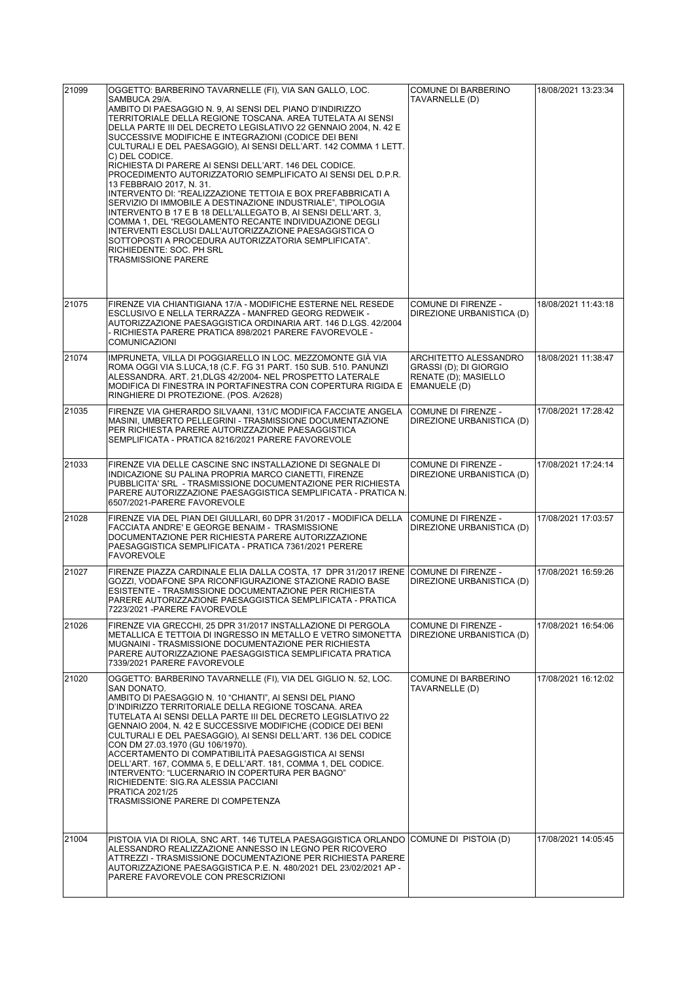| 21099 | OGGETTO: BARBERINO TAVARNELLE (FI), VIA SAN GALLO, LOC.<br>SAMBUCA 29/A.<br>AMBITO DI PAESAGGIO N. 9, AI SENSI DEL PIANO D'INDIRIZZO                                                                                                                                                                                                                                                                                                                                                                                                                                                                                                                                                                                    | <b>COMUNE DI BARBERINO</b><br>TAVARNELLE (D)                                            | 18/08/2021 13:23:34 |
|-------|-------------------------------------------------------------------------------------------------------------------------------------------------------------------------------------------------------------------------------------------------------------------------------------------------------------------------------------------------------------------------------------------------------------------------------------------------------------------------------------------------------------------------------------------------------------------------------------------------------------------------------------------------------------------------------------------------------------------------|-----------------------------------------------------------------------------------------|---------------------|
|       | TERRITORIALE DELLA REGIONE TOSCANA. AREA TUTELATA AI SENSI<br>DELLA PARTE III DEL DECRETO LEGISLATIVO 22 GENNAIO 2004, N. 42 E<br>SUCCESSIVE MODIFICHE E INTEGRAZIONI (CODICE DEI BENI<br>CULTURALI E DEL PAESAGGIO), AI SENSI DELL'ART. 142 COMMA 1 LETT.<br>C) DEL CODICE.<br>RICHIESTA DI PARERE AI SENSI DELL'ART. 146 DEL CODICE.                                                                                                                                                                                                                                                                                                                                                                                  |                                                                                         |                     |
|       | PROCEDIMENTO AUTORIZZATORIO SEMPLIFICATO AI SENSI DEL D.P.R.<br>13 FEBBRAIO 2017, N. 31.<br>INTERVENTO DI: "REALIZZAZIONE TETTOIA E BOX PREFABBRICATI A<br>SERVIZIO DI IMMOBILE A DESTINAZIONE INDUSTRIALE", TIPOLOGIA<br>INTERVENTO B 17 E B 18 DELL'ALLEGATO B, AI SENSI DELL'ART. 3,<br>COMMA 1, DEL "REGOLAMENTO RECANTE INDIVIDUAZIONE DEGLI<br>INTERVENTI ESCLUSI DALL'AUTORIZZAZIONE PAESAGGISTICA O<br>SOTTOPOSTI A PROCEDURA AUTORIZZATORIA SEMPLIFICATA".<br>RICHIEDENTE: SOC. PH SRL                                                                                                                                                                                                                         |                                                                                         |                     |
|       | <b>TRASMISSIONE PARERE</b>                                                                                                                                                                                                                                                                                                                                                                                                                                                                                                                                                                                                                                                                                              |                                                                                         |                     |
| 21075 | FIRENZE VIA CHIANTIGIANA 17/A - MODIFICHE ESTERNE NEL RESEDE<br>ESCLUSIVO E NELLA TERRAZZA - MANFRED GEORG REDWEIK -<br>AUTORIZZAZIONE PAESAGGISTICA ORDINARIA ART. 146 D.LGS. 42/2004<br>- RICHIESTA PARERE PRATICA 898/2021 PARERE FAVOREVOLE -<br><b>COMUNICAZIONI</b>                                                                                                                                                                                                                                                                                                                                                                                                                                               | <b>COMUNE DI FIRENZE -</b><br>DIREZIONE URBANISTICA (D)                                 | 18/08/2021 11:43:18 |
| 21074 | IMPRUNETA, VILLA DI POGGIARELLO IN LOC. MEZZOMONTE GIÀ VIA<br>ROMA OGGI VIA S.LUCA, 18 (C.F. FG 31 PART. 150 SUB. 510. PANUNZI<br>ALESSANDRA. ART. 21.DLGS 42/2004- NEL PROSPETTO LATERALE<br>MODIFICA DI FINESTRA IN PORTAFINESTRA CON COPERTURA RIGIDA E<br>RINGHIERE DI PROTEZIONE. (POS. A/2628)                                                                                                                                                                                                                                                                                                                                                                                                                    | ARCHITETTO ALESSANDRO<br>GRASSI (D); DI GIORGIO<br>RENATE (D); MASIELLO<br>EMANUELE (D) | 18/08/2021 11:38:47 |
| 21035 | FIRENZE VIA GHERARDO SILVAANI, 131/C MODIFICA FACCIATE ANGELA<br>MASINI, UMBERTO PELLEGRINI - TRASMISSIONE DOCUMENTAZIONE<br>PER RICHIESTA PARERE AUTORIZZAZIONE PAESAGGISTICA<br>SEMPLIFICATA - PRATICA 8216/2021 PARERE FAVOREVOLE                                                                                                                                                                                                                                                                                                                                                                                                                                                                                    | COMUNE DI FIRENZE -<br>DIREZIONE URBANISTICA (D)                                        | 17/08/2021 17:28:42 |
| 21033 | FIRENZE VIA DELLE CASCINE SNC INSTALLAZIONE DI SEGNALE DI<br>INDICAZIONE SU PALINA PROPRIA MARCO CIANETTI, FIRENZE<br>PUBBLICITA' SRL - TRASMISSIONE DOCUMENTAZIONE PER RICHIESTA<br>PARERE AUTORIZZAZIONE PAESAGGISTICA SEMPLIFICATA - PRATICA N.<br>6507/2021-PARERE FAVOREVOLE                                                                                                                                                                                                                                                                                                                                                                                                                                       | COMUNE DI FIRENZE -<br>DIREZIONE URBANISTICA (D)                                        | 17/08/2021 17:24:14 |
| 21028 | FIRENZE VIA DEL PIAN DEI GIULLARI, 60 DPR 31/2017 - MODIFICA DELLA<br>FACCIATA ANDRE' E GEORGE BENAIM - TRASMISSIONE<br>DOCUMENTAZIONE PER RICHIESTA PARERE AUTORIZZAZIONE<br>PAESAGGISTICA SEMPLIFICATA - PRATICA 7361/2021 PERERE<br><b>FAVOREVOLE</b>                                                                                                                                                                                                                                                                                                                                                                                                                                                                | COMUNE DI FIRENZE -<br>DIREZIONE URBANISTICA (D)                                        | 17/08/2021 17:03:57 |
| 21027 | FIRENZE PIAZZA CARDINALE ELIA DALLA COSTA, 17 DPR 31/2017 IRENE<br>GOZZI, VODAFONE SPA RICONFIGURAZIONE STAZIONE RADIO BASE<br>ESISTENTE - TRASMISSIONE DOCUMENTAZIONE PER RICHIESTA<br>PARERE AUTORIZZAZIONE PAESAGGISTICA SEMPLIFICATA - PRATICA<br>7223/2021 - PARERE FAVOREVOLE                                                                                                                                                                                                                                                                                                                                                                                                                                     | COMUNE DI FIRENZE -<br>DIREZIONE URBANISTICA (D)                                        | 17/08/2021 16:59:26 |
| 21026 | FIRENZE VIA GRECCHI, 25 DPR 31/2017 INSTALLAZIONE DI PERGOLA<br>METALLICA E TETTOIA DI INGRESSO IN METALLO E VETRO SIMONETTA<br>MUGNAINI - TRASMISSIONE DOCUMENTAZIONE PER RICHIESTA<br>PARERE AUTORIZZAZIONE PAESAGGISTICA SEMPLIFICATA PRATICA<br>7339/2021 PARERE FAVOREVOLE                                                                                                                                                                                                                                                                                                                                                                                                                                         | <b>COMUNE DI FIRENZE -</b><br>DIREZIONE URBANISTICA (D)                                 | 17/08/2021 16:54:06 |
| 21020 | OGGETTO: BARBERINO TAVARNELLE (FI), VIA DEL GIGLIO N. 52, LOC.<br>SAN DONATO.<br>AMBITO DI PAESAGGIO N. 10 "CHIANTI", AI SENSI DEL PIANO<br>D'INDIRIZZO TERRITORIALE DELLA REGIONE TOSCANA. AREA<br>TUTELATA AI SENSI DELLA PARTE III DEL DECRETO LEGISLATIVO 22<br>GENNAIO 2004, N. 42 E SUCCESSIVE MODIFICHE (CODICE DEI BENI<br>CULTURALI E DEL PAESAGGIO), AI SENSI DELL'ART. 136 DEL CODICE<br>CON DM 27.03.1970 (GU 106/1970).<br>ACCERTAMENTO DI COMPATIBILITÀ PAESAGGISTICA AI SENSI<br>DELL'ART. 167, COMMA 5, E DELL'ART. 181, COMMA 1, DEL CODICE.<br>INTERVENTO: "LUCERNARIO IN COPERTURA PER BAGNO"<br>RICHIEDENTE: SIG.RA ALESSIA PACCIANI<br><b>PRATICA 2021/25</b><br>TRASMISSIONE PARERE DI COMPETENZA | COMUNE DI BARBERINO<br>TAVARNELLE (D)                                                   | 17/08/2021 16:12:02 |
| 21004 | PISTOIA VIA DI RIOLA, SNC ART. 146 TUTELA PAESAGGISTICA ORLANDO<br>ALESSANDRO REALIZZAZIONE ANNESSO IN LEGNO PER RICOVERO<br>ATTREZZI - TRASMISSIONE DOCUMENTAZIONE PER RICHIESTA PARERE<br>AUTORIZZAZIONE PAESAGGISTICA P.E. N. 480/2021 DEL 23/02/2021 AP -<br>PARERE FAVOREVOLE CON PRESCRIZIONI                                                                                                                                                                                                                                                                                                                                                                                                                     | COMUNE DI PISTOIA (D)                                                                   | 17/08/2021 14:05:45 |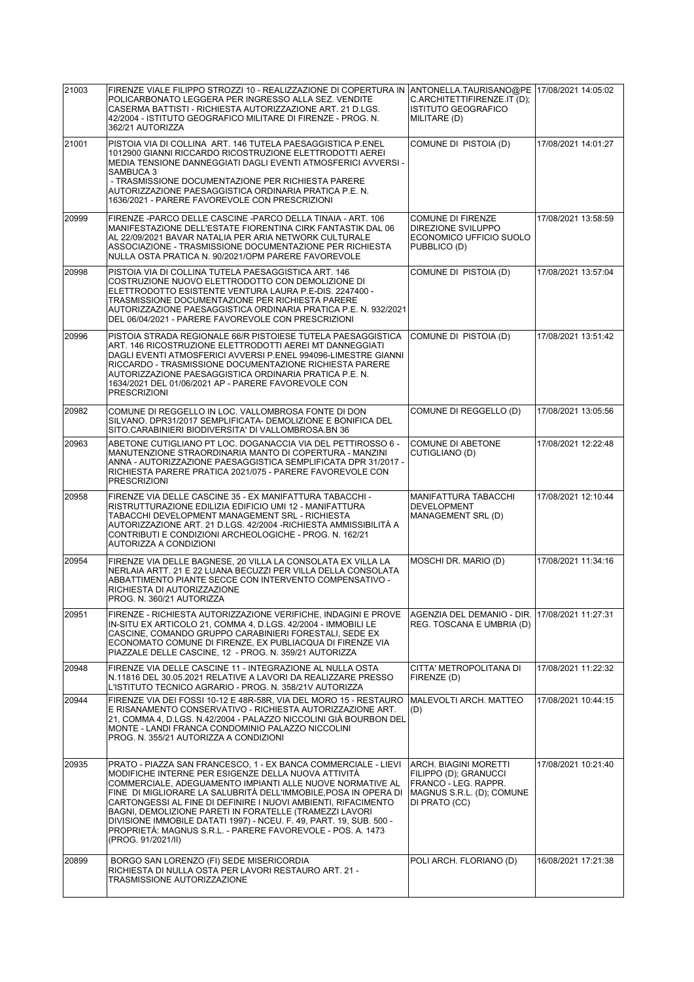| 21003 | FIRENZE VIALE FILIPPO STROZZI 10 - REALIZZAZIONE DI COPERTURA IN<br>POLICARBONATO LEGGERA PER INGRESSO ALLA SEZ. VENDITE<br>CASERMA BATTISTI - RICHIESTA AUTORIZZAZIONE ART. 21 D.LGS.<br>42/2004 - ISTITUTO GEOGRAFICO MILITARE DI FIRENZE - PROG. N.<br>362/21 AUTORIZZA                                                                                                                                                                                                                                                                    | ANTONELLA.TAURISANO@PE   17/08/2021 14:05:02<br>C.ARCHITETTIFIRENZE.IT (D);<br><b>ISTITUTO GEOGRAFICO</b><br>MILITARE (D)    |                     |
|-------|-----------------------------------------------------------------------------------------------------------------------------------------------------------------------------------------------------------------------------------------------------------------------------------------------------------------------------------------------------------------------------------------------------------------------------------------------------------------------------------------------------------------------------------------------|------------------------------------------------------------------------------------------------------------------------------|---------------------|
| 21001 | PISTOIA VIA DI COLLINA ART. 146 TUTELA PAESAGGISTICA P.ENEL<br>1012900 GIANNI RICCARDO RICOSTRUZIONE ELETTRODOTTI AEREI<br>MEDIA TENSIONE DANNEGGIATI DAGLI EVENTI ATMOSFERICI AVVERSI -<br>SAMBUCA 3<br>- TRASMISSIONE DOCUMENTAZIONE PER RICHIESTA PARERE<br>AUTORIZZAZIONE PAESAGGISTICA ORDINARIA PRATICA P.E. N.<br>1636/2021 - PARERE FAVOREVOLE CON PRESCRIZIONI                                                                                                                                                                       | COMUNE DI PISTOIA (D)                                                                                                        | 17/08/2021 14:01:27 |
| 20999 | FIRENZE -PARCO DELLE CASCINE -PARCO DELLA TINAIA - ART. 106<br>MANIFESTAZIONE DELL'ESTATE FIORENTINA CIRK FANTASTIK DAL 06<br>AL 22/09/2021 BAVAR NATALIA PER ARIA NETWORK CULTURALE<br>ASSOCIAZIONE - TRASMISSIONE DOCUMENTAZIONE PER RICHIESTA<br>NULLA OSTA PRATICA N. 90/2021/OPM PARERE FAVOREVOLE                                                                                                                                                                                                                                       | <b>COMUNE DI FIRENZE</b><br>DIREZIONE SVILUPPO<br>ECONOMICO UFFICIO SUOLO<br>PUBBLICO (D)                                    | 17/08/2021 13:58:59 |
| 20998 | PISTOIA VIA DI COLLINA TUTELA PAESAGGISTICA ART. 146<br>COSTRUZIONE NUOVO ELETTRODOTTO CON DEMOLIZIONE DI<br>ELETTRODOTTO ESISTENTE VENTURA LAURA P.E-DIS. 2247400 -<br>TRASMISSIONE DOCUMENTAZIONE PER RICHIESTA PARERE<br>AUTORIZZAZIONE PAESAGGISTICA ORDINARIA PRATICA P.E. N. 932/2021<br>DEL 06/04/2021 - PARERE FAVOREVOLE CON PRESCRIZIONI                                                                                                                                                                                            | COMUNE DI PISTOIA (D)                                                                                                        | 17/08/2021 13:57:04 |
| 20996 | PISTOIA STRADA REGIONALE 66/R PISTOIESE TUTELA PAESAGGISTICA<br>ART. 146 RICOSTRUZIONE ELETTRODOTTI AEREI MT DANNEGGIATI<br>DAGLI EVENTI ATMOSFERICI AVVERSI P.ENEL 994096-LIMESTRE GIANNI<br>RICCARDO - TRASMISSIONE DOCUMENTAZIONE RICHIESTA PARERE<br>AUTORIZZAZIONE PAESAGGISTICA ORDINARIA PRATICA P.E. N.<br>1634/2021 DEL 01/06/2021 AP - PARERE FAVOREVOLE CON<br><b>PRESCRIZIONI</b>                                                                                                                                                 | COMUNE DI PISTOIA (D)                                                                                                        | 17/08/2021 13:51:42 |
| 20982 | COMUNE DI REGGELLO IN LOC. VALLOMBROSA FONTE DI DON<br>SILVANO. DPR31/2017 SEMPLIFICATA- DEMOLIZIONE E BONIFICA DEL<br>SITO.CARABINIERI BIODIVERSITA' DI VALLOMBROSA.BN 36                                                                                                                                                                                                                                                                                                                                                                    | COMUNE DI REGGELLO (D)                                                                                                       | 17/08/2021 13:05:56 |
| 20963 | ABETONE CUTIGLIANO PT LOC. DOGANACCIA VIA DEL PETTIROSSO 6 -<br>MANUTENZIONE STRAORDINARIA MANTO DI COPERTURA - MANZINI<br>ANNA - AUTORIZZAZIONE PAESAGGISTICA SEMPLIFICATA DPR 31/2017 -<br>RICHIESTA PARERE PRATICA 2021/075 - PARERE FAVOREVOLE CON<br><b>PRESCRIZIONI</b>                                                                                                                                                                                                                                                                 | <b>COMUNE DI ABETONE</b><br>CUTIGLIANO (D)                                                                                   | 17/08/2021 12:22:48 |
| 20958 | FIRENZE VIA DELLE CASCINE 35 - EX MANIFATTURA TABACCHI -                                                                                                                                                                                                                                                                                                                                                                                                                                                                                      | MANIFATTURA TABACCHI                                                                                                         | 17/08/2021 12:10:44 |
|       | RISTRUTTURAZIONE EDILIZIA EDIFICIO UMI 12 - MANIFATTURA<br>TABACCHI DEVELOPMENT MANAGEMENT SRL - RICHIESTA<br>AUTORIZZAZIONE ART. 21 D.LGS. 42/2004 -RICHIESTA AMMISSIBILITÀ A<br>CONTRIBUTI E CONDIZIONI ARCHEOLOGICHE - PROG. N. 162/21<br>AUTORIZZA A CONDIZIONI                                                                                                                                                                                                                                                                           | <b>DEVELOPMENT</b><br>MANAGEMENT SRL (D)                                                                                     |                     |
| 20954 | FIRENZE VIA DELLE BAGNESE. 20 VILLA LA CONSOLATA EX VILLA LA<br>NERLAIA ARTT. 21 E 22 LUANA BECUZZI PER VILLA DELLA CONSOLATA<br>ABBATTIMENTO PIANTE SECCE CON INTERVENTO COMPENSATIVO -<br>RICHIESTA DI AUTORIZZAZIONE<br>PROG. N. 360/21 AUTORIZZA                                                                                                                                                                                                                                                                                          | MOSCHI DR. MARIO (D)                                                                                                         | 17/08/2021 11:34:16 |
| 20951 | FIRENZE - RICHIESTA AUTORIZZAZIONE VERIFICHE, INDAGINI E PROVE<br>IN-SITU EX ARTICOLO 21, COMMA 4, D.LGS. 42/2004 - IMMOBILI LE<br>CASCINE, COMANDO GRUPPO CARABINIERI FORESTALI, SEDE EX<br>ECONOMATO COMUNE DI FIRENZE, EX PUBLIACQUA DI FIRENZE VIA<br>PIAZZALE DELLE CASCINE, 12 - PROG. N. 359/21 AUTORIZZA                                                                                                                                                                                                                              | AGENZIA DEL DEMANIO - DIR. 17/08/2021 11:27:31<br>REG. TOSCANA E UMBRIA (D)                                                  |                     |
| 20948 | FIRENZE VIA DELLE CASCINE 11 - INTEGRAZIONE AL NULLA OSTA<br>N.11816 DEL 30.05.2021 RELATIVE A LAVORI DA REALIZZARE PRESSO<br>L'ISTITUTO TECNICO AGRARIO - PROG. N. 358/21V AUTORIZZA                                                                                                                                                                                                                                                                                                                                                         | CITTA' METROPOLITANA DI<br>FIRENZE (D)                                                                                       | 17/08/2021 11:22:32 |
| 20944 | FIRENZE VIA DEI FOSSI 10-12 E 48R-58R, VIA DEL MORO 15 - RESTAURO<br>E RISANAMENTO CONSERVATIVO - RICHIESTA AUTORIZZAZIONE ART.<br>21. COMMA 4. D.LGS. N.42/2004 - PALAZZO NICCOLINI GIÀ BOURBON DEL<br>MONTE - LANDI FRANCA CONDOMINIO PALAZZO NICCOLINI<br>PROG. N. 355/21 AUTORIZZA A CONDIZIONI                                                                                                                                                                                                                                           | MALEVOLTI ARCH. MATTEO<br>(D)                                                                                                | 17/08/2021 10:44:15 |
| 20935 | PRATO - PIAZZA SAN FRANCESCO, 1 - EX BANCA COMMERCIALE - LIEVI<br>MODIFICHE INTERNE PER ESIGENZE DELLA NUOVA ATTIVITA<br>COMMERCIALE, ADEGUAMENTO IMPIANTI ALLE NUOVE NORMATIVE AL<br>FINE DI MIGLIORARE LA SALUBRITA DELL'IMMOBILE, POSA IN OPERA DI<br>CARTONGESSI AL FINE DI DEFINIRE I NUOVI AMBIENTI, RIFACIMENTO<br>BAGNI, DEMOLIZIONE PARETI IN FORATELLE (TRAMEZZI LAVORI<br>DIVISIONE IMMOBILE DATATI 1997) - NCEU. F. 49, PART. 19, SUB. 500 -<br>PROPRIETA: MAGNUS S.R.L. - PARERE FAVOREVOLE - POS. A. 1473<br>(PROG. 91/2021/II) | <b>ARCH. BIAGINI MORETTI</b><br>FILIPPO (D); GRANUCCI<br>FRANCO - LEG. RAPPR.<br> MAGNUS S.R.L. (D); COMUNE<br>DI PRATO (CC) | 17/08/2021 10:21:40 |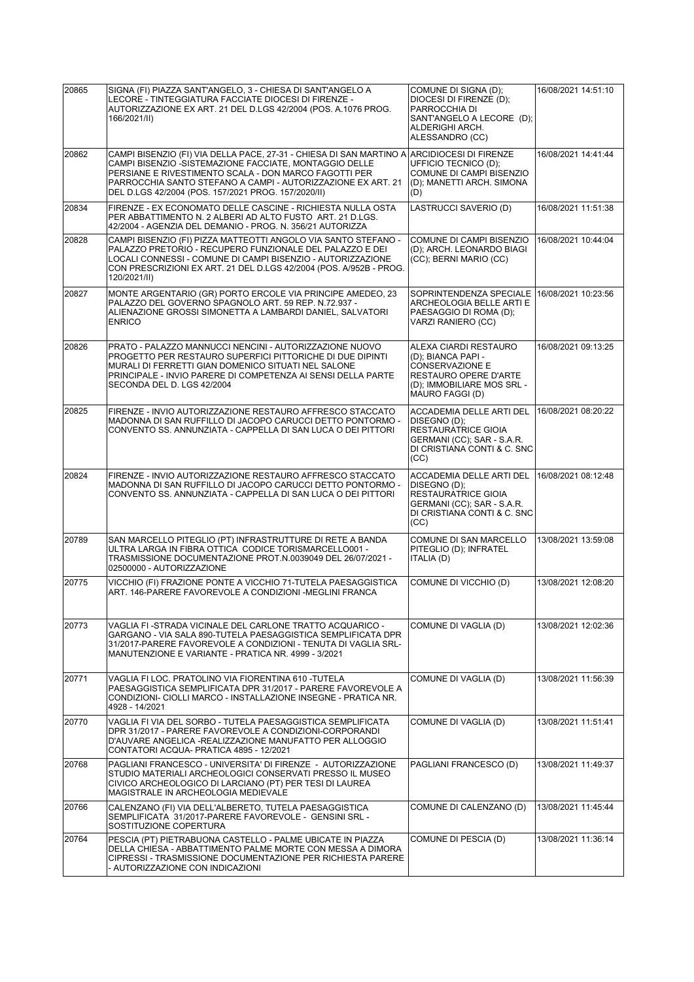| 20865 | SIGNA (FI) PIAZZA SANT'ANGELO, 3 - CHIESA DI SANT'ANGELO A<br>LECORE - TINTEGGIATURA FACCIATE DIOCESI DI FIRENZE -<br>AUTORIZZAZIONE EX ART. 21 DEL D.LGS 42/2004 (POS. A.1076 PROG.<br>166/2021/II)                                                                                                          | COMUNE DI SIGNA (D);<br>DIOCESI DI FIRENZE (D):<br>PARROCCHIA DI<br>SANT'ANGELO A LECORE (D);<br>ALDERIGHI ARCH.<br>ALESSANDRO (CC)                    | 16/08/2021 14:51:10 |
|-------|---------------------------------------------------------------------------------------------------------------------------------------------------------------------------------------------------------------------------------------------------------------------------------------------------------------|--------------------------------------------------------------------------------------------------------------------------------------------------------|---------------------|
| 20862 | CAMPI BISENZIO (FI) VIA DELLA PACE, 27-31 - CHIESA DI SAN MARTINO A<br>CAMPI BISENZIO -SISTEMAZIONE FACCIATE, MONTAGGIO DELLE<br>PERSIANE E RIVESTIMENTO SCALA - DON MARCO FAGOTTI PER<br>PARROCCHIA SANTO STEFANO A CAMPI - AUTORIZZAZIONE EX ART. 21<br>DEL D.LGS 42/2004 (POS. 157/2021 PROG. 157/2020/II) | ARCIDIOCESI DI FIRENZE<br>UFFICIO TECNICO (D);<br>COMUNE DI CAMPI BISENZIO<br>(D); MANETTI ARCH. SIMONA<br>(D)                                         | 16/08/2021 14:41:44 |
| 20834 | FIRENZE - EX ECONOMATO DELLE CASCINE - RICHIESTA NULLA OSTA<br>PER ABBATTIMENTO N. 2 ALBERI AD ALTO FUSTO ART. 21 D.LGS.<br>42/2004 - AGENZIA DEL DEMANIO - PROG. N. 356/21 AUTORIZZA                                                                                                                         | LASTRUCCI SAVERIO (D)                                                                                                                                  | 16/08/2021 11:51:38 |
| 20828 | CAMPI BISENZIO (FI) PIZZA MATTEOTTI ANGOLO VIA SANTO STEFANO -<br>PALAZZO PRETORIO - RECUPERO FUNZIONALE DEL PALAZZO E DEI<br>LOCALI CONNESSI - COMUNE DI CAMPI BISENZIO - AUTORIZZAZIONE<br>CON PRESCRIZIONI EX ART. 21 DEL D.LGS 42/2004 (POS. A/952B - PROG.<br>120/2021/II)                               | COMUNE DI CAMPI BISENZIO<br>(D); ARCH. LEONARDO BIAGI<br>(CC); BERNI MARIO (CC)                                                                        | 16/08/2021 10:44:04 |
| 20827 | MONTE ARGENTARIO (GR) PORTO ERCOLE VIA PRINCIPE AMEDEO, 23<br>PALAZZO DEL GOVERNO SPAGNOLO ART. 59 REP. N.72.937 -<br>ALIENAZIONE GROSSI SIMONETTA A LAMBARDI DANIEL, SALVATORI<br><b>ENRICO</b>                                                                                                              | SOPRINTENDENZA SPECIALE<br><b>ARCHEOLOGIA BELLE ARTI E</b><br>PAESAGGIO DI ROMA (D);<br>VARZI RANIERO (CC)                                             | 16/08/2021 10:23:56 |
| 20826 | PRATO - PALAZZO MANNUCCI NENCINI - AUTORIZZAZIONE NUOVO<br>PROGETTO PER RESTAURO SUPERFICI PITTORICHE DI DUE DIPINTI<br>MURALI DI FERRETTI GIAN DOMENICO SITUATI NEL SALONE<br>PRINCIPALE - INVIO PARERE DI COMPETENZA AI SENSI DELLA PARTE<br>SECONDA DEL D. LGS 42/2004                                     | ALEXA CIARDI RESTAURO<br>(D); BIANCA PAPI -<br><b>CONSERVAZIONE E</b><br><b>RESTAURO OPERE D'ARTE</b><br>(D); IMMOBILIARE MOS SRL -<br>MAURO FAGGI (D) | 16/08/2021 09:13:25 |
| 20825 | FIRENZE - INVIO AUTORIZZAZIONE RESTAURO AFFRESCO STACCATO<br>MADONNA DI SAN RUFFILLO DI JACOPO CARUCCI DETTO PONTORMO -<br>CONVENTO SS. ANNUNZIATA - CAPPELLA DI SAN LUCA O DEI PITTORI                                                                                                                       | <b>ACCADEMIA DELLE ARTI DEL</b><br>DISEGNO (D);<br><b>RESTAURATRICE GIOIA</b><br>GERMANI (CC); SAR - S.A.R.<br>DI CRISTIANA CONTI & C. SNC<br>(CC)     | 16/08/2021 08:20:22 |
| 20824 | FIRENZE - INVIO AUTORIZZAZIONE RESTAURO AFFRESCO STACCATO<br>MADONNA DI SAN RUFFILLO DI JACOPO CARUCCI DETTO PONTORMO -<br>CONVENTO SS. ANNUNZIATA - CAPPELLA DI SAN LUCA O DEI PITTORI                                                                                                                       | ACCADEMIA DELLE ARTI DEL<br>DISEGNO (D);<br><b>RESTAURATRICE GIOIA</b><br>GERMANI (CC); SAR - S.A.R.<br>DI CRISTIANA CONTI & C. SNC<br>(CC)            | 16/08/2021 08:12:48 |
| 20789 | SAN MARCELLO PITEGLIO (PT) INFRASTRUTTURE DI RETE A BANDA<br>ULTRA LARGA IN FIBRA OTTICA CODICE TORISMARCELLO001 -<br>TRASMISSIONE DOCUMENTAZIONE PROT.N.0039049 DEL 26/07/2021 -<br>02500000 - AUTORIZZAZIONE                                                                                                | COMUNE DI SAN MARCELLO<br>PITEGLIO (D); INFRATEL<br>ITALIA (D)                                                                                         | 13/08/2021 13:59:08 |
| 20775 | VICCHIO (FI) FRAZIONE PONTE A VICCHIO 71-TUTELA PAESAGGISTICA<br>ART. 146-PARERE FAVOREVOLE A CONDIZIONI -MEGLINI FRANCA                                                                                                                                                                                      | COMUNE DI VICCHIO (D)                                                                                                                                  | 13/08/2021 12:08:20 |
| 20773 | VAGLIA FI -STRADA VICINALE DEL CARLONE TRATTO ACQUARICO -<br>GARGANO - VIA SALA 890-TUTELA PAESAGGISTICA SEMPLIFICATA DPR<br>31/2017-PARERE FAVOREVOLE A CONDIZIONI - TENUTA DI VAGLIA SRL-<br>MANUTENZIONE E VARIANTE - PRATICA NR. 4999 - 3/2021                                                            | COMUNE DI VAGLIA (D)                                                                                                                                   | 13/08/2021 12:02:36 |
| 20771 | VAGLIA FI LOC. PRATOLINO VIA FIORENTINA 610 -TUTELA<br>PAESAGGISTICA SEMPLIFICATA DPR 31/2017 - PARERE FAVOREVOLE A<br>CONDIZIONI- CIOLLI MARCO - INSTALLAZIONE INSEGNE - PRATICA NR.<br>4928 - 14/2021                                                                                                       | COMUNE DI VAGLIA (D)                                                                                                                                   | 13/08/2021 11:56:39 |
| 20770 | VAGLIA FI VIA DEL SORBO - TUTELA PAESAGGISTICA SEMPLIFICATA<br>DPR 31/2017 - PARERE FAVOREVOLE A CONDIZIONI-CORPORANDI<br>D'AUVARE ANGELICA -REALIZZAZIONE MANUFATTO PER ALLOGGIO<br>CONTATORI ACQUA- PRATICA 4895 - 12/2021                                                                                  | COMUNE DI VAGLIA (D)                                                                                                                                   | 13/08/2021 11:51:41 |
| 20768 | PAGLIANI FRANCESCO - UNIVERSITA' DI FIRENZE - AUTORIZZAZIONE<br>STUDIO MATERIALI ARCHEOLOGICI CONSERVATI PRESSO IL MUSEO<br>CIVICO ARCHEOLOGICO DI LARCIANO (PT) PER TESI DI LAUREA<br>MAGISTRALE IN ARCHEOLOGIA MEDIEVALE                                                                                    | PAGLIANI FRANCESCO (D)                                                                                                                                 | 13/08/2021 11:49:37 |
| 20766 | CALENZANO (FI) VIA DELL'ALBERETO, TUTELA PAESAGGISTICA<br>SEMPLIFICATA 31/2017-PARERE FAVOREVOLE - GENSINI SRL -<br>SOSTITUZIONE COPERTURA                                                                                                                                                                    | COMUNE DI CALENZANO (D)                                                                                                                                | 13/08/2021 11:45:44 |
| 20764 | PESCIA (PT) PIETRABUONA CASTELLO - PALME UBICATE IN PIAZZA<br>DELLA CHIESA - ABBATTIMENTO PALME MORTE CON MESSA A DIMORA<br>CIPRESSI - TRASMISSIONE DOCUMENTAZIONE PER RICHIESTA PARERE<br>- AUTORIZZAZIONE CON INDICAZIONI                                                                                   | COMUNE DI PESCIA (D)                                                                                                                                   | 13/08/2021 11:36:14 |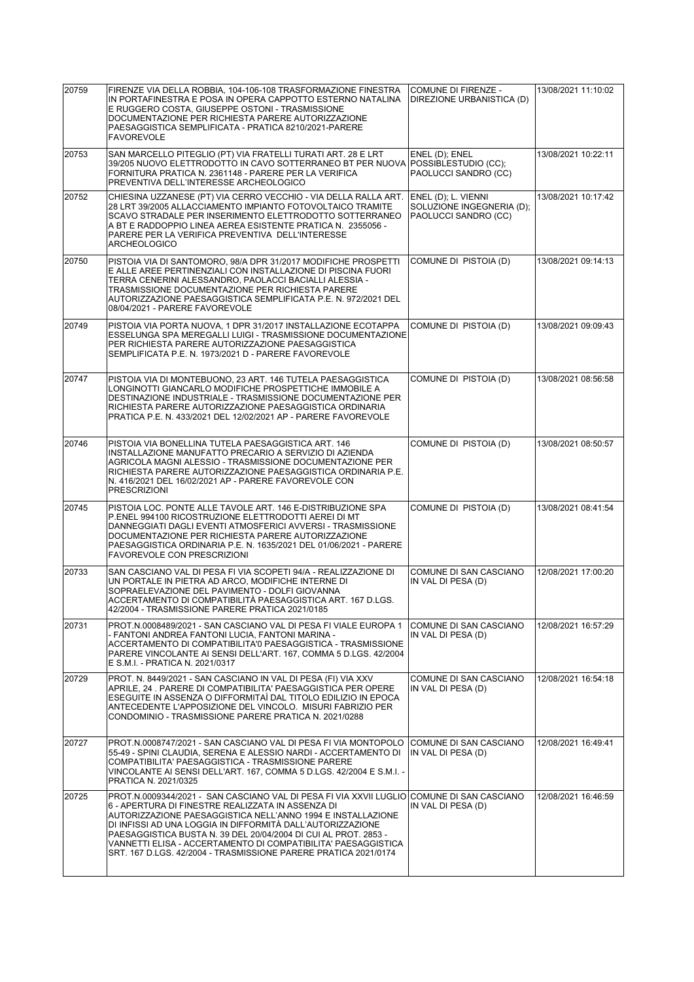| 20759 | FIRENZE VIA DELLA ROBBIA, 104-106-108 TRASFORMAZIONE FINESTRA<br>IN PORTAFINESTRA E POSA IN OPERA CAPPOTTO ESTERNO NATALINA<br>E RUGGERO COSTA, GIUSEPPE OSTONI - TRASMISSIONE<br>DOCUMENTAZIONE PER RICHIESTA PARERE AUTORIZZAZIONE<br>PAESAGGISTICA SEMPLIFICATA - PRATICA 8210/2021-PARERE<br><b>FAVOREVOLE</b>                                                                                                                                                                 | COMUNE DI FIRENZE -<br>DIREZIONE URBANISTICA (D)                         | 13/08/2021 11:10:02 |
|-------|------------------------------------------------------------------------------------------------------------------------------------------------------------------------------------------------------------------------------------------------------------------------------------------------------------------------------------------------------------------------------------------------------------------------------------------------------------------------------------|--------------------------------------------------------------------------|---------------------|
| 20753 | SAN MARCELLO PITEGLIO (PT) VIA FRATELLI TURATI ART. 28 E LRT<br>39/205 NUOVO ELETTRODOTTO IN CAVO SOTTERRANEO BT PER NUOVA POSSIBLESTUDIO (CC);<br>FORNITURA PRATICA N. 2361148 - PARERE PER LA VERIFICA<br>PREVENTIVA DELL'INTERESSE ARCHEOLOGICO                                                                                                                                                                                                                                 | ENEL (D); ENEL<br>PAOLUCCI SANDRO (CC)                                   | 13/08/2021 10:22:11 |
| 20752 | CHIESINA UZZANESE (PT) VIA CERRO VECCHIO - VIA DELLA RALLA ART.<br>28 LRT 39/2005 ALLACCIAMENTO IMPIANTO FOTOVOLTAICO TRAMITE<br>SCAVO STRADALE PER INSERIMENTO ELETTRODOTTO SOTTERRANEO<br>A BT E RADDOPPIO LINEA AEREA ESISTENTE PRATICA N. 2355056 -<br>PARERE PER LA VERIFICA PREVENTIVA DELL'INTERESSE<br><b>ARCHEOLOGICO</b>                                                                                                                                                 | ENEL (D); L. VIENNI<br>SOLUZIONE INGEGNERIA (D);<br>PAOLUCCI SANDRO (CC) | 13/08/2021 10:17:42 |
| 20750 | PISTOIA VIA DI SANTOMORO, 98/A DPR 31/2017 MODIFICHE PROSPETTI<br>E ALLE AREE PERTINENZIALI CON INSTALLAZIONE DI PISCINA FUORI<br>TERRA CENERINI ALESSANDRO, PAOLACCI BACIALLI ALESSIA -<br>TRASMISSIONE DOCUMENTAZIONE PER RICHIESTA PARERE<br>AUTORIZZAZIONE PAESAGGISTICA SEMPLIFICATA P.E. N. 972/2021 DEL<br>08/04/2021 - PARERE FAVOREVOLE                                                                                                                                   | COMUNE DI PISTOIA (D)                                                    | 13/08/2021 09:14:13 |
| 20749 | PISTOIA VIA PORTA NUOVA. 1 DPR 31/2017 INSTALLAZIONE ECOTAPPA<br>ESSELUNGA SPA MEREGALLI LUIGI - TRASMISSIONE DOCUMENTAZIONE<br>PER RICHIESTA PARERE AUTORIZZAZIONE PAESAGGISTICA<br>SEMPLIFICATA P.E. N. 1973/2021 D - PARERE FAVOREVOLE                                                                                                                                                                                                                                          | COMUNE DI PISTOIA (D)                                                    | 13/08/2021 09:09:43 |
| 20747 | PISTOIA VIA DI MONTEBUONO, 23 ART. 146 TUTELA PAESAGGISTICA<br>LONGINOTTI GIANCARLO MODIFICHE PROSPETTICHE IMMOBILE A<br>DESTINAZIONE INDUSTRIALE - TRASMISSIONE DOCUMENTAZIONE PER<br>RICHIESTA PARERE AUTORIZZAZIONE PAESAGGISTICA ORDINARIA<br>PRATICA P.E. N. 433/2021 DEL 12/02/2021 AP - PARERE FAVOREVOLE                                                                                                                                                                   | COMUNE DI PISTOIA (D)                                                    | 13/08/2021 08:56:58 |
| 20746 | PISTOIA VIA BONELLINA TUTELA PAESAGGISTICA ART. 146<br>INSTALLAZIONE MANUFATTO PRECARIO A SERVIZIO DI AZIENDA<br>AGRICOLA MAGNI ALESSIO - TRASMISSIONE DOCUMENTAZIONE PER<br>RICHIESTA PARERE AUTORIZZAZIONE PAESAGGISTICA ORDINARIA P.E.<br>N. 416/2021 DEL 16/02/2021 AP - PARERE FAVOREVOLE CON<br><b>PRESCRIZIONI</b>                                                                                                                                                          | COMUNE DI PISTOIA (D)                                                    | 13/08/2021 08:50:57 |
| 20745 | PISTOIA LOC. PONTE ALLE TAVOLE ART. 146 E-DISTRIBUZIONE SPA<br>P.ENEL 994100 RICOSTRUZIONE ELETTRODOTTI AEREI DI MT<br>DANNEGGIATI DAGLI EVENTI ATMOSFERICI AVVERSI - TRASMISSIONE<br>DOCUMENTAZIONE PER RICHIESTA PARERE AUTORIZZAZIONE<br>PAESAGGISTICA ORDINARIA P.E. N. 1635/2021 DEL 01/06/2021 - PARERE<br><b>FAVOREVOLE CON PRESCRIZIONI</b>                                                                                                                                | COMUNE DI PISTOIA (D)                                                    | 13/08/2021 08:41:54 |
| 20733 | SAN CASCIANO VAL DI PESA FI VIA SCOPETI 94/A - REALIZZAZIONE DI<br>UN PORTALE IN PIETRA AD ARCO. MODIFICHE INTERNE DI<br>SOPRAELEVAZIONE DEL PAVIMENTO - DOLFI GIOVANNA<br>ACCERTAMENTO DI COMPATIBILITÀ PAESAGGISTICA ART. 167 D.LGS.<br>42/2004 - TRASMISSIONE PARERE PRATICA 2021/0185                                                                                                                                                                                          | COMUNE DI SAN CASCIANO<br>IN VAL DI PESA (D)                             | 12/08/2021 17:00:20 |
| 20731 | PROT.N.0008489/2021 - SAN CASCIANO VAL DI PESA FI VIALE EUROPA 1<br>- FANTONI ANDREA FANTONI LUCIA, FANTONI MARINA -<br>ACCERTAMENTO DI COMPATIBILITA'0 PAESAGGISTICA - TRASMISSIONE<br>PARERE VINCOLANTE AI SENSI DELL'ART. 167, COMMA 5 D.LGS. 42/2004<br>E S.M.I. - PRATICA N. 2021/0317                                                                                                                                                                                        | <b>COMUNE DI SAN CASCIANO</b><br>IN VAL DI PESA (D)                      | 12/08/2021 16:57:29 |
| 20729 | PROT. N. 8449/2021 - SAN CASCIANO IN VAL DI PESA (FI) VIA XXV<br>APRILE, 24 . PARERE DI COMPATIBILITA' PAESAGGISTICA PER OPERE<br>ESEGUITE IN ASSENZA O DIFFORMITAÌ DAL TITOLO EDILIZIO IN EPOCA<br>ANTECEDENTE L'APPOSIZIONE DEL VINCOLO. MISURI FABRIZIO PER<br>CONDOMINIO - TRASMISSIONE PARERE PRATICA N. 2021/0288                                                                                                                                                            | COMUNE DI SAN CASCIANO<br>IN VAL DI PESA (D)                             | 12/08/2021 16:54:18 |
| 20727 | PROT.N.0008747/2021 - SAN CASCIANO VAL DI PESA FI VIA MONTOPOLO<br>55-49 - SPINI CLAUDIA, SERENA E ALESSIO NARDI - ACCERTAMENTO DI<br>COMPATIBILITA' PAESAGGISTICA - TRASMISSIONE PARERE<br>VINCOLANTE AI SENSI DELL'ART. 167, COMMA 5 D.LGS. 42/2004 E S.M.I. -<br>PRATICA N. 2021/0325                                                                                                                                                                                           | COMUNE DI SAN CASCIANO<br>IN VAL DI PESA (D)                             | 12/08/2021 16:49:41 |
| 20725 | PROT.N.0009344/2021 - SAN CASCIANO VAL DI PESA FI VIA XXVII LUGLIO COMUNE DI SAN CASCIANO<br>6 - APERTURA DI FINESTRE REALIZZATA IN ASSENZA DI<br>AUTORIZZAZIONE PAESAGGISTICA NELL'ANNO 1994 E INSTALLAZIONE<br>DI INFISSI AD UNA LOGGIA IN DIFFORMITÀ DALL'AUTORIZZAZIONE<br>PAESAGGISTICA BUSTA N. 39 DEL 20/04/2004 DI CUI AL PROT. 2853 -<br>VANNETTI ELISA - ACCERTAMENTO DI COMPATIBILITA' PAESAGGISTICA<br>SRT. 167 D.LGS. 42/2004 - TRASMISSIONE PARERE PRATICA 2021/0174 | IN VAL DI PESA (D)                                                       | 12/08/2021 16:46:59 |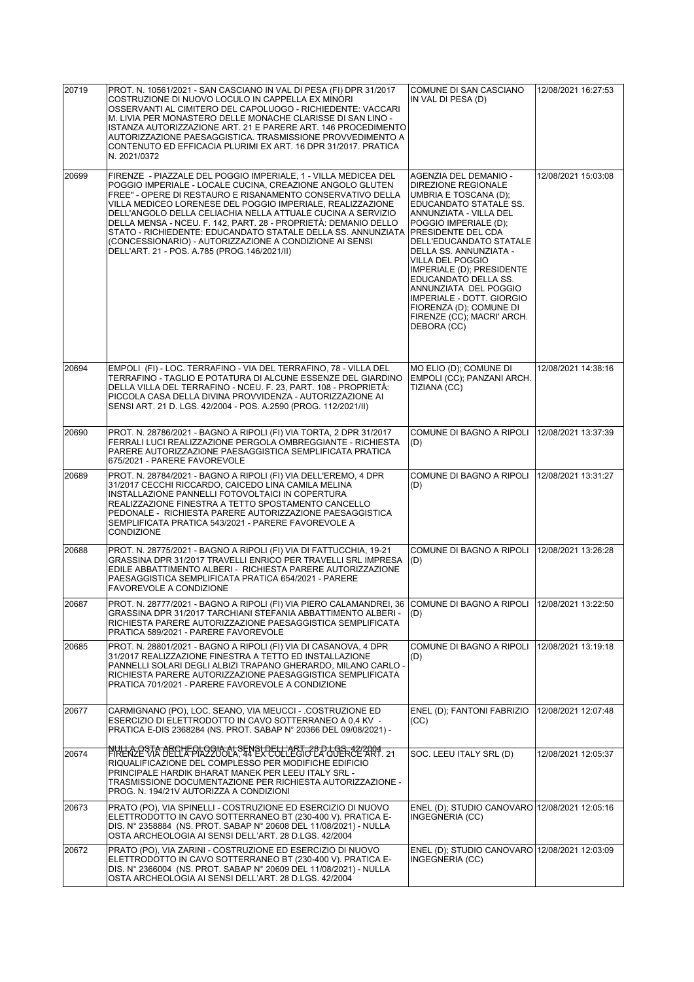| 20719 | PROT. N. 10561/2021 - SAN CASCIANO IN VAL DI PESA (FI) DPR 31/2017<br>COSTRUZIONE DI NUOVO LOCULO IN CAPPELLA EX MINORI<br>OSSERVANTI AL CIMITERO DEL CAPOLUOGO - RICHIEDENTE: VACCARI<br>M. LIVIA PER MONASTERO DELLE MONACHE CLARISSE DI SAN LINO -<br>ISTANZA AUTORIZZAZIONE ART. 21 E PARERE ART. 146 PROCEDIMENTO<br>AUTORIZZAZIONE PAESAGGISTICA. TRASMISSIONE PROVVEDIMENTO A<br>CONTENUTO ED EFFICACIA PLURIMI EX ART. 16 DPR 31/2017. PRATICA<br>N. 2021/0372                                                                                               | COMUNE DI SAN CASCIANO<br>IN VAL DI PESA (D)                                                                                                                                                                                                                                                                                                                                                                                         | 12/08/2021 16:27:53 |
|-------|----------------------------------------------------------------------------------------------------------------------------------------------------------------------------------------------------------------------------------------------------------------------------------------------------------------------------------------------------------------------------------------------------------------------------------------------------------------------------------------------------------------------------------------------------------------------|--------------------------------------------------------------------------------------------------------------------------------------------------------------------------------------------------------------------------------------------------------------------------------------------------------------------------------------------------------------------------------------------------------------------------------------|---------------------|
| 20699 | FIRENZE - PIAZZALE DEL POGGIO IMPERIALE, 1 - VILLA MEDICEA DEL<br>POGGIO IMPERIALE - LOCALE CUCINA, CREAZIONE ANGOLO GLUTEN<br>FREE" - OPERE DI RESTAURO E RISANAMENTO CONSERVATIVO DELLA<br>VILLA MEDICEO LORENESE DEL POGGIO IMPERIALE, REALIZZAZIONE<br>DELL'ANGOLO DELLA CELIACHIA NELLA ATTUALE CUCINA A SERVIZIO<br>DELLA MENSA - NCEU. F. 142, PART. 28 - PROPRIETÀ: DEMANIO DELLO<br>STATO - RICHIEDENTE: EDUCANDATO STATALE DELLA SS. ANNUNZIATA<br>(CONCESSIONARIO) - AUTORIZZAZIONE A CONDIZIONE AI SENSI<br>DELL'ART. 21 - POS. A.785 (PROG.146/2021/II) | AGENZIA DEL DEMANIO -<br>DIREZIONE REGIONALE<br>UMBRIA E TOSCANA (D);<br>EDUCANDATO STATALE SS.<br>ANNUNZIATA - VILLA DEL<br>POGGIO IMPERIALE (D):<br>PRESIDENTE DEL CDA<br>DELL'EDUCANDATO STATALE<br>DELLA SS. ANNUNZIATA -<br>VILLA DEL POGGIO<br>IMPERIALE (D); PRESIDENTE<br>EDUCANDATO DELLA SS.<br>ANNUNZIATA DEL POGGIO<br>IMPERIALE - DOTT. GIORGIO<br>FIORENZA (D); COMUNE DI<br>FIRENZE (CC); MACRI' ARCH.<br>DEBORA (CC) | 12/08/2021 15:03:08 |
| 20694 | EMPOLI (FI) - LOC. TERRAFINO - VIA DEL TERRAFINO, 78 - VILLA DEL<br>TERRAFINO - TAGLIO E POTATURA DI ALCUNE ESSENZE DEL GIARDINO<br>DELLA VILLA DEL TERRAFINO - NCEU. F. 23, PART. 108 - PROPRIETÀ:<br>PICCOLA CASA DELLA DIVINA PROVVIDENZA - AUTORIZZAZIONE AI<br>SENSI ART. 21 D. LGS. 42/2004 - POS. A.2590 (PROG. 112/2021/II)                                                                                                                                                                                                                                  | MO ELIO (D); COMUNE DI<br>EMPOLI (CC); PANZANI ARCH.<br>TIZIANA (CC)                                                                                                                                                                                                                                                                                                                                                                 | 12/08/2021 14:38:16 |
| 20690 | PROT. N. 28786/2021 - BAGNO A RIPOLI (FI) VIA TORTA, 2 DPR 31/2017<br>FERRALI LUCI REALIZZAZIONE PERGOLA OMBREGGIANTE - RICHIESTA<br>PARERE AUTORIZZAZIONE PAESAGGISTICA SEMPLIFICATA PRATICA<br>675/2021 - PARERE FAVOREVOLE                                                                                                                                                                                                                                                                                                                                        | COMUNE DI BAGNO A RIPOLI<br>(D)                                                                                                                                                                                                                                                                                                                                                                                                      | 12/08/2021 13:37:39 |
| 20689 | PROT. N. 28784/2021 - BAGNO A RIPOLI (FI) VIA DELL'EREMO, 4 DPR<br>31/2017 CECCHI RICCARDO, CAICEDO LINA CAMILA MELINA<br>INSTALLAZIONE PANNELLI FOTOVOLTAICI IN COPERTURA<br>REALIZZAZIONE FINESTRA A TETTO SPOSTAMENTO CANCELLO<br>PEDONALE - RICHIESTA PARERE AUTORIZZAZIONE PAESAGGISTICA<br>SEMPLIFICATA PRATICA 543/2021 - PARERE FAVOREVOLE A<br><b>CONDIZIONE</b>                                                                                                                                                                                            | COMUNE DI BAGNO A RIPOLI<br>(D)                                                                                                                                                                                                                                                                                                                                                                                                      | 12/08/2021 13:31:27 |
| 20688 | PROT. N. 28775/2021 - BAGNO A RIPOLI (FI) VIA DI FATTUCCHIA, 19-21<br>GRASSINA DPR 31/2017 TRAVELLI ENRICO PER TRAVELLI SRL IMPRESA<br>EDILE ABBATTIMENTO ALBERI - RICHIESTA PARERE AUTORIZZAZIONE<br>PAESAGGISTICA SEMPLIFICATA PRATICA 654/2021 - PARERE<br>FAVOREVOLE A CONDIZIONE                                                                                                                                                                                                                                                                                | COMUNE DI BAGNO A RIPOLI<br>(D)                                                                                                                                                                                                                                                                                                                                                                                                      | 12/08/2021 13:26:28 |
| 20687 | PROT. N. 28777/2021 - BAGNO A RIPOLI (FI) VIA PIERO CALAMANDREI, 36 COMUNE DI BAGNO A RIPOLI 12/08/2021 13:22:50<br>GRASSINA DPR 31/2017 TARCHIANI STEFANIA ABBATTIMENTO ALBERI -<br>RICHIESTA PARERE AUTORIZZAZIONE PAESAGGISTICA SEMPLIFICATA<br>PRATICA 589/2021 - PARERE FAVOREVOLE                                                                                                                                                                                                                                                                              | (D)                                                                                                                                                                                                                                                                                                                                                                                                                                  |                     |
| 20685 | PROT. N. 28801/2021 - BAGNO A RIPOLI (FI) VIA DI CASANOVA, 4 DPR<br>31/2017 REALIZZAZIONE FINESTRA A TETTO ED INSTALLAZIONE<br>PANNELLI SOLARI DEGLI ALBIZI TRAPANO GHERARDO. MILANO CARLO -<br>RICHIESTA PARERE AUTORIZZAZIONE PAESAGGISTICA SEMPLIFICATA<br>PRATICA 701/2021 - PARERE FAVOREVOLE A CONDIZIONE                                                                                                                                                                                                                                                      | COMUNE DI BAGNO A RIPOLI<br>(D)                                                                                                                                                                                                                                                                                                                                                                                                      | 12/08/2021 13:19:18 |
| 20677 | CARMIGNANO (PO), LOC. SEANO, VIA MEUCCI - .COSTRUZIONE ED<br>ESERCIZIO DI ELETTRODOTTO IN CAVO SOTTERRANEO A 0,4 KV -<br>PRATICA E-DIS 2368284 (NS. PROT. SABAP N° 20366 DEL 09/08/2021) -                                                                                                                                                                                                                                                                                                                                                                           | ENEL (D); FANTONI FABRIZIO<br>(CC)                                                                                                                                                                                                                                                                                                                                                                                                   | 12/08/2021 12:07:48 |
| 20674 | NULLA OSTA ABCHEOLOGIA ALSENSUDELL'ARTIZI PLUGS (22/2024) – 21<br>RIQUALIFICAZIONE DEL COMPLESSO PER MODIFICHE EDIFICIO<br>PRINCIPALE HARDIK BHARAT MANEK PER LEEU ITALY SRL -<br>TRASMISSIONE DOCUMENTAZIONE PER RICHIESTA AUTORIZZAZIONE -<br>PROG. N. 194/21V AUTORIZZA A CONDIZIONI                                                                                                                                                                                                                                                                              | SOC. LEEU ITALY SRL (D)                                                                                                                                                                                                                                                                                                                                                                                                              | 12/08/2021 12:05:37 |
| 20673 | PRATO (PO), VIA SPINELLI - COSTRUZIONE ED ESERCIZIO DI NUOVO<br>ELETTRODOTTO IN CAVO SOTTERRANEO BT (230-400 V). PRATICA E-<br>DIS. N° 2358884 (NS. PROT. SABAP N° 20608 DEL 11/08/2021) - NULLA<br>OSTA ARCHEOLOGIA AI SENSI DELL'ART. 28 D.LGS. 42/2004                                                                                                                                                                                                                                                                                                            | ENEL (D); STUDIO CANOVARO 12/08/2021 12:05:16<br>INGEGNERIA (CC)                                                                                                                                                                                                                                                                                                                                                                     |                     |
| 20672 | PRATO (PO), VIA ZARINI - COSTRUZIONE ED ESERCIZIO DI NUOVO<br>ELETTRODOTTO IN CAVO SOTTERRANEO BT (230-400 V). PRATICA E-<br>DIS. N° 2366004 (NS. PROT. SABAP N° 20609 DEL 11/08/2021) - NULLA<br>OSTA ARCHEOLOGIA AI SENSI DELL'ART. 28 D.LGS. 42/2004                                                                                                                                                                                                                                                                                                              | ENEL (D); STUDIO CANOVARO 12/08/2021 12:03:09<br>INGEGNERIA (CC)                                                                                                                                                                                                                                                                                                                                                                     |                     |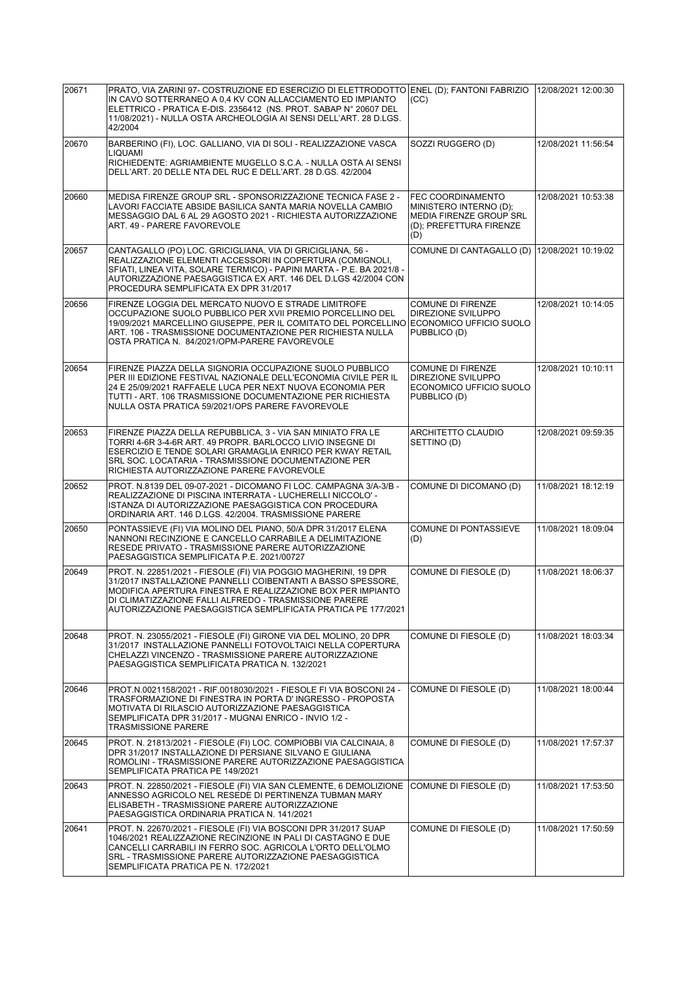| 20671 | PRATO, VIA ZARINI 97- COSTRUZIONE ED ESERCIZIO DI ELETTRODOTTO ENEL (D); FANTONI FABRIZIO<br>IN CAVO SOTTERRANEO A 0.4 KV CON ALLACCIAMENTO ED IMPIANTO<br>ELETTRICO - PRATICA E-DIS. 2356412 (NS. PROT. SABAP N° 20607 DEL<br>11/08/2021) - NULLA OSTA ARCHEOLOGIA AI SENSI DELL'ART. 28 D.LGS.<br>42/2004               | (CC)                                                                                                            | 12/08/2021 12:00:30 |
|-------|---------------------------------------------------------------------------------------------------------------------------------------------------------------------------------------------------------------------------------------------------------------------------------------------------------------------------|-----------------------------------------------------------------------------------------------------------------|---------------------|
| 20670 | BARBERINO (FI), LOC. GALLIANO, VIA DI SOLI - REALIZZAZIONE VASCA<br><b>LIQUAMI</b><br>RICHIEDENTE: AGRIAMBIENTE MUGELLO S.C.A. - NULLA OSTA AI SENSI<br>DELL'ART. 20 DELLE NTA DEL RUC E DELL'ART. 28 D.GS. 42/2004                                                                                                       | SOZZI RUGGERO (D)                                                                                               | 12/08/2021 11:56:54 |
| 20660 | MEDISA FIRENZE GROUP SRL - SPONSORIZZAZIONE TECNICA FASE 2 -<br>LAVORI FACCIATE ABSIDE BASILICA SANTA MARIA NOVELLA CAMBIO<br>MESSAGGIO DAL 6 AL 29 AGOSTO 2021 - RICHIESTA AUTORIZZAZIONE<br>ART. 49 - PARERE FAVOREVOLE                                                                                                 | FEC COORDINAMENTO<br>MINISTERO INTERNO (D);<br><b>MEDIA FIRENZE GROUP SRL</b><br>(D); PREFETTURA FIRENZE<br>(D) | 12/08/2021 10:53:38 |
| 20657 | CANTAGALLO (PO) LOC. GRICIGLIANA, VIA DI GRICIGLIANA, 56 -<br>REALIZZAZIONE ELEMENTI ACCESSORI IN COPERTURA (COMIGNOLI,<br>SFIATI, LINEA VITA, SOLARE TERMICO) - PAPINI MARTA - P.E. BA 2021/8 -<br>AUTORIZZAZIONE PAESAGGISTICA EX ART. 146 DEL D.LGS 42/2004 CON<br>PROCEDURA SEMPLIFICATA EX DPR 31/2017               | COMUNE DI CANTAGALLO (D)                                                                                        | 12/08/2021 10:19:02 |
| 20656 | FIRENZE LOGGIA DEL MERCATO NUOVO E STRADE LIMITROFE<br>OCCUPAZIONE SUOLO PUBBLICO PER XVII PREMIO PORCELLINO DEL<br>19/09/2021 MARCELLINO GIUSEPPE. PER IL COMITATO DEL PORCELLINO ECONOMICO UFFICIO SUOLO<br>ART. 106 - TRASMISSIONE DOCUMENTAZIONE PER RICHIESTA NULLA<br>OSTA PRATICA N. 84/2021/OPM-PARERE FAVOREVOLE | COMUNE DI FIRENZE<br>DIREZIONE SVILUPPO<br>PUBBLICO (D)                                                         | 12/08/2021 10:14:05 |
| 20654 | FIRENZE PIAZZA DELLA SIGNORIA OCCUPAZIONE SUOLO PUBBLICO<br>PER III EDIZIONE FESTIVAL NAZIONALE DELL'ECONOMIA CIVILE PER IL<br>24 E 25/09/2021 RAFFAELE LUCA PER NEXT NUOVA ECONOMIA PER<br>TUTTI - ART. 106 TRASMISSIONE DOCUMENTAZIONE PER RICHIESTA<br>NULLA OSTA PRATICA 59/2021/OPS PARERE FAVOREVOLE                | <b>COMUNE DI FIRENZE</b><br>DIREZIONE SVILUPPO<br>ECONOMICO UFFICIO SUOLO<br>PUBBLICO (D)                       | 12/08/2021 10:10:11 |
| 20653 | FIRENZE PIAZZA DELLA REPUBBLICA, 3 - VIA SAN MINIATO FRA LE<br>TORRI 4-6R 3-4-6R ART. 49 PROPR. BARLOCCO LIVIO INSEGNE DI<br>ESERCIZIO E TENDE SOLARI GRAMAGLIA ENRICO PER KWAY RETAIL<br>SRL SOC. LOCATARIA - TRASMISSIONE DOCUMENTAZIONE PER<br>RICHIESTA AUTORIZZAZIONE PARERE FAVOREVOLE                              | ARCHITETTO CLAUDIO<br>SETTINO (D)                                                                               | 12/08/2021 09:59:35 |
| 20652 | PROT. N.8139 DEL 09-07-2021 - DICOMANO FI LOC. CAMPAGNA 3/A-3/B -<br>REALIZZAZIONE DI PISCINA INTERRATA - LUCHERELLI NICCOLO' -<br>ISTANZA DI AUTORIZZAZIONE PAESAGGISTICA CON PROCEDURA<br>ORDINARIA ART. 146 D.LGS. 42/2004. TRASMISSIONE PARERE                                                                        | COMUNE DI DICOMANO (D)                                                                                          | 11/08/2021 18:12:19 |
| 20650 | PONTASSIEVE (FI) VIA MOLINO DEL PIANO, 50/A DPR 31/2017 ELENA<br>NANNONI RECINZIONE E CANCELLO CARRABILE A DELIMITAZIONE<br>RESEDE PRIVATO - TRASMISSIONE PARERE AUTORIZZAZIONE<br>PAESAGGISTICA SEMPLIFICATA P.E. 2021/00727                                                                                             | <b>COMUNE DI PONTASSIEVE</b><br>(D)                                                                             | 11/08/2021 18:09:04 |
| 20649 | PROT. N. 22851/2021 - FIESOLE (FI) VIA POGGIO MAGHERINI, 19 DPR<br>31/2017 INSTALLAZIONE PANNELLI COIBENTANTI A BASSO SPESSORE,<br>MODIFICA APERTURA FINESTRA E REALIZZAZIONE BOX PER IMPIANTO<br>DI CLIMATIZZAZIONE FALLI ALFREDO - TRASMISSIONE PARERE<br>AUTORIZZAZIONE PAESAGGISTICA SEMPLIFICATA PRATICA PE 177/2021 | COMUNE DI FIESOLE (D)                                                                                           | 11/08/2021 18:06:37 |
| 20648 | PROT. N. 23055/2021 - FIESOLE (FI) GIRONE VIA DEL MOLINO, 20 DPR<br>31/2017 INSTALLAZIONE PANNELLI FOTOVOLTAICI NELLA COPERTURA<br>CHELAZZI VINCENZO - TRASMISSIONE PARERE AUTORIZZAZIONE<br>PAESAGGISTICA SEMPLIFICATA PRATICA N. 132/2021                                                                               | COMUNE DI FIESOLE (D)                                                                                           | 11/08/2021 18:03:34 |
| 20646 | PROT.N.0021158/2021 - RIF.0018030/2021 - FIESOLE FI VIA BOSCONI 24 -<br>TRASFORMAZIONE DI FINESTRA IN PORTA D'INGRESSO - PROPOSTA<br>MOTIVATA DI RILASCIO AUTORIZZAZIONE PAESAGGISTICA<br>SEMPLIFICATA DPR 31/2017 - MUGNAI ENRICO - INVIO 1/2 -<br><b>TRASMISSIONE PARERE</b>                                            | COMUNE DI FIESOLE (D)                                                                                           | 11/08/2021 18:00:44 |
| 20645 | PROT. N. 21813/2021 - FIESOLE (FI) LOC. COMPIOBBI VIA CALCINAIA, 8<br>DPR 31/2017 INSTALLAZIONE DI PERSIANE SILVANO E GIULIANA<br>ROMOLINI - TRASMISSIONE PARERE AUTORIZZAZIONE PAESAGGISTICA<br>SEMPLIFICATA PRATICA PE 149/2021                                                                                         | COMUNE DI FIESOLE (D)                                                                                           | 11/08/2021 17:57:37 |
| 20643 | PROT. N. 22850/2021 - FIESOLE (FI) VIA SAN CLEMENTE, 6 DEMOLIZIONE<br>ANNESSO AGRICOLO NEL RESEDE DI PERTINENZA TUBMAN MARY<br>ELISABETH - TRASMISSIONE PARERE AUTORIZZAZIONE<br>PAESAGGISTICA ORDINARIA PRATICA N. 141/2021                                                                                              | COMUNE DI FIESOLE (D)                                                                                           | 11/08/2021 17:53:50 |
| 20641 | PROT. N. 22670/2021 - FIESOLE (FI) VIA BOSCONI DPR 31/2017 SUAP<br>1046/2021 REALIZZAZIONE RECINZIONE IN PALI DI CASTAGNO E DUE<br>CANCELLI CARRABILI IN FERRO SOC. AGRICOLA L'ORTO DELL'OLMO<br>SRL - TRASMISSIONE PARERE AUTORIZZAZIONE PAESAGGISTICA<br>SEMPLIFICATA PRATICA PE N. 172/2021                            | COMUNE DI FIESOLE (D)                                                                                           | 11/08/2021 17:50:59 |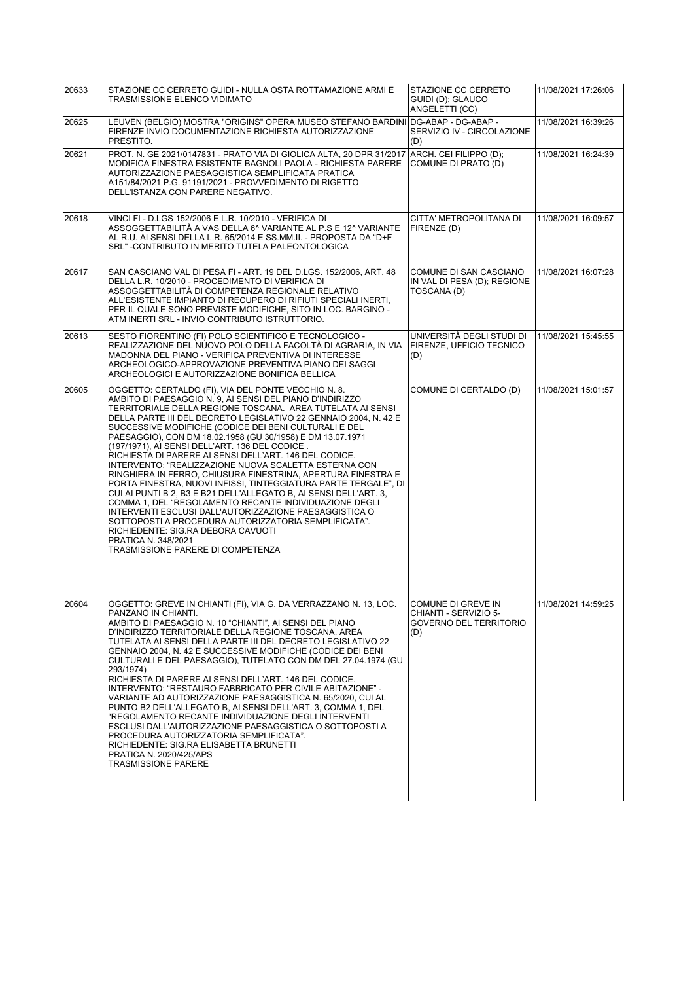| 20633 | STAZIONE CC CERRETO GUIDI - NULLA OSTA ROTTAMAZIONE ARMI E<br>TRASMISSIONE ELENCO VIDIMATO                                                                                                                                                                                                                                                                                                                                                                                                                                                                                                                                                                                                                                                                                                                                                                                                                                                                                                                                          | STAZIONE CC CERRETO<br>GUIDI (D); GLAUCO<br>ANGELETTI (CC)                           | 11/08/2021 17:26:06 |
|-------|-------------------------------------------------------------------------------------------------------------------------------------------------------------------------------------------------------------------------------------------------------------------------------------------------------------------------------------------------------------------------------------------------------------------------------------------------------------------------------------------------------------------------------------------------------------------------------------------------------------------------------------------------------------------------------------------------------------------------------------------------------------------------------------------------------------------------------------------------------------------------------------------------------------------------------------------------------------------------------------------------------------------------------------|--------------------------------------------------------------------------------------|---------------------|
| 20625 | LEUVEN (BELGIO) MOSTRA "ORIGINS" OPERA MUSEO STEFANO BARDINI<br>FIRENZE INVIO DOCUMENTAZIONE RICHIESTA AUTORIZZAZIONE<br>PRESTITO.                                                                                                                                                                                                                                                                                                                                                                                                                                                                                                                                                                                                                                                                                                                                                                                                                                                                                                  | DG-ABAP - DG-ABAP -<br>SERVIZIO IV - CIRCOLAZIONE<br>(D)                             | 11/08/2021 16:39:26 |
| 20621 | PROT. N. GE 2021/0147831 - PRATO VIA DI GIOLICA ALTA, 20 DPR 31/2017<br>MODIFICA FINESTRA ESISTENTE BAGNOLI PAOLA - RICHIESTA PARERE<br>AUTORIZZAZIONE PAESAGGISTICA SEMPLIFICATA PRATICA<br>A151/84/2021 P.G. 91191/2021 - PROVVEDIMENTO DI RIGETTO<br>DELL'ISTANZA CON PARERE NEGATIVO.                                                                                                                                                                                                                                                                                                                                                                                                                                                                                                                                                                                                                                                                                                                                           | ARCH. CEI FILIPPO (D):<br>COMUNE DI PRATO (D)                                        | 11/08/2021 16:24:39 |
| 20618 | VINCI FI - D.LGS 152/2006 E L.R. 10/2010 - VERIFICA DI<br>ASSOGGETTABILITÀ A VAS DELLA 6^ VARIANTE AL P.S E 12^ VARIANTE<br>AL R.U. AI SENSI DELLA L.R. 65/2014 E SS.MM.II. - PROPOSTA DA "D+F<br>SRL" - CONTRIBUTO IN MERITO TUTELA PALEONTOLOGICA                                                                                                                                                                                                                                                                                                                                                                                                                                                                                                                                                                                                                                                                                                                                                                                 | CITTA' METROPOLITANA DI<br>FIRENZE (D)                                               | 11/08/2021 16:09:57 |
| 20617 | SAN CASCIANO VAL DI PESA FI - ART. 19 DEL D.LGS. 152/2006, ART. 48<br>DELLA L.R. 10/2010 - PROCEDIMENTO DI VERIFICA DI<br>ASSOGGETTABILITÀ DI COMPETENZA REGIONALE RELATIVO<br>ALL'ESISTENTE IMPIANTO DI RECUPERO DI RIFIUTI SPECIALI INERTI,<br>PER IL QUALE SONO PREVISTE MODIFICHE, SITO IN LOC. BARGINO -<br>ATM INERTI SRL - INVIO CONTRIBUTO ISTRUTTORIO.                                                                                                                                                                                                                                                                                                                                                                                                                                                                                                                                                                                                                                                                     | COMUNE DI SAN CASCIANO<br>IN VAL DI PESA (D); REGIONE<br>TOSCANA (D)                 | 11/08/2021 16:07:28 |
| 20613 | SESTO FIORENTINO (FI) POLO SCIENTIFICO E TECNOLOGICO -<br>REALIZZAZIONE DEL NUOVO POLO DELLA FACOLTÀ DI AGRARIA, IN VIA<br>MADONNA DEL PIANO - VERIFICA PREVENTIVA DI INTERESSE<br>ARCHEOLOGICO-APPROVAZIONE PREVENTIVA PIANO DEI SAGGI<br>ARCHEOLOGICI E AUTORIZZAZIONE BONIFICA BELLICA                                                                                                                                                                                                                                                                                                                                                                                                                                                                                                                                                                                                                                                                                                                                           | UNIVERSITÀ DEGLI STUDI DI<br>FIRENZE, UFFICIO TECNICO<br>(D)                         | 11/08/2021 15:45:55 |
| 20605 | OGGETTO: CERTALDO (FI), VIA DEL PONTE VECCHIO N. 8.<br>AMBITO DI PAESAGGIO N. 9, AI SENSI DEL PIANO D'INDIRIZZO<br>TERRITORIALE DELLA REGIONE TOSCANA. AREA TUTELATA AI SENSI<br>DELLA PARTE III DEL DECRETO LEGISLATIVO 22 GENNAIO 2004, N. 42 E<br>SUCCESSIVE MODIFICHE (CODICE DEI BENI CULTURALI E DEL<br>PAESAGGIO), CON DM 18.02.1958 (GU 30/1958) E DM 13.07.1971<br>(197/1971), AI SENSI DELL'ART. 136 DEL CODICE.<br>RICHIESTA DI PARERE AI SENSI DELL'ART. 146 DEL CODICE.<br>INTERVENTO: "REALIZZAZIONE NUOVA SCALETTA ESTERNA CON<br>RINGHIERA IN FERRO, CHIUSURA FINESTRINA, APERTURA FINESTRA E<br>PORTA FINESTRA, NUOVI INFISSI, TINTEGGIATURA PARTE TERGALE", DI<br>CUI AI PUNTI B 2, B3 E B21 DELL'ALLEGATO B, AI SENSI DELL'ART. 3,<br>COMMA 1, DEL "REGOLAMENTO RECANTE INDIVIDUAZIONE DEGLI<br>INTERVENTI ESCLUSI DALL'AUTORIZZAZIONE PAESAGGISTICA O<br>SOTTOPOSTI A PROCEDURA AUTORIZZATORIA SEMPLIFICATA".<br>RICHIEDENTE: SIG.RA DEBORA CAVUOTI<br>PRATICA N. 348/2021<br>TRASMISSIONE PARERE DI COMPETENZA | COMUNE DI CERTALDO (D)                                                               | 11/08/2021 15:01:57 |
| 20604 | OGGETTO: GREVE IN CHIANTI (FI), VIA G. DA VERRAZZANO N. 13, LOC.<br>PANZANO IN CHIANTI.<br>AMBITO DI PAESAGGIO N. 10 "CHIANTI", AI SENSI DEL PIANO<br>D'INDIRIZZO TERRITORIALE DELLA REGIONE TOSCANA. AREA<br>TUTELATA AI SENSI DELLA PARTE III DEL DECRETO LEGISLATIVO 22<br>GENNAIO 2004, N. 42 E SUCCESSIVE MODIFICHE (CODICE DEI BENI<br>CULTURALI E DEL PAESAGGIO), TUTELATO CON DM DEL 27.04.1974 (GU<br>293/1974)<br>RICHIESTA DI PARERE AI SENSI DELL'ART. 146 DEL CODICE.<br>INTERVENTO: "RESTAURO FABBRICATO PER CIVILE ABITAZIONE" -<br>VARIANTE AD AUTORIZZAZIONE PAESAGGISTICA N. 65/2020, CUI AL<br>PUNTO B2 DELL'ALLEGATO B. AI SENSI DELL'ART. 3. COMMA 1. DEL<br>"REGOLAMENTO RECANTE INDIVIDUAZIONE DEGLI INTERVENTI<br>ESCLUSI DALL'AUTORIZZAZIONE PAESAGGISTICA O SOTTOPOSTI A<br>PROCEDURA AUTORIZZATORIA SEMPLIFICATA".<br>RICHIEDENTE: SIG.RA ELISABETTA BRUNETTI<br>PRATICA N. 2020/425/APS<br><b>TRASMISSIONE PARERE</b>                                                                                   | ICOMUNE DI GREVE IN<br>CHIANTI - SERVIZIO 5-<br><b>GOVERNO DEL TERRITORIO</b><br>(D) | 11/08/2021 14:59:25 |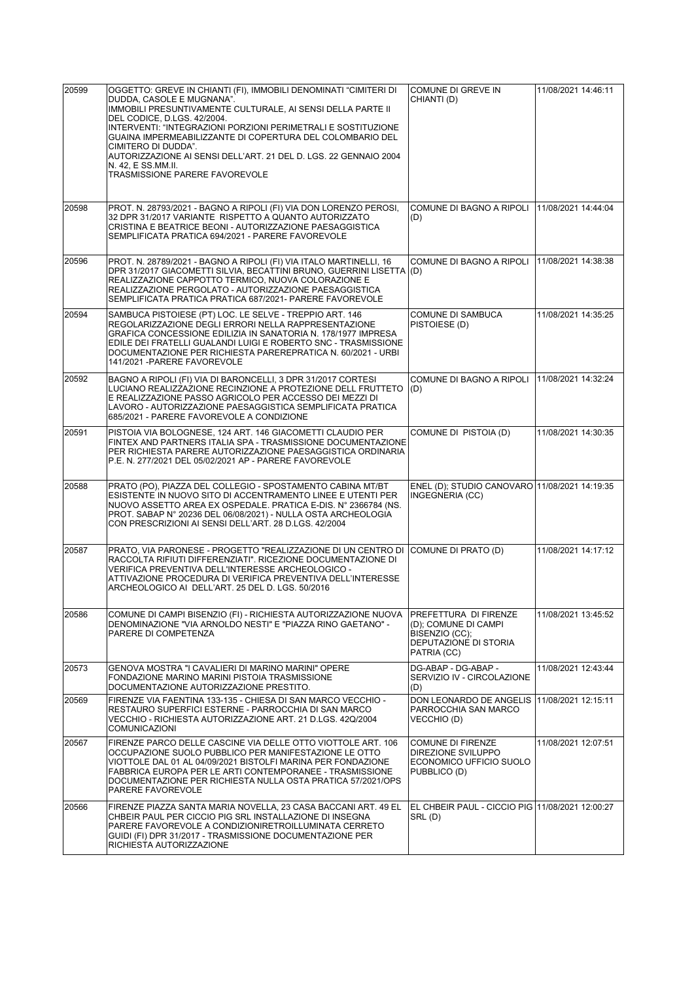| 20599 | OGGETTO: GREVE IN CHIANTI (FI), IMMOBILI DENOMINATI "CIMITERI DI                                                                                  | COMUNE DI GREVE IN                                               | 11/08/2021 14:46:11 |
|-------|---------------------------------------------------------------------------------------------------------------------------------------------------|------------------------------------------------------------------|---------------------|
|       | DUDDA, CASOLE E MUGNANA".<br>IMMOBILI PRESUNTIVAMENTE CULTURALE, AI SENSI DELLA PARTE II                                                          | CHIANTI (D)                                                      |                     |
|       | DEL CODICE, D.LGS. 42/2004.                                                                                                                       |                                                                  |                     |
|       | INTERVENTI: "INTEGRAZIONI PORZIONI PERIMETRALI E SOSTITUZIONE<br>GUAINA IMPERMEABILIZZANTE DI COPERTURA DEL COLOMBARIO DEL<br>CIMITERO DI DUDDA". |                                                                  |                     |
|       | AUTORIZZAZIONE AI SENSI DELL'ART. 21 DEL D. LGS. 22 GENNAIO 2004                                                                                  |                                                                  |                     |
|       | N. 42. E SS.MM.II.<br>TRASMISSIONE PARERE FAVOREVOLE                                                                                              |                                                                  |                     |
|       |                                                                                                                                                   |                                                                  |                     |
| 20598 | PROT. N. 28793/2021 - BAGNO A RIPOLI (FI) VIA DON LORENZO PEROSI,<br>32 DPR 31/2017 VARIANTE RISPETTO A QUANTO AUTORIZZATO                        | COMUNE DI BAGNO A RIPOLI   11/08/2021 14:44:04                   |                     |
|       | CRISTINA E BEATRICE BEONI - AUTORIZZAZIONE PAESAGGISTICA                                                                                          | (D)                                                              |                     |
|       | SEMPLIFICATA PRATICA 694/2021 - PARERE FAVOREVOLE                                                                                                 |                                                                  |                     |
| 20596 | PROT. N. 28789/2021 - BAGNO A RIPOLI (FI) VIA ITALO MARTINELLI, 16                                                                                | COMUNE DI BAGNO A RIPOLI                                         | 11/08/2021 14:38:38 |
|       | DPR 31/2017 GIACOMETTI SILVIA, BECATTINI BRUNO, GUERRINI LISETTA (D)<br>REALIZZAZIONE CAPPOTTO TERMICO, NUOVA COLORAZIONE E                       |                                                                  |                     |
|       | REALIZZAZIONE PERGOLATO - AUTORIZZAZIONE PAESAGGISTICA<br>SEMPLIFICATA PRATICA PRATICA 687/2021- PARERE FAVOREVOLE                                |                                                                  |                     |
| 20594 | SAMBUCA PISTOIESE (PT) LOC. LE SELVE - TREPPIO ART. 146                                                                                           | <b>COMUNE DI SAMBUCA</b>                                         | 11/08/2021 14:35:25 |
|       | REGOLARIZZAZIONE DEGLI ERRORI NELLA RAPPRESENTAZIONE<br>GRAFICA CONCESSIONE EDILIZIA IN SANATORIA N. 178/1977 IMPRESA                             | PISTOIESE (D)                                                    |                     |
|       | EDILE DEI FRATELLI GUALANDI LUIGI E ROBERTO SNC - TRASMISSIONE<br>DOCUMENTAZIONE PER RICHIESTA PAREREPRATICA N. 60/2021 - URBI                    |                                                                  |                     |
|       | 141/2021 - PARERE FAVOREVOLE                                                                                                                      |                                                                  |                     |
| 20592 | BAGNO A RIPOLI (FI) VIA DI BARONCELLI, 3 DPR 31/2017 CORTESI<br>LUCIANO REALIZZAZIONE RECINZIONE A PROTEZIONE DELL FRUTTETO                       | COMUNE DI BAGNO A RIPOLI<br>(D)                                  | 11/08/2021 14:32:24 |
|       | E REALIZZAZIONE PASSO AGRICOLO PER ACCESSO DEI MEZZI DI<br>LAVORO - AUTORIZZAZIONE PAESAGGISTICA SEMPLIFICATA PRATICA                             |                                                                  |                     |
|       | 685/2021 - PARERE FAVOREVOLE A CONDIZIONE                                                                                                         |                                                                  |                     |
| 20591 | PISTOIA VIA BOLOGNESE, 124 ART. 146 GIACOMETTI CLAUDIO PER<br>FINTEX AND PARTNERS ITALIA SPA - TRASMISSIONE DOCUMENTAZIONE                        | COMUNE DI PISTOIA (D)                                            | 11/08/2021 14:30:35 |
|       | PER RICHIESTA PARERE AUTORIZZAZIONE PAESAGGISTICA ORDINARIA<br>P.E. N. 277/2021 DEL 05/02/2021 AP - PARERE FAVOREVOLE                             |                                                                  |                     |
|       |                                                                                                                                                   |                                                                  |                     |
| 20588 | PRATO (PO), PIAZZA DEL COLLEGIO - SPOSTAMENTO CABINA MT/BT<br>ESISTENTE IN NUOVO SITO DI ACCENTRAMENTO LINEE E UTENTI PER                         | ENEL (D); STUDIO CANOVARO 11/08/2021 14:19:35<br>INGEGNERIA (CC) |                     |
|       | NUOVO ASSETTO AREA EX OSPEDALE. PRATICA E-DIS. Nº 2366784 (NS.<br>PROT. SABAP N° 20236 DEL 06/08/2021) - NULLA OSTA ARCHEOLOGIA                   |                                                                  |                     |
|       | CON PRESCRIZIONI AI SENSI DELL'ART. 28 D.LGS. 42/2004                                                                                             |                                                                  |                     |
| 20587 | PRATO, VIA PARONESE - PROGETTO "REALIZZAZIONE DI UN CENTRO DI                                                                                     | COMUNE DI PRATO (D)                                              | 11/08/2021 14:17:12 |
|       | RACCOLTA RIFIUTI DIFFERENZIATI". RICEZIONE DOCUMENTAZIONE DI<br>VERIFICA PREVENTIVA DELL'INTERESSE ARCHEOLOGICO -                                 |                                                                  |                     |
|       | ATTIVAZIONE PROCEDURA DI VERIFICA PREVENTIVA DELL'INTERESSE                                                                                       |                                                                  |                     |
|       | ARCHEOLOGICO AI DELL'ART. 25 DEL D. LGS. 50/2016                                                                                                  |                                                                  |                     |
| 20586 | COMUNE DI CAMPI BISENZIO (FI) - RICHIESTA AUTORIZZAZIONE NUOVA                                                                                    | PREFETTURA DI FIRENZE                                            | 11/08/2021 13:45:52 |
|       | DENOMINAZIONE "VIA ARNOLDO NESTI" E "PIAZZA RINO GAETANO" -<br>PARERE DI COMPETENZA                                                               | (D); COMUNE DI CAMPI<br>BISENZIO (CC);                           |                     |
|       |                                                                                                                                                   | DEPUTAZIONE DI STORIA<br>PATRIA (CC)                             |                     |
| 20573 | GENOVA MOSTRA "I CAVALIERI DI MARINO MARINI" OPERE                                                                                                | DG-ABAP - DG-ABAP -                                              | 11/08/2021 12:43:44 |
|       | FONDAZIONE MARINO MARINI PISTOIA TRASMISSIONE<br>DOCUMENTAZIONE AUTORIZZAZIONE PRESTITO.                                                          | SERVIZIO IV - CIRCOLAZIONE<br>(D)                                |                     |
| 20569 | FIRENZE VIA FAENTINA 133-135 - CHIESA DI SAN MARCO VECCHIO -<br>RESTAURO SUPERFICI ESTERNE - PARROCCHIA DI SAN MARCO                              | DON LEONARDO DE ANGELIS<br>PARROCCHIA SAN MARCO                  | 11/08/2021 12:15:11 |
|       | VECCHIO - RICHIESTA AUTORIZZAZIONE ART. 21 D.LGS. 42Q/2004<br><b>COMUNICAZIONI</b>                                                                | VECCHIO (D)                                                      |                     |
| 20567 | FIRENZE PARCO DELLE CASCINE VIA DELLE OTTO VIOTTOLE ART. 106                                                                                      | <b>COMUNE DI FIRENZE</b>                                         | 11/08/2021 12:07:51 |
|       | OCCUPAZIONE SUOLO PUBBLICO PER MANIFESTAZIONE LE OTTO<br>VIOTTOLE DAL 01 AL 04/09/2021 BISTOLFI MARINA PER FONDAZIONE                             | <b>DIREZIONE SVILUPPO</b><br>ECONOMICO UFFICIO SUOLO             |                     |
|       | FABBRICA EUROPA PER LE ARTI CONTEMPORANEE - TRASMISSIONE<br>DOCUMENTAZIONE PER RICHIESTA NULLA OSTA PRATICA 57/2021/OPS                           | PUBBLICO (D)                                                     |                     |
|       | PARERE FAVOREVOLE                                                                                                                                 |                                                                  |                     |
| 20566 | FIRENZE PIAZZA SANTA MARIA NOVELLA, 23 CASA BACCANI ART. 49 EL<br>CHBEIR PAUL PER CICCIO PIG SRL INSTALLAZIONE DI INSEGNA                         | EL CHBEIR PAUL - CICCIO PIG 11/08/2021 12:00:27<br>SRL(D)        |                     |
|       | PARERE FAVOREVOLE A CONDIZIONIRETROILLUMINATA CERRETO                                                                                             |                                                                  |                     |
|       | GUIDI (FI) DPR 31/2017 - TRASMISSIONE DOCUMENTAZIONE PER<br>RICHIESTA AUTORIZZAZIONE                                                              |                                                                  |                     |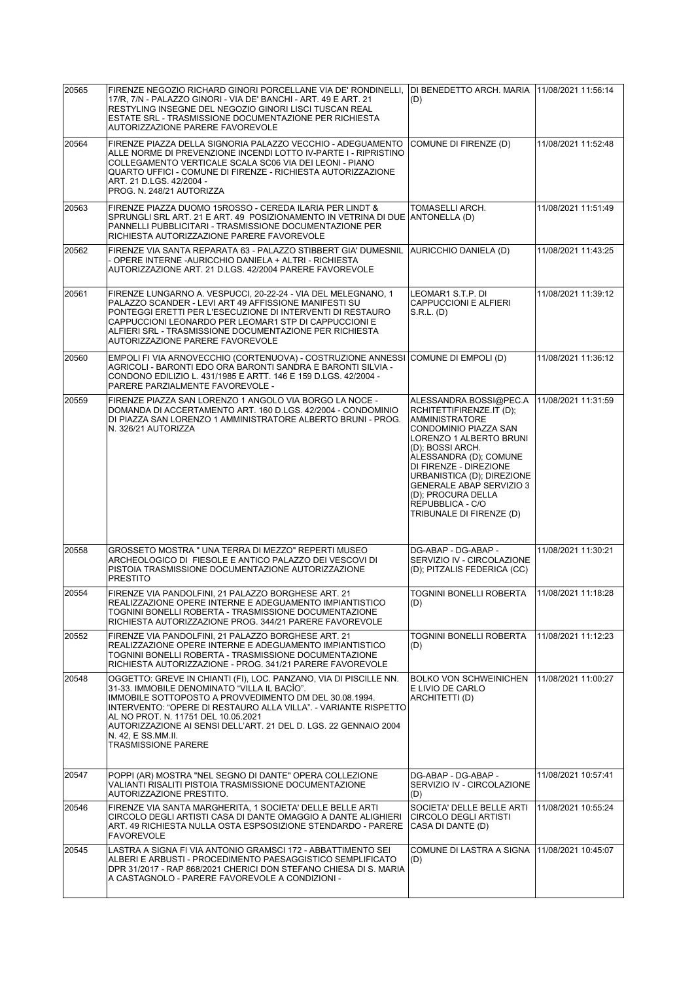| 20565 | FIRENZE NEGOZIO RICHARD GINORI PORCELLANE VIA DE' RONDINELLI,<br>17/R, 7/N - PALAZZO GINORI - VIA DE' BANCHI - ART, 49 E ART, 21<br>RESTYLING INSEGNE DEL NEGOZIO GINORI LISCI TUSCAN REAL<br>ESTATE SRL - TRASMISSIONE DOCUMENTAZIONE PER RICHIESTA<br>AUTORIZZAZIONE PARERE FAVOREVOLE                                                                                                                      | DI BENEDETTO ARCH. MARIA   11/08/2021 11:56:14<br>(D)                                                                                                                                                                                                                                                                                          |                     |
|-------|---------------------------------------------------------------------------------------------------------------------------------------------------------------------------------------------------------------------------------------------------------------------------------------------------------------------------------------------------------------------------------------------------------------|------------------------------------------------------------------------------------------------------------------------------------------------------------------------------------------------------------------------------------------------------------------------------------------------------------------------------------------------|---------------------|
| 20564 | FIRENZE PIAZZA DELLA SIGNORIA PALAZZO VECCHIO - ADEGUAMENTO<br>ALLE NORME DI PREVENZIONE INCENDI LOTTO IV-PARTE I - RIPRISTINO<br>COLLEGAMENTO VERTICALE SCALA SC06 VIA DEI LEONI - PIANO<br>QUARTO UFFICI - COMUNE DI FIRENZE - RICHIESTA AUTORIZZAZIONE<br>ART. 21 D.LGS. 42/2004 -<br>PROG. N. 248/21 AUTORIZZA                                                                                            | COMUNE DI FIRENZE (D)                                                                                                                                                                                                                                                                                                                          | 11/08/2021 11:52:48 |
| 20563 | FIRENZE PIAZZA DUOMO 15ROSSO - CEREDA ILARIA PER LINDT &<br>SPRUNGLI SRL ART. 21 E ART. 49 POSIZIONAMENTO IN VETRINA DI DUE ANTONELLA (D)<br>PANNELLI PUBBLICITARI - TRASMISSIONE DOCUMENTAZIONE PER<br>RICHIESTA AUTORIZZAZIONE PARERE FAVOREVOLE                                                                                                                                                            | TOMASELLI ARCH.                                                                                                                                                                                                                                                                                                                                | 11/08/2021 11:51:49 |
| 20562 | FIRENZE VIA SANTA REPARATA 63 - PALAZZO STIBBERT GIA' DUMESNIL<br>- OPERE INTERNE -AURICCHIO DANIELA + ALTRI - RICHIESTA<br>AUTORIZZAZIONE ART. 21 D.LGS. 42/2004 PARERE FAVOREVOLE                                                                                                                                                                                                                           | AURICCHIO DANIELA (D)                                                                                                                                                                                                                                                                                                                          | 11/08/2021 11:43:25 |
| 20561 | FIRENZE LUNGARNO A. VESPUCCI, 20-22-24 - VIA DEL MELEGNANO, 1<br>PALAZZO SCANDER - LEVI ART 49 AFFISSIONE MANIFESTI SU<br>PONTEGGI ERETTI PER L'ESECUZIONE DI INTERVENTI DI RESTAURO<br>CAPPUCCIONI LEONARDO PER LEOMAR1 STP DI CAPPUCCIONI E<br>ALFIERI SRL - TRASMISSIONE DOCUMENTAZIONE PER RICHIESTA<br>AUTORIZZAZIONE PARERE FAVOREVOLE                                                                  | LEOMAR1 S.T.P. DI<br><b>CAPPUCCIONI E ALFIERI</b><br>$S.R.L.$ (D)                                                                                                                                                                                                                                                                              | 11/08/2021 11:39:12 |
| 20560 | EMPOLI FI VIA ARNOVECCHIO (CORTENUOVA) - COSTRUZIONE ANNESSI COMUNE DI EMPOLI (D)<br>AGRICOLI - BARONTI EDO ORA BARONTI SANDRA E BARONTI SILVIA -<br>CONDONO EDILIZIO L. 431/1985 E ARTT. 146 E 159 D.LGS. 42/2004 -<br>PARERE PARZIALMENTE FAVOREVOLE -                                                                                                                                                      |                                                                                                                                                                                                                                                                                                                                                | 11/08/2021 11:36:12 |
| 20559 | FIRENZE PIAZZA SAN LORENZO 1 ANGOLO VIA BORGO LA NOCE -<br>DOMANDA DI ACCERTAMENTO ART. 160 D.LGS. 42/2004 - CONDOMINIO<br>DI PIAZZA SAN LORENZO 1 AMMINISTRATORE ALBERTO BRUNI - PROG.<br>N. 326/21 AUTORIZZA                                                                                                                                                                                                | ALESSANDRA.BOSSI@PEC.A<br>RCHITETTIFIRENZE.IT (D);<br><b>AMMINISTRATORE</b><br>CONDOMINIO PIAZZA SAN<br>LORENZO 1 ALBERTO BRUNI<br>(D); BOSSI ARCH.<br>ALESSANDRA (D); COMUNE<br>DI FIRENZE - DIREZIONE<br>URBANISTICA (D); DIREZIONE<br><b>GENERALE ABAP SERVIZIO 3</b><br>(D); PROCURA DELLA<br>REPUBBLICA - C/O<br>TRIBUNALE DI FIRENZE (D) | 11/08/2021 11:31:59 |
| 20558 | GROSSETO MOSTRA " UNA TERRA DI MEZZO" REPERTI MUSEO<br>ARCHEOLOGICO DI FIESOLE E ANTICO PALAZZO DEI VESCOVI DI<br>PISTOIA TRASMISSIONE DOCUMENTAZIONE AUTORIZZAZIONE<br><b>PRESTITO</b>                                                                                                                                                                                                                       | DG-ABAP - DG-ABAP -<br>SERVIZIO IV - CIRCOLAZIONE<br>(D); PITZALIS FEDERICA (CC)                                                                                                                                                                                                                                                               | 11/08/2021 11:30:21 |
| 20554 | FIRENZE VIA PANDOLFINI, 21 PALAZZO BORGHESE ART. 21<br>REALIZZAZIONE OPERE INTERNE E ADEGUAMENTO IMPIANTISTICO<br>TOGNINI BONELLI ROBERTA - TRASMISSIONE DOCUMENTAZIONE<br>RICHIESTA AUTORIZZAZIONE PROG. 344/21 PARERE FAVOREVOLE                                                                                                                                                                            | TOGNINI BONELLI ROBERTA<br>(D)                                                                                                                                                                                                                                                                                                                 | 11/08/2021 11:18:28 |
| 20552 | FIRENZE VIA PANDOLFINI, 21 PALAZZO BORGHESE ART. 21<br>REALIZZAZIONE OPERE INTERNE E ADEGUAMENTO IMPIANTISTICO<br>TOGNINI BONELLI ROBERTA - TRASMISSIONE DOCUMENTAZIONE<br>RICHIESTA AUTORIZZAZIONE - PROG. 341/21 PARERE FAVOREVOLE                                                                                                                                                                          | TOGNINI BONELLI ROBERTA<br>(D)                                                                                                                                                                                                                                                                                                                 | 11/08/2021 11:12:23 |
| 20548 | OGGETTO: GREVE IN CHIANTI (FI), LOC. PANZANO, VIA DI PISCILLE NN.<br>31-33. IMMOBILE DENOMINATO "VILLA IL BACIO".<br>IMMOBILE SOTTOPOSTO A PROVVEDIMENTO DM DEL 30.08.1994.<br>INTERVENTO: "OPERE DI RESTAURO ALLA VILLA". - VARIANTE RISPETTO<br>AL NO PROT. N. 11751 DEL 10.05.2021<br>AUTORIZZAZIONE AI SENSI DELL'ART. 21 DEL D. LGS. 22 GENNAIO 2004<br>N. 42, E SS.MM.II.<br><b>TRASMISSIONE PARERE</b> | <b>BOLKO VON SCHWEINICHEN</b><br>E LIVIO DE CARLO<br>ARCHITETTI (D)                                                                                                                                                                                                                                                                            | 11/08/2021 11:00:27 |
| 20547 | POPPI (AR) MOSTRA "NEL SEGNO DI DANTE" OPERA COLLEZIONE<br>VALIANTI RISALITI PISTOIA TRASMISSIONE DOCUMENTAZIONE<br>AUTORIZZAZIONE PRESTITO.                                                                                                                                                                                                                                                                  | DG-ABAP - DG-ABAP -<br>SERVIZIO IV - CIRCOLAZIONE<br>(D)                                                                                                                                                                                                                                                                                       | 11/08/2021 10:57:41 |
| 20546 | FIRENZE VIA SANTA MARGHERITA, 1 SOCIETA' DELLE BELLE ARTI<br>CIRCOLO DEGLI ARTISTI CASA DI DANTE OMAGGIO A DANTE ALIGHIERI<br>ART. 49 RICHIESTA NULLA OSTA ESPSOSIZIONE STENDARDO - PARERE<br><b>FAVOREVOLE</b>                                                                                                                                                                                               | SOCIETA' DELLE BELLE ARTI<br>CIRCOLO DEGLI ARTISTI<br>CASA DI DANTE (D)                                                                                                                                                                                                                                                                        | 11/08/2021 10:55:24 |
| 20545 | LASTRA A SIGNA FI VIA ANTONIO GRAMSCI 172 - ABBATTIMENTO SEI<br>ALBERI E ARBUSTI - PROCEDIMENTO PAESAGGISTICO SEMPLIFICATO<br>DPR 31/2017 - RAP 868/2021 CHERICI DON STEFANO CHIESA DI S. MARIA<br>A CASTAGNOLO - PARERE FAVOREVOLE A CONDIZIONI -                                                                                                                                                            | COMUNE DI LASTRA A SIGNA<br>(D)                                                                                                                                                                                                                                                                                                                | 11/08/2021 10:45:07 |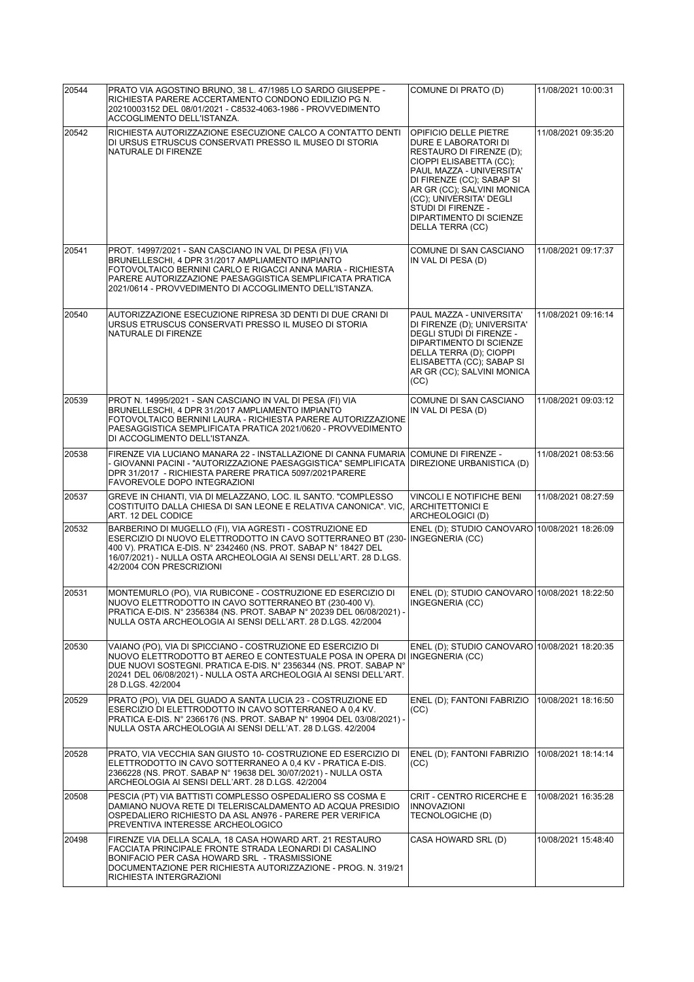| 20544 | PRATO VIA AGOSTINO BRUNO, 38 L. 47/1985 LO SARDO GIUSEPPE -<br>RICHIESTA PARERE ACCERTAMENTO CONDONO EDILIZIO PG N.<br>20210003152 DEL 08/01/2021 - C8532-4063-1986 - PROVVEDIMENTO<br>ACCOGLIMENTO DELL'ISTANZA.                                                                                 | COMUNE DI PRATO (D)                                                                                                                                                                                                                                                                                | 11/08/2021 10:00:31 |
|-------|---------------------------------------------------------------------------------------------------------------------------------------------------------------------------------------------------------------------------------------------------------------------------------------------------|----------------------------------------------------------------------------------------------------------------------------------------------------------------------------------------------------------------------------------------------------------------------------------------------------|---------------------|
| 20542 | RICHIESTA AUTORIZZAZIONE ESECUZIONE CALCO A CONTATTO DENTI<br>DI URSUS ETRUSCUS CONSERVATI PRESSO IL MUSEO DI STORIA<br>NATURALE DI FIRENZE                                                                                                                                                       | OPIFICIO DELLE PIETRE<br>DURE E LABORATORI DI<br>RESTAURO DI FIRENZE (D);<br>CIOPPI ELISABETTA (CC);<br>PAUL MAZZA - UNIVERSITA'<br>DI FIRENZE (CC); SABAP SI<br>AR GR (CC); SALVINI MONICA<br>(CC); UNIVERSITA' DEGLI<br>STUDI DI FIRENZE -<br><b>DIPARTIMENTO DI SCIENZE</b><br>DELLA TERRA (CC) | 11/08/2021 09:35:20 |
| 20541 | PROT. 14997/2021 - SAN CASCIANO IN VAL DI PESA (FI) VIA<br>BRUNELLESCHI, 4 DPR 31/2017 AMPLIAMENTO IMPIANTO<br>FOTOVOLTAICO BERNINI CARLO E RIGACCI ANNA MARIA - RICHIESTA<br>PARERE AUTORIZZAZIONE PAESAGGISTICA SEMPLIFICATA PRATICA<br>2021/0614 - PROVVEDIMENTO DI ACCOGLIMENTO DELL'ISTANZA. | COMUNE DI SAN CASCIANO<br>IN VAL DI PESA (D)                                                                                                                                                                                                                                                       | 11/08/2021 09:17:37 |
| 20540 | AUTORIZZAZIONE ESECUZIONE RIPRESA 3D DENTI DI DUE CRANI DI<br>URSUS ETRUSCUS CONSERVATI PRESSO IL MUSEO DI STORIA<br>NATURALE DI FIRENZE                                                                                                                                                          | PAUL MAZZA - UNIVERSITA'<br>DI FIRENZE (D); UNIVERSITA'<br>DEGLI STUDI DI FIRENZE -<br><b>DIPARTIMENTO DI SCIENZE</b><br>DELLA TERRA (D); CIOPPI<br>ELISABETTA (CC); SABAP SI<br>AR GR (CC); SALVINI MONICA<br>(CC)                                                                                | 11/08/2021 09:16:14 |
| 20539 | PROT N. 14995/2021 - SAN CASCIANO IN VAL DI PESA (FI) VIA<br>BRUNELLESCHI, 4 DPR 31/2017 AMPLIAMENTO IMPIANTO<br>FOTOVOLTAICO BERNINI LAURA - RICHIESTA PARERE AUTORIZZAZIONE<br>PAESAGGISTICA SEMPLIFICATA PRATICA 2021/0620 - PROVVEDIMENTO<br>DI ACCOGLIMENTO DELL'ISTANZA.                    | COMUNE DI SAN CASCIANO<br>IN VAL DI PESA (D)                                                                                                                                                                                                                                                       | 11/08/2021 09:03:12 |
| 20538 | FIRENZE VIA LUCIANO MANARA 22 - INSTALLAZIONE DI CANNA FUMARIA<br>- GIOVANNI PACINI - "AUTORIZZAZIONE PAESAGGISTICA" SEMPLIFICATA<br>DPR 31/2017 - RICHIESTA PARERE PRATICA 5097/2021PARERE<br>FAVOREVOLE DOPO INTEGRAZIONI                                                                       | COMUNE DI FIRENZE -<br>DIREZIONE URBANISTICA (D)                                                                                                                                                                                                                                                   | 11/08/2021 08:53:56 |
| 20537 | GREVE IN CHIANTI, VIA DI MELAZZANO, LOC. IL SANTO. "COMPLESSO<br>COSTITUITO DALLA CHIESA DI SAN LEONE E RELATIVA CANONICA". VIC,<br>ART. 12 DEL CODICE                                                                                                                                            | VINCOLI E NOTIFICHE BENI<br><b>ARCHITETTONICI E</b><br>ARCHEOLOGICI (D)                                                                                                                                                                                                                            | 11/08/2021 08:27:59 |
| 20532 | BARBERINO DI MUGELLO (FI), VIA AGRESTI - COSTRUZIONE ED<br>ESERCIZIO DI NUOVO ELETTRODOTTO IN CAVO SOTTERRANEO BT (230-<br>400 V). PRATICA E-DIS. N° 2342460 (NS. PROT. SABAP N° 18427 DEL<br>16/07/2021) - NULLA OSTA ARCHEOLOGIA AI SENSI DELL'ART. 28 D.LGS.<br>42/2004 CON PRESCRIZIONI       | ENEL (D); STUDIO CANOVARO 10/08/2021 18:26:09<br>INGEGNERIA (CC)                                                                                                                                                                                                                                   |                     |
| 20531 | MONTEMURLO (PO), VIA RUBICONE - COSTRUZIONE ED ESERCIZIO DI<br>NUOVO ELETTRODOTTO IN CAVO SOTTERRANEO BT (230-400 V).<br>PRATICA E-DIS. N° 2356384 (NS. PROT. SABAP N° 20239 DEL 06/08/2021) -<br>NULLA OSTA ARCHEOLOGIA AI SENSI DELL'ART. 28 D.LGS. 42/2004                                     | ENEL (D); STUDIO CANOVARO 10/08/2021 18:22:50<br>INGEGNERIA (CC)                                                                                                                                                                                                                                   |                     |
| 20530 | VAIANO (PO), VIA DI SPICCIANO - COSTRUZIONE ED ESERCIZIO DI<br>NUOVO ELETTRODOTTO BT AEREO E CONTESTUALE POSA IN OPERA DI<br>DUE NUOVI SOSTEGNI. PRATICA E-DIS. N° 2356344 (NS. PROT. SABAP N°<br>20241 DEL 06/08/2021) - NULLA OSTA ARCHEOLOGIA AI SENSI DELL'ART.<br>28 D.LGS. 42/2004          | ENEL (D); STUDIO CANOVARO 10/08/2021 18:20:35<br>INGEGNERIA (CC)                                                                                                                                                                                                                                   |                     |
| 20529 | PRATO (PO), VIA DEL GUADO A SANTA LUCIA 23 - COSTRUZIONE ED<br>ESERCIZIO DI ELETTRODOTTO IN CAVO SOTTERRANEO A 0.4 KV.<br>PRATICA E-DIS. N° 2366176 (NS. PROT. SABAP N° 19904 DEL 03/08/2021) -<br>NULLA OSTA ARCHEOLOGIA AI SENSI DELL'AT. 28 D.LGS. 42/2004                                     | ENEL (D); FANTONI FABRIZIO<br>(CC)                                                                                                                                                                                                                                                                 | 10/08/2021 18:16:50 |
| 20528 | PRATO, VIA VECCHIA SAN GIUSTO 10- COSTRUZIONE ED ESERCIZIO DI<br>ELETTRODOTTO IN CAVO SOTTERRANEO A 0,4 KV - PRATICA E-DIS.<br>2366228 (NS. PROT. SABAP N° 19638 DEL 30/07/2021) - NULLA OSTA<br>ARCHEOLOGIA AI SENSI DELL'ART. 28 D.LGS. 42/2004                                                 | ENEL (D); FANTONI FABRIZIO<br>(CC)                                                                                                                                                                                                                                                                 | 10/08/2021 18:14:14 |
| 20508 | PESCIA (PT) VIA BATTISTI COMPLESSO OSPEDALIERO SS COSMA E<br>DAMIANO NUOVA RETE DI TELERISCALDAMENTO AD ACQUA PRESIDIO<br>OSPEDALIERO RICHIESTO DA ASL AN976 - PARERE PER VERIFICA<br>PREVENTIVA INTERESSE ARCHEOLOGICO                                                                           | <b>CRIT - CENTRO RICERCHE E</b><br><b>INNOVAZIONI</b><br>TECNOLOGICHE (D)                                                                                                                                                                                                                          | 10/08/2021 16:35:28 |
| 20498 | FIRENZE VIA DELLA SCALA, 18 CASA HOWARD ART. 21 RESTAURO<br>FACCIATA PRINCIPALE FRONTE STRADA LEONARDI DI CASALINO<br>BONIFACIO PER CASA HOWARD SRL - TRASMISSIONE<br>DOCUMENTAZIONE PER RICHIESTA AUTORIZZAZIONE - PROG. N. 319/21<br>RICHIESTA INTERGRAZIONI                                    | CASA HOWARD SRL (D)                                                                                                                                                                                                                                                                                | 10/08/2021 15:48:40 |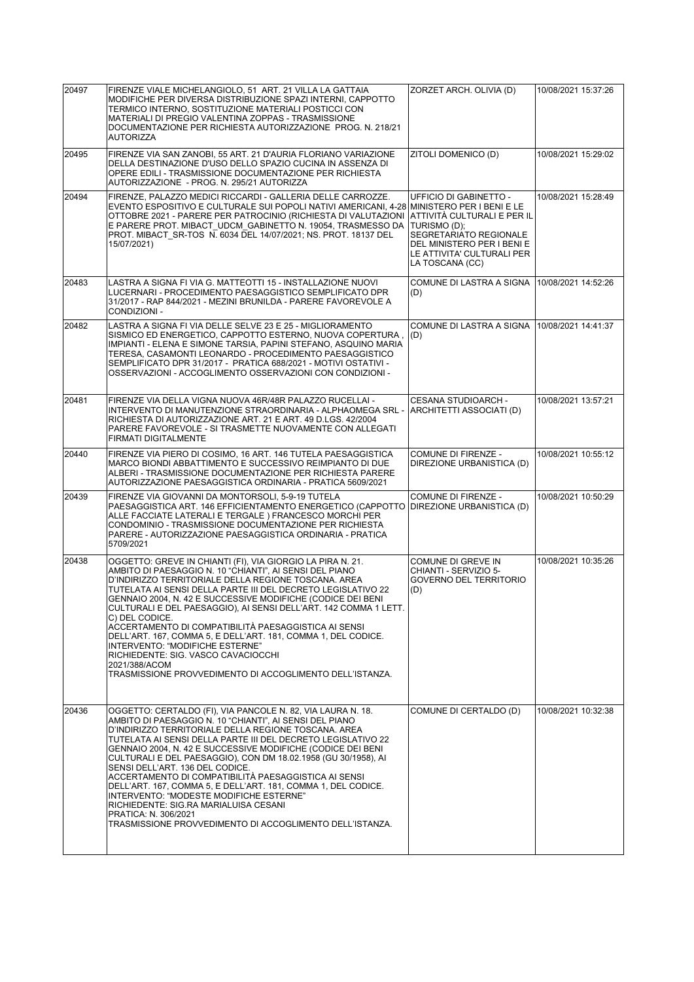| 20497 | FIRENZE VIALE MICHELANGIOLO, 51 ART. 21 VILLA LA GATTAIA<br>MODIFICHE PER DIVERSA DISTRIBUZIONE SPAZI INTERNI, CAPPOTTO<br>TERMICO INTERNO, SOSTITUZIONE MATERIALI POSTICCI CON<br>MATERIALI DI PREGIO VALENTINA ZOPPAS - TRASMISSIONE<br>DOCUMENTAZIONE PER RICHIESTA AUTORIZZAZIONE PROG. N. 218/21<br><b>AUTORIZZA</b>                                                                                                                                                                                                                                                                                                                                                                                           | ZORZET ARCH. OLIVIA (D)                                                                                                                                                                | 10/08/2021 15:37:26 |
|-------|---------------------------------------------------------------------------------------------------------------------------------------------------------------------------------------------------------------------------------------------------------------------------------------------------------------------------------------------------------------------------------------------------------------------------------------------------------------------------------------------------------------------------------------------------------------------------------------------------------------------------------------------------------------------------------------------------------------------|----------------------------------------------------------------------------------------------------------------------------------------------------------------------------------------|---------------------|
| 20495 | FIRENZE VIA SAN ZANOBI, 55 ART. 21 D'AURIA FLORIANO VARIAZIONE<br>DELLA DESTINAZIONE D'USO DELLO SPAZIO CUCINA IN ASSENZA DI<br>OPERE EDILI - TRASMISSIONE DOCUMENTAZIONE PER RICHIESTA<br>AUTORIZZAZIONE - PROG. N. 295/21 AUTORIZZA                                                                                                                                                                                                                                                                                                                                                                                                                                                                               | ZITOLI DOMENICO (D)                                                                                                                                                                    | 10/08/2021 15:29:02 |
| 20494 | FIRENZE, PALAZZO MEDICI RICCARDI - GALLERIA DELLE CARROZZE.<br>EVENTO ESPOSITIVO E CULTURALE SUI POPOLI NATIVI AMERICANI, 4-28 MINISTERO PER I BENI E LE<br>OTTOBRE 2021 - PARERE PER PATROCINIO (RICHIESTA DI VALUTAZIONI<br>E PARERE PROT. MIBACT UDCM GABINETTO N. 19054, TRASMESSO DA<br>PROT. MIBACT SR-TOS N. 6034 DEL 14/07/2021; NS. PROT. 18137 DEL<br>15/07/2021)                                                                                                                                                                                                                                                                                                                                         | <b>UFFICIO DI GABINETTO -</b><br> ATTIVITÀ CULTURALI E PER IL<br>TURISMO (D);<br>SEGRETARIATO REGIONALE<br>DEL MINISTERO PER I BENI E<br>LE ATTIVITA' CULTURALI PER<br>LA TOSCANA (CC) | 10/08/2021 15:28:49 |
| 20483 | LASTRA A SIGNA FI VIA G. MATTEOTTI 15 - INSTALLAZIONE NUOVI<br>LUCERNARI - PROCEDIMENTO PAESAGGISTICO SEMPLIFICATO DPR<br>31/2017 - RAP 844/2021 - MEZINI BRUNILDA - PARERE FAVOREVOLE A<br>CONDIZIONI-                                                                                                                                                                                                                                                                                                                                                                                                                                                                                                             | COMUNE DI LASTRA A SIGNA<br>(D)                                                                                                                                                        | 10/08/2021 14:52:26 |
| 20482 | LASTRA A SIGNA FI VIA DELLE SELVE 23 E 25 - MIGLIORAMENTO<br>SISMICO ED ENERGETICO, CAPPOTTO ESTERNO, NUOVA COPERTURA,<br>IMPIANTI - ELENA E SIMONE TARSIA, PAPINI STEFANO, ASQUINO MARIA<br>TERESA, CASAMONTI LEONARDO - PROCEDIMENTO PAESAGGISTICO<br>SEMPLIFICATO DPR 31/2017 - PRATICA 688/2021 - MOTIVI OSTATIVI -<br>OSSERVAZIONI - ACCOGLIMENTO OSSERVAZIONI CON CONDIZIONI -                                                                                                                                                                                                                                                                                                                                | COMUNE DI LASTRA A SIGNA<br>(D)                                                                                                                                                        | 10/08/2021 14:41:37 |
| 20481 | FIRENZE VIA DELLA VIGNA NUOVA 46R/48R PALAZZO RUCELLAI -<br>INTERVENTO DI MANUTENZIONE STRAORDINARIA - ALPHAOMEGA SRL -<br>RICHIESTA DI AUTORIZZAZIONE ART. 21 E ART. 49 D.LGS. 42/2004<br>PARERE FAVOREVOLE - SI TRASMETTE NUOVAMENTE CON ALLEGATI<br>FIRMATI DIGITALMENTE                                                                                                                                                                                                                                                                                                                                                                                                                                         | <b>CESANA STUDIOARCH -</b><br>ARCHITETTI ASSOCIATI (D)                                                                                                                                 | 10/08/2021 13:57:21 |
| 20440 | FIRENZE VIA PIERO DI COSIMO, 16 ART. 146 TUTELA PAESAGGISTICA<br>MARCO BIONDI ABBATTIMENTO E SUCCESSIVO REIMPIANTO DI DUE<br>ALBERI - TRASMISSIONE DOCUMENTAZIONE PER RICHIESTA PARERE<br>AUTORIZZAZIONE PAESAGGISTICA ORDINARIA - PRATICA 5609/2021                                                                                                                                                                                                                                                                                                                                                                                                                                                                | COMUNE DI FIRENZE -<br>DIREZIONE URBANISTICA (D)                                                                                                                                       | 10/08/2021 10:55:12 |
| 20439 | FIRENZE VIA GIOVANNI DA MONTORSOLI, 5-9-19 TUTELA<br>PAESAGGISTICA ART. 146 EFFICIENTAMENTO ENERGETICO (CAPPOTTO<br>ALLE FACCIATE LATERALI E TERGALE ) FRANCESCO MORCHI PER<br>CONDOMINIO - TRASMISSIONE DOCUMENTAZIONE PER RICHIESTA<br>PARERE - AUTORIZZAZIONE PAESAGGISTICA ORDINARIA - PRATICA<br>5709/2021                                                                                                                                                                                                                                                                                                                                                                                                     | COMUNE DI FIRENZE -<br>DIREZIONE URBANISTICA (D)                                                                                                                                       | 10/08/2021 10:50:29 |
| 20438 | OGGETTO: GREVE IN CHIANTI (FI), VIA GIORGIO LA PIRA N. 21.<br>AMBITO DI PAESAGGIO N. 10 "CHIANTI", AI SENSI DEL PIANO<br>D'INDIRIZZO TERRITORIALE DELLA REGIONE TOSCANA. AREA<br>TUTELATA AI SENSI DELLA PARTE III DEL DECRETO LEGISLATIVO 22<br>GENNAIO 2004, N. 42 E SUCCESSIVE MODIFICHE (CODICE DEI BENI<br>CULTURALI E DEL PAESAGGIO), AI SENSI DELL'ART. 142 COMMA 1 LETT.<br>C) DEL CODICE.<br>ACCERTAMENTO DI COMPATIBILITA PAESAGGISTICA AI SENSI<br>DELL'ART. 167, COMMA 5, E DELL'ART. 181, COMMA 1, DEL CODICE.<br>INTERVENTO: "MODIFICHE ESTERNE"<br>RICHIEDENTE: SIG. VASCO CAVACIOCCHI<br>2021/388/ACOM<br>TRASMISSIONE PROVVEDIMENTO DI ACCOGLIMENTO DELL'ISTANZA.                                  | <b>COMUNE DI GREVE IN</b><br>CHIANTI - SERVIZIO 5-<br><b>GOVERNO DEL TERRITORIO</b><br>(D)                                                                                             | 10/08/2021 10:35:26 |
| 20436 | OGGETTO: CERTALDO (FI), VIA PANCOLE N. 82, VIA LAURA N. 18.<br>AMBITO DI PAESAGGIO N. 10 "CHIANTI", AI SENSI DEL PIANO<br>D'INDIRIZZO TERRITORIALE DELLA REGIONE TOSCANA. AREA<br>TUTELATA AI SENSI DELLA PARTE III DEL DECRETO LEGISLATIVO 22<br>GENNAIO 2004, N. 42 E SUCCESSIVE MODIFICHE (CODICE DEI BENI<br>CULTURALI E DEL PAESAGGIO), CON DM 18.02.1958 (GU 30/1958), AI<br>SENSI DELL'ART. 136 DEL CODICE.<br>ACCERTAMENTO DI COMPATIBILITÀ PAESAGGISTICA AI SENSI<br>DELL'ART. 167, COMMA 5, E DELL'ART. 181, COMMA 1, DEL CODICE.<br>INTERVENTO: "MODESTE MODIFICHE ESTERNE"<br>RICHIEDENTE: SIG.RA MARIALUISA CESANI<br>PRATICA: N. 306/2021<br>TRASMISSIONE PROVVEDIMENTO DI ACCOGLIMENTO DELL'ISTANZA. | COMUNE DI CERTALDO (D)                                                                                                                                                                 | 10/08/2021 10:32:38 |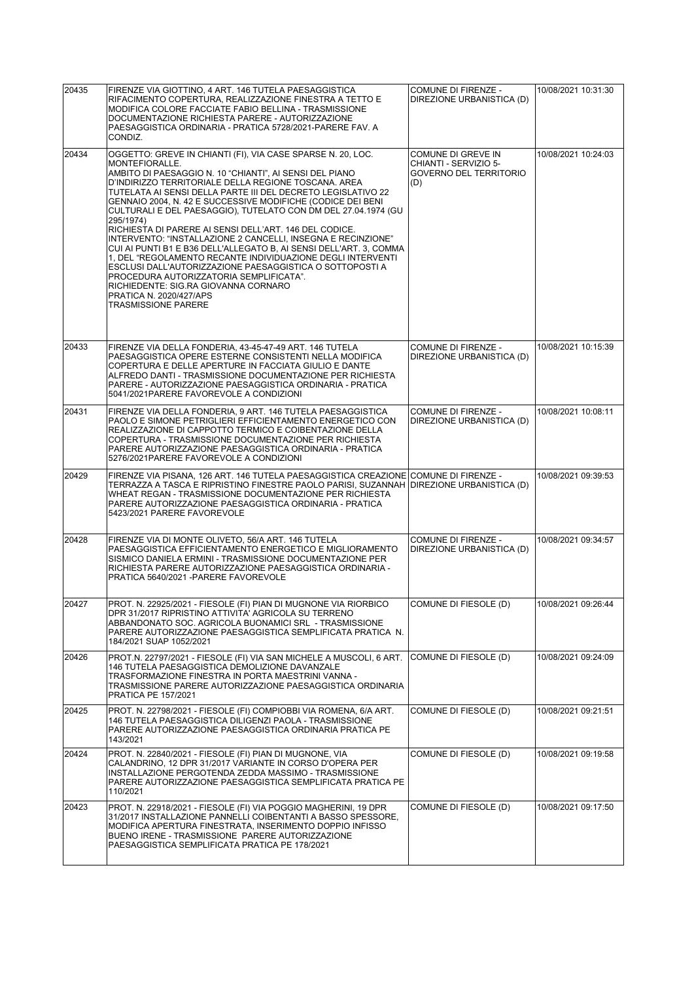| 20435 | FIRENZE VIA GIOTTINO, 4 ART. 146 TUTELA PAESAGGISTICA<br>RIFACIMENTO COPERTURA, REALIZZAZIONE FINESTRA A TETTO E<br>MODIFICA COLORE FACCIATE FABIO BELLINA - TRASMISSIONE<br>DOCUMENTAZIONE RICHIESTA PARERE - AUTORIZZAZIONE<br>PAESAGGISTICA ORDINARIA - PRATICA 5728/2021-PARERE FAV. A<br>CONDIZ.                                                                                                                                                                                                                                                                                                                                                                                                                                                                                                                                                                                 | <b>COMUNE DI FIRENZE -</b><br>DIREZIONE URBANISTICA (D)                             | 10/08/2021 10:31:30 |
|-------|---------------------------------------------------------------------------------------------------------------------------------------------------------------------------------------------------------------------------------------------------------------------------------------------------------------------------------------------------------------------------------------------------------------------------------------------------------------------------------------------------------------------------------------------------------------------------------------------------------------------------------------------------------------------------------------------------------------------------------------------------------------------------------------------------------------------------------------------------------------------------------------|-------------------------------------------------------------------------------------|---------------------|
| 20434 | OGGETTO: GREVE IN CHIANTI (FI), VIA CASE SPARSE N. 20, LOC.<br>MONTEFIORALLE.<br>AMBITO DI PAESAGGIO N. 10 "CHIANTI", AI SENSI DEL PIANO<br>D'INDIRIZZO TERRITORIALE DELLA REGIONE TOSCANA. AREA<br>TUTELATA AI SENSI DELLA PARTE III DEL DECRETO LEGISLATIVO 22<br>GENNAIO 2004, N. 42 E SUCCESSIVE MODIFICHE (CODICE DEI BENI<br>CULTURALI E DEL PAESAGGIO), TUTELATO CON DM DEL 27.04.1974 (GU<br>295/1974)<br>RICHIESTA DI PARERE AI SENSI DELL'ART. 146 DEL CODICE.<br>INTERVENTO: "INSTALLAZIONE 2 CANCELLI. INSEGNA E RECINZIONE"<br>CUI AI PUNTI B1 E B36 DELL'ALLEGATO B, AI SENSI DELL'ART. 3, COMMA<br>1, DEL "REGOLAMENTO RECANTE INDIVIDUAZIONE DEGLI INTERVENTI<br>ESCLUSI DALL'AUTORIZZAZIONE PAESAGGISTICA O SOTTOPOSTI A<br>PROCEDURA AUTORIZZATORIA SEMPLIFICATA".<br>RICHIEDENTE: SIG.RA GIOVANNA CORNARO<br>PRATICA N. 2020/427/APS<br><b>TRASMISSIONE PARERE</b> | COMUNE DI GREVE IN<br>CHIANTI - SERVIZIO 5-<br><b>GOVERNO DEL TERRITORIO</b><br>(D) | 10/08/2021 10:24:03 |
| 20433 | FIRENZE VIA DELLA FONDERIA. 43-45-47-49 ART. 146 TUTELA<br>PAESAGGISTICA OPERE ESTERNE CONSISTENTI NELLA MODIFICA<br>COPERTURA E DELLE APERTURE IN FACCIATA GIULIO E DANTE<br>ALFREDO DANTI - TRASMISSIONE DOCUMENTAZIONE PER RICHIESTA<br>PARERE - AUTORIZZAZIONE PAESAGGISTICA ORDINARIA - PRATICA<br>5041/2021PARERE FAVOREVOLE A CONDIZIONI                                                                                                                                                                                                                                                                                                                                                                                                                                                                                                                                       | COMUNE DI FIRENZE -<br>DIREZIONE URBANISTICA (D)                                    | 10/08/2021 10:15:39 |
| 20431 | FIRENZE VIA DELLA FONDERIA, 9 ART. 146 TUTELA PAESAGGISTICA<br>PAOLO E SIMONE PETRIGLIERI EFFICIENTAMENTO ENERGETICO CON<br>REALIZZAZIONE DI CAPPOTTO TERMICO E COIBENTAZIONE DELLA<br>COPERTURA - TRASMISSIONE DOCUMENTAZIONE PER RICHIESTA<br>PARERE AUTORIZZAZIONE PAESAGGISTICA ORDINARIA - PRATICA<br>5276/2021PARERE FAVOREVOLE A CONDIZIONI                                                                                                                                                                                                                                                                                                                                                                                                                                                                                                                                    | COMUNE DI FIRENZE -<br>DIREZIONE URBANISTICA (D)                                    | 10/08/2021 10:08:11 |
| 20429 | FIRENZE VIA PISANA, 126 ART. 146 TUTELA PAESAGGISTICA CREAZIONE COMUNE DI FIRENZE -<br>TERRAZZA A TASCA E RIPRISTINO FINESTRE PAOLO PARISI, SUZANNAH<br>WHEAT REGAN - TRASMISSIONE DOCUMENTAZIONE PER RICHIESTA<br>PARERE AUTORIZZAZIONE PAESAGGISTICA ORDINARIA - PRATICA<br>5423/2021 PARERE FAVOREVOLE                                                                                                                                                                                                                                                                                                                                                                                                                                                                                                                                                                             | DIREZIONE URBANISTICA (D)                                                           | 10/08/2021 09:39:53 |
| 20428 | FIRENZE VIA DI MONTE OLIVETO, 56/A ART. 146 TUTELA<br>PAESAGGISTICA EFFICIENTAMENTO ENERGETICO E MIGLIORAMENTO<br>SISMICO DANIELA ERMINI - TRASMISSIONE DOCUMENTAZIONE PER<br>RICHIESTA PARERE AUTORIZZAZIONE PAESAGGISTICA ORDINARIA -<br>PRATICA 5640/2021 - PARERE FAVOREVOLE                                                                                                                                                                                                                                                                                                                                                                                                                                                                                                                                                                                                      | COMUNE DI FIRENZE -<br>DIREZIONE URBANISTICA (D)                                    | 10/08/2021 09:34:57 |
| 20427 | PROT. N. 22925/2021 - FIESOLE (FI) PIAN DI MUGNONE VIA RIORBICO<br>DPR 31/2017 RIPRISTINO ATTIVITA' AGRICOLA SU TERRENO<br>ABBANDONATO SOC. AGRICOLA BUONAMICI SRL - TRASMISSIONE<br>PARERE AUTORIZZAZIONE PAESAGGISTICA SEMPLIFICATA PRATICA N.<br>184/2021 SUAP 1052/2021                                                                                                                                                                                                                                                                                                                                                                                                                                                                                                                                                                                                           | COMUNE DI FIESOLE (D)                                                               | 10/08/2021 09:26:44 |
| 20426 | PROT.N. 22797/2021 - FIESOLE (FI) VIA SAN MICHELE A MUSCOLI, 6 ART.<br>146 TUTELA PAESAGGISTICA DEMOLIZIONE DAVANZALE<br>TRASFORMAZIONE FINESTRA IN PORTA MAESTRINI VANNA -<br>TRASMISSIONE PARERE AUTORIZZAZIONE PAESAGGISTICA ORDINARIA<br><b>PRATICA PE 157/2021</b>                                                                                                                                                                                                                                                                                                                                                                                                                                                                                                                                                                                                               | COMUNE DI FIESOLE (D)                                                               | 10/08/2021 09:24:09 |
| 20425 | PROT. N. 22798/2021 - FIESOLE (FI) COMPIOBBI VIA ROMENA. 6/A ART.<br>146 TUTELA PAESAGGISTICA DILIGENZI PAOLA - TRASMISSIONE<br>PARERE AUTORIZZAZIONE PAESAGGISTICA ORDINARIA PRATICA PE<br>143/2021                                                                                                                                                                                                                                                                                                                                                                                                                                                                                                                                                                                                                                                                                  | COMUNE DI FIESOLE (D)                                                               | 10/08/2021 09:21:51 |
| 20424 | PROT. N. 22840/2021 - FIESOLE (FI) PIAN DI MUGNONE, VIA<br>CALANDRINO, 12 DPR 31/2017 VARIANTE IN CORSO D'OPERA PER<br>INSTALLAZIONE PERGOTENDA ZEDDA MASSIMO - TRASMISSIONE<br>PARERE AUTORIZZAZIONE PAESAGGISTICA SEMPLIFICATA PRATICA PE<br>110/2021                                                                                                                                                                                                                                                                                                                                                                                                                                                                                                                                                                                                                               | COMUNE DI FIESOLE (D)                                                               | 10/08/2021 09:19:58 |
| 20423 | PROT. N. 22918/2021 - FIESOLE (FI) VIA POGGIO MAGHERINI, 19 DPR<br>31/2017 INSTALLAZIONE PANNELLI COIBENTANTI A BASSO SPESSORE,<br>MODIFICA APERTURA FINESTRATA, INSERIMENTO DOPPIO INFISSO<br>BUENO IRENE - TRASMISSIONE PARERE AUTORIZZAZIONE<br>PAESAGGISTICA SEMPLIFICATA PRATICA PE 178/2021                                                                                                                                                                                                                                                                                                                                                                                                                                                                                                                                                                                     | COMUNE DI FIESOLE (D)                                                               | 10/08/2021 09:17:50 |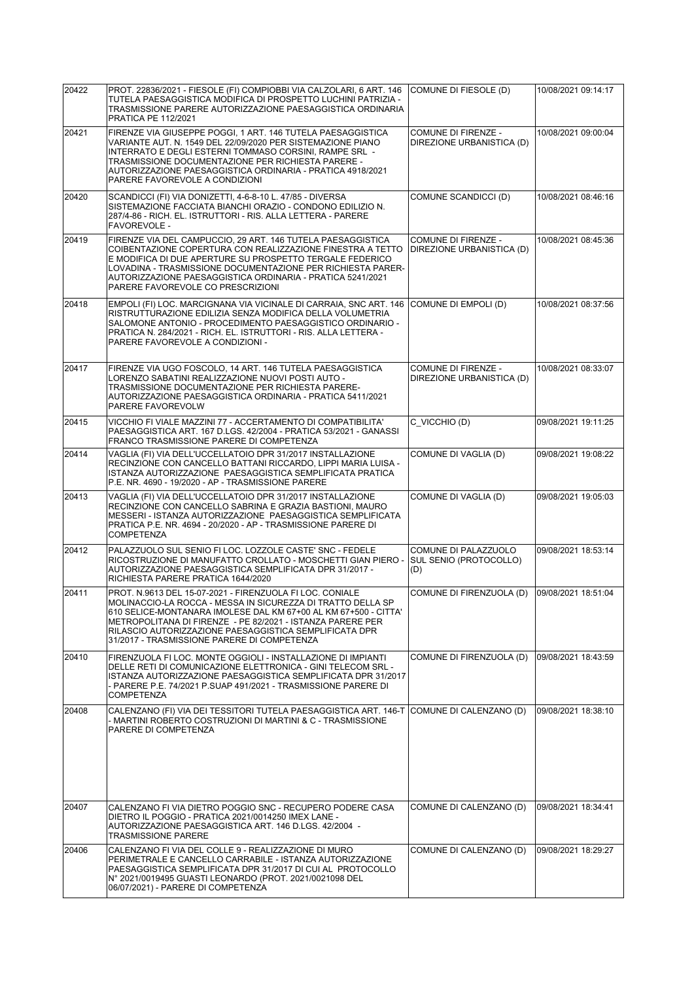| 20422 | PROT. 22836/2021 - FIESOLE (FI) COMPIOBBI VIA CALZOLARI, 6 ART. 146<br>TUTELA PAESAGGISTICA MODIFICA DI PROSPETTO LUCHINI PATRIZIA -                                                                                                                                                                                                                              | COMUNE DI FIESOLE (D)                                 | 10/08/2021 09:14:17 |
|-------|-------------------------------------------------------------------------------------------------------------------------------------------------------------------------------------------------------------------------------------------------------------------------------------------------------------------------------------------------------------------|-------------------------------------------------------|---------------------|
|       | TRASMISSIONE PARERE AUTORIZZAZIONE PAESAGGISTICA ORDINARIA<br><b>PRATICA PE 112/2021</b>                                                                                                                                                                                                                                                                          |                                                       |                     |
| 20421 | FIRENZE VIA GIUSEPPE POGGI, 1 ART. 146 TUTELA PAESAGGISTICA<br>VARIANTE AUT. N. 1549 DEL 22/09/2020 PER SISTEMAZIONE PIANO<br>INTERRATO E DEGLI ESTERNI TOMMASO CORSINI, RAMPE SRL -<br>TRASMISSIONE DOCUMENTAZIONE PER RICHIESTA PARERE -<br>AUTORIZZAZIONE PAESAGGISTICA ORDINARIA - PRATICA 4918/2021<br>PARERE FAVOREVOLE A CONDIZIONI                        | COMUNE DI FIRENZE -<br>DIREZIONE URBANISTICA (D)      | 10/08/2021 09:00:04 |
| 20420 | SCANDICCI (FI) VIA DONIZETTI, 4-6-8-10 L. 47/85 - DIVERSA<br>SISTEMAZIONE FACCIATA BIANCHI ORAZIO - CONDONO EDILIZIO N.<br>287/4-86 - RICH. EL. ISTRUTTORI - RIS. ALLA LETTERA - PARERE<br><b>FAVOREVOLE -</b>                                                                                                                                                    | COMUNE SCANDICCI (D)                                  | 10/08/2021 08:46:16 |
| 20419 | FIRENZE VIA DEL CAMPUCCIO, 29 ART. 146 TUTELA PAESAGGISTICA<br>COIBENTAZIONE COPERTURA CON REALIZZAZIONE FINESTRA A TETTO<br>E MODIFICA DI DUE APERTURE SU PROSPETTO TERGALE FEDERICO<br>LOVADINA - TRASMISSIONE DOCUMENTAZIONE PER RICHIESTA PARER-<br>AUTORIZZAZIONE PAESAGGISTICA ORDINARIA - PRATICA 5241/2021<br>PARERE FAVOREVOLE CO PRESCRIZIONI           | COMUNE DI FIRENZE -<br>DIREZIONE URBANISTICA (D)      | 10/08/2021 08:45:36 |
| 20418 | EMPOLI (FI) LOC. MARCIGNANA VIA VICINALE DI CARRAIA, SNC ART. 146<br>RISTRUTTURAZIONE EDILIZIA SENZA MODIFICA DELLA VOLUMETRIA<br>SALOMONE ANTONIO - PROCEDIMENTO PAESAGGISTICO ORDINARIO -<br>PRATICA N. 284/2021 - RICH. EL. ISTRUTTORI - RIS. ALLA LETTERA -<br>PARERE FAVOREVOLE A CONDIZIONI -                                                               | COMUNE DI EMPOLI (D)                                  | 10/08/2021 08:37:56 |
| 20417 | FIRENZE VIA UGO FOSCOLO, 14 ART. 146 TUTELA PAESAGGISTICA<br>LORENZO SABATINI REALIZZAZIONE NUOVI POSTI AUTO -<br>TRASMISSIONE DOCUMENTAZIONE PER RICHIESTA PARERE-<br>AUTORIZZAZIONE PAESAGGISTICA ORDINARIA - PRATICA 5411/2021<br>PARERE FAVOREVOLW                                                                                                            | COMUNE DI FIRENZE -<br>DIREZIONE URBANISTICA (D)      | 10/08/2021 08:33:07 |
| 20415 | VICCHIO FI VIALE MAZZINI 77 - ACCERTAMENTO DI COMPATIBILITA'<br>PAESAGGISTICA ART. 167 D.LGS. 42/2004 - PRATICA 53/2021 - GANASSI<br>FRANCO TRASMISSIONE PARERE DI COMPETENZA                                                                                                                                                                                     | C VICCHIO (D)                                         | 09/08/2021 19:11:25 |
| 20414 | VAGLIA (FI) VIA DELL'UCCELLATOIO DPR 31/2017 INSTALLAZIONE<br>RECINZIONE CON CANCELLO BATTANI RICCARDO, LIPPI MARIA LUISA -<br>ISTANZA AUTORIZZAZIONE PAESAGGISTICA SEMPLIFICATA PRATICA<br>P.E. NR. 4690 - 19/2020 - AP - TRASMISSIONE PARERE                                                                                                                    | COMUNE DI VAGLIA (D)                                  | 09/08/2021 19:08:22 |
| 20413 | VAGLIA (FI) VIA DELL'UCCELLATOIO DPR 31/2017 INSTALLAZIONE<br>RECINZIONE CON CANCELLO SABRINA E GRAZIA BASTIONI, MAURO<br>MESSERI - ISTANZA AUTORIZZAZIONE PAESAGGISTICA SEMPLIFICATA<br>PRATICA P.E. NR. 4694 - 20/2020 - AP - TRASMISSIONE PARERE DI<br><b>COMPETENZA</b>                                                                                       | COMUNE DI VAGLIA (D)                                  | 09/08/2021 19:05:03 |
| 20412 | PALAZZUOLO SUL SENIO FI LOC. LOZZOLE CASTE' SNC - FEDELE<br>RICOSTRUZIONE DI MANUFATTO CROLLATO - MOSCHETTI GIAN PIERO -<br>AUTORIZZAZIONE PAESAGGISTICA SEMPLIFICATA DPR 31/2017 -<br>RICHIESTA PARERE PRATICA 1644/2020                                                                                                                                         | COMUNE DI PALAZZUOLO<br>SUL SENIO (PROTOCOLLO)<br>(D) | 09/08/2021 18:53:14 |
| 20411 | PROT. N.9613 DEL 15-07-2021 - FIRENZUOLA FI LOC. CONIALE<br>MOLINACCIO-LA ROCCA - MESSA IN SICUREZZA DI TRATTO DELLA SP<br>610 SELICE-MONTANARA IMOLESE DAL KM 67+00 AL KM 67+500 - CITTA'<br>METROPOLITANA DI FIRENZE - PE 82/2021 - ISTANZA PARERE PER<br>RILASCIO AUTORIZZAZIONE PAESAGGISTICA SEMPLIFICATA DPR<br>31/2017 - TRASMISSIONE PARERE DI COMPETENZA | COMUNE DI FIRENZUOLA (D)                              | 09/08/2021 18:51:04 |
| 20410 | FIRENZUOLA FI LOC. MONTE OGGIOLI - INSTALLAZIONE DI IMPIANTI<br>DELLE RETI DI COMUNICAZIONE ELETTRONICA - GINI TELECOM SRL -<br>ISTANZA AUTORIZZAZIONE PAESAGGISTICA SEMPLIFICATA DPR 31/2017<br>- PARERE P.E. 74/2021 P.SUAP 491/2021 - TRASMISSIONE PARERE DI<br><b>COMPETENZA</b>                                                                              | COMUNE DI FIRENZUOLA (D)                              | 09/08/2021 18:43:59 |
| 20408 | CALENZANO (FI) VIA DEI TESSITORI TUTELA PAESAGGISTICA ART. 146-T<br>- MARTINI ROBERTO COSTRUZIONI DI MARTINI & C - TRASMISSIONE<br>PARERE DI COMPETENZA                                                                                                                                                                                                           | COMUNE DI CALENZANO (D)                               | 09/08/2021 18:38:10 |
| 20407 | CALENZANO FI VIA DIETRO POGGIO SNC - RECUPERO PODERE CASA<br>DIETRO IL POGGIO - PRATICA 2021/0014250 IMEX LANE -<br>AUTORIZZAZIONE PAESAGGISTICA ART. 146 D.LGS. 42/2004 -<br><b>TRASMISSIONE PARERE</b>                                                                                                                                                          | COMUNE DI CALENZANO (D)                               | 09/08/2021 18:34:41 |
| 20406 | CALENZANO FI VIA DEL COLLE 9 - REALIZZAZIONE DI MURO<br>PERIMETRALE E CANCELLO CARRABILE - ISTANZA AUTORIZZAZIONE<br>PAESAGGISTICA SEMPLIFICATA DPR 31/2017 DI CUI AL PROTOCOLLO<br>N° 2021/0019495 GUASTI LEONARDO (PROT. 2021/0021098 DEL<br>06/07/2021) - PARERE DI COMPETENZA                                                                                 | COMUNE DI CALENZANO (D)                               | 09/08/2021 18:29:27 |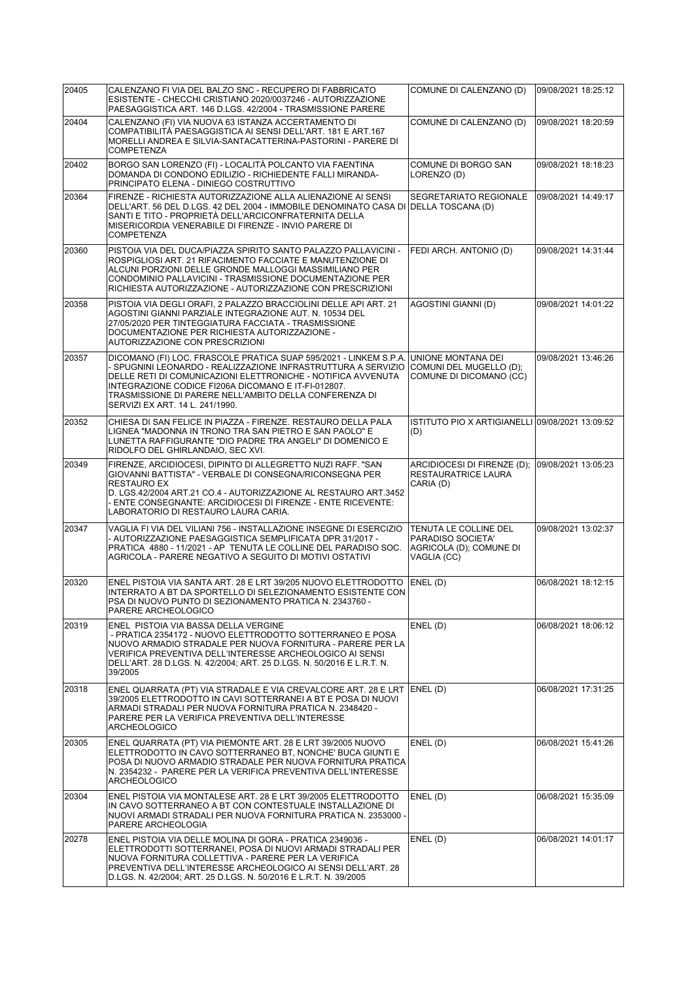| 20405 | CALENZANO FI VIA DEL BALZO SNC - RECUPERO DI FABBRICATO<br>ESISTENTE - CHECCHI CRISTIANO 2020/0037246 - AUTORIZZAZIONE<br>PAESAGGISTICA ART. 146 D.LGS. 42/2004 - TRASMISSIONE PARERE                                                                                                                                                                  | COMUNE DI CALENZANO (D)                                                              | 09/08/2021 18:25:12 |
|-------|--------------------------------------------------------------------------------------------------------------------------------------------------------------------------------------------------------------------------------------------------------------------------------------------------------------------------------------------------------|--------------------------------------------------------------------------------------|---------------------|
| 20404 | CALENZANO (FI) VIA NUOVA 63 ISTANZA ACCERTAMENTO DI<br>COMPATIBILITÀ PAESAGGISTICA AI SENSI DELL'ART. 181 E ART.167<br>MORELLI ANDREA E SILVIA-SANTACATTERINA-PASTORINI - PARERE DI<br><b>COMPETENZA</b>                                                                                                                                               | COMUNE DI CALENZANO (D)                                                              | 09/08/2021 18:20:59 |
| 20402 | BORGO SAN LORENZO (FI) - LOCALITÀ POLCANTO VIA FAENTINA<br>DOMANDA DI CONDONO EDILIZIO - RICHIEDENTE FALLI MIRANDA-<br>PRINCIPATO ELENA - DINIEGO COSTRUTTIVO                                                                                                                                                                                          | COMUNE DI BORGO SAN<br>LORENZO (D)                                                   | 09/08/2021 18:18:23 |
| 20364 | FIRENZE - RICHIESTA AUTORIZZAZIONE ALLA ALIENAZIONE AI SENSI<br>DELL'ART. 56 DEL D.LGS. 42 DEL 2004 - IMMOBILE DENOMINATO CASA DI DELLA TOSCANA (D)<br>SANTI E TITO - PROPRIETÀ DELL'ARCICONFRATERNITA DELLA<br>MISERICORDIA VENERABILE DI FIRENZE - INVIO PARERE DI<br><b>COMPETENZA</b>                                                              | SEGRETARIATO REGIONALE                                                               | 09/08/2021 14:49:17 |
| 20360 | PISTOIA VIA DEL DUCA/PIAZZA SPIRITO SANTO PALAZZO PALLAVICINI -<br>ROSPIGLIOSI ART. 21 RIFACIMENTO FACCIATE E MANUTENZIONE DI<br>ALCUNI PORZIONI DELLE GRONDE MALLOGGI MASSIMILIANO PER<br>CONDOMINIO PALLAVICINI - TRASMISSIONE DOCUMENTAZIONE PER<br>RICHIESTA AUTORIZZAZIONE - AUTORIZZAZIONE CON PRESCRIZIONI                                      | FEDI ARCH. ANTONIO (D)                                                               | 09/08/2021 14:31:44 |
| 20358 | PISTOIA VIA DEGLI ORAFI, 2 PALAZZO BRACCIOLINI DELLE API ART. 21<br>AGOSTINI GIANNI PARZIALE INTEGRAZIONE AUT. N. 10534 DEL<br>27/05/2020 PER TINTEGGIATURA FACCIATA - TRASMISSIONE<br>DOCUMENTAZIONE PER RICHIESTA AUTORIZZAZIONE -<br>AUTORIZZAZIONE CON PRESCRIZIONI                                                                                | AGOSTINI GIANNI (D)                                                                  | 09/08/2021 14:01:22 |
| 20357 | DICOMANO (FI) LOC. FRASCOLE PRATICA SUAP 595/2021 - LINKEM S.P.A.<br>- SPUGNINI LEONARDO - REALIZZAZIONE INFRASTRUTTURA A SERVIZIO<br>DELLE RETI DI COMUNICAZIONI ELETTRONICHE - NOTIFICA AVVENUTA<br>INTEGRAZIONE CODICE FI206A DICOMANO E IT-FI-012807.<br>TRASMISSIONE DI PARERE NELL'AMBITO DELLA CONFERENZA DI<br>SERVIZI EX ART. 14 L. 241/1990. | UNIONE MONTANA DEI<br>COMUNI DEL MUGELLO (D):<br>COMUNE DI DICOMANO (CC)             | 09/08/2021 13:46:26 |
| 20352 | CHIESA DI SAN FELICE IN PIAZZA - FIRENZE. RESTAURO DELLA PALA<br>LIGNEA "MADONNA IN TRONO TRA SAN PIETRO E SAN PAOLO" E<br>LUNETTA RAFFIGURANTE "DIO PADRE TRA ANGELI" DI DOMENICO E<br>RIDOLFO DEL GHIRLANDAIO, SEC XVI.                                                                                                                              | ISTITUTO PIO X ARTIGIANELLI 09/08/2021 13:09:52<br>(D)                               |                     |
| 20349 | FIRENZE, ARCIDIOCESI, DIPINTO DI ALLEGRETTO NUZI RAFF. "SAN<br>GIOVANNI BATTISTA" - VERBALE DI CONSEGNA/RICONSEGNA PER<br><b>RESTAURO EX</b><br>D. LGS.42/2004 ART.21 CO.4 - AUTORIZZAZIONE AL RESTAURO ART.3452<br>- ENTE CONSEGNANTE: ARCIDIOCESI DI FIRENZE - ENTE RICEVENTE:<br>LABORATORIO DI RESTAURO LAURA CARIA.                               | ARCIDIOCESI DI FIRENZE (D); 09/08/2021 13:05:23<br>RESTAURATRICE LAURA<br>CARIA (D)  |                     |
| 20347 | VAGLIA FI VIA DEL VILIANI 756 - INSTALLAZIONE INSEGNE DI ESERCIZIO<br>- AUTORIZZAZIONE PAESAGGISTICA SEMPLIFICATA DPR 31/2017 -<br>PRATICA 4880 - 11/2021 - AP TENUTA LE COLLINE DEL PARADISO SOC.<br>AGRICOLA - PARERE NEGATIVO A SEGUITO DI MOTIVI OSTATIVI                                                                                          | TENUTA LE COLLINE DEL<br>PARADISO SOCIETA'<br>AGRICOLA (D); COMUNE DI<br>VAGLIA (CC) | 09/08/2021 13:02:37 |
| 20320 | ENEL PISTOIA VIA SANTA ART. 28 E LRT 39/205 NUOVO ELETTRODOTTO<br>INTERRATO A BT DA SPORTELLO DI SELEZIONAMENTO ESISTENTE CON<br>PSA DI NUOVO PUNTO DI SEZIONAMENTO PRATICA N. 2343760 -<br>PARERE ARCHEOLOGICO                                                                                                                                        | ENEL(D)                                                                              | 06/08/2021 18:12:15 |
| 20319 | ENEL PISTOIA VIA BASSA DELLA VERGINE<br>- PRATICA 2354172 - NUOVO ELETTRODOTTO SOTTERRANEO E POSA<br>NUOVO ARMADIO STRADALE PER NUOVA FORNITURA - PARERE PER LA<br>VERIFICA PREVENTIVA DELL'INTERESSE ARCHEOLOGICO AI SENSI<br>DELL'ART. 28 D.LGS. N. 42/2004; ART. 25 D.LGS. N. 50/2016 E L.R.T. N.<br>39/2005                                        | ENEL(D)                                                                              | 06/08/2021 18:06:12 |
| 20318 | ENEL QUARRATA (PT) VIA STRADALE E VIA CREVALCORE ART. 28 E LRT ENEL (D)<br>39/2005 ELETTRODOTTO IN CAVI SOTTERRANEI A BT E POSA DI NUOVI<br>ARMADI STRADALI PER NUOVA FORNITURA PRATICA N. 2348420 -<br>PARERE PER LA VERIFICA PREVENTIVA DELL'INTERESSE<br>ARCHEOLOGICO                                                                               |                                                                                      | 06/08/2021 17:31:25 |
| 20305 | ENEL QUARRATA (PT) VIA PIEMONTE ART. 28 E LRT 39/2005 NUOVO<br>ELETTRODOTTO IN CAVO SOTTERRANEO BT, NONCHE' BUCA GIUNTI E<br>POSA DI NUOVO ARMADIO STRADALE PER NUOVA FORNITURA PRATICA<br>N. 2354232 - PARERE PER LA VERIFICA PREVENTIVA DELL'INTERESSE<br><b>ARCHEOLOGICO</b>                                                                        | ENEL(D)                                                                              | 06/08/2021 15:41:26 |
| 20304 | ENEL PISTOIA VIA MONTALESE ART. 28 E LRT 39/2005 ELETTRODOTTO<br>IN CAVO SOTTERRANEO A BT CON CONTESTUALE INSTALLAZIONE DI<br>NUOVI ARMADI STRADALI PER NUOVA FORNITURA PRATICA N. 2353000 -<br>PARERE ARCHEOLOGIA                                                                                                                                     | ENEL(D)                                                                              | 06/08/2021 15:35:09 |
| 20278 | ENEL PISTOIA VIA DELLE MOLINA DI GORA - PRATICA 2349036 -<br>ELETTRODOTTI SOTTERRANEI, POSA DI NUOVI ARMADI STRADALI PER<br>NUOVA FORNITURA COLLETTIVA - PARERE PER LA VERIFICA<br>PREVENTIVA DELL'INTERESSE ARCHEOLOGICO AI SENSI DELL'ART. 28<br>D.LGS. N. 42/2004; ART. 25 D.LGS. N. 50/2016 E L.R.T. N. 39/2005                                    | ENEL(D)                                                                              | 06/08/2021 14:01:17 |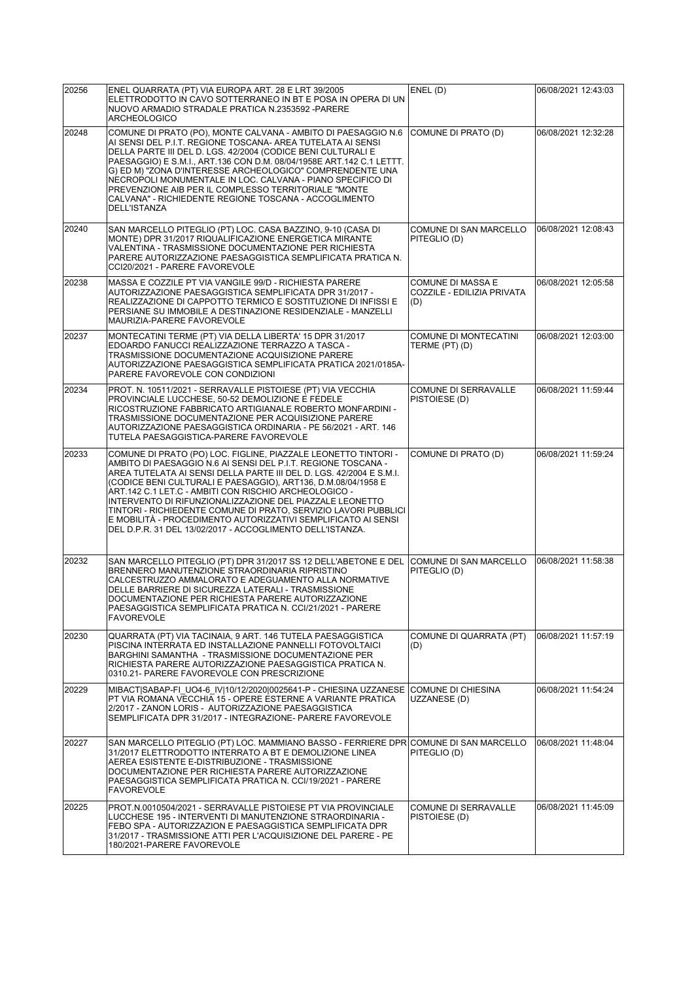| 20256 | ENEL QUARRATA (PT) VIA EUROPA ART. 28 E LRT 39/2005<br>ELETTRODOTTO IN CAVO SOTTERRANEO IN BT E POSA IN OPERA DI UN<br>NUOVO ARMADIO STRADALE PRATICA N.2353592 -PARERE<br><b>ARCHEOLOGICO</b>                                                                                                                                                                                                                                                                                                                                                                                                | ENEL(D)                                                | 06/08/2021 12:43:03 |
|-------|-----------------------------------------------------------------------------------------------------------------------------------------------------------------------------------------------------------------------------------------------------------------------------------------------------------------------------------------------------------------------------------------------------------------------------------------------------------------------------------------------------------------------------------------------------------------------------------------------|--------------------------------------------------------|---------------------|
| 20248 | COMUNE DI PRATO (PO), MONTE CALVANA - AMBITO DI PAESAGGIO N.6<br>AI SENSI DEL P.I.T. REGIONE TOSCANA- AREA TUTELATA AI SENSI<br>DELLA PARTE III DEL D. LGS. 42/2004 (CODICE BENI CULTURALI E<br>PAESAGGIO) E S.M.I., ART.136 CON D.M. 08/04/1958E ART.142 C.1 LETTT.<br>G) ED M) "ZONA D'INTERESSE ARCHEOLOGICO" COMPRENDENTE UNA<br>NECROPOLI MONUMENTALE IN LOC. CALVANA - PIANO SPECIFICO DI<br>PREVENZIONE AIB PER IL COMPLESSO TERRITORIALE "MONTE<br>CALVANA" - RICHIEDENTE REGIONE TOSCANA - ACCOGLIMENTO<br>DELL'ISTANZA                                                              | COMUNE DI PRATO (D)                                    | 06/08/2021 12:32:28 |
| 20240 | SAN MARCELLO PITEGLIO (PT) LOC. CASA BAZZINO, 9-10 (CASA DI<br>MONTE) DPR 31/2017 RIQUALIFICAZIONE ENERGETICA MIRANTE<br>VALENTINA - TRASMISSIONE DOCUMENTAZIONE PER RICHIESTA<br>PARERE AUTORIZZAZIONE PAESAGGISTICA SEMPLIFICATA PRATICA N.<br>CCI20/2021 - PARERE FAVOREVOLE                                                                                                                                                                                                                                                                                                               | COMUNE DI SAN MARCELLO<br>PITEGLIO (D)                 | 06/08/2021 12:08:43 |
| 20238 | MASSA E COZZILE PT VIA VANGILE 99/D - RICHIESTA PARERE<br>AUTORIZZAZIONE PAESAGGISTICA SEMPLIFICATA DPR 31/2017 -<br>REALIZZAZIONE DI CAPPOTTO TERMICO E SOSTITUZIONE DI INFISSI E<br>PERSIANE SU IMMOBILE A DESTINAZIONE RESIDENZIALE - MANZELLI<br>MAURIZIA-PARERE FAVOREVOLE                                                                                                                                                                                                                                                                                                               | COMUNE DI MASSA E<br>COZZILE - EDILIZIA PRIVATA<br>(D) | 06/08/2021 12:05:58 |
| 20237 | MONTECATINI TERME (PT) VIA DELLA LIBERTA' 15 DPR 31/2017<br>EDOARDO FANUCCI REALIZZAZIONE TERRAZZO A TASCA -<br>TRASMISSIONE DOCUMENTAZIONE ACQUISIZIONE PARERE<br>AUTORIZZAZIONE PAESAGGISTICA SEMPLIFICATA PRATICA 2021/0185A-<br>PARERE FAVOREVOLE CON CONDIZIONI                                                                                                                                                                                                                                                                                                                          | <b>COMUNE DI MONTECATINI</b><br>TERME (PT) (D)         | 06/08/2021 12:03:00 |
| 20234 | PROT. N. 10511/2021 - SERRAVALLE PISTOIESE (PT) VIA VECCHIA<br>PROVINCIALE LUCCHESE, 50-52 DEMOLIZIONE E FEDELE<br>RICOSTRUZIONE FABBRICATO ARTIGIANALE ROBERTO MONFARDINI -<br>TRASMISSIONE DOCUMENTAZIONE PER ACQUISIZIONE PARERE<br>AUTORIZZAZIONE PAESAGGISTICA ORDINARIA - PE 56/2021 - ART. 146<br>TUTELA PAESAGGISTICA-PARERE FAVOREVOLE                                                                                                                                                                                                                                               | COMUNE DI SERRAVALLE<br>PISTOIESE (D)                  | 06/08/2021 11:59:44 |
| 20233 | COMUNE DI PRATO (PO) LOC. FIGLINE, PIAZZALE LEONETTO TINTORI -<br>AMBITO DI PAESAGGIO N.6 AI SENSI DEL P.I.T. REGIONE TOSCANA -<br>AREA TUTELATA AI SENSI DELLA PARTE III DEL D. LGS. 42/2004 E S.M.I.<br>(CODICE BENI CULTURALI E PAESAGGIO), ART136, D.M.08/04/1958 E<br>ART.142 C.1 LET.C - AMBITI CON RISCHIO ARCHEOLOGICO -<br>INTERVENTO DI RIFUNZIONALIZZAZIONE DEL PIAZZALE LEONETTO<br>TINTORI - RICHIEDENTE COMUNE DI PRATO, SERVIZIO LAVORI PUBBLICI<br>E MOBILITÀ - PROCEDIMENTO AUTORIZZATIVI SEMPLIFICATO AI SENSI<br>DEL D.P.R. 31 DEL 13/02/2017 - ACCOGLIMENTO DELL'ISTANZA. | COMUNE DI PRATO (D)                                    | 06/08/2021 11:59:24 |
| 20232 | SAN MARCELLO PITEGLIO (PT) DPR 31/2017 SS 12 DELL'ABETONE E DEL<br>BRENNERO MANUTENZIONE STRAORDINARIA RIPRISTINO<br>CALCESTRUZZO AMMALORATO E ADEGUAMENTO ALLA NORMATIVE<br>DELLE BARRIERE DI SICUREZZA LATERALI - TRASMISSIONE<br>DOCUMENTAZIONE PER RICHIESTA PARERE AUTORIZZAZIONE<br>PAESAGGISTICA SEMPLIFICATA PRATICA N. CCI/21/2021 - PARERE<br><b>FAVOREVOLE</b>                                                                                                                                                                                                                     | COMUNE DI SAN MARCELLO<br>PITEGLIO (D)                 | 06/08/2021 11:58:38 |
| 20230 | QUARRATA (PT) VIA TACINAIA, 9 ART. 146 TUTELA PAESAGGISTICA<br>PISCINA INTERRATA ED INSTALLAZIONE PANNELLI FOTOVOLTAICI<br>BARGHINI SAMANTHA - TRASMISSIONE DOCUMENTAZIONE PER<br>RICHIESTA PARERE AUTORIZZAZIONE PAESAGGISTICA PRATICA N.<br>0310.21- PARERE FAVOREVOLE CON PRESCRIZIONE                                                                                                                                                                                                                                                                                                     | COMUNE DI QUARRATA (PT)<br>(D)                         | 06/08/2021 11:57:19 |
| 20229 | MIBACT SABAP-FI UO4-6 IV 10/12/2020 0025641-P - CHIESINA UZZANESE  COMUNE DI CHIESINA<br>PT VIA ROMANA VECCHIA 15 - OPERE ESTERNE A VARIANTE PRATICA<br>2/2017 - ZANON LORIS - AUTORIZZAZIONE PAESAGGISTICA<br>SEMPLIFICATA DPR 31/2017 - INTEGRAZIONE- PARERE FAVOREVOLE                                                                                                                                                                                                                                                                                                                     | UZZANESE (D)                                           | 06/08/2021 11:54:24 |
| 20227 | SAN MARCELLO PITEGLIO (PT) LOC. MAMMIANO BASSO - FERRIERE DPR COMUNE DI SAN MARCELLO<br>31/2017 ELETTRODOTTO INTERRATO A BT E DEMOLIZIONE LINEA<br>AEREA ESISTENTE E-DISTRIBUZIONE - TRASMISSIONE<br>DOCUMENTAZIONE PER RICHIESTA PARERE AUTORIZZAZIONE<br>PAESAGGISTICA SEMPLIFICATA PRATICA N. CCI/19/2021 - PARERE<br><b>FAVOREVOLE</b>                                                                                                                                                                                                                                                    | PITEGLIO (D)                                           | 06/08/2021 11:48:04 |
| 20225 | PROT.N.0010504/2021 - SERRAVALLE PISTOIESE PT VIA PROVINCIALE<br>LUCCHESE 195 - INTERVENTI DI MANUTENZIONE STRAORDINARIA -<br>FEBO SPA - AUTORIZZAZION E PAESAGGISTICA SEMPLIFICATA DPR<br>31/2017 - TRASMISSIONE ATTI PER L'ACQUISIZIONE DEL PARERE - PE<br>180/2021-PARERE FAVOREVOLE                                                                                                                                                                                                                                                                                                       | <b>COMUNE DI SERRAVALLE</b><br>PISTOIESE (D)           | 06/08/2021 11:45:09 |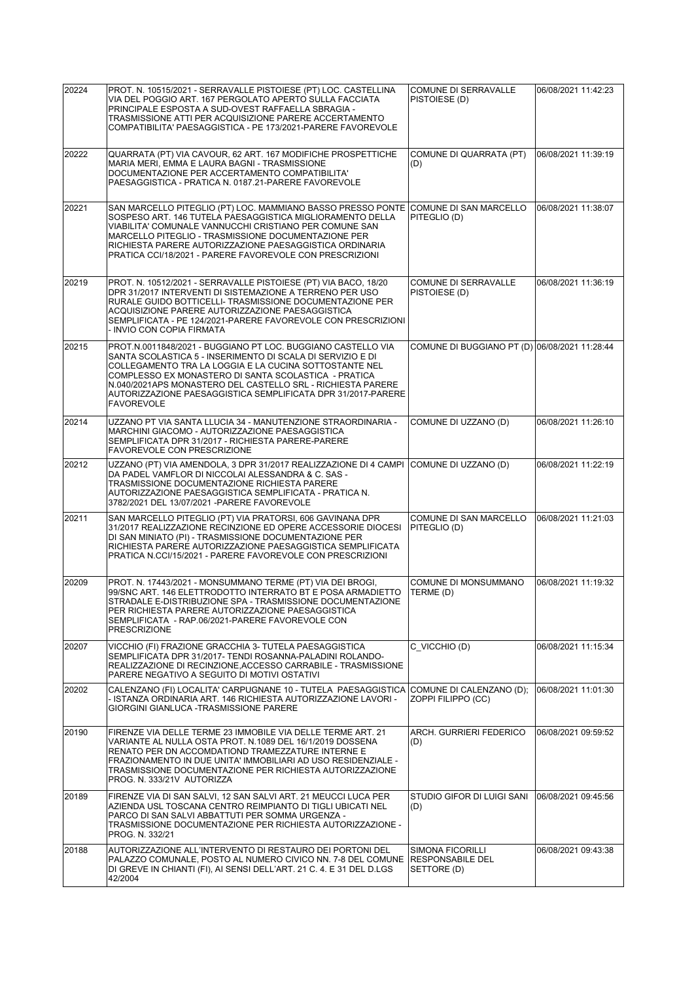| 20224 | PROT. N. 10515/2021 - SERRAVALLE PISTOIESE (PT) LOC. CASTELLINA<br>VIA DEL POGGIO ART. 167 PERGOLATO APERTO SULLA FACCIATA<br>PRINCIPALE ESPOSTA A SUD-OVEST RAFFAELLA SBRAGIA -<br>TRASMISSIONE ATTI PER ACQUISIZIONE PARERE ACCERTAMENTO<br>COMPATIBILITA' PAESAGGISTICA - PE 173/2021-PARERE FAVOREVOLE                                                                                       | <b>COMUNE DI SERRAVALLE</b><br>PISTOIESE (D)               | 06/08/2021 11:42:23 |
|-------|--------------------------------------------------------------------------------------------------------------------------------------------------------------------------------------------------------------------------------------------------------------------------------------------------------------------------------------------------------------------------------------------------|------------------------------------------------------------|---------------------|
| 20222 | QUARRATA (PT) VIA CAVOUR, 62 ART. 167 MODIFICHE PROSPETTICHE<br>MARIA MERI, EMMA E LAURA BAGNI - TRASMISSIONE<br>DOCUMENTAZIONE PER ACCERTAMENTO COMPATIBILITA'<br>PAESAGGISTICA - PRATICA N. 0187.21-PARERE FAVOREVOLE                                                                                                                                                                          | COMUNE DI QUARRATA (PT)<br>(D)                             | 06/08/2021 11:39:19 |
| 20221 | SAN MARCELLO PITEGLIO (PT) LOC. MAMMIANO BASSO PRESSO PONTE COMUNE DI SAN MARCELLO<br>SOSPESO ART. 146 TUTELA PAESAGGISTICA MIGLIORAMENTO DELLA<br>VIABILITA' COMUNALE VANNUCCHI CRISTIANO PER COMUNE SAN<br>MARCELLO PITEGLIO - TRASMISSIONE DOCUMENTAZIONE PER<br>RICHIESTA PARERE AUTORIZZAZIONE PAESAGGISTICA ORDINARIA<br>PRATICA CCI/18/2021 - PARERE FAVOREVOLE CON PRESCRIZIONI          | PITEGLIO (D)                                               | 06/08/2021 11:38:07 |
| 20219 | PROT. N. 10512/2021 - SERRAVALLE PISTOIESE (PT) VIA BACO, 18/20<br>DPR 31/2017 INTERVENTI DI SISTEMAZIONE A TERRENO PER USO<br>RURALE GUIDO BOTTICELLI- TRASMISSIONE DOCUMENTAZIONE PER<br>ACQUISIZIONE PARERE AUTORIZZAZIONE PAESAGGISTICA<br>SEMPLIFICATA - PE 124/2021-PARERE FAVOREVOLE CON PRESCRIZIONI<br>- INVIO CON COPIA FIRMATA                                                        | COMUNE DI SERRAVALLE<br>PISTOIESE (D)                      | 06/08/2021 11:36:19 |
| 20215 | PROT.N.0011848/2021 - BUGGIANO PT LOC. BUGGIANO CASTELLO VIA<br>SANTA SCOLASTICA 5 - INSERIMENTO DI SCALA DI SERVIZIO E DI<br>COLLEGAMENTO TRA LA LOGGIA E LA CUCINA SOTTOSTANTE NEL<br>COMPLESSO EX MONASTERO DI SANTA SCOLASTICA - PRATICA<br>N.040/2021APS MONASTERO DEL CASTELLO SRL - RICHIESTA PARERE<br>AUTORIZZAZIONE PAESAGGISTICA SEMPLIFICATA DPR 31/2017-PARERE<br><b>FAVOREVOLE</b> | COMUNE DI BUGGIANO PT (D) 06/08/2021 11:28:44              |                     |
| 20214 | UZZANO PT VIA SANTA LLUCIA 34 - MANUTENZIONE STRAORDINARIA -<br>MARCHINI GIACOMO - AUTORIZZAZIONE PAESAGGISTICA<br>SEMPLIFICATA DPR 31/2017 - RICHIESTA PARERE-PARERE<br>FAVOREVOLE CON PRESCRIZIONE                                                                                                                                                                                             | COMUNE DI UZZANO (D)                                       | 06/08/2021 11:26:10 |
| 20212 | UZZANO (PT) VIA AMENDOLA, 3 DPR 31/2017 REALIZZAZIONE DI 4 CAMPI COMUNE DI UZZANO (D)<br>DA PADEL VAMFLOR DI NICCOLAI ALESSANDRA & C. SAS -<br>TRASMISSIONE DOCUMENTAZIONE RICHIESTA PARERE<br>AUTORIZZAZIONE PAESAGGISTICA SEMPLIFICATA - PRATICA N.<br>3782/2021 DEL 13/07/2021 - PARERE FAVOREVOLE                                                                                            |                                                            | 06/08/2021 11:22:19 |
| 20211 | SAN MARCELLO PITEGLIO (PT) VIA PRATORSI, 606 GAVINANA DPR<br>31/2017 REALIZZAZIONE RECINZIONE ED OPERE ACCESSORIE DIOCESI<br>DI SAN MINIATO (PI) - TRASMISSIONE DOCUMENTAZIONE PER<br>RICHIESTA PARERE AUTORIZZAZIONE PAESAGGISTICA SEMPLIFICATA<br>PRATICA N.CCI/15/2021 - PARERE FAVOREVOLE CON PRESCRIZIONI                                                                                   | COMUNE DI SAN MARCELLO<br>PITEGLIO (D)                     | 06/08/2021 11:21:03 |
| 20209 | PROT. N. 17443/2021 - MONSUMMANO TERME (PT) VIA DEI BROGI,<br>99/SNC ART. 146 ELETTRODOTTO INTERRATO BT E POSA ARMADIETTO<br>STRADALE E-DISTRIBUZIONE SPA - TRASMISSIONE DOCUMENTAZIONE<br>PER RICHIESTA PARERE AUTORIZZAZIONE PAESAGGISTICA<br>SEMPLIFICATA - RAP.06/2021-PARERE FAVOREVOLE CON<br><b>PRESCRIZIONE</b>                                                                          | <b>COMUNE DI MONSUMMANO</b><br>TERME (D)                   | 06/08/2021 11:19:32 |
| 20207 | VICCHIO (FI) FRAZIONE GRACCHIA 3- TUTELA PAESAGGISTICA<br>SEMPLIFICATA DPR 31/2017- TENDI ROSANNA-PALADINI ROLANDO-<br>REALIZZAZIONE DI RECINZIONE,ACCESSO CARRABILE - TRASMISSIONE<br>PARERE NEGATIVO A SEGUITO DI MOTIVI OSTATIVI                                                                                                                                                              | C VICCHIO (D)                                              | 06/08/2021 11:15:34 |
| 20202 | CALENZANO (FI) LOCALITA' CARPUGNANE 10 - TUTELA PAESAGGISTICA COMUNE DI CALENZANO (D);<br>- ISTANZA ORDINARIA ART. 146 RICHIESTA AUTORIZZAZIONE LAVORI -<br>GIORGINI GIANLUCA -TRASMISSIONE PARERE                                                                                                                                                                                               | ZOPPI FILIPPO (CC)                                         | 06/08/2021 11:01:30 |
| 20190 | FIRENZE VIA DELLE TERME 23 IMMOBILE VIA DELLE TERME ART. 21<br>VARIANTE AL NULLA OSTA PROT. N.1089 DEL 16/1/2019 DOSSENA<br>RENATO PER DN ACCOMDATIOND TRAMEZZATURE INTERNE E<br>FRAZIONAMENTO IN DUE UNITA' IMMOBILIARI AD USO RESIDENZIALE -<br>TRASMISSIONE DOCUMENTAZIONE PER RICHIESTA AUTORIZZAZIONE<br>PROG. N. 333/21V AUTORIZZA                                                         | <b>ARCH. GURRIERI FEDERICO</b><br>(D)                      | 06/08/2021 09:59:52 |
| 20189 | FIRENZE VIA DI SAN SALVI, 12 SAN SALVI ART. 21 MEUCCI LUCA PER<br>AZIENDA USL TOSCANA CENTRO REIMPIANTO DI TIGLI UBICATI NEL<br>PARCO DI SAN SALVI ABBATTUTI PER SOMMA URGENZA -<br>TRASMISSIONE DOCUMENTAZIONE PER RICHIESTA AUTORIZZAZIONE -<br>PROG. N. 332/21                                                                                                                                | STUDIO GIFOR DI LUIGI SANI<br>(D)                          | 06/08/2021 09:45:56 |
| 20188 | AUTORIZZAZIONE ALL'INTERVENTO DI RESTAURO DEI PORTONI DEL<br>PALAZZO COMUNALE, POSTO AL NUMERO CIVICO NN. 7-8 DEL COMUNE<br>DI GREVE IN CHIANTI (FI), AI SENSI DELL'ART. 21 C. 4. E 31 DEL D.LGS<br>42/2004                                                                                                                                                                                      | <b>SIMONA FICORILLI</b><br>RESPONSABILE DEL<br>SETTORE (D) | 06/08/2021 09:43:38 |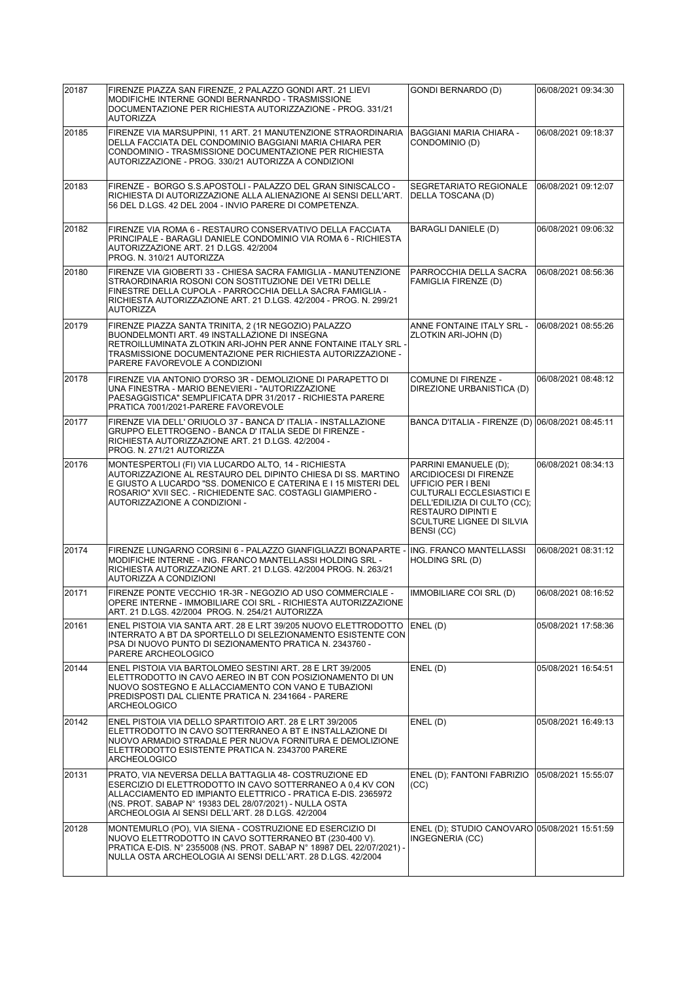| 20187 | FIRENZE PIAZZA SAN FIRENZE, 2 PALAZZO GONDI ART. 21 LIEVI<br>MODIFICHE INTERNE GONDI BERNANRDO - TRASMISSIONE                                                                                                                                                                                     | <b>GONDI BERNARDO (D)</b>                                                                                                                                                                                         | 06/08/2021 09:34:30 |
|-------|---------------------------------------------------------------------------------------------------------------------------------------------------------------------------------------------------------------------------------------------------------------------------------------------------|-------------------------------------------------------------------------------------------------------------------------------------------------------------------------------------------------------------------|---------------------|
|       | DOCUMENTAZIONE PER RICHIESTA AUTORIZZAZIONE - PROG. 331/21<br><b>AUTORIZZA</b>                                                                                                                                                                                                                    |                                                                                                                                                                                                                   |                     |
| 20185 | FIRENZE VIA MARSUPPINI, 11 ART. 21 MANUTENZIONE STRAORDINARIA<br>DELLA FACCIATA DEL CONDOMINIO BAGGIANI MARIA CHIARA PER<br>CONDOMINIO - TRASMISSIONE DOCUMENTAZIONE PER RICHIESTA<br>AUTORIZZAZIONE - PROG. 330/21 AUTORIZZA A CONDIZIONI                                                        | <b>BAGGIANI MARIA CHIARA -</b><br>CONDOMINIO (D)                                                                                                                                                                  | 06/08/2021 09:18:37 |
| 20183 | FIRENZE - BORGO S.S.APOSTOLI - PALAZZO DEL GRAN SINISCALCO -<br>RICHIESTA DI AUTORIZZAZIONE ALLA ALIENAZIONE AI SENSI DELL'ART.<br>56 DEL D.LGS. 42 DEL 2004 - INVIO PARERE DI COMPETENZA.                                                                                                        | SEGRETARIATO REGIONALE<br>DELLA TOSCANA (D)                                                                                                                                                                       | 06/08/2021 09:12:07 |
| 20182 | FIRENZE VIA ROMA 6 - RESTAURO CONSERVATIVO DELLA FACCIATA<br>PRINCIPALE - BARAGLI DANIELE CONDOMINIO VIA ROMA 6 - RICHIESTA<br>AUTORIZZAZIONE ART. 21 D.LGS. 42/2004<br>PROG. N. 310/21 AUTORIZZA                                                                                                 | <b>BARAGLI DANIELE (D)</b>                                                                                                                                                                                        | 06/08/2021 09:06:32 |
| 20180 | FIRENZE VIA GIOBERTI 33 - CHIESA SACRA FAMIGLIA - MANUTENZIONE<br>STRAORDINARIA ROSONI CON SOSTITUZIONE DEI VETRI DELLE<br>FINESTRE DELLA CUPOLA - PARROCCHIA DELLA SACRA FAMIGLIA -<br>RICHIESTA AUTORIZZAZIONE ART. 21 D.LGS. 42/2004 - PROG. N. 299/21<br><b>AUTORIZZA</b>                     | PARROCCHIA DELLA SACRA<br><b>FAMIGLIA FIRENZE (D)</b>                                                                                                                                                             | 06/08/2021 08:56:36 |
| 20179 | FIRENZE PIAZZA SANTA TRINITA, 2 (1R NEGOZIO) PALAZZO<br>BUONDELMONTI ART. 49 INSTALLAZIONE DI INSEGNA<br>RETROILLUMINATA ZLOTKIN ARI-JOHN PER ANNE FONTAINE ITALY SRL -<br>TRASMISSIONE DOCUMENTAZIONE PER RICHIESTA AUTORIZZAZIONE -<br>PARERE FAVOREVOLE A CONDIZIONI                           | ANNE FONTAINE ITALY SRL -<br>ZLOTKIN ARI-JOHN (D)                                                                                                                                                                 | 06/08/2021 08:55:26 |
| 20178 | FIRENZE VIA ANTONIO D'ORSO 3R - DEMOLIZIONE DI PARAPETTO DI<br>UNA FINESTRA - MARIO BENEVIERI - "AUTORIZZAZIONE<br>PAESAGGISTICA" SEMPLIFICATA DPR 31/2017 - RICHIESTA PARERE<br>PRATICA 7001/2021-PARERE FAVOREVOLE                                                                              | COMUNE DI FIRENZE -<br>DIREZIONE URBANISTICA (D)                                                                                                                                                                  | 06/08/2021 08:48:12 |
| 20177 | FIRENZE VIA DELL' ORIUOLO 37 - BANCA D'ITALIA - INSTALLAZIONE<br>GRUPPO ELETTROGENO - BANCA D' ITALIA SEDE DI FIRENZE -<br>RICHIESTA AUTORIZZAZIONE ART. 21 D.LGS. 42/2004 -<br>PROG. N. 271/21 AUTORIZZA                                                                                         | BANCA D'ITALIA - FIRENZE (D) 06/08/2021 08:45:11                                                                                                                                                                  |                     |
| 20176 | MONTESPERTOLI (FI) VIA LUCARDO ALTO, 14 - RICHIESTA<br>AUTORIZZAZIONE AL RESTAURO DEL DIPINTO CHIESA DI SS. MARTINO<br>E GIUSTO A LUCARDO "SS. DOMENICO E CATERINA E I 15 MISTERI DEL<br>ROSARIO" XVII SEC. - RICHIEDENTE SAC. COSTAGLI GIAMPIERO -<br>AUTORIZZAZIONE A CONDIZIONI -              | PARRINI EMANUELE (D);<br><b>ARCIDIOCESI DI FIRENZE</b><br>UFFICIO PER I BENI<br><b>CULTURALI ECCLESIASTICI E</b><br>DELL'EDILIZIA DI CULTO (CC);<br>RESTAURO DIPINTI E<br>SCULTURE LIGNEE DI SILVIA<br>BENSI (CC) | 06/08/2021 08:34:13 |
| 20174 | FIRENZE LUNGARNO CORSINI 6 - PALAZZO GIANFIGLIAZZI BONAPARTE - ING. FRANCO MANTELLASSI<br>MODIFICHE INTERNE - ING. FRANCO MANTELLASSI HOLDING SRL -<br>RICHIESTA AUTORIZZAZIONE ART. 21 D.LGS. 42/2004 PROG. N. 263/21<br>AUTORIZZA A CONDIZIONI                                                  | <b>HOLDING SRL (D)</b>                                                                                                                                                                                            | 06/08/2021 08:31:12 |
| 20171 | FIRENZE PONTE VECCHIO 1R-3R - NEGOZIO AD USO COMMERCIALE -<br>OPERE INTERNE - IMMOBILIARE COI SRL - RICHIESTA AUTORIZZAZIONE<br>ART. 21 D.LGS. 42/2004 PROG. N. 254/21 AUTORIZZA                                                                                                                  | IMMOBILIARE COI SRL (D)                                                                                                                                                                                           | 06/08/2021 08:16:52 |
| 20161 | ENEL PISTOIA VIA SANTA ART. 28 E LRT 39/205 NUOVO ELETTRODOTTO<br>INTERRATO A BT DA SPORTELLO DI SELEZIONAMENTO ESISTENTE CON<br>PSA DI NUOVO PUNTO DI SEZIONAMENTO PRATICA N. 2343760 -<br>PARERE ARCHEOLOGICO                                                                                   | ENEL (D)                                                                                                                                                                                                          | 05/08/2021 17:58:36 |
| 20144 | ENEL PISTOIA VIA BARTOLOMEO SESTINI ART. 28 E LRT 39/2005<br>ELETTRODOTTO IN CAVO AEREO IN BT CON POSIZIONAMENTO DI UN<br>NUOVO SOSTEGNO E ALLACCIAMENTO CON VANO E TUBAZIONI<br>PREDISPOSTI DAL CLIENTE PRATICA N. 2341664 - PARERE<br><b>ARCHEOLOGICO</b>                                       | ENEL(D)                                                                                                                                                                                                           | 05/08/2021 16:54:51 |
| 20142 | ENEL PISTOIA VIA DELLO SPARTITOIO ART. 28 E LRT 39/2005<br>ELETTRODOTTO IN CAVO SOTTERRANEO A BT E INSTALLAZIONE DI<br>NUOVO ARMADIO STRADALE PER NUOVA FORNITURA E DEMOLIZIONE<br>ELETTRODOTTO ESISTENTE PRATICA N. 2343700 PARERE<br>ARCHEOLOGICO                                               | ENEL(D)                                                                                                                                                                                                           | 05/08/2021 16:49:13 |
| 20131 | PRATO, VIA NEVERSA DELLA BATTAGLIA 48- COSTRUZIONE ED<br>ESERCIZIO DI ELETTRODOTTO IN CAVO SOTTERRANEO A 0,4 KV CON<br>ALLACCIAMENTO ED IMPIANTO ELETTRICO - PRATICA E-DIS. 2365972<br>(NS. PROT. SABAP N° 19383 DEL 28/07/2021) - NULLA OSTA<br>ARCHEOLOGIA AI SENSI DELL'ART. 28 D.LGS. 42/2004 | ENEL (D); FANTONI FABRIZIO<br>(CC)                                                                                                                                                                                | 05/08/2021 15:55:07 |
| 20128 | MONTEMURLO (PO), VIA SIENA - COSTRUZIONE ED ESERCIZIO DI<br>NUOVO ELETTRODOTTO IN CAVO SOTTERRANEO BT (230-400 V).<br>PRATICA E-DIS. N° 2355008 (NS. PROT. SABAP N° 18987 DEL 22/07/2021) -<br>NULLA OSTA ARCHEOLOGIA AI SENSI DELL'ART. 28 D.LGS. 42/2004                                        | ENEL (D); STUDIO CANOVARO 05/08/2021 15:51:59<br>INGEGNERIA (CC)                                                                                                                                                  |                     |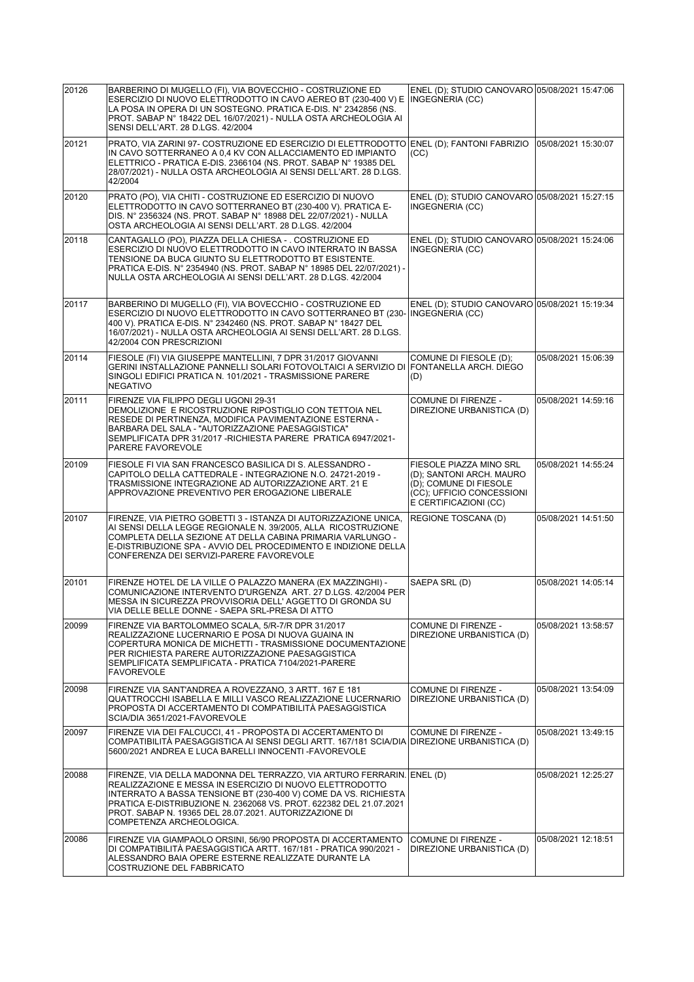| 20126 | BARBERINO DI MUGELLO (FI), VIA BOVECCHIO - COSTRUZIONE ED<br>ESERCIZIO DI NUOVO ELETTRODOTTO IN CAVO AEREO BT (230-400 V) E<br>LA POSA IN OPERA DI UN SOSTEGNO. PRATICA E-DIS. N° 2342856 (NS.<br>PROT. SABAP N° 18422 DEL 16/07/2021) - NULLA OSTA ARCHEOLOGIA AI<br>SENSI DELL'ART. 28 D.LGS. 42/2004                                                  | ENEL (D); STUDIO CANOVARO 05/08/2021 15:47:06<br>INGEGNERIA (CC)                                                                    |                     |
|-------|----------------------------------------------------------------------------------------------------------------------------------------------------------------------------------------------------------------------------------------------------------------------------------------------------------------------------------------------------------|-------------------------------------------------------------------------------------------------------------------------------------|---------------------|
| 20121 | PRATO, VIA ZARINI 97- COSTRUZIONE ED ESERCIZIO DI ELETTRODOTTO<br>IN CAVO SOTTERRANEO A 0.4 KV CON ALLACCIAMENTO ED IMPIANTO<br>ELETTRICO - PRATICA E-DIS. 2366104 (NS. PROT. SABAP N° 19385 DEL<br>28/07/2021) - NULLA OSTA ARCHEOLOGIA AI SENSI DELL'ART. 28 D.LGS.<br>42/2004                                                                         | ENEL (D); FANTONI FABRIZIO<br>(CC)                                                                                                  | 05/08/2021 15:30:07 |
| 20120 | PRATO (PO), VIA CHITI - COSTRUZIONE ED ESERCIZIO DI NUOVO<br>ELETTRODOTTO IN CAVO SOTTERRANEO BT (230-400 V). PRATICA E-<br>DIS. N° 2356324 (NS. PROT. SABAP N° 18988 DEL 22/07/2021) - NULLA<br>OSTA ARCHEOLOGIA AI SENSI DELL'ART. 28 D.LGS. 42/2004                                                                                                   | ENEL (D); STUDIO CANOVARO 05/08/2021 15:27:15<br>INGEGNERIA (CC)                                                                    |                     |
| 20118 | CANTAGALLO (PO), PIAZZA DELLA CHIESA - . COSTRUZIONE ED<br>ESERCIZIO DI NUOVO ELETTRODOTTO IN CAVO INTERRATO IN BASSA<br>TENSIONE DA BUCA GIUNTO SU ELETTRODOTTO BT ESISTENTE.<br>PRATICA E-DIS. N° 2354940 (NS. PROT. SABAP N° 18985 DEL 22/07/2021) -<br>NULLA OSTA ARCHEOLOGIA AI SENSI DELL'ART. 28 D.LGS. 42/2004                                   | ENEL (D); STUDIO CANOVARO 05/08/2021 15:24:06<br>INGEGNERIA (CC)                                                                    |                     |
| 20117 | BARBERINO DI MUGELLO (FI), VIA BOVECCHIO - COSTRUZIONE ED<br>ESERCIZIO DI NUOVO ELETTRODOTTO IN CAVO SOTTERRANEO BT (230- INGEGNERIA (CC)<br>400 V). PRATICA E-DIS. N° 2342460 (NS. PROT. SABAP N° 18427 DEL<br>16/07/2021) - NULLA OSTA ARCHEOLOGIA AI SENSI DELL'ART. 28 D.LGS.<br>42/2004 CON PRESCRIZIONI                                            | ENEL (D); STUDIO CANOVARO 05/08/2021 15:19:34                                                                                       |                     |
| 20114 | FIESOLE (FI) VIA GIUSEPPE MANTELLINI, 7 DPR 31/2017 GIOVANNI<br>GERINI INSTALLAZIONE PANNELLI SOLARI FOTOVOLTAICI A SERVIZIO DI FONTANELLA ARCH. DIEGO<br>SINGOLI EDIFICI PRATICA N. 101/2021 - TRASMISSIONE PARERE<br><b>NEGATIVO</b>                                                                                                                   | COMUNE DI FIESOLE (D);<br>(D)                                                                                                       | 05/08/2021 15:06:39 |
| 20111 | FIRENZE VIA FILIPPO DEGLI UGONI 29-31<br>DEMOLIZIONE E RICOSTRUZIONE RIPOSTIGLIO CON TETTOIA NEL<br>RESEDE DI PERTINENZA, MODIFICA PAVIMENTAZIONE ESTERNA -<br>BARBARA DEL SALA - "AUTORIZZAZIONE PAESAGGISTICA"<br>SEMPLIFICATA DPR 31/2017 - RICHIESTA PARERE PRATICA 6947/2021-<br>PARERE FAVOREVOLE                                                  | <b>COMUNE DI FIRENZE -</b><br>DIREZIONE URBANISTICA (D)                                                                             | 05/08/2021 14:59:16 |
| 20109 | FIESOLE FI VIA SAN FRANCESCO BASILICA DI S. ALESSANDRO -<br>CAPITOLO DELLA CATTEDRALE - INTEGRAZIONE N.O. 24721-2019 -<br>TRASMISSIONE INTEGRAZIONE AD AUTORIZZAZIONE ART. 21 E<br>APPROVAZIONE PREVENTIVO PER EROGAZIONE LIBERALE                                                                                                                       | FIESOLE PIAZZA MINO SRL<br>(D); SANTONI ARCH. MAURO<br>(D); COMUNE DI FIESOLE<br>(CC); UFFICIO CONCESSIONI<br>E CERTIFICAZIONI (CC) | 05/08/2021 14:55:24 |
| 20107 | FIRENZE, VIA PIETRO GOBETTI 3 - ISTANZA DI AUTORIZZAZIONE UNICA,<br>AI SENSI DELLA LEGGE REGIONALE N. 39/2005, ALLA RICOSTRUZIONE<br>COMPLETA DELLA SEZIONE AT DELLA CABINA PRIMARIA VARLUNGO -<br>E-DISTRIBUZIONE SPA - AVVIO DEL PROCEDIMENTO E INDIZIONE DELLA<br>CONFERENZA DEI SERVIZI-PARERE FAVOREVOLE                                            | REGIONE TOSCANA (D)                                                                                                                 | 05/08/2021 14:51:50 |
| 20101 | FIRENZE HOTEL DE LA VILLE O PALAZZO MANERA (EX MAZZINGHI) -<br>COMUNICAZIONE INTERVENTO D'URGENZA ART. 27 D.LGS. 42/2004 PER<br>MESSA IN SICUREZZA PROVVISORIA DELL' AGGETTO DI GRONDA SU<br>VIA DELLE BELLE DONNE - SAEPA SRL-PRESA DI ATTO                                                                                                             | SAEPA SRL (D)                                                                                                                       | 05/08/2021 14:05:14 |
| 20099 | FIRENZE VIA BARTOLOMMEO SCALA, 5/R-7/R DPR 31/2017<br>REALIZZAZIONE LUCERNARIO E POSA DI NUOVA GUAINA IN<br>COPERTURA MONICA DE MICHETTI - TRASMISSIONE DOCUMENTAZIONE<br>PER RICHIESTA PARERE AUTORIZZAZIONE PAESAGGISTICA<br>SEMPLIFICATA SEMPLIFICATA - PRATICA 7104/2021-PARERE<br><b>FAVOREVOLE</b>                                                 | <b>COMUNE DI FIRENZE -</b><br>DIREZIONE URBANISTICA (D)                                                                             | 05/08/2021 13:58:57 |
| 20098 | FIRENZE VIA SANT'ANDREA A ROVEZZANO, 3 ARTT, 167 E 181<br>QUATTROCCHI ISABELLA E MILLI VASCO REALIZZAZIONE LUCERNARIO<br>PROPOSTA DI ACCERTAMENTO DI COMPATIBILITA PAESAGGISTICA<br>SCIA/DIA 3651/2021-FAVOREVOLE                                                                                                                                        | COMUNE DI FIRENZE -<br>DIREZIONE URBANISTICA (D)                                                                                    | 05/08/2021 13:54:09 |
| 20097 | FIRENZE VIA DEI FALCUCCI, 41 - PROPOSTA DI ACCERTAMENTO DI<br>COMPATIBILITÀ PAESAGGISTICA AI SENSI DEGLI ARTT. 167/181 SCIA/DIA DIREZIONE URBANISTICA (D)<br>5600/2021 ANDREA E LUCA BARELLI INNOCENTI - FAVOREVOLE                                                                                                                                      | <b>COMUNE DI FIRENZE -</b>                                                                                                          | 05/08/2021 13:49:15 |
| 20088 | FIRENZE, VIA DELLA MADONNA DEL TERRAZZO, VIA ARTURO FERRARIN.<br>REALIZZAZIONE E MESSA IN ESERCIZIO DI NUOVO ELETTRODOTTO<br>INTERRATO A BASSA TENSIONE BT (230-400 V) COME DA VS. RICHIESTA<br>PRATICA E-DISTRIBUZIONE N. 2362068 VS. PROT. 622382 DEL 21.07.2021<br>PROT. SABAP N. 19365 DEL 28.07.2021. AUTORIZZAZIONE DI<br>COMPETENZA ARCHEOLOGICA. | ENEL (D)                                                                                                                            | 05/08/2021 12:25:27 |
| 20086 | FIRENZE VIA GIAMPAOLO ORSINI, 56/90 PROPOSTA DI ACCERTAMENTO<br>DI COMPATIBILITÀ PAESAGGISTICA ARTT. 167/181 - PRATICA 990/2021 -<br>ALESSANDRO BAIA OPERE ESTERNE REALIZZATE DURANTE LA<br>COSTRUZIONE DEL FABBRICATO                                                                                                                                   | COMUNE DI FIRENZE -<br>DIREZIONE URBANISTICA (D)                                                                                    | 05/08/2021 12:18:51 |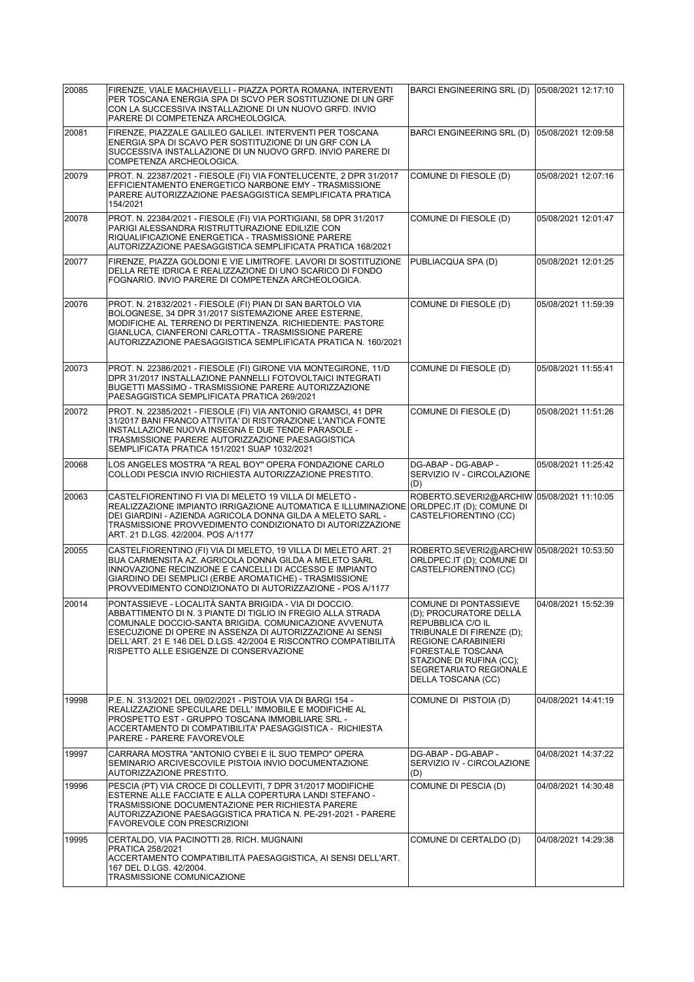| 20085 | FIRENZE, VIALE MACHIAVELLI - PIAZZA PORTA ROMANA. INTERVENTI<br>PER TOSCANA ENERGIA SPA DI SCVO PER SOSTITUZIONE DI UN GRF<br>CON LA SUCCESSIVA INSTALLAZIONE DI UN NUOVO GRFD. INVIO<br>PARERE DI COMPETENZA ARCHEOLOGICA.                                                                                                                              | BARCI ENGINEERING SRL (D)                                                                                                                                                                                                                      | 05/08/2021 12:17:10 |
|-------|----------------------------------------------------------------------------------------------------------------------------------------------------------------------------------------------------------------------------------------------------------------------------------------------------------------------------------------------------------|------------------------------------------------------------------------------------------------------------------------------------------------------------------------------------------------------------------------------------------------|---------------------|
| 20081 | FIRENZE, PIAZZALE GALILEO GALILEI. INTERVENTI PER TOSCANA<br>ENERGIA SPA DI SCAVO PER SOSTITUZIONE DI UN GRF CON LA<br>SUCCESSIVA INSTALLAZIONE DI UN NUOVO GRFD. INVIO PARERE DI<br>COMPETENZA ARCHEOLOGICA.                                                                                                                                            | BARCI ENGINEERING SRL (D)                                                                                                                                                                                                                      | 05/08/2021 12:09:58 |
| 20079 | PROT. N. 22387/2021 - FIESOLE (FI) VIA FONTELUCENTE, 2 DPR 31/2017<br>EFFICIENTAMENTO ENERGETICO NARBONE EMY - TRASMISSIONE<br>PARERE AUTORIZZAZIONE PAESAGGISTICA SEMPLIFICATA PRATICA<br>154/2021                                                                                                                                                      | COMUNE DI FIESOLE (D)                                                                                                                                                                                                                          | 05/08/2021 12:07:16 |
| 20078 | PROT. N. 22384/2021 - FIESOLE (FI) VIA PORTIGIANI, 58 DPR 31/2017<br>PARIGI ALESSANDRA RISTRUTTURAZIONE EDILIZIE CON<br>RIQUALIFICAZIONE ENERGETICA - TRASMISSIONE PARERE<br>AUTORIZZAZIONE PAESAGGISTICA SEMPLIFICATA PRATICA 168/2021                                                                                                                  | COMUNE DI FIESOLE (D)                                                                                                                                                                                                                          | 05/08/2021 12:01:47 |
| 20077 | FIRENZE, PIAZZA GOLDONI E VIE LIMITROFE. LAVORI DI SOSTITUZIONE<br>DELLA RETE IDRICA E REALIZZAZIONE DI UNO SCARICO DI FONDO<br>FOGNARIO. INVIO PARERE DI COMPETENZA ARCHEOLOGICA.                                                                                                                                                                       | PUBLIACQUA SPA (D)                                                                                                                                                                                                                             | 05/08/2021 12:01:25 |
| 20076 | PROT. N. 21832/2021 - FIESOLE (FI) PIAN DI SAN BARTOLO VIA<br>BOLOGNESE, 34 DPR 31/2017 SISTEMAZIONE AREE ESTERNE,<br>MODIFICHE AL TERRENO DI PERTINENZA. RICHIEDENTE: PASTORE<br>GIANLUCA, CIANFERONI CARLOTTA - TRASMISSIONE PARERE<br>AUTORIZZAZIONE PAESAGGISTICA SEMPLIFICATA PRATICA N. 160/2021                                                   | COMUNE DI FIESOLE (D)                                                                                                                                                                                                                          | 05/08/2021 11:59:39 |
| 20073 | PROT. N. 22386/2021 - FIESOLE (FI) GIRONE VIA MONTEGIRONE, 11/D<br>DPR 31/2017 INSTALLAZIONE PANNELLI FOTOVOLTAICI INTEGRATI<br>BUGETTI MASSIMO - TRASMISSIONE PARERE AUTORIZZAZIONE<br>PAESAGGISTICA SEMPLIFICATA PRATICA 269/2021                                                                                                                      | COMUNE DI FIESOLE (D)                                                                                                                                                                                                                          | 05/08/2021 11:55:41 |
| 20072 | PROT. N. 22385/2021 - FIESOLE (FI) VIA ANTONIO GRAMSCI. 41 DPR<br>31/2017 BANI FRANCO ATTIVITA' DI RISTORAZIONE L'ANTICA FONTE<br>INSTALLAZIONE NUOVA INSEGNA E DUE TENDE PARASOLE -<br>TRASMISSIONE PARERE AUTORIZZAZIONE PAESAGGISTICA<br>SEMPLIFICATA PRATICA 151/2021 SUAP 1032/2021                                                                 | COMUNE DI FIESOLE (D)                                                                                                                                                                                                                          | 05/08/2021 11:51:26 |
| 20068 | LOS ANGELES MOSTRA "A REAL BOY" OPERA FONDAZIONE CARLO<br>COLLODI PESCIA INVIO RICHIESTA AUTORIZZAZIONE PRESTITO.                                                                                                                                                                                                                                        | DG-ABAP - DG-ABAP -<br>SERVIZIO IV - CIRCOLAZIONE<br>(D)                                                                                                                                                                                       | 05/08/2021 11:25:42 |
| 20063 | CASTELFIORENTINO FI VIA DI MELETO 19 VILLA DI MELETO -<br>REALIZZAZIONE IMPIANTO IRRIGAZIONE AUTOMATICA E ILLUMINAZIONE ORLDPEC.IT (D); COMUNE DI<br>DEI GIARDINI - AZIENDA AGRICOLA DONNA GILDA A MELETO SARL -<br>TRASMISSIONE PROVVEDIMENTO CONDIZIONATO DI AUTORIZZAZIONE<br>ART. 21 D.LGS. 42/2004. POS A/1177                                      | ROBERTO.SEVERI2@ARCHIW 05/08/2021 11:10:05<br>CASTELFIORENTINO (CC)                                                                                                                                                                            |                     |
| 20055 | CASTELFIORENTINO (FI) VIA DI MELETO, 19 VILLA DI MELETO ART. 21<br>BUA CARMENSITA AZ. AGRICOLA DONNA GILDA A MELETO SARL<br>INNOVAZIONE RECINZIONE E CANCELLI DI ACCESSO E IMPIANTO<br>GIARDINO DEI SEMPLICI (ERBE AROMATICHE) - TRASMISSIONE<br>PROVVEDIMENTO CONDIZIONATO DI AUTORIZZAZIONE - POS A/1177                                               | ROBERTO.SEVERI2@ARCHIW 05/08/2021 10:53:50<br>ORLDPEC.IT (D); COMUNE DI<br>CASTELFIORENTINO (CC)                                                                                                                                               |                     |
| 20014 | PONTASSIEVE - LOCALITÀ SANTA BRIGIDA - VIA DI DOCCIO.<br>ABBATTIMENTO DI N. 3 PIANTE DI TIGLIO IN FREGIO ALLA STRADA<br>COMUNALE DOCCIO-SANTA BRIGIDA. COMUNICAZIONE AVVENUTA<br>ESECUZIONE DI OPERE IN ASSENZA DI AUTORIZZAZIONE AI SENSI<br>DELL'ART. 21 E 146 DEL D.LGS. 42/2004 E RISCONTRO COMPATIBILITÀ<br>RISPETTO ALLE ESIGENZE DI CONSERVAZIONE | COMUNE DI PONTASSIEVE<br>(D); PROCURATORE DELLA<br><b>REPUBBLICA C/O IL</b><br>TRIBUNALE DI FIRENZE (D);<br><b>REGIONE CARABINIERI</b><br><b>FORESTALE TOSCANA</b><br>STAZIONE DI RUFINA (CC):<br>SEGRETARIATO REGIONALE<br>DELLA TOSCANA (CC) | 04/08/2021 15:52:39 |
| 19998 | P.E. N. 313/2021 DEL 09/02/2021 - PISTOIA VIA DI BARGI 154 -<br>REALIZZAZIONE SPECULARE DELL' IMMOBILE E MODIFICHE AL<br>PROSPETTO EST - GRUPPO TOSCANA IMMOBILIARE SRL -<br>ACCERTAMENTO DI COMPATIBILITA' PAESAGGISTICA - RICHIESTA<br>PARERE - PARERE FAVOREVOLE                                                                                      | COMUNE DI PISTOIA (D)                                                                                                                                                                                                                          | 04/08/2021 14:41:19 |
| 19997 | CARRARA MOSTRA "ANTONIO CYBEI E IL SUO TEMPO" OPERA<br>SEMINARIO ARCIVESCOVILE PISTOIA INVIO DOCUMENTAZIONE<br>AUTORIZZAZIONE PRESTITO.                                                                                                                                                                                                                  | DG-ABAP - DG-ABAP -<br>SERVIZIO IV - CIRCOLAZIONE<br>(D)                                                                                                                                                                                       | 04/08/2021 14:37:22 |
| 19996 | PESCIA (PT) VIA CROCE DI COLLEVITI, 7 DPR 31/2017 MODIFICHE<br>ESTERNE ALLE FACCIATE E ALLA COPERTURA LANDI STEFANO -<br>TRASMISSIONE DOCUMENTAZIONE PER RICHIESTA PARERE<br>AUTORIZZAZIONE PAESAGGISTICA PRATICA N. PE-291-2021 - PARERE<br>FAVOREVOLE CON PRESCRIZIONI                                                                                 | COMUNE DI PESCIA (D)                                                                                                                                                                                                                           | 04/08/2021 14:30:48 |
| 19995 | CERTALDO, VIA PACINOTTI 28. RICH. MUGNAINI<br>PRATICA 258/2021<br>ACCERTAMENTO COMPATIBILITÀ PAESAGGISTICA, AI SENSI DELL'ART.<br>167 DEL D.LGS. 42/2004.<br>TRASMISSIONE COMUNICAZIONE                                                                                                                                                                  | COMUNE DI CERTALDO (D)                                                                                                                                                                                                                         | 04/08/2021 14:29:38 |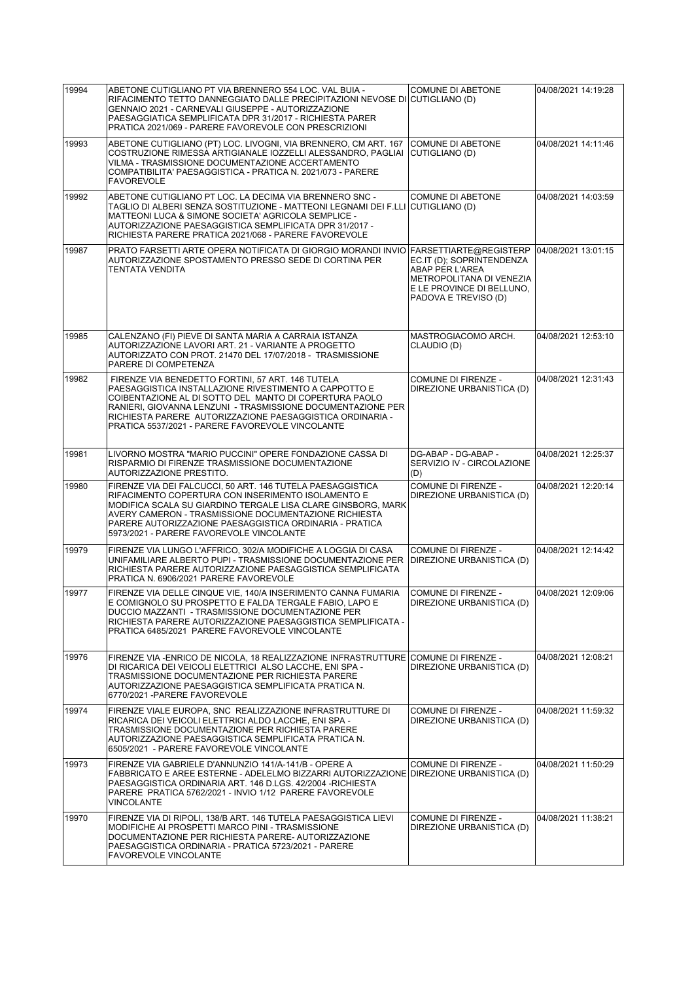| 19994 | ABETONE CUTIGLIANO PT VIA BRENNERO 554 LOC. VAL BUIA -<br>RIFACIMENTO TETTO DANNEGGIATO DALLE PRECIPITAZIONI NEVOSE DI CUTIGLIANO (D)<br>GENNAIO 2021 - CARNEVALI GIUSEPPE - AUTORIZZAZIONE<br>PAESAGGIATICA SEMPLIFICATA DPR 31/2017 - RICHIESTA PARER<br>PRATICA 2021/069 - PARERE FAVOREVOLE CON PRESCRIZIONI                                     | <b>COMUNE DI ABETONE</b>                                                                                                      | 04/08/2021 14:19:28 |
|-------|------------------------------------------------------------------------------------------------------------------------------------------------------------------------------------------------------------------------------------------------------------------------------------------------------------------------------------------------------|-------------------------------------------------------------------------------------------------------------------------------|---------------------|
| 19993 | ABETONE CUTIGLIANO (PT) LOC. LIVOGNI, VIA BRENNERO, CM ART. 167<br>COSTRUZIONE RIMESSA ARTIGIANALE IOZZELLI ALESSANDRO, PAGLIAI<br>VILMA - TRASMISSIONE DOCUMENTAZIONE ACCERTAMENTO<br>COMPATIBILITA' PAESAGGISTICA - PRATICA N. 2021/073 - PARERE<br><b>FAVOREVOLE</b>                                                                              | <b>COMUNE DI ABETONE</b><br>CUTIGLIANO (D)                                                                                    | 04/08/2021 14:11:46 |
| 19992 | ABETONE CUTIGLIANO PT LOC. LA DECIMA VIA BRENNERO SNC -<br>TAGLIO DI ALBERI SENZA SOSTITUZIONE - MATTEONI LEGNAMI DEI F.LLI CUTIGLIANO (D)<br>MATTEONI LUCA & SIMONE SOCIETA' AGRICOLA SEMPLICE -<br>AUTORIZZAZIONE PAESAGGISTICA SEMPLIFICATA DPR 31/2017 -<br>RICHIESTA PARERE PRATICA 2021/068 - PARERE FAVOREVOLE                                | <b>COMUNE DI ABETONE</b>                                                                                                      | 04/08/2021 14:03:59 |
| 19987 | PRATO FARSETTI ARTE OPERA NOTIFICATA DI GIORGIO MORANDI INVIO FARSETTIARTE@REGISTERP<br>AUTORIZZAZIONE SPOSTAMENTO PRESSO SEDE DI CORTINA PER<br>TENTATA VENDITA                                                                                                                                                                                     | EC.IT (D); SOPRINTENDENZA<br>ABAP PER L'AREA<br>METROPOLITANA DI VENEZIA<br>E LE PROVINCE DI BELLUNO.<br>PADOVA E TREVISO (D) | 04/08/2021 13:01:15 |
| 19985 | CALENZANO (FI) PIEVE DI SANTA MARIA A CARRAIA ISTANZA<br>AUTORIZZAZIONE LAVORI ART. 21 - VARIANTE A PROGETTO<br>AUTORIZZATO CON PROT. 21470 DEL 17/07/2018 - TRASMISSIONE<br>PARERE DI COMPETENZA                                                                                                                                                    | MASTROGIACOMO ARCH.<br>CLAUDIO (D)                                                                                            | 04/08/2021 12:53:10 |
| 19982 | FIRENZE VIA BENEDETTO FORTINI, 57 ART. 146 TUTELA<br>PAESAGGISTICA INSTALLAZIONE RIVESTIMENTO A CAPPOTTO E<br>COIBENTAZIONE AL DI SOTTO DEL MANTO DI COPERTURA PAOLO<br>RANIERI. GIOVANNA LENZUNI - TRASMISSIONE DOCUMENTAZIONE PER<br>RICHIESTA PARERE AUTORIZZAZIONE PAESAGGISTICA ORDINARIA -<br>PRATICA 5537/2021 - PARERE FAVOREVOLE VINCOLANTE | <b>COMUNE DI FIRENZE -</b><br>DIREZIONE URBANISTICA (D)                                                                       | 04/08/2021 12:31:43 |
| 19981 | LIVORNO MOSTRA "MARIO PUCCINI" OPERE FONDAZIONE CASSA DI<br>RISPARMIO DI FIRENZE TRASMISSIONE DOCUMENTAZIONE<br>AUTORIZZAZIONE PRESTITO.                                                                                                                                                                                                             | DG-ABAP - DG-ABAP -<br>SERVIZIO IV - CIRCOLAZIONE<br>(D)                                                                      | 04/08/2021 12:25:37 |
| 19980 | FIRENZE VIA DEI FALCUCCI, 50 ART. 146 TUTELA PAESAGGISTICA<br>RIFACIMENTO COPERTURA CON INSERIMENTO ISOLAMENTO E<br>MODIFICA SCALA SU GIARDINO TERGALE LISA CLARE GINSBORG, MARK<br>AVERY CAMERON - TRASMISSIONE DOCUMENTAZIONE RICHIESTA<br>PARERE AUTORIZZAZIONE PAESAGGISTICA ORDINARIA - PRATICA<br>5973/2021 - PARERE FAVOREVOLE VINCOLANTE     | COMUNE DI FIRENZE -<br>DIREZIONE URBANISTICA (D)                                                                              | 04/08/2021 12:20:14 |
| 19979 | FIRENZE VIA LUNGO L'AFFRICO, 302/A MODIFICHE A LOGGIA DI CASA<br>UNIFAMILIARE ALBERTO PUPI - TRASMISSIONE DOCUMENTAZIONE PER<br>RICHIESTA PARERE AUTORIZZAZIONE PAESAGGISTICA SEMPLIFICATA<br>PRATICA N. 6906/2021 PARERE FAVOREVOLE                                                                                                                 | COMUNE DI FIRENZE -<br>DIREZIONE URBANISTICA (D)                                                                              | 04/08/2021 12:14:42 |
| 19977 | FIRENZE VIA DELLE CINQUE VIE, 140/A INSERIMENTO CANNA FUMARIA<br>E COMIGNOLO SU PROSPETTO E FALDA TERGALE FABIO. LAPO E<br>DUCCIO MAZZANTI - TRASMISSIONE DOCUMENTAZIONE PER<br>RICHIESTA PARERE AUTORIZZAZIONE PAESAGGISTICA SEMPLIFICATA -<br>PRATICA 6485/2021 PARERE FAVOREVOLE VINCOLANTE                                                       | <b>COMUNE DI FIRENZE -</b><br>DIREZIONE URBANISTICA (D)                                                                       | 04/08/2021 12:09:06 |
| 19976 | FIRENZE VIA - ENRICO DE NICOLA, 18 REALIZZAZIONE INFRASTRUTTURE COMUNE DI FIRENZE -<br>DI RICARICA DEI VEICOLI ELETTRICI ALSO LACCHE, ENI SPA -<br>TRASMISSIONE DOCUMENTAZIONE PER RICHIESTA PARERE<br>AUTORIZZAZIONE PAESAGGISTICA SEMPLIFICATA PRATICA N.<br>6770/2021 - PARERE FAVOREVOLE                                                         | DIREZIONE URBANISTICA (D)                                                                                                     | 04/08/2021 12:08:21 |
| 19974 | FIRENZE VIALE EUROPA, SNC REALIZZAZIONE INFRASTRUTTURE DI<br>RICARICA DEI VEICOLI ELETTRICI ALDO LACCHE, ENI SPA -<br>TRASMISSIONE DOCUMENTAZIONE PER RICHIESTA PARERE<br>AUTORIZZAZIONE PAESAGGISTICA SEMPLIFICATA PRATICA N.<br>6505/2021 - PARERE FAVOREVOLE VINCOLANTE                                                                           | COMUNE DI FIRENZE -<br>DIREZIONE URBANISTICA (D)                                                                              | 04/08/2021 11:59:32 |
| 19973 | FIRENZE VIA GABRIELE D'ANNUNZIO 141/A-141/B - OPERE A<br>FABBRICATO E AREE ESTERNE - ADELELMO BIZZARRI AUTORIZZAZIONE DIREZIONE URBANISTICA (D)<br>PAESAGGISTICA ORDINARIA ART. 146 D.LGS. 42/2004 -RICHIESTA<br>PARERE PRATICA 5762/2021 - INVIO 1/12 PARERE FAVOREVOLE<br>VINCOLANTE                                                               | COMUNE DI FIRENZE -                                                                                                           | 04/08/2021 11:50:29 |
| 19970 | FIRENZE VIA DI RIPOLI, 138/B ART. 146 TUTELA PAESAGGISTICA LIEVI<br>MODIFICHE AI PROSPETTI MARCO PINI - TRASMISSIONE<br>DOCUMENTAZIONE PER RICHIESTA PARERE- AUTORIZZAZIONE<br>PAESAGGISTICA ORDINARIA - PRATICA 5723/2021 - PARERE<br><b>FAVOREVOLE VINCOLANTE</b>                                                                                  | COMUNE DI FIRENZE -<br>DIREZIONE URBANISTICA (D)                                                                              | 04/08/2021 11:38:21 |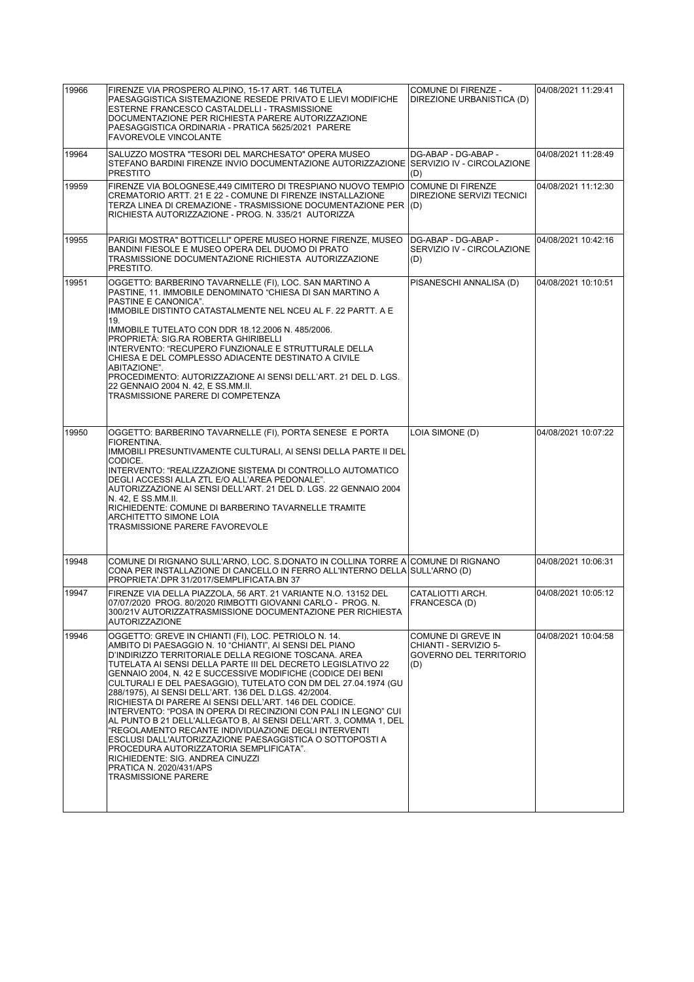| 19966 | FIRENZE VIA PROSPERO ALPINO, 15-17 ART. 146 TUTELA<br>PAESAGGISTICA SISTEMAZIONE RESEDE PRIVATO E LIEVI MODIFICHE<br>ESTERNE FRANCESCO CASTALDELLI - TRASMISSIONE<br>DOCUMENTAZIONE PER RICHIESTA PARERE AUTORIZZAZIONE<br>PAESAGGISTICA ORDINARIA - PRATICA 5625/2021 PARERE<br><b>FAVOREVOLE VINCOLANTE</b>                                                                                                                                                                                                                                                                                                                                                                                                                                                                                                                                                                                   | <b>COMUNE DI FIRENZE -</b><br>DIREZIONE URBANISTICA (D)                      | 04/08/2021 11:29:41 |
|-------|-------------------------------------------------------------------------------------------------------------------------------------------------------------------------------------------------------------------------------------------------------------------------------------------------------------------------------------------------------------------------------------------------------------------------------------------------------------------------------------------------------------------------------------------------------------------------------------------------------------------------------------------------------------------------------------------------------------------------------------------------------------------------------------------------------------------------------------------------------------------------------------------------|------------------------------------------------------------------------------|---------------------|
| 19964 | SALUZZO MOSTRA "TESORI DEL MARCHESATO" OPERA MUSEO<br>STEFANO BARDINI FIRENZE INVIO DOCUMENTAZIONE AUTORIZZAZIONE SERVIZIO IV - CIRCOLAZIONE<br><b>PRESTITO</b>                                                                                                                                                                                                                                                                                                                                                                                                                                                                                                                                                                                                                                                                                                                                 | DG-ABAP - DG-ABAP -<br>(D)                                                   | 04/08/2021 11:28:49 |
| 19959 | FIRENZE VIA BOLOGNESE,449 CIMITERO DI TRESPIANO NUOVO TEMPIO<br>CREMATORIO ARTT. 21 E 22 - COMUNE DI FIRENZE INSTALLAZIONE<br>TERZA LINEA DI CREMAZIONE - TRASMISSIONE DOCUMENTAZIONE PER<br>RICHIESTA AUTORIZZAZIONE - PROG. N. 335/21 AUTORIZZA                                                                                                                                                                                                                                                                                                                                                                                                                                                                                                                                                                                                                                               | <b>COMUNE DI FIRENZE</b><br>DIREZIONE SERVIZI TECNICI<br>(D)                 | 04/08/2021 11:12:30 |
| 19955 | PARIGI MOSTRA" BOTTICELLI" OPERE MUSEO HORNE FIRENZE, MUSEO<br>BANDINI FIESOLE E MUSEO OPERA DEL DUOMO DI PRATO<br>TRASMISSIONE DOCUMENTAZIONE RICHIESTA AUTORIZZAZIONE<br>PRESTITO.                                                                                                                                                                                                                                                                                                                                                                                                                                                                                                                                                                                                                                                                                                            | DG-ABAP - DG-ABAP -<br>SERVIZIO IV - CIRCOLAZIONE<br>(D)                     | 04/08/2021 10:42:16 |
| 19951 | OGGETTO: BARBERINO TAVARNELLE (FI), LOC. SAN MARTINO A<br>PASTINE, 11. IMMOBILE DENOMINATO "CHIESA DI SAN MARTINO A<br>PASTINE E CANONICA".<br>IMMOBILE DISTINTO CATASTALMENTE NEL NCEU AL F. 22 PARTT. A E<br>19.<br>IMMOBILE TUTELATO CON DDR 18.12.2006 N. 485/2006.<br>PROPRIETÀ: SIG.RA ROBERTA GHIRIBELLI<br>INTERVENTO: "RECUPERO FUNZIONALE E STRUTTURALE DELLA<br>CHIESA E DEL COMPLESSO ADIACENTE DESTINATO A CIVILE<br>ABITAZIONE".<br>PROCEDIMENTO: AUTORIZZAZIONE AI SENSI DELL'ART. 21 DEL D. LGS.<br>22 GENNAIO 2004 N. 42. E SS.MM.II.<br>TRASMISSIONE PARERE DI COMPETENZA                                                                                                                                                                                                                                                                                                     | PISANESCHI ANNALISA (D)                                                      | 04/08/2021 10:10:51 |
| 19950 | OGGETTO: BARBERINO TAVARNELLE (FI), PORTA SENESE E PORTA<br>FIORENTINA.<br>IMMOBILI PRESUNTIVAMENTE CULTURALI, AI SENSI DELLA PARTE II DEL<br>CODICE.<br>INTERVENTO: "REALIZZAZIONE SISTEMA DI CONTROLLO AUTOMATICO<br>DEGLI ACCESSI ALLA ZTL E/O ALL'AREA PEDONALE".<br>AUTORIZZAZIONE AI SENSI DELL'ART. 21 DEL D. LGS. 22 GENNAIO 2004<br>N. 42, E SS.MM.II.<br>RICHIEDENTE: COMUNE DI BARBERINO TAVARNELLE TRAMITE<br>ARCHITETTO SIMONE LOIA<br>TRASMISSIONE PARERE FAVOREVOLE                                                                                                                                                                                                                                                                                                                                                                                                              | LOIA SIMONE (D)                                                              | 04/08/2021 10:07:22 |
| 19948 | COMUNE DI RIGNANO SULL'ARNO, LOC. S.DONATO IN COLLINA TORRE A COMUNE DI RIGNANO<br>CONA PER INSTALLAZIONE DI CANCELLO IN FERRO ALL'INTERNO DELLA SULL'ARNO (D)<br>PROPRIETA'.DPR 31/2017/SEMPLIFICATA.BN 37                                                                                                                                                                                                                                                                                                                                                                                                                                                                                                                                                                                                                                                                                     |                                                                              | 04/08/2021 10:06:31 |
| 19947 | FIRENZE VIA DELLA PIAZZOLA, 56 ART. 21 VARIANTE N.O. 13152 DEL<br>07/07/2020 PROG. 80/2020 RIMBOTTI GIOVANNI CARLO - PROG. N.<br>300/21V AUTORIZZATRASMISSIONE DOCUMENTAZIONE PER RICHIESTA<br>AUTORIZZAZIONE                                                                                                                                                                                                                                                                                                                                                                                                                                                                                                                                                                                                                                                                                   | CATALIOTTI ARCH.<br>FRANCESCA (D)                                            | 04/08/2021 10:05:12 |
| 19946 | OGGETTO: GREVE IN CHIANTI (FI), LOC. PETRIOLO N. 14.<br>AMBITO DI PAESAGGIO N. 10 "CHIANTI", AI SENSI DEL PIANO<br>D'INDIRIZZO TERRITORIALE DELLA REGIONE TOSCANA. AREA<br>TUTELATA AI SENSI DELLA PARTE III DEL DECRETO LEGISLATIVO 22<br>GENNAIO 2004, N. 42 E SUCCESSIVE MODIFICHE (CODICE DEI BENI<br>CULTURALI E DEL PAESAGGIO), TUTELATO CON DM DEL 27.04.1974 (GU<br>288/1975), AI SENSI DELL'ART. 136 DEL D.LGS. 42/2004.<br>RICHIESTA DI PARERE AI SENSI DELL'ART. 146 DEL CODICE.<br>INTERVENTO: "POSA IN OPERA DI RECINZIONI CON PALI IN LEGNO" CUI<br>AL PUNTO B 21 DELL'ALLEGATO B. AI SENSI DELL'ART. 3. COMMA 1. DEL<br>"REGOLAMENTO RECANTE INDIVIDUAZIONE DEGLI INTERVENTI<br>ESCLUSI DALL'AUTORIZZAZIONE PAESAGGISTICA O SOTTOPOSTI A<br>PROCEDURA AUTORIZZATORIA SEMPLIFICATA".<br>RICHIEDENTE: SIG. ANDREA CINUZZI<br>PRATICA N. 2020/431/APS<br><b>TRASMISSIONE PARERE</b> | COMUNE DI GREVE IN<br>CHIANTI - SERVIZIO 5-<br>GOVERNO DEL TERRITORIO<br>(D) | 04/08/2021 10:04:58 |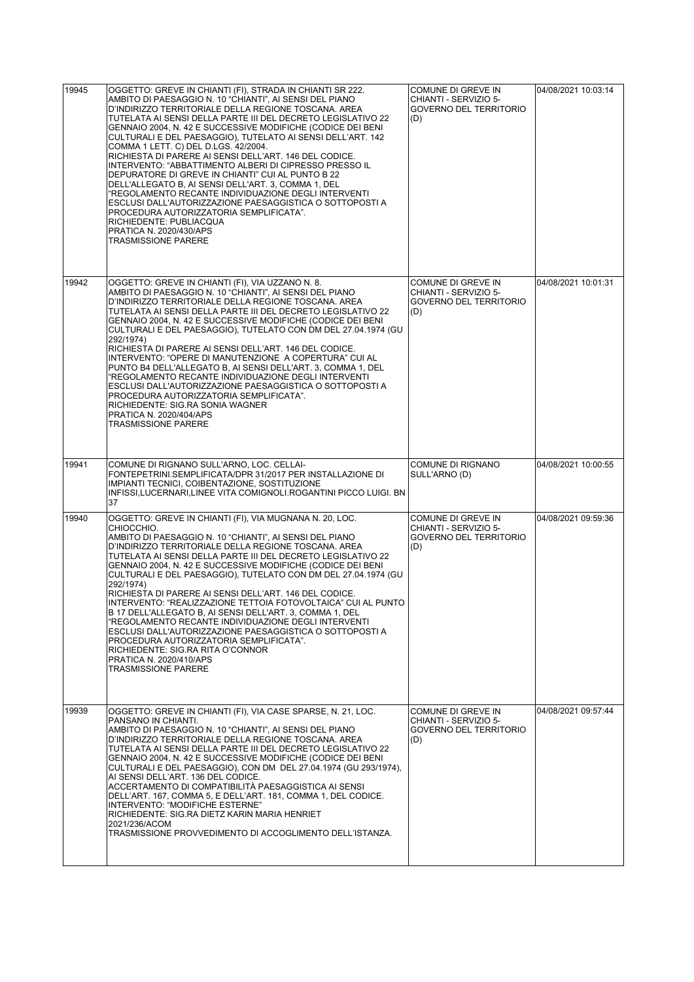| 19945 | OGGETTO: GREVE IN CHIANTI (FI), STRADA IN CHIANTI SR 222.<br>AMBITO DI PAESAGGIO N. 10 "CHIANTI". AI SENSI DEL PIANO<br>D'INDIRIZZO TERRITORIALE DELLA REGIONE TOSCANA. AREA<br>TUTELATA AI SENSI DELLA PARTE III DEL DECRETO LEGISLATIVO 22<br>GENNAIO 2004, N. 42 E SUCCESSIVE MODIFICHE (CODICE DEI BENI<br>CULTURALI E DEL PAESAGGIO), TUTELATO AI SENSI DELL'ART. 142<br>COMMA 1 LETT. C) DEL D.LGS. 42/2004.<br>RICHIESTA DI PARERE AI SENSI DELL'ART. 146 DEL CODICE.<br>INTERVENTO: "ABBATTIMENTO ALBERI DI CIPRESSO PRESSO IL<br>DEPURATORE DI GREVE IN CHIANTI" CUI AL PUNTO B 22<br>DELL'ALLEGATO B, AI SENSI DELL'ART. 3, COMMA 1, DEL<br>"REGOLAMENTO RECANTE INDIVIDUAZIONE DEGLI INTERVENTI<br>ESCLUSI DALL'AUTORIZZAZIONE PAESAGGISTICA O SOTTOPOSTI A<br>PROCEDURA AUTORIZZATORIA SEMPLIFICATA".<br>RICHIEDENTE: PUBLIACQUA<br>PRATICA N. 2020/430/APS<br><b>TRASMISSIONE PARERE</b> | COMUNE DI GREVE IN<br>CHIANTI - SERVIZIO 5-<br><b>GOVERNO DEL TERRITORIO</b><br>(D) | 04/08/2021 10:03:14 |
|-------|-------------------------------------------------------------------------------------------------------------------------------------------------------------------------------------------------------------------------------------------------------------------------------------------------------------------------------------------------------------------------------------------------------------------------------------------------------------------------------------------------------------------------------------------------------------------------------------------------------------------------------------------------------------------------------------------------------------------------------------------------------------------------------------------------------------------------------------------------------------------------------------------------------|-------------------------------------------------------------------------------------|---------------------|
| 19942 | OGGETTO: GREVE IN CHIANTI (FI), VIA UZZANO N. 8.<br>AMBITO DI PAESAGGIO N. 10 "CHIANTI", AI SENSI DEL PIANO<br>D'INDIRIZZO TERRITORIALE DELLA REGIONE TOSCANA. AREA<br>TUTELATA AI SENSI DELLA PARTE III DEL DECRETO LEGISLATIVO 22<br>GENNAIO 2004, N. 42 E SUCCESSIVE MODIFICHE (CODICE DEI BENI<br>CULTURALI E DEL PAESAGGIO), TUTELATO CON DM DEL 27.04.1974 (GU<br>292/1974)<br>RICHIESTA DI PARERE AI SENSI DELL'ART. 146 DEL CODICE.<br>INTERVENTO: "OPERE DI MANUTENZIONE A COPERTURA" CUI AL<br>PUNTO B4 DELL'ALLEGATO B, AI SENSI DELL'ART. 3, COMMA 1, DEL<br>"REGOLAMENTO RECANTE INDIVIDUAZIONE DEGLI INTERVENTI<br>ESCLUSI DALL'AUTORIZZAZIONE PAESAGGISTICA O SOTTOPOSTI A<br>PROCEDURA AUTORIZZATORIA SEMPLIFICATA".<br>RICHIEDENTE: SIG.RA SONIA WAGNER<br>PRATICA N. 2020/404/APS<br><b>TRASMISSIONE PARERE</b>                                                                     | COMUNE DI GREVE IN<br>CHIANTI - SERVIZIO 5-<br><b>GOVERNO DEL TERRITORIO</b><br>(D) | 04/08/2021 10:01:31 |
| 19941 | COMUNE DI RIGNANO SULL'ARNO, LOC. CELLAI-<br>FONTEPETRINI.SEMPLIFICATA/DPR 31/2017 PER INSTALLAZIONE DI<br>IMPIANTI TECNICI, COIBENTAZIONE, SOSTITUZIONE<br>INFISSI, LUCERNARI, LINEE VITA COMIGNOLI. ROGANTINI PICCO LUIGI. BN<br>37                                                                                                                                                                                                                                                                                                                                                                                                                                                                                                                                                                                                                                                                 | <b>COMUNE DI RIGNANO</b><br>SULL'ARNO (D)                                           | 04/08/2021 10:00:55 |
| 19940 | OGGETTO: GREVE IN CHIANTI (FI), VIA MUGNANA N. 20, LOC.<br>CHIOCCHIO.<br>AMBITO DI PAESAGGIO N. 10 "CHIANTI", AI SENSI DEL PIANO<br>D'INDIRIZZO TERRITORIALE DELLA REGIONE TOSCANA. AREA<br>TUTELATA AI SENSI DELLA PARTE III DEL DECRETO LEGISLATIVO 22<br>GENNAIO 2004, N. 42 E SUCCESSIVE MODIFICHE (CODICE DEI BENI<br>CULTURALI E DEL PAESAGGIO), TUTELATO CON DM DEL 27.04.1974 (GU<br>292/1974)<br>RICHIESTA DI PARERE AI SENSI DELL'ART. 146 DEL CODICE.<br>INTERVENTO: "REALIZZAZIONE TETTOIA FOTOVOLTAICA" CULAL PUNTO<br>B 17 DELL'ALLEGATO B, AI SENSI DELL'ART. 3, COMMA 1, DEL<br>"REGOLAMENTO RECANTE INDIVIDUAZIONE DEGLI INTERVENTI<br>ESCLUSI DALL'AUTORIZZAZIONE PAESAGGISTICA O SOTTOPOSTI A<br>PROCEDURA AUTORIZZATORIA SEMPLIFICATA".<br>RICHIEDENTE: SIG.RA RITA O'CONNOR<br>PRATICA N. 2020/410/APS<br><b>TRASMISSIONE PARERE</b>                                             | COMUNE DI GREVE IN<br>CHIANTI - SERVIZIO 5-<br><b>GOVERNO DEL TERRITORIO</b><br>(D) | 04/08/2021 09:59:36 |
| 19939 | OGGETTO: GREVE IN CHIANTI (FI), VIA CASE SPARSE, N. 21, LOC.<br>PANSANO IN CHIANTI.<br>AMBITO DI PAESAGGIO N. 10 "CHIANTI", AI SENSI DEL PIANO<br>D'INDIRIZZO TERRITORIALE DELLA REGIONE TOSCANA. AREA<br>TUTELATA AI SENSI DELLA PARTE III DEL DECRETO LEGISLATIVO 22<br>GENNAIO 2004, N. 42 E SUCCESSIVE MODIFICHE (CODICE DEI BENI<br>CULTURALI E DEL PAESAGGIO), CON DM DEL 27.04.1974 (GU 293/1974),<br>AI SENSI DELL'ART. 136 DEL CODICE.<br>ACCERTAMENTO DI COMPATIBILITÀ PAESAGGISTICA AI SENSI<br>DELL'ART. 167, COMMA 5, E DELL'ART. 181, COMMA 1, DEL CODICE.<br>INTERVENTO: "MODIFICHE ESTERNE"<br>RICHIEDENTE: SIG.RA DIETZ KARIN MARIA HENRIET<br>2021/236/ACOM<br>TRASMISSIONE PROVVEDIMENTO DI ACCOGLIMENTO DELL'ISTANZA.                                                                                                                                                             | COMUNE DI GREVE IN<br>CHIANTI - SERVIZIO 5-<br><b>GOVERNO DEL TERRITORIO</b><br>(D) | 04/08/2021 09:57:44 |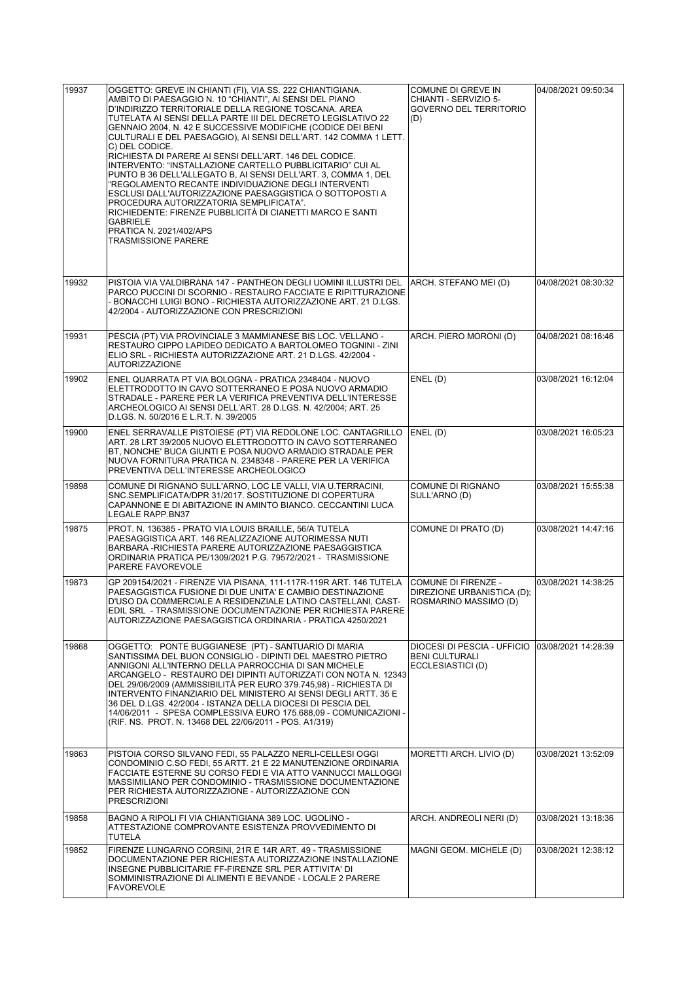| 19937 | OGGETTO: GREVE IN CHIANTI (FI), VIA SS. 222 CHIANTIGIANA.<br>AMBITO DI PAESAGGIO N. 10 "CHIANTI". AI SENSI DEL PIANO<br>D'INDIRIZZO TERRITORIALE DELLA REGIONE TOSCANA. AREA<br>TUTELATA AI SENSI DELLA PARTE III DEL DECRETO LEGISLATIVO 22<br>GENNAIO 2004, N. 42 E SUCCESSIVE MODIFICHE (CODICE DEI BENI<br>CULTURALI E DEL PAESAGGIO), AI SENSI DELL'ART. 142 COMMA 1 LETT.<br>C) DEL CODICE.<br>RICHIESTA DI PARERE AI SENSI DELL'ART. 146 DEL CODICE.<br>INTERVENTO: "INSTALLAZIONE CARTELLO PUBBLICITARIO" CUI AL<br>PUNTO B 36 DELL'ALLEGATO B, AI SENSI DELL'ART. 3, COMMA 1, DEL<br>"REGOLAMENTO RECANTE INDIVIDUAZIONE DEGLI INTERVENTI<br>ESCLUSI DALL'AUTORIZZAZIONE PAESAGGISTICA O SOTTOPOSTI A<br>PROCEDURA AUTORIZZATORIA SEMPLIFICATA".<br>RICHIEDENTE: FIRENZE PUBBLICITÀ DI CIANETTI MARCO E SANTI<br>GABRIELE<br>PRATICA N. 2021/402/APS<br><b>TRASMISSIONE PARERE</b> | COMUNE DI GREVE IN<br>CHIANTI - SERVIZIO 5-<br><b>GOVERNO DEL TERRITORIO</b><br>(D)            | 04/08/2021 09:50:34 |
|-------|---------------------------------------------------------------------------------------------------------------------------------------------------------------------------------------------------------------------------------------------------------------------------------------------------------------------------------------------------------------------------------------------------------------------------------------------------------------------------------------------------------------------------------------------------------------------------------------------------------------------------------------------------------------------------------------------------------------------------------------------------------------------------------------------------------------------------------------------------------------------------------------------|------------------------------------------------------------------------------------------------|---------------------|
| 19932 | PISTOIA VIA VALDIBRANA 147 - PANTHEON DEGLI UOMINI ILLUSTRI DEL<br>PARCO PUCCINI DI SCORNIO - RESTAURO FACCIATE E RIPITTURAZIONE<br>- BONACCHI LUIGI BONO - RICHIESTA AUTORIZZAZIONE ART. 21 D.LGS.<br>42/2004 - AUTORIZZAZIONE CON PRESCRIZIONI                                                                                                                                                                                                                                                                                                                                                                                                                                                                                                                                                                                                                                            | ARCH. STEFANO MEI (D)                                                                          | 04/08/2021 08:30:32 |
| 19931 | PESCIA (PT) VIA PROVINCIALE 3 MAMMIANESE BIS LOC. VELLANO -<br>RESTAURO CIPPO LAPIDEO DEDICATO A BARTOLOMEO TOGNINI - ZINI<br>ELIO SRL - RICHIESTA AUTORIZZAZIONE ART. 21 D.LGS. 42/2004 -<br><b>AUTORIZZAZIONE</b>                                                                                                                                                                                                                                                                                                                                                                                                                                                                                                                                                                                                                                                                         | ARCH. PIERO MORONI (D)                                                                         | 04/08/2021 08:16:46 |
| 19902 | ENEL QUARRATA PT VIA BOLOGNA - PRATICA 2348404 - NUOVO<br>ELETTRODOTTO IN CAVO SOTTERRANEO E POSA NUOVO ARMADIO<br>STRADALE - PARERE PER LA VERIFICA PREVENTIVA DELL'INTERESSE<br>ARCHEOLOGICO AI SENSI DELL'ART, 28 D.LGS, N. 42/2004; ART, 25<br>D.LGS. N. 50/2016 E L.R.T. N. 39/2005                                                                                                                                                                                                                                                                                                                                                                                                                                                                                                                                                                                                    | ENEL (D)                                                                                       | 03/08/2021 16:12:04 |
| 19900 | ENEL SERRAVALLE PISTOIESE (PT) VIA REDOLONE LOC. CANTAGRILLO<br>ART. 28 LRT 39/2005 NUOVO ELETTRODOTTO IN CAVO SOTTERRANEO<br>BT, NONCHE' BUCA GIUNTI E POSA NUOVO ARMADIO STRADALE PER<br>NUOVA FORNITURA PRATICA N. 2348348 - PARERE PER LA VERIFICA<br>PREVENTIVA DELL'INTERESSE ARCHEOLOGICO                                                                                                                                                                                                                                                                                                                                                                                                                                                                                                                                                                                            | ENEL (D)                                                                                       | 03/08/2021 16:05:23 |
| 19898 | COMUNE DI RIGNANO SULL'ARNO, LOC LE VALLI, VIA U.TERRACINI,<br>SNC.SEMPLIFICATA/DPR 31/2017. SOSTITUZIONE DI COPERTURA<br>CAPANNONE E DI ABITAZIONE IN AMINTO BIANCO. CECCANTINI LUCA<br>LEGALE RAPP.BN37                                                                                                                                                                                                                                                                                                                                                                                                                                                                                                                                                                                                                                                                                   | COMUNE DI RIGNANO<br>SULL'ARNO (D)                                                             | 03/08/2021 15:55:38 |
| 19875 | PROT. N. 136385 - PRATO VIA LOUIS BRAILLE, 56/A TUTELA<br>PAESAGGISTICA ART. 146 REALIZZAZIONE AUTORIMESSA NUTI<br>BARBARA - RICHIESTA PARERE AUTORIZZAZIONE PAESAGGISTICA<br>ORDINARIA PRATICA PE/1309/2021 P.G. 79572/2021 - TRASMISSIONE<br>PARERE FAVOREVOLE                                                                                                                                                                                                                                                                                                                                                                                                                                                                                                                                                                                                                            | COMUNE DI PRATO (D)                                                                            | 03/08/2021 14:47:16 |
| 19873 | GP 209154/2021 - FIRENZE VIA PISANA, 111-117R-119R ART. 146 TUTELA<br>PAESAGGISTICA FUSIONE DI DUE UNITA' E CAMBIO DESTINAZIONE<br>D'USO DA COMMERCIALE A RESIDENZIALE LATINO CASTELLANI, CAST-<br>EDIL SRL - TRASMISSIONE DOCUMENTAZIONE PER RICHIESTA PARERE<br>AUTORIZZAZIONE PAESAGGISTICA ORDINARIA - PRATICA 4250/2021                                                                                                                                                                                                                                                                                                                                                                                                                                                                                                                                                                | <b>COMUNE DI FIRENZE -</b><br>DIREZIONE URBANISTICA (D);<br>ROSMARINO MASSIMO (D)              | 03/08/2021 14:38:25 |
| 19868 | OGGETTO: PONTE BUGGIANESE (PT) - SANTUARIO DI MARIA<br>SANTISSIMA DEL BUON CONSIGLIO - DIPINTI DEL MAESTRO PIETRO<br>ANNIGONI ALL'INTERNO DELLA PARROCCHIA DI SAN MICHELE<br>ARCANGELO - RESTAURO DEI DIPINTI AUTORIZZATI CON NOTA N. 12343<br>DEL 29/06/2009 (AMMISSIBILITÀ PER EURO 379.745,98) - RICHIESTA DI<br>INTERVENTO FINANZIARIO DEL MINISTERO AI SENSI DEGLI ARTT. 35 E<br>36 DEL D.LGS. 42/2004 - ISTANZA DELLA DIOCESI DI PESCIA DEL<br>14/06/2011 - SPESA COMPLESSIVA EURO 175.688,09 - COMUNICAZIONI -<br>(RIF. NS. PROT. N. 13468 DEL 22/06/2011 - POS. A1/319)                                                                                                                                                                                                                                                                                                             | DIOCESI DI PESCIA - UFFICIO 103/08/2021 14:28:39<br><b>BENI CULTURALI</b><br>ECCLESIASTICI (D) |                     |
| 19863 | PISTOIA CORSO SILVANO FEDI, 55 PALAZZO NERLI-CELLESI OGGI<br>CONDOMINIO C.SO FEDI, 55 ARTT. 21 E 22 MANUTENZIONE ORDINARIA<br>FACCIATE ESTERNE SU CORSO FEDI E VIA ATTO VANNUCCI MALLOGGI<br>MASSIMILIANO PER CONDOMINIO - TRASMISSIONE DOCUMENTAZIONE<br>PER RICHIESTA AUTORIZZAZIONE - AUTORIZZAZIONE CON<br><b>PRESCRIZIONI</b>                                                                                                                                                                                                                                                                                                                                                                                                                                                                                                                                                          | MORETTI ARCH. LIVIO (D)                                                                        | 03/08/2021 13:52:09 |
| 19858 | BAGNO A RIPOLI FI VIA CHIANTIGIANA 389 LOC. UGOLINO -<br>ATTESTAZIONE COMPROVANTE ESISTENZA PROVVEDIMENTO DI<br>TUTELA                                                                                                                                                                                                                                                                                                                                                                                                                                                                                                                                                                                                                                                                                                                                                                      | ARCH. ANDREOLI NERI (D)                                                                        | 03/08/2021 13:18:36 |
| 19852 | FIRENZE LUNGARNO CORSINI, 21R E 14R ART. 49 - TRASMISSIONE<br>DOCUMENTAZIONE PER RICHIESTA AUTORIZZAZIONE INSTALLAZIONE<br>INSEGNE PUBBLICITARIE FF-FIRENZE SRL PER ATTIVITA' DI<br>SOMMINISTRAZIONE DI ALIMENTI E BEVANDE - LOCALE 2 PARERE<br><b>FAVOREVOLE</b>                                                                                                                                                                                                                                                                                                                                                                                                                                                                                                                                                                                                                           | MAGNI GEOM. MICHELE (D)                                                                        | 03/08/2021 12:38:12 |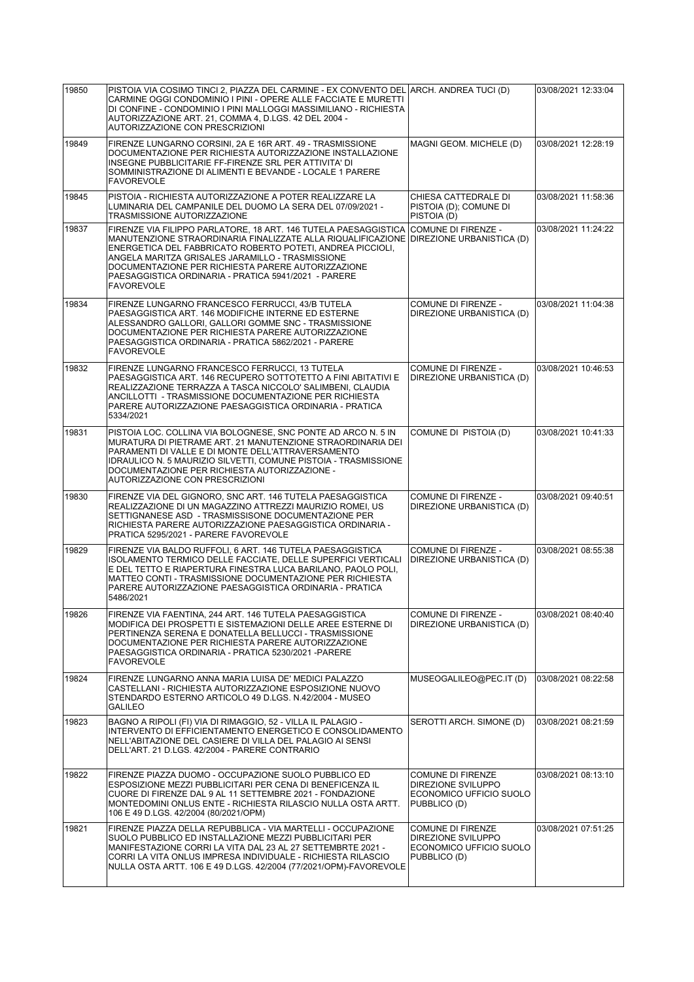| 19850 | PISTOIA VIA COSIMO TINCI 2, PIAZZA DEL CARMINE - EX CONVENTO DEL ARCH. ANDREA TUCI (D)<br>CARMINE OGGI CONDOMINIO I PINI - OPERE ALLE FACCIATE E MURETTI<br>DI CONFINE - CONDOMINIO I PINI MALLOGGI MASSIMILIANO - RICHIESTA<br>AUTORIZZAZIONE ART. 21, COMMA 4, D.LGS. 42 DEL 2004 -<br>AUTORIZZAZIONE CON PRESCRIZIONI                                                                                       |                                                                                           | 03/08/2021 12:33:04 |
|-------|----------------------------------------------------------------------------------------------------------------------------------------------------------------------------------------------------------------------------------------------------------------------------------------------------------------------------------------------------------------------------------------------------------------|-------------------------------------------------------------------------------------------|---------------------|
| 19849 | FIRENZE LUNGARNO CORSINI, 2A E 16R ART. 49 - TRASMISSIONE<br>DOCUMENTAZIONE PER RICHIESTA AUTORIZZAZIONE INSTALLAZIONE<br>INSEGNE PUBBLICITARIE FF-FIRENZE SRL PER ATTIVITA' DI<br>SOMMINISTRAZIONE DI ALIMENTI E BEVANDE - LOCALE 1 PARERE<br><b>FAVOREVOLE</b>                                                                                                                                               | MAGNI GEOM. MICHELE (D)                                                                   | 03/08/2021 12:28:19 |
| 19845 | PISTOIA - RICHIESTA AUTORIZZAZIONE A POTER REALIZZARE LA<br>LUMINARIA DEL CAMPANILE DEL DUOMO LA SERA DEL 07/09/2021 -<br>TRASMISSIONE AUTORIZZAZIONE                                                                                                                                                                                                                                                          | CHIESA CATTEDRALE DI<br>PISTOIA (D); COMUNE DI<br>PISTOIA (D)                             | 03/08/2021 11:58:36 |
| 19837 | FIRENZE VIA FILIPPO PARLATORE, 18 ART. 146 TUTELA PAESAGGISTICA<br>MANUTENZIONE STRAORDINARIA FINALIZZATE ALLA RIQUALIFICAZIONE DIREZIONE URBANISTICA (D)<br>ENERGETICA DEL FABBRICATO ROBERTO POTETI. ANDREA PICCIOLI.<br>ANGELA MARITZA GRISALES JARAMILLO - TRASMISSIONE<br>DOCUMENTAZIONE PER RICHIESTA PARERE AUTORIZZAZIONE<br>PAESAGGISTICA ORDINARIA - PRATICA 5941/2021 - PARERE<br><b>FAVOREVOLE</b> | COMUNE DI FIRENZE -                                                                       | 03/08/2021 11:24:22 |
| 19834 | FIRENZE LUNGARNO FRANCESCO FERRUCCI, 43/B TUTELA<br>PAESAGGISTICA ART. 146 MODIFICHE INTERNE ED ESTERNE<br>ALESSANDRO GALLORI, GALLORI GOMME SNC - TRASMISSIONE<br>DOCUMENTAZIONE PER RICHIESTA PARERE AUTORIZZAZIONE<br>PAESAGGISTICA ORDINARIA - PRATICA 5862/2021 - PARERE<br><b>FAVOREVOLE</b>                                                                                                             | COMUNE DI FIRENZE -<br>DIREZIONE URBANISTICA (D)                                          | 03/08/2021 11:04:38 |
| 19832 | FIRENZE LUNGARNO FRANCESCO FERRUCCI, 13 TUTELA<br>PAESAGGISTICA ART. 146 RECUPERO SOTTOTETTO A FINI ABITATIVI E<br>REALIZZAZIONE TERRAZZA A TASCA NICCOLO' SALIMBENI, CLAUDIA<br>ANCILLOTTI - TRASMISSIONE DOCUMENTAZIONE PER RICHIESTA<br>PARERE AUTORIZZAZIONE PAESAGGISTICA ORDINARIA - PRATICA<br>5334/2021                                                                                                | COMUNE DI FIRENZE -<br>DIREZIONE URBANISTICA (D)                                          | 03/08/2021 10:46:53 |
| 19831 | PISTOIA LOC. COLLINA VIA BOLOGNESE, SNC PONTE AD ARCO N. 5 IN<br>MURATURA DI PIETRAME ART. 21 MANUTENZIONE STRAORDINARIA DEI<br>PARAMENTI DI VALLE E DI MONTE DELL'ATTRAVERSAMENTO<br>IDRAULICO N. 5 MAURIZIO SILVETTI, COMUNE PISTOIA - TRASMISSIONE<br>DOCUMENTAZIONE PER RICHIESTA AUTORIZZAZIONE -<br>AUTORIZZAZIONE CON PRESCRIZIONI                                                                      | COMUNE DI PISTOIA (D)                                                                     | 03/08/2021 10:41:33 |
| 19830 | FIRENZE VIA DEL GIGNORO, SNC ART. 146 TUTELA PAESAGGISTICA<br>REALIZZAZIONE DI UN MAGAZZINO ATTREZZI MAURIZIO ROMEI, US<br>SETTIGNANESE ASD - TRASMISSISONE DOCUMENTAZIONE PER<br>RICHIESTA PARERE AUTORIZZAZIONE PAESAGGISTICA ORDINARIA -<br>PRATICA 5295/2021 - PARERE FAVOREVOLE                                                                                                                           | COMUNE DI FIRENZE -<br>DIREZIONE URBANISTICA (D)                                          | 03/08/2021 09:40:51 |
| 19829 | FIRENZE VIA BALDO RUFFOLI, 6 ART. 146 TUTELA PAESAGGISTICA<br>ISOLAMENTO TERMICO DELLE FACCIATE, DELLE SUPERFICI VERTICALI<br>E DEL TETTO E RIAPERTURA FINESTRA LUCA BARILANO, PAOLO POLI,<br>MATTEO CONTI - TRASMISSIONE DOCUMENTAZIONE PER RICHIESTA<br>PARERE AUTORIZZAZIONE PAESAGGISTICA ORDINARIA - PRATICA<br>5486/2021                                                                                 | COMUNE DI FIRENZE -<br>DIREZIONE URBANISTICA (D)                                          | 03/08/2021 08:55:38 |
| 19826 | FIRENZE VIA FAENTINA, 244 ART. 146 TUTELA PAESAGGISTICA<br>MODIFICA DEI PROSPETTI E SISTEMAZIONI DELLE AREE ESTERNE DI<br>PERTINENZA SERENA E DONATELLA BELLUCCI - TRASMISSIONE<br>DOCUMENTAZIONE PER RICHIESTA PARERE AUTORIZZAZIONE<br>PAESAGGISTICA ORDINARIA - PRATICA 5230/2021 - PARERE<br><b>FAVOREVOLE</b>                                                                                             | COMUNE DI FIRENZE -<br>DIREZIONE URBANISTICA (D)                                          | 03/08/2021 08:40:40 |
| 19824 | FIRENZE LUNGARNO ANNA MARIA LUISA DE' MEDICI PALAZZO<br>CASTELLANI - RICHIESTA AUTORIZZAZIONE ESPOSIZIONE NUOVO<br>STENDARDO ESTERNO ARTICOLO 49 D.LGS. N.42/2004 - MUSEO<br><b>GALILEO</b>                                                                                                                                                                                                                    | MUSEOGALILEO@PEC.IT (D)                                                                   | 03/08/2021 08:22:58 |
| 19823 | BAGNO A RIPOLI (FI) VIA DI RIMAGGIO, 52 - VILLA IL PALAGIO -<br>INTERVENTO DI EFFICIENTAMENTO ENERGETICO E CONSOLIDAMENTO<br>NELL'ABITAZIONE DEL CASIERE DI VILLA DEL PALAGIO AI SENSI<br>DELL'ART. 21 D.LGS. 42/2004 - PARERE CONTRARIO                                                                                                                                                                       | SEROTTI ARCH. SIMONE (D)                                                                  | 03/08/2021 08:21:59 |
| 19822 | FIRENZE PIAZZA DUOMO - OCCUPAZIONE SUOLO PUBBLICO ED<br>ESPOSIZIONE MEZZI PUBBLICITARI PER CENA DI BENEFICENZA IL<br>CUORE DI FIRENZE DAL 9 AL 11 SETTEMBRE 2021 - FONDAZIONE<br>MONTEDOMINI ONLUS ENTE - RICHIESTA RILASCIO NULLA OSTA ARTT.<br>106 E 49 D.LGS. 42/2004 (80/2021/OPM)                                                                                                                         | <b>COMUNE DI FIRENZE</b><br>DIREZIONE SVILUPPO<br>ECONOMICO UFFICIO SUOLO<br>PUBBLICO (D) | 03/08/2021 08:13:10 |
| 19821 | FIRENZE PIAZZA DELLA REPUBBLICA - VIA MARTELLI - OCCUPAZIONE<br>SUOLO PUBBLICO ED INSTALLAZIONE MEZZI PUBBLICITARI PER<br>MANIFESTAZIONE CORRI LA VITA DAL 23 AL 27 SETTEMBRTE 2021 -<br>CORRI LA VITA ONLUS IMPRESA INDIVIDUALE - RICHIESTA RILASCIO<br>NULLA OSTA ARTT. 106 E 49 D.LGS. 42/2004 (77/2021/OPM)-FAVOREVOLE                                                                                     | <b>COMUNE DI FIRENZE</b><br>DIREZIONE SVILUPPO<br>ECONOMICO UFFICIO SUOLO<br>PUBBLICO (D) | 03/08/2021 07:51:25 |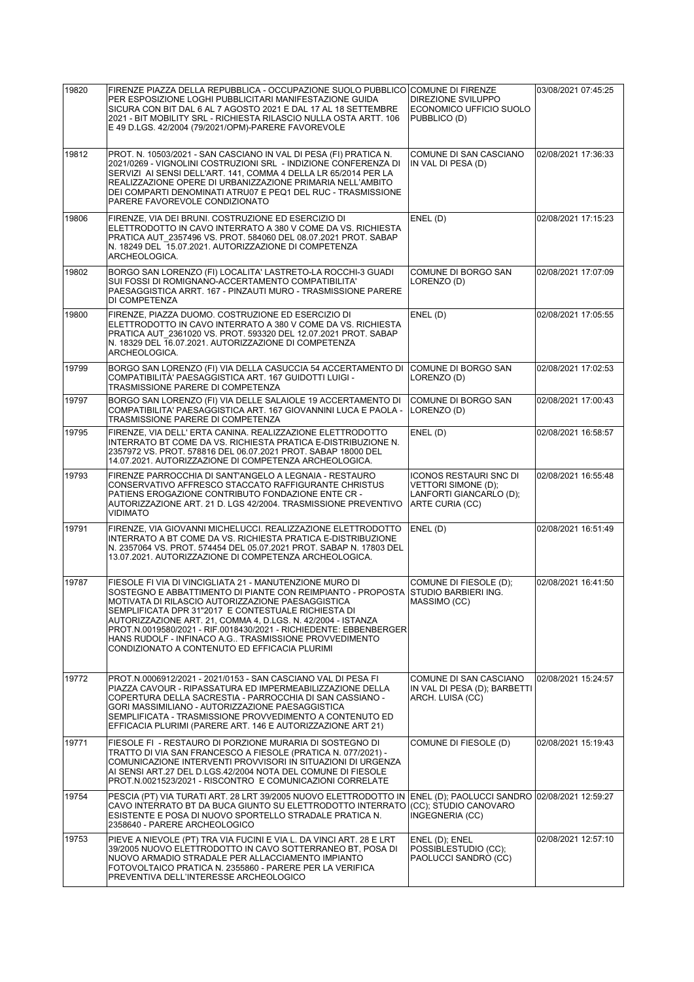| 19820 | FIRENZE PIAZZA DELLA REPUBBLICA - OCCUPAZIONE SUOLO PUBBLICO COMUNE DI FIRENZE<br>PER ESPOSIZIONE LOGHI PUBBLICITARI MANIFESTAZIONE GUIDA<br>SICURA CON BIT DAL 6 AL 7 AGOSTO 2021 E DAL 17 AL 18 SETTEMBRE<br>2021 - BIT MOBILITY SRL - RICHIESTA RILASCIO NULLA OSTA ARTT. 106<br>E 49 D.LGS. 42/2004 (79/2021/OPM)-PARERE FAVOREVOLE                                                                                                                                             | <b>DIREZIONE SVILUPPO</b><br>ECONOMICO UFFICIO SUOLO<br>PUBBLICO (D)                                      | 03/08/2021 07:45:25 |
|-------|-------------------------------------------------------------------------------------------------------------------------------------------------------------------------------------------------------------------------------------------------------------------------------------------------------------------------------------------------------------------------------------------------------------------------------------------------------------------------------------|-----------------------------------------------------------------------------------------------------------|---------------------|
| 19812 | PROT. N. 10503/2021 - SAN CASCIANO IN VAL DI PESA (FI) PRATICA N.<br>2021/0269 - VIGNOLINI COSTRUZIONI SRL - INDIZIONE CONFERENZA DI<br>SERVIZI AI SENSI DELL'ART. 141, COMMA 4 DELLA LR 65/2014 PER LA<br>REALIZZAZIONE OPERE DI URBANIZZAZIONE PRIMARIA NELL'AMBITO<br>DEI COMPARTI DENOMINATI ATRU07 E PEQ1 DEL RUC - TRASMISSIONE<br>PARERE FAVOREVOLE CONDIZIONATO                                                                                                             | COMUNE DI SAN CASCIANO<br>IN VAL DI PESA (D)                                                              | 02/08/2021 17:36:33 |
| 19806 | FIRENZE, VIA DEI BRUNI. COSTRUZIONE ED ESERCIZIO DI<br>ELETTRODOTTO IN CAVO INTERRATO A 380 V COME DA VS. RICHIESTA<br>PRATICA AUT 2357496 VS. PROT. 584060 DEL 08.07.2021 PROT. SABAP<br>N. 18249 DEL 15.07.2021. AUTORIZZAZIONE DI COMPETENZA<br>ARCHEOLOGICA.                                                                                                                                                                                                                    | ENEL(D)                                                                                                   | 02/08/2021 17:15:23 |
| 19802 | BORGO SAN LORENZO (FI) LOCALITA' LASTRETO-LA ROCCHI-3 GUADI<br>SUI FOSSI DI ROMIGNANO-ACCERTAMENTO COMPATIBILITA'<br>PAESAGGISTICA ARRT. 167 - PINZAUTI MURO - TRASMISSIONE PARERE<br>DI COMPETENZA                                                                                                                                                                                                                                                                                 | COMUNE DI BORGO SAN<br>LORENZO (D)                                                                        | 02/08/2021 17:07:09 |
| 19800 | FIRENZE. PIAZZA DUOMO. COSTRUZIONE ED ESERCIZIO DI<br>ELETTRODOTTO IN CAVO INTERRATO A 380 V COME DA VS. RICHIESTA<br>PRATICA AUT 2361020 VS. PROT. 593320 DEL 12.07.2021 PROT. SABAP<br>N. 18329 DEL 16.07.2021. AUTORIZZAZIONE DI COMPETENZA<br>ARCHEOLOGICA.                                                                                                                                                                                                                     | ENEL(D)                                                                                                   | 02/08/2021 17:05:55 |
| 19799 | BORGO SAN LORENZO (FI) VIA DELLA CASUCCIA 54 ACCERTAMENTO DI<br>COMPATIBILITÀ' PAESAGGISTICA ART. 167 GUIDOTTI LUIGI -<br>TRASMISSIONE PARERE DI COMPETENZA                                                                                                                                                                                                                                                                                                                         | COMUNE DI BORGO SAN<br>LORENZO (D)                                                                        | 02/08/2021 17:02:53 |
| 19797 | BORGO SAN LORENZO (FI) VIA DELLE SALAIOLE 19 ACCERTAMENTO DI<br>COMPATIBILITA' PAESAGGISTICA ART. 167 GIOVANNINI LUCA E PAOLA -<br>TRASMISSIONE PARERE DI COMPETENZA                                                                                                                                                                                                                                                                                                                | COMUNE DI BORGO SAN<br>LORENZO (D)                                                                        | 02/08/2021 17:00:43 |
| 19795 | FIRENZE, VIA DELL' ERTA CANINA. REALIZZAZIONE ELETTRODOTTO<br>INTERRATO BT COME DA VS. RICHIESTA PRATICA E-DISTRIBUZIONE N.<br>2357972 VS. PROT. 578816 DEL 06.07.2021 PROT. SABAP 18000 DEL<br>14.07.2021. AUTORIZZAZIONE DI COMPETENZA ARCHEOLOGICA.                                                                                                                                                                                                                              | ENEL(D)                                                                                                   | 02/08/2021 16:58:57 |
| 19793 | FIRENZE PARROCCHIA DI SANT'ANGELO A LEGNAIA - RESTAURO<br>CONSERVATIVO AFFRESCO STACCATO RAFFIGURANTE CHRISTUS<br>PATIENS EROGAZIONE CONTRIBUTO FONDAZIONE ENTE CR -<br>AUTORIZZAZIONE ART. 21 D. LGS 42/2004. TRASMISSIONE PREVENTIVO<br><b>VIDIMATO</b>                                                                                                                                                                                                                           | <b>ICONOS RESTAURI SNC DI</b><br><b>VETTORI SIMONE (D):</b><br>LANFORTI GIANCARLO (D);<br>ARTE CURIA (CC) | 02/08/2021 16:55:48 |
| 19791 | FIRENZE, VIA GIOVANNI MICHELUCCI. REALIZZAZIONE ELETTRODOTTO<br>INTERRATO A BT COME DA VS. RICHIESTA PRATICA E-DISTRIBUZIONE<br>N. 2357064 VS. PROT. 574454 DEL 05.07.2021 PROT. SABAP N. 17803 DEL<br>13.07.2021. AUTORIZZAZIONE DI COMPETENZA ARCHEOLOGICA.                                                                                                                                                                                                                       | ENEL (D)                                                                                                  | 02/08/2021 16:51:49 |
| 19787 | FIESOLE FI VIA DI VINCIGLIATA 21 - MANUTENZIONE MURO DI<br>SOSTEGNO E ABBATTIMENTO DI PIANTE CON REIMPIANTO - PROPOSTA<br>MOTIVATA DI RILASCIO AUTORIZZAZIONE PAESAGGISTICA<br>SEMPLIFICATA DPR 31"2017 E CONTESTUALE RICHIESTA DI<br>AUTORIZZAZIONE ART. 21. COMMA 4. D.LGS. N. 42/2004 - ISTANZA<br>PROT.N.0019580/2021 - RIF.0018430/2021 - RICHIEDENTE: EBBENBERGER<br>HANS RUDOLF - INFINACO A.G., TRASMISSIONE PROVVEDIMENTO<br>CONDIZIONATO A CONTENUTO ED EFFICACIA PLURIMI | COMUNE DI FIESOLE (D);<br>STUDIO BARBIERI ING.<br> MASSIMO (CC)                                           | 02/08/2021 16:41:50 |
| 19772 | PROT.N.0006912/2021 - 2021/0153 - SAN CASCIANO VAL DI PESA FI<br>PIAZZA CAVOUR - RIPASSATURA ED IMPERMEABILIZZAZIONE DELLA<br>COPERTURA DELLA SACRESTIA - PARROCCHIA DI SAN CASSIANO -<br>GORI MASSIMILIANO - AUTORIZZAZIONE PAESAGGISTICA<br>SEMPLIFICATA - TRASMISSIONE PROVVEDIMENTO A CONTENUTO ED<br>EFFICACIA PLURIMI (PARERE ART. 146 E AUTORIZZAZIONE ART 21)                                                                                                               | COMUNE DI SAN CASCIANO<br>IN VAL DI PESA (D); BARBETTI<br>ARCH. LUISA (CC)                                | 02/08/2021 15:24:57 |
| 19771 | FIESOLE FI - RESTAURO DI PORZIONE MURARIA DI SOSTEGNO DI<br>TRATTO DI VIA SAN FRANCESCO A FIESOLE (PRATICA N. 077/2021) -<br>COMUNICAZIONE INTERVENTI PROVVISORI IN SITUAZIONI DI URGENZA<br>AI SENSI ART.27 DEL D.LGS.42/2004 NOTA DEL COMUNE DI FIESOLE<br>PROT.N.0021523/2021 - RISCONTRO E COMUNICAZIONI CORRELATE                                                                                                                                                              | COMUNE DI FIESOLE (D)                                                                                     | 02/08/2021 15:19:43 |
| 19754 | PESCIA (PT) VIA TURATI ART. 28 LRT 39/2005 NUOVO ELETTRODOTTO IN<br>CAVO INTERRATO BT DA BUCA GIUNTO SU ELETTRODOTTO INTERRATO<br>ESISTENTE E POSA DI NUOVO SPORTELLO STRADALE PRATICA N.<br>2358640 - PARERE ARCHEOLOGICO                                                                                                                                                                                                                                                          | ENEL (D); PAOLUCCI SANDRO 02/08/2021 12:59:27<br>(CC); STUDIO CANOVARO<br>INGEGNERIA (CC)                 |                     |
| 19753 | PIEVE A NIEVOLE (PT) TRA VIA FUCINI E VIA L. DA VINCI ART. 28 E LRT<br>39/2005 NUOVO ELETTRODOTTO IN CAVO SOTTERRANEO BT, POSA DI<br>NUOVO ARMADIO STRADALE PER ALLACCIAMENTO IMPIANTO<br>FOTOVOLTAICO PRATICA N. 2355860 - PARERE PER LA VERIFICA<br>PREVENTIVA DELL'INTERESSE ARCHEOLOGICO                                                                                                                                                                                        | ENEL (D); ENEL<br>POSSIBLESTUDIO (CC);<br>PAOLUCCI SANDRO (CC)                                            | 02/08/2021 12:57:10 |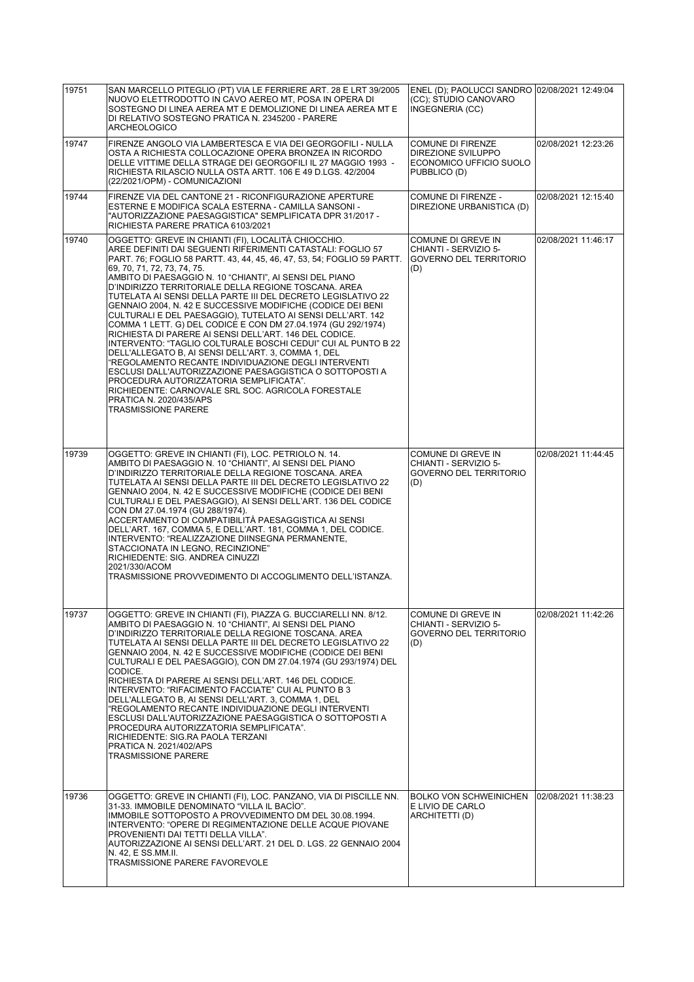| 19751 | SAN MARCELLO PITEGLIO (PT) VIA LE FERRIERE ART. 28 E LRT 39/2005<br>NUOVO ELETTRODOTTO IN CÁVO AEREO MT, POSA IN OPERA DI<br>SOSTEGNO DI LINEA AEREA MT E DEMOLIZIONE DI LINEA AEREA MT E<br>DI RELATIVO SOSTEGNO PRATICA N. 2345200 - PARERE<br><b>ARCHEOLOGICO</b>                                                                                                                                                                                                                                                                                                                                                                                                                                                                                                                                                                                                                                                                                                                                                                                                           | ENEL (D); PAOLUCCI SANDRO 02/08/2021 12:49:04<br>(CC); STUDIO CANOVARO<br>INGEGNERIA (CC) |                     |
|-------|--------------------------------------------------------------------------------------------------------------------------------------------------------------------------------------------------------------------------------------------------------------------------------------------------------------------------------------------------------------------------------------------------------------------------------------------------------------------------------------------------------------------------------------------------------------------------------------------------------------------------------------------------------------------------------------------------------------------------------------------------------------------------------------------------------------------------------------------------------------------------------------------------------------------------------------------------------------------------------------------------------------------------------------------------------------------------------|-------------------------------------------------------------------------------------------|---------------------|
| 19747 | FIRENZE ANGOLO VIA LAMBERTESCA E VIA DEI GEORGOFILI - NULLA<br>OSTA A RICHIESTA COLLOCAZIONE OPERA BRONZEA IN RICORDO<br>DELLE VITTIME DELLA STRAGE DEI GEORGOFILI IL 27 MAGGIO 1993 -<br>RICHIESTA RILASCIO NULLA OSTA ARTT. 106 E 49 D.LGS. 42/2004<br>(22/2021/OPM) - COMUNICAZIONI                                                                                                                                                                                                                                                                                                                                                                                                                                                                                                                                                                                                                                                                                                                                                                                         | <b>COMUNE DI FIRENZE</b><br>DIREZIONE SVILUPPO<br>ECONOMICO UFFICIO SUOLO<br>PUBBLICO (D) | 02/08/2021 12:23:26 |
| 19744 | FIRENZE VIA DEL CANTONE 21 - RICONFIGURAZIONE APERTURE<br>ESTERNE E MODIFICA SCALA ESTERNA - CAMILLA SANSONI -<br>"AUTORIZZAZIONE PAESAGGISTICA" SEMPLIFICATA DPR 31/2017 -<br>RICHIESTA PARERE PRATICA 6103/2021                                                                                                                                                                                                                                                                                                                                                                                                                                                                                                                                                                                                                                                                                                                                                                                                                                                              | <b>COMUNE DI FIRENZE -</b><br>DIREZIONE URBANISTICA (D)                                   | 02/08/2021 12:15:40 |
| 19740 | OGGETTO: GREVE IN CHIANTI (FI), LOCALITÀ CHIOCCHIO.<br>AREE DEFINITI DAI SEGUENTI RIFERIMENTI CATASTALI: FOGLIO 57<br>PART. 76; FOGLIO 58 PARTT. 43, 44, 45, 46, 47, 53, 54; FOGLIO 59 PARTT.<br>69, 70, 71, 72, 73, 74, 75.<br>AMBITO DI PAESAGGIO N. 10 "CHIANTI", AI SENSI DEL PIANO<br>D'INDIRIZZO TERRITORIALE DELLA REGIONE TOSCANA. AREA<br>TUTELATA AI SENSI DELLA PARTE III DEL DECRETO LEGISLATIVO 22<br>GENNAIO 2004, N. 42 E SUCCESSIVE MODIFICHE (CODICE DEI BENI<br>CULTURALI E DEL PAESAGGIO), TUTELATO AI SENSI DELL'ART. 142<br>COMMA 1 LETT. G) DEL CODICE E CON DM 27.04.1974 (GU 292/1974)<br>RICHIESTA DI PARERE AI SENSI DELL'ART. 146 DEL CODICE.<br>INTERVENTO: "TAGLIO COLTURALE BOSCHI CEDUI" CUI AL PUNTO B 22<br>DELL'ALLEGATO B, AI SENSI DELL'ART. 3, COMMA 1, DEL<br>"REGOLAMENTO RECANTE INDIVIDUAZIONE DEGLI INTERVENTI<br>ESCLUSI DALL'AUTORIZZAZIONE PAESAGGISTICA O SOTTOPOSTI A<br>PROCEDURA AUTORIZZATORIA SEMPLIFICATA".<br>RICHIEDENTE: CARNOVALE SRL SOC. AGRICOLA FORESTALE<br>PRATICA N. 2020/435/APS<br><b>TRASMISSIONE PARERE</b> | COMUNE DI GREVE IN<br>CHIANTI - SERVIZIO 5-<br>GOVERNO DEL TERRITORIO<br>(D)              | 02/08/2021 11:46:17 |
| 19739 | OGGETTO: GREVE IN CHIANTI (FI), LOC. PETRIOLO N. 14.<br>AMBITO DI PAESAGGIO N. 10 "CHIANTI", AI SENSI DEL PIANO<br>D'INDIRIZZO TERRITORIALE DELLA REGIONE TOSCANA. AREA<br>TUTELATA AI SENSI DELLA PARTE III DEL DECRETO LEGISLATIVO 22<br>GENNAIO 2004, N. 42 E SUCCESSIVE MODIFICHE (CODICE DEI BENI<br>CULTURALI E DEL PAESAGGIO), AI SENSI DELL'ART. 136 DEL CODICE<br>CON DM 27.04.1974 (GU 288/1974).<br>ACCERTAMENTO DI COMPATIBILITÀ PAESAGGISTICA AI SENSI<br>DELL'ART. 167, COMMA 5, E DELL'ART. 181, COMMA 1, DEL CODICE.<br>INTERVENTO: "REALIZZAZIONE DIINSEGNA PERMANENTE,<br>STACCIONATA IN LEGNO, RECINZIONE"<br>RICHIEDENTE: SIG. ANDREA CINUZZI<br>2021/330/ACOM<br>TRASMISSIONE PROVVEDIMENTO DI ACCOGLIMENTO DELL'ISTANZA.                                                                                                                                                                                                                                                                                                                                 | COMUNE DI GREVE IN<br>CHIANTI - SERVIZIO 5-<br><b>GOVERNO DEL TERRITORIO</b><br>(D)       | 02/08/2021 11:44:45 |
| 19737 | OGGETTO: GREVE IN CHIANTI (FI), PIAZZA G. BUCCIARELLI NN. 8/12.<br>AMBITO DI PAESAGGIO N. 10 "CHIANTI", AI SENSI DEL PIANO<br>D'INDIRIZZO TERRITORIALE DELLA REGIONE TOSCANA. AREA<br>TUTELATA AI SENSI DELLA PARTE III DEL DECRETO LEGISLATIVO 22<br>GENNAIO 2004, N. 42 E SUCCESSIVE MODIFICHE (CODICE DEI BENI<br>CULTURALI E DEL PAESAGGIO), CON DM 27.04.1974 (GU 293/1974) DEL<br>CODICE.<br>RICHIESTA DI PARERE AI SENSI DELL'ART. 146 DEL CODICE.<br>INTERVENTO: "RIFACIMENTO FACCIATE" CUI AL PUNTO B 3<br>DELL'ALLEGATO B, AI SENSI DELL'ART. 3, COMMA 1, DEL<br>"REGOLAMENTO RECANTE INDIVIDUAZIONE DEGLI INTERVENTI<br>ESCLUSI DALL'AUTORIZZAZIONE PAESAGGISTICA O SOTTOPOSTI A<br>PROCEDURA AUTORIZZATORIA SEMPLIFICATA".<br>RICHIEDENTE: SIG.RA PAOLA TERZANI<br>PRATICA N. 2021/402/APS<br><b>TRASMISSIONE PARERE</b>                                                                                                                                                                                                                                           | COMUNE DI GREVE IN<br>CHIANTI - SERVIZIO 5-<br><b>GOVERNO DEL TERRITORIO</b><br>(D)       | 02/08/2021 11:42:26 |
| 19736 | OGGETTO: GREVE IN CHIANTI (FI), LOC. PANZANO, VIA DI PISCILLE NN.<br>31-33. IMMOBILE DENOMINATO "VILLA IL BACIO".<br>IMMOBILE SOTTOPOSTO A PROVVEDIMENTO DM DEL 30.08.1994.<br>INTERVENTO: "OPERE DI REGIMENTAZIONE DELLE ACQUE PIOVANE<br>PROVENIENTI DAI TETTI DELLA VILLA".<br>AUTORIZZAZIONE AI SENSI DELL'ART. 21 DEL D. LGS. 22 GENNAIO 2004<br>N. 42, E SS.MM.II.<br>TRASMISSIONE PARERE FAVOREVOLE                                                                                                                                                                                                                                                                                                                                                                                                                                                                                                                                                                                                                                                                     | <b>BOLKO VON SCHWEINICHEN</b><br>E LIVIO DE CARLO<br>ARCHITETTI (D)                       | 02/08/2021 11:38:23 |